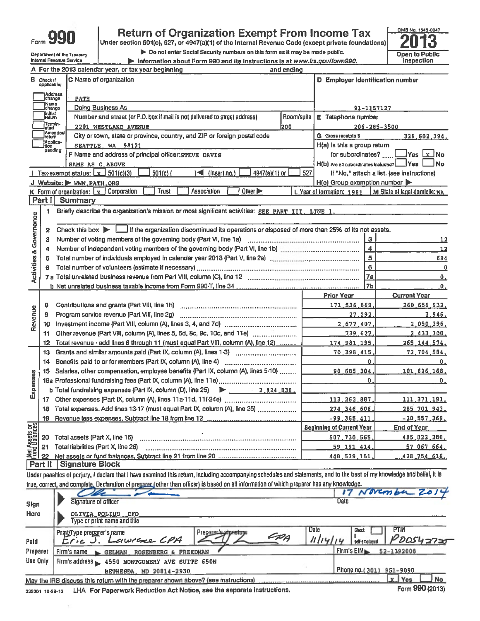| Form 990                   |
|----------------------------|
| Department of the Treasury |

Internal Revenue Service

# **Return of Organization Exempt From Income Tax**

Under section 501(c), 527, or 4947(a)(1) of the Internal Revenue Code (except private foundations)

Do not enter Social Security numbers on this form as it may be made public.

Information about Form 990 and its instructions is at www.irs.gov/form990.



|                                    |                                                   | A For the 2013 calendar year, or tax year beginning                                                                                                                        | and ending |                                         |                                                           |  |  |  |  |
|------------------------------------|---------------------------------------------------|----------------------------------------------------------------------------------------------------------------------------------------------------------------------------|------------|-----------------------------------------|-----------------------------------------------------------|--|--|--|--|
|                                    | B Check If<br>applicable:                         | C Name of organization                                                                                                                                                     |            | D Employer Identification number        |                                                           |  |  |  |  |
|                                    |                                                   | Address<br> change<br><b>PATH</b>                                                                                                                                          |            |                                         |                                                           |  |  |  |  |
|                                    | Name<br>Doing Business As<br>91-1157127<br>change |                                                                                                                                                                            |            |                                         |                                                           |  |  |  |  |
|                                    | ]Initiat<br>Ireturn                               | Number and street (or P.O. box if mail is not delivered to street address)                                                                                                 | Room/suite | E Telephone number                      |                                                           |  |  |  |  |
|                                    | Termin-<br>ated                                   | 2201 WESTLAKE AVENUE                                                                                                                                                       | 1200       |                                         | $206 - 285 - 3500$                                        |  |  |  |  |
|                                    | Iretum                                            | Amended<br>City or town, state or province, country, and ZIP or foreign postal code                                                                                        |            | <b>G</b> Gross receipts \$              | 326.602.394.                                              |  |  |  |  |
|                                    | }Applica-<br>Ition                                | SEATTLE WA 98121                                                                                                                                                           |            | H(a) is this a group return             |                                                           |  |  |  |  |
|                                    | pending                                           | F Name and address of principal officer: STEVE DAVIS                                                                                                                       |            | for subordinates? $\Box$                | Yes Lx No                                                 |  |  |  |  |
|                                    |                                                   | SAME AS C_ABOVE                                                                                                                                                            |            | H(b) Are all subordinates included? Ves | l No                                                      |  |  |  |  |
|                                    |                                                   | Tax-exempt status: $\boxed{x}$ 501(c)(3)<br>$501(c)$ (<br>4947(a)(1) or<br>$\leq$ (insert no.)                                                                             |            | 527                                     | If "No," attach a list. (see instructions)                |  |  |  |  |
|                                    |                                                   | J Website: WWW.PATH.ORG                                                                                                                                                    |            | H(c) Group exemption number             |                                                           |  |  |  |  |
|                                    |                                                   | <b>Trust</b><br>Other $\blacktriangleright$<br>Association<br>K Form of organization: $\lfloor x \rfloor$ Corporation                                                      |            |                                         | L Year of formation: 1981   M State of legal domicile: wA |  |  |  |  |
|                                    |                                                   | Part I Summary                                                                                                                                                             |            |                                         |                                                           |  |  |  |  |
|                                    | 1                                                 | Briefly describe the organization's mission or most significant activities: SEE PART III LINE 1.                                                                           |            |                                         |                                                           |  |  |  |  |
| <b>Activities &amp; Governance</b> |                                                   |                                                                                                                                                                            |            |                                         |                                                           |  |  |  |  |
|                                    | 2                                                 | Check this box $\blacktriangleright$ $\blacksquare$ if the organization discontinued its operations or disposed of more than 25% of its net assets.                        |            |                                         |                                                           |  |  |  |  |
|                                    | з                                                 |                                                                                                                                                                            |            | 3                                       | $\overline{\mathbf{12}}$                                  |  |  |  |  |
|                                    |                                                   |                                                                                                                                                                            |            | $\overline{4}$                          | 12                                                        |  |  |  |  |
|                                    | 5                                                 |                                                                                                                                                                            |            | $\overline{\mathbf{5}}$                 | 694                                                       |  |  |  |  |
|                                    |                                                   |                                                                                                                                                                            |            | $\epsilon$                              | 0                                                         |  |  |  |  |
|                                    |                                                   |                                                                                                                                                                            |            | 7a                                      | 0.                                                        |  |  |  |  |
|                                    |                                                   |                                                                                                                                                                            |            | 17ь                                     | $\mathbf{0}_{\bullet}$                                    |  |  |  |  |
|                                    |                                                   |                                                                                                                                                                            |            | <b>Prior Year</b>                       | <b>Current Year</b>                                       |  |  |  |  |
|                                    | 8                                                 |                                                                                                                                                                            |            | 171,536,869                             | 260.656.932.                                              |  |  |  |  |
|                                    | 9                                                 |                                                                                                                                                                            |            | 27.292                                  | 3.946.                                                    |  |  |  |  |
| Revenue                            | 10                                                |                                                                                                                                                                            |            | 2.677.407                               | 2.050.396.                                                |  |  |  |  |
|                                    | 11                                                | Other revenue (Part VIII, column (A), lines 5, 6d, 8c, 9c, 10c, and 11e)                                                                                                   |            | 739.627                                 | 2,433,300                                                 |  |  |  |  |
|                                    | 12                                                | Total revenue · add lines 8 through 11 (must equal Part VIII, column (A), line 12)                                                                                         |            | 174.981.195.                            | 265.144.574.                                              |  |  |  |  |
|                                    | 13                                                | Grants and similar amounts paid (Part IX, column (A), lines 1-3)                                                                                                           |            | 70.398.415                              | 72,704.584.                                               |  |  |  |  |
|                                    | 14                                                |                                                                                                                                                                            |            | $\mathbf{0}$ .                          | 0.                                                        |  |  |  |  |
|                                    | 15                                                | Salaries, other compensation, employee benefits (Part IX, column (A), lines 5-10)                                                                                          |            | 90.685.304                              | 101.626.168.                                              |  |  |  |  |
| Expenses                           |                                                   |                                                                                                                                                                            |            | $\mathbf{0}$                            | 0.                                                        |  |  |  |  |
|                                    |                                                   | <b>b</b> Total fundraising expenses (Part IX, column (D), line 25) $\rightarrow$ 2 324 838.                                                                                |            |                                         |                                                           |  |  |  |  |
|                                    | 17                                                |                                                                                                                                                                            |            | 113.262.887.                            | 111.371.191.                                              |  |  |  |  |
|                                    |                                                   | 18 Total expenses. Add lines 13-17 (must equal Part IX, column (A), line 25)                                                                                               |            | 274 346 606                             | 285 701 943.                                              |  |  |  |  |
|                                    | 19                                                |                                                                                                                                                                            |            | $-99.365.411.$                          | $-20,557,369.$                                            |  |  |  |  |
|                                    |                                                   |                                                                                                                                                                            |            | <b>Beginning of Current Year</b>        | <b>End of Year</b>                                        |  |  |  |  |
| <b>Met Assets or</b>               | 20                                                | Total assets (Part X, line 16)                                                                                                                                             |            | 507.730.565                             | 485.822.280.                                              |  |  |  |  |
|                                    | 21                                                | Total liabilities (Part X, line 26)                                                                                                                                        | 59 191 414 | 57.067.664.                             |                                                           |  |  |  |  |
|                                    | 22                                                |                                                                                                                                                                            |            | 448 539 151                             | 428 754 616.                                              |  |  |  |  |
|                                    | Part II                                           | <b>Signature Block</b>                                                                                                                                                     |            |                                         |                                                           |  |  |  |  |
|                                    |                                                   | Under penalties of perjury, I declare that I have examined this return, including accompanying schedules and statements, and to the best of my knowledge and belief, it is |            |                                         |                                                           |  |  |  |  |
|                                    |                                                   | true, correct, and complete. Declaration of preparer (other than officer) is based on all information of which preparer has any knowledge.                                 |            |                                         |                                                           |  |  |  |  |

| Sign<br><b>Here</b> | Signature of officer<br>OLIVIA POLIUS, CFO<br>Type or print name and title        |                                       |      | Date                          | $17$ November 2014      |
|---------------------|-----------------------------------------------------------------------------------|---------------------------------------|------|-------------------------------|-------------------------|
| Paid                | Print/Type preparer's name<br>Eric J. Lawrence CPA                                | , Prep <u>arece s</u> agneture<br>EPA | Date | <b>Check</b><br>self-employed | <b>PTIN</b><br>PDS42727 |
| Preparer            | Firm's name SELMAN, ROSENBERG & FREEDMAN                                          |                                       |      | Firm's EIN 52-1392008         |                         |
| <b>Use Only</b>     | Firm's address = 4550 MONTGOMERY AVE SUITE 650N                                   |                                       |      |                               |                         |
|                     | BETHESDA, MD 20814-2930                                                           |                                       |      | Phone no.(301) 951-9090       |                         |
|                     | May the IRS discuss this return with the preparer shown above? (see instructions) |                                       |      |                               | No<br>X Yes             |

332001 10-20-13 LHA For Paperwork Reduction Act Notice, see the separate instructions.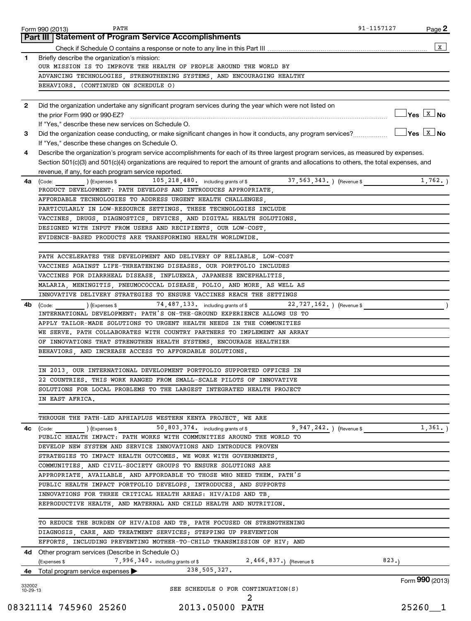|          | PATH<br>Form 990 (2013)                                                                                                                      | 91-1157127 | Page 2                                                                                |
|----------|----------------------------------------------------------------------------------------------------------------------------------------------|------------|---------------------------------------------------------------------------------------|
|          | Part III   Statement of Program Service Accomplishments                                                                                      |            |                                                                                       |
|          |                                                                                                                                              |            | x                                                                                     |
| 1        | Briefly describe the organization's mission:                                                                                                 |            |                                                                                       |
|          | OUR MISSION IS TO IMPROVE THE HEALTH OF PEOPLE AROUND THE WORLD BY<br>ADVANCING TECHNOLOGIES, STRENGTHENING SYSTEMS, AND ENCOURAGING HEALTHY |            |                                                                                       |
|          | BEHAVIORS. (CONTINUED ON SCHEDULE O)                                                                                                         |            |                                                                                       |
|          |                                                                                                                                              |            |                                                                                       |
| 2        | Did the organization undertake any significant program services during the year which were not listed on                                     |            |                                                                                       |
|          |                                                                                                                                              |            | $\sqrt{}$ Yes $\overline{\begin{array}{ c } \hline \text{X} & \text{No} \end{array}}$ |
|          | If "Yes," describe these new services on Schedule O.                                                                                         |            |                                                                                       |
| 3        | Did the organization cease conducting, or make significant changes in how it conducts, any program services?                                 |            | $ {\mathsf Y}{\mathsf e}{\mathsf s} \;  $ $\overline{{\mathsf X}} \;$ No              |
|          | If "Yes," describe these changes on Schedule O.                                                                                              |            |                                                                                       |
| 4        | Describe the organization's program service accomplishments for each of its three largest program services, as measured by expenses.         |            |                                                                                       |
|          | Section 501(c)(3) and 501(c)(4) organizations are required to report the amount of grants and allocations to others, the total expenses, and |            |                                                                                       |
|          | revenue, if any, for each program service reported.                                                                                          |            |                                                                                       |
| 4a       | 105, 218, 480. including grants of \$ 37, 563, 343. ) (Revenue \$<br>$\left(\text{Code:} \right)$ $\left(\text{Expenses $}\right)$           |            | 1,762.                                                                                |
|          | PRODUCT DEVELOPMENT: PATH DEVELOPS AND INTRODUCES APPROPRIATE,                                                                               |            |                                                                                       |
|          | AFFORDABLE TECHNOLOGIES TO ADDRESS URGENT HEALTH CHALLENGES,                                                                                 |            |                                                                                       |
|          | PARTICULARLY IN LOW-RESOURCE SETTINGS. THESE TECHNOLOGIES INCLUDE                                                                            |            |                                                                                       |
|          | VACCINES, DRUGS, DIAGNOSTICS, DEVICES, AND DIGITAL HEALTH SOLUTIONS.                                                                         |            |                                                                                       |
|          | DESIGNED WITH INPUT FROM USERS AND RECIPIENTS, OUR LOW-COST,                                                                                 |            |                                                                                       |
|          | EVIDENCE-BASED PRODUCTS ARE TRANSFORMING HEALTH WORLDWIDE.                                                                                   |            |                                                                                       |
|          |                                                                                                                                              |            |                                                                                       |
|          | PATH ACCELERATES THE DEVELOPMENT AND DELIVERY OF RELIABLE, LOW-COST                                                                          |            |                                                                                       |
|          | VACCINES AGAINST LIFE-THREATENING DISEASES. OUR PORTFOLIO INCLUDES                                                                           |            |                                                                                       |
|          | VACCINES FOR DIARRHEAL DISEASE, INFLUENZA, JAPANESE ENCEPHALITIS,                                                                            |            |                                                                                       |
|          | MALARIA, MENINGITIS, PNEUMOCOCCAL DISEASE, POLIO, AND MORE, AS WELL AS                                                                       |            |                                                                                       |
|          | INNOVATIVE DELIVERY STRATEGIES TO ENSURE VACCINES REACH THE SETTINGS                                                                         |            |                                                                                       |
| 4b       | 74, 487, 133. including grants of \$<br>22,727,162. ) (Revenue \$<br>(Code:<br>) (Expenses \$                                                |            |                                                                                       |
|          | INTERNATIONAL DEVELOPMENT: PATH'S ON-THE-GROUND EXPERIENCE ALLOWS US TO                                                                      |            |                                                                                       |
|          | APPLY TAILOR-MADE SOLUTIONS TO URGENT HEALTH NEEDS IN THE COMMUNITIES                                                                        |            |                                                                                       |
|          | WE SERVE. PATH COLLABORATES WITH COUNTRY PARTNERS TO IMPLEMENT AN ARRAY                                                                      |            |                                                                                       |
|          | OF INNOVATIONS THAT STRENGTHEN HEALTH SYSTEMS, ENCOURAGE HEALTHIER                                                                           |            |                                                                                       |
|          | BEHAVIORS, AND INCREASE ACCESS TO AFFORDABLE SOLUTIONS.                                                                                      |            |                                                                                       |
|          |                                                                                                                                              |            |                                                                                       |
|          | IN 2013,<br>OUR INTERNATIONAL DEVELOPMENT PORTFOLIO SUPPORTED OFFICES IN                                                                     |            |                                                                                       |
|          | 22 COUNTRIES. THIS WORK RANGED FROM SMALL-SCALE PILOTS OF INNOVATIVE                                                                         |            |                                                                                       |
|          | SOLUTIONS FOR LOCAL PROBLEMS TO THE LARGEST INTEGRATED HEALTH PROJECT                                                                        |            |                                                                                       |
|          | IN EAST AFRICA.                                                                                                                              |            |                                                                                       |
|          |                                                                                                                                              |            |                                                                                       |
|          | THROUGH THE PATH-LED APHIAPLUS WESTERN KENYA PROJECT, WE ARE                                                                                 |            |                                                                                       |
| 4c       | $9,947,242.$ ) (Revenue \$<br>(Code: ) (Expenses \$ 50,803,374. including grants of \$                                                       |            | 1,361.                                                                                |
|          | PUBLIC HEALTH IMPACT: PATH WORKS WITH COMMUNITIES AROUND THE WORLD TO                                                                        |            |                                                                                       |
|          | DEVELOP NEW SYSTEM AND SERVICE INNOVATIONS AND INTRODUCE PROVEN                                                                              |            |                                                                                       |
|          | STRATEGIES TO IMPACT HEALTH OUTCOMES. WE WORK WITH GOVERNMENTS,                                                                              |            |                                                                                       |
|          | COMMUNITIES, AND CIVIL-SOCIETY GROUPS TO ENSURE SOLUTIONS ARE                                                                                |            |                                                                                       |
|          | APPROPRIATE, AVAILABLE, AND AFFORDABLE TO THOSE WHO NEED THEM. PATH'S                                                                        |            |                                                                                       |
|          | PUBLIC HEALTH IMPACT PORTFOLIO DEVELOPS, INTRODUCES, AND SUPPORTS                                                                            |            |                                                                                       |
|          | INNOVATIONS FOR THREE CRITICAL HEALTH AREAS: HIV/AIDS AND TB,                                                                                |            |                                                                                       |
|          | REPRODUCTIVE HEALTH, AND MATERNAL AND CHILD HEALTH AND NUTRITION.                                                                            |            |                                                                                       |
|          |                                                                                                                                              |            |                                                                                       |
|          | TO REDUCE THE BURDEN OF HIV/AIDS AND TB, PATH FOCUSED ON STRENGTHENING                                                                       |            |                                                                                       |
|          | DIAGNOSIS, CARE, AND TREATMENT SERVICES; STEPPING UP PREVENTION                                                                              |            |                                                                                       |
|          | EFFORTS, INCLUDING PREVENTING MOTHER-TO-CHILD TRANSMISSION OF HIV; AND                                                                       |            |                                                                                       |
|          | 4d Other program services (Describe in Schedule O.)                                                                                          |            |                                                                                       |
|          | 7,996,340. including grants of \$2,466,837.) (Revenue \$<br>(Expenses \$                                                                     | 823.       |                                                                                       |
|          | $238,505,327$ .<br>4e Total program service expenses                                                                                         |            |                                                                                       |
| 332002   |                                                                                                                                              |            | Form 990 (2013)                                                                       |
| 10-29-13 | SEE SCHEDULE O FOR CONTINUATION(S)                                                                                                           |            |                                                                                       |
|          | 2                                                                                                                                            |            |                                                                                       |

08321114 745960 25260 2013.05000 PATH 25260\_\_1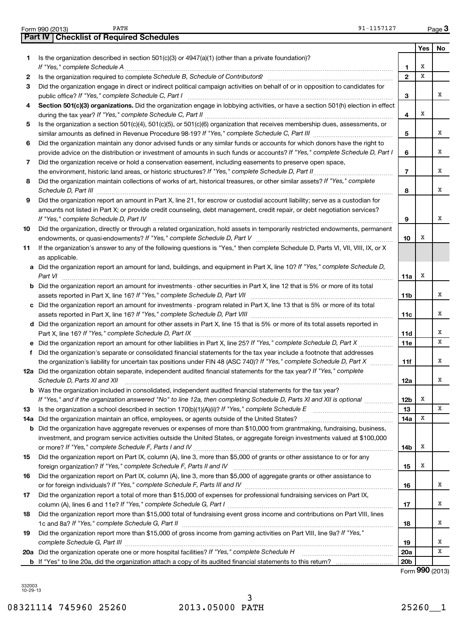| Form 990 (2013) | PATH                                             | 91-1157127 | Page |
|-----------------|--------------------------------------------------|------------|------|
|                 | <b>Part IV   Checklist of Required Schedules</b> |            |      |

|    |                                                                                                                                                                                                                   |                 | Yes | No |
|----|-------------------------------------------------------------------------------------------------------------------------------------------------------------------------------------------------------------------|-----------------|-----|----|
| 1. | Is the organization described in section $501(c)(3)$ or $4947(a)(1)$ (other than a private foundation)?                                                                                                           |                 |     |    |
|    |                                                                                                                                                                                                                   | 1               | х   |    |
| 2  | Is the organization required to complete Schedule B, Schedule of Contributors? [111] [12] the organization required to complete Schedule B, Schedule of Contributors?                                             | $\mathbf{2}$    | х   |    |
| 3  | Did the organization engage in direct or indirect political campaign activities on behalf of or in opposition to candidates for                                                                                   |                 |     |    |
|    | public office? If "Yes," complete Schedule C, Part I                                                                                                                                                              | З               |     | х  |
| 4  | Section 501(c)(3) organizations. Did the organization engage in lobbying activities, or have a section 501(h) election in effect                                                                                  |                 |     |    |
|    |                                                                                                                                                                                                                   | 4               | х   |    |
| 5  | Is the organization a section 501(c)(4), 501(c)(5), or 501(c)(6) organization that receives membership dues, assessments, or                                                                                      |                 |     |    |
|    |                                                                                                                                                                                                                   | 5               |     | х  |
| 6  | Did the organization maintain any donor advised funds or any similar funds or accounts for which donors have the right to                                                                                         |                 |     | х  |
|    | provide advice on the distribution or investment of amounts in such funds or accounts? If "Yes," complete Schedule D, Part I                                                                                      | 6               |     |    |
| 7  | Did the organization receive or hold a conservation easement, including easements to preserve open space,<br>the environment, historic land areas, or historic structures? If "Yes," complete Schedule D, Part II | 7               |     | х  |
| 8  | Did the organization maintain collections of works of art, historical treasures, or other similar assets? If "Yes," complete                                                                                      |                 |     |    |
|    |                                                                                                                                                                                                                   | 8               |     | х  |
| 9  | Did the organization report an amount in Part X, line 21, for escrow or custodial account liability; serve as a custodian for                                                                                     |                 |     |    |
|    | amounts not listed in Part X; or provide credit counseling, debt management, credit repair, or debt negotiation services?                                                                                         |                 |     |    |
|    | If "Yes," complete Schedule D, Part IV                                                                                                                                                                            | 9               |     | х  |
| 10 | Did the organization, directly or through a related organization, hold assets in temporarily restricted endowments, permanent                                                                                     |                 |     |    |
|    |                                                                                                                                                                                                                   | 10              | х   |    |
| 11 | If the organization's answer to any of the following questions is "Yes," then complete Schedule D, Parts VI, VII, VIII, IX, or X                                                                                  |                 |     |    |
|    | as applicable.                                                                                                                                                                                                    |                 |     |    |
|    | a Did the organization report an amount for land, buildings, and equipment in Part X, line 10? If "Yes," complete Schedule D,                                                                                     |                 |     |    |
|    | Part VI                                                                                                                                                                                                           | 11a             | х   |    |
|    | <b>b</b> Did the organization report an amount for investments - other securities in Part X, line 12 that is 5% or more of its total                                                                              |                 |     |    |
|    |                                                                                                                                                                                                                   | 11b             |     | х  |
|    | c Did the organization report an amount for investments - program related in Part X, line 13 that is 5% or more of its total                                                                                      |                 |     | х  |
|    | d Did the organization report an amount for other assets in Part X, line 15 that is 5% or more of its total assets reported in                                                                                    | 11c             |     |    |
|    |                                                                                                                                                                                                                   | 11d             |     | х  |
|    |                                                                                                                                                                                                                   | 11 <sub>c</sub> |     | х  |
|    | f Did the organization's separate or consolidated financial statements for the tax year include a footnote that addresses                                                                                         |                 |     |    |
|    | the organization's liability for uncertain tax positions under FIN 48 (ASC 740)? If "Yes," complete Schedule D, Part X                                                                                            | 11f             |     | х  |
|    | 12a Did the organization obtain separate, independent audited financial statements for the tax year? If "Yes," complete                                                                                           |                 |     |    |
|    | Schedule D, Parts XI and XII                                                                                                                                                                                      | 12a             |     | x  |
|    | <b>b</b> Was the organization included in consolidated, independent audited financial statements for the tax year?                                                                                                |                 |     |    |
|    | If "Yes," and if the organization answered "No" to line 12a, then completing Schedule D, Parts XI and XII is optional <i>maniming</i>                                                                             | 12b             | х   |    |
| 13 |                                                                                                                                                                                                                   | 13              |     | х  |
|    |                                                                                                                                                                                                                   | 14a             | Х   |    |
|    | <b>b</b> Did the organization have aggregate revenues or expenses of more than \$10,000 from grantmaking, fundraising, business,                                                                                  |                 |     |    |
|    | investment, and program service activities outside the United States, or aggregate foreign investments valued at \$100,000                                                                                        |                 | х   |    |
|    | Did the organization report on Part IX, column (A), line 3, more than \$5,000 of grants or other assistance to or for any                                                                                         | 14b             |     |    |
| 15 |                                                                                                                                                                                                                   | 15              | х   |    |
| 16 | Did the organization report on Part IX, column (A), line 3, more than \$5,000 of aggregate grants or other assistance to                                                                                          |                 |     |    |
|    |                                                                                                                                                                                                                   | 16              |     | х  |
| 17 | Did the organization report a total of more than \$15,000 of expenses for professional fundraising services on Part IX,                                                                                           |                 |     |    |
|    |                                                                                                                                                                                                                   | 17              |     | х  |
| 18 | Did the organization report more than \$15,000 total of fundraising event gross income and contributions on Part VIII, lines                                                                                      |                 |     |    |
|    |                                                                                                                                                                                                                   | 18              |     | х  |
| 19 | Did the organization report more than \$15,000 of gross income from gaming activities on Part VIII, line 9a? If "Yes,"                                                                                            |                 |     |    |
|    |                                                                                                                                                                                                                   | 19              |     | х  |
|    |                                                                                                                                                                                                                   | <b>20a</b>      |     | х  |
|    |                                                                                                                                                                                                                   | 20 <sub>b</sub> |     |    |

Form (2013) **990**

332003 10-29-13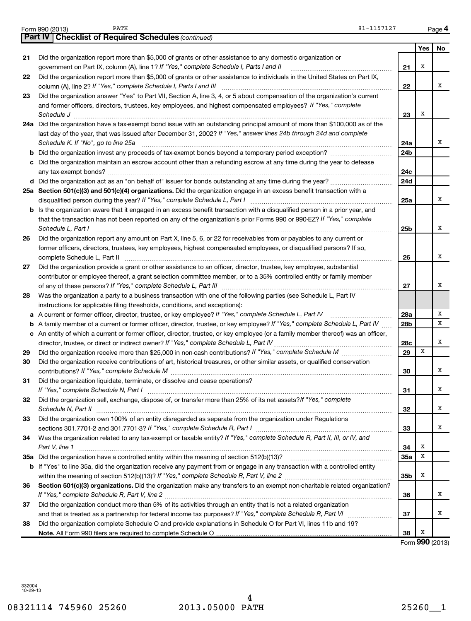|    | 91-1157127<br>PATH<br>Form 990 (2013)                                                                                                                                                                                                                                                    |                 |            | Page 4 |
|----|------------------------------------------------------------------------------------------------------------------------------------------------------------------------------------------------------------------------------------------------------------------------------------------|-----------------|------------|--------|
|    | <b>Part IV   Checklist of Required Schedules (continued)</b>                                                                                                                                                                                                                             |                 |            |        |
|    |                                                                                                                                                                                                                                                                                          |                 | <b>Yes</b> | No     |
| 21 | Did the organization report more than \$5,000 of grants or other assistance to any domestic organization or                                                                                                                                                                              |                 |            |        |
|    | government on Part IX, column (A), line 1? If "Yes," complete Schedule I, Parts I and II                                                                                                                                                                                                 | 21              | х          |        |
| 22 | Did the organization report more than \$5,000 of grants or other assistance to individuals in the United States on Part IX,                                                                                                                                                              | 22              |            | х      |
| 23 | Did the organization answer "Yes" to Part VII, Section A, line 3, 4, or 5 about compensation of the organization's current                                                                                                                                                               |                 |            |        |
|    | and former officers, directors, trustees, key employees, and highest compensated employees? If "Yes," complete                                                                                                                                                                           |                 |            |        |
|    | Schedule J                                                                                                                                                                                                                                                                               | 23              | х          |        |
|    | 24a Did the organization have a tax-exempt bond issue with an outstanding principal amount of more than \$100,000 as of the<br>last day of the year, that was issued after December 31, 2002? If "Yes," answer lines 24b through 24d and complete<br>Schedule K. If "No", go to line 25a | 24a             |            | х      |
|    | b Did the organization invest any proceeds of tax-exempt bonds beyond a temporary period exception?                                                                                                                                                                                      | 24b             |            |        |
|    | c Did the organization maintain an escrow account other than a refunding escrow at any time during the year to defease                                                                                                                                                                   |                 |            |        |
|    |                                                                                                                                                                                                                                                                                          | 24c             |            |        |
|    |                                                                                                                                                                                                                                                                                          | 24d             |            |        |
|    | 25a Section 501(c)(3) and 501(c)(4) organizations. Did the organization engage in an excess benefit transaction with a                                                                                                                                                                   |                 |            |        |
|    |                                                                                                                                                                                                                                                                                          | 25a             |            | x      |
|    | <b>b</b> Is the organization aware that it engaged in an excess benefit transaction with a disqualified person in a prior year, and<br>that the transaction has not been reported on any of the organization's prior Forms 990 or 990-EZ? If "Yes," complete<br>Schedule L, Part I       | 25b             |            | х      |
| 26 | Did the organization report any amount on Part X, line 5, 6, or 22 for receivables from or payables to any current or                                                                                                                                                                    |                 |            |        |
|    | former officers, directors, trustees, key employees, highest compensated employees, or disqualified persons? If so,                                                                                                                                                                      | 26              |            | х      |
| 27 | Did the organization provide a grant or other assistance to an officer, director, trustee, key employee, substantial                                                                                                                                                                     |                 |            |        |
|    | contributor or employee thereof, a grant selection committee member, or to a 35% controlled entity or family member                                                                                                                                                                      |                 |            |        |
|    |                                                                                                                                                                                                                                                                                          | 27              |            | х      |
| 28 | Was the organization a party to a business transaction with one of the following parties (see Schedule L, Part IV                                                                                                                                                                        |                 |            |        |
|    | instructions for applicable filing thresholds, conditions, and exceptions):                                                                                                                                                                                                              |                 |            |        |
|    | a A current or former officer, director, trustee, or key employee? If "Yes," complete Schedule L, Part IV                                                                                                                                                                                | 28a             |            | х      |
|    | <b>b</b> A family member of a current or former officer, director, trustee, or key employee? If "Yes," complete Schedule L, Part IV                                                                                                                                                      | 28 <sub>b</sub> |            | х      |
|    | c An entity of which a current or former officer, director, trustee, or key employee (or a family member thereof) was an officer,                                                                                                                                                        |                 |            | х      |
| 29 |                                                                                                                                                                                                                                                                                          | 28c<br>29       | x          |        |
| 30 | Did the organization receive contributions of art, historical treasures, or other similar assets, or qualified conservation                                                                                                                                                              |                 |            |        |
|    |                                                                                                                                                                                                                                                                                          | 30              |            | x      |
| 31 | Did the organization liquidate, terminate, or dissolve and cease operations?                                                                                                                                                                                                             |                 |            | х      |
| 32 | Did the organization sell, exchange, dispose of, or transfer more than 25% of its net assets? If "Yes," complete                                                                                                                                                                         | 31              |            |        |
|    | Schedule N, Part II                                                                                                                                                                                                                                                                      | 32              |            | х      |
| 33 | Did the organization own 100% of an entity disregarded as separate from the organization under Regulations                                                                                                                                                                               | 33              |            | х      |
| 34 | Was the organization related to any tax-exempt or taxable entity? If "Yes," complete Schedule R, Part II, III, or IV, and<br>Part V, line 1                                                                                                                                              | 34              | х          |        |
|    |                                                                                                                                                                                                                                                                                          | 35a             | X          |        |
|    | b If "Yes" to line 35a, did the organization receive any payment from or engage in any transaction with a controlled entity                                                                                                                                                              |                 |            |        |
|    |                                                                                                                                                                                                                                                                                          | 35 <sub>b</sub> | х          |        |
| 36 | Section 501(c)(3) organizations. Did the organization make any transfers to an exempt non-charitable related organization?                                                                                                                                                               |                 |            |        |
|    |                                                                                                                                                                                                                                                                                          | 36              |            | х      |
| 37 | Did the organization conduct more than 5% of its activities through an entity that is not a related organization                                                                                                                                                                         |                 |            |        |
|    |                                                                                                                                                                                                                                                                                          | 37              |            | х      |
| 38 | Did the organization complete Schedule O and provide explanations in Schedule O for Part VI, lines 11b and 19?                                                                                                                                                                           | 38              | х          |        |
|    |                                                                                                                                                                                                                                                                                          |                 | <b>000</b> |        |

Form (2013) **990**

332004 10-29-13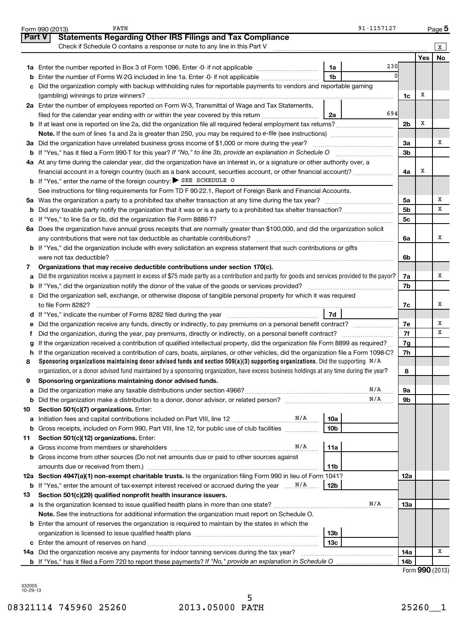|               | 91-1157127<br>PATH<br>Form 990 (2013)                                                                                                                                                                                                                                  |                |     | Page 5    |
|---------------|------------------------------------------------------------------------------------------------------------------------------------------------------------------------------------------------------------------------------------------------------------------------|----------------|-----|-----------|
| <b>Part V</b> | <b>Statements Regarding Other IRS Filings and Tax Compliance</b>                                                                                                                                                                                                       |                |     |           |
|               | Check if Schedule O contains a response or note to any line in this Part V                                                                                                                                                                                             |                |     | x         |
|               |                                                                                                                                                                                                                                                                        |                | Yes | <b>No</b> |
|               | 230<br>1a                                                                                                                                                                                                                                                              |                |     |           |
| b             | 1 <sub>b</sub><br>Enter the number of Forms W-2G included in line 1a. Enter -0- if not applicable                                                                                                                                                                      |                |     |           |
| c             | Did the organization comply with backup withholding rules for reportable payments to vendors and reportable gaming                                                                                                                                                     |                |     |           |
|               |                                                                                                                                                                                                                                                                        | 1c             | х   |           |
|               | 2a Enter the number of employees reported on Form W-3, Transmittal of Wage and Tax Statements,                                                                                                                                                                         |                |     |           |
|               | 694<br>filed for the calendar year ending with or within the year covered by this return<br>2a                                                                                                                                                                         |                |     |           |
|               |                                                                                                                                                                                                                                                                        | 2b             | х   |           |
|               |                                                                                                                                                                                                                                                                        |                |     |           |
|               | 3a Did the organization have unrelated business gross income of \$1,000 or more during the year?                                                                                                                                                                       | За             |     | х         |
| b             | If "Yes," has it filed a Form 990-T for this year? If "No," to line 3b, provide an explanation in Schedule O manumerrous                                                                                                                                               | 3b             |     |           |
|               | 4a At any time during the calendar year, did the organization have an interest in, or a signature or other authority over, a                                                                                                                                           |                |     |           |
|               | financial account in a foreign country (such as a bank account, securities account, or other financial account)?                                                                                                                                                       | 4a             | х   |           |
|               | <b>b</b> If "Yes," enter the name of the foreign country: $\triangleright$ SEE SCHEDULE O                                                                                                                                                                              |                |     |           |
|               | See instructions for filing requirements for Form TD F 90-22.1, Report of Foreign Bank and Financial Accounts.                                                                                                                                                         |                |     |           |
|               |                                                                                                                                                                                                                                                                        | 5а             |     | х         |
| b             |                                                                                                                                                                                                                                                                        | 5 <sub>b</sub> |     | X         |
| c             |                                                                                                                                                                                                                                                                        | 5 <sub>c</sub> |     |           |
| 6а            | Does the organization have annual gross receipts that are normally greater than \$100,000, and did the organization solicit                                                                                                                                            |                |     |           |
|               |                                                                                                                                                                                                                                                                        | 6a             |     | х         |
| b             | If "Yes," did the organization include with every solicitation an express statement that such contributions or gifts                                                                                                                                                   |                |     |           |
|               |                                                                                                                                                                                                                                                                        | 6b             |     |           |
| 7             | Organizations that may receive deductible contributions under section 170(c).                                                                                                                                                                                          |                |     |           |
| a             | Did the organization receive a payment in excess of \$75 made partly as a contribution and partly for goods and services provided to the payor?                                                                                                                        | 7a             |     | х         |
| b             |                                                                                                                                                                                                                                                                        | 7b             |     |           |
| c             | Did the organization sell, exchange, or otherwise dispose of tangible personal property for which it was required                                                                                                                                                      |                |     |           |
|               |                                                                                                                                                                                                                                                                        | 7c             |     | х         |
|               | 7d<br>d If "Yes," indicate the number of Forms 8282 filed during the year [11] [11] Nest representation of the way of the way of the way of the way of the way of the way of the way of the way of the way of the way of the way of                                    |                |     | х         |
| е             | Did the organization receive any funds, directly or indirectly, to pay premiums on a personal benefit contract?                                                                                                                                                        | 7е             |     | X         |
|               |                                                                                                                                                                                                                                                                        | 7f             |     |           |
| g             | If the organization received a contribution of qualified intellectual property, did the organization file Form 8899 as required?<br>If the organization received a contribution of cars, boats, airplanes, or other vehicles, did the organization file a Form 1098-C? | 7g<br>7h       |     |           |
| h<br>8        | Sponsoring organizations maintaining donor advised funds and section 509(a)(3) supporting organizations. Did the supporting $N/A$                                                                                                                                      |                |     |           |
|               | organization, or a donor advised fund maintained by a sponsoring organization, have excess business holdings at any time during the year?                                                                                                                              | 8              |     |           |
|               | Sponsoring organizations maintaining donor advised funds.                                                                                                                                                                                                              |                |     |           |
| а             | N/A                                                                                                                                                                                                                                                                    | 9а             |     |           |
| b             | N/A                                                                                                                                                                                                                                                                    | 9b             |     |           |
| 10            | Section 501(c)(7) organizations. Enter:                                                                                                                                                                                                                                |                |     |           |
| а             | 10a                                                                                                                                                                                                                                                                    |                |     |           |
| b             | 10 <sub>b</sub><br>Gross receipts, included on Form 990, Part VIII, line 12, for public use of club facilities                                                                                                                                                         |                |     |           |
| 11            | Section 501(c)(12) organizations. Enter:                                                                                                                                                                                                                               |                |     |           |
| а             | N/A<br>11a                                                                                                                                                                                                                                                             |                |     |           |
| b             | Gross income from other sources (Do not net amounts due or paid to other sources against                                                                                                                                                                               |                |     |           |
|               | 11 <sub>b</sub><br>amounts due or received from them.)                                                                                                                                                                                                                 |                |     |           |
|               | 12a Section 4947(a)(1) non-exempt charitable trusts. Is the organization filing Form 990 in lieu of Form 1041?                                                                                                                                                         | 12a            |     |           |
| b             | 12 <sub>b</sub>                                                                                                                                                                                                                                                        |                |     |           |
| 13            | Section 501(c)(29) qualified nonprofit health insurance issuers.                                                                                                                                                                                                       |                |     |           |
| а             | N/A                                                                                                                                                                                                                                                                    | 13a            |     |           |
|               | Note. See the instructions for additional information the organization must report on Schedule O.                                                                                                                                                                      |                |     |           |
|               | <b>b</b> Enter the amount of reserves the organization is required to maintain by the states in which the                                                                                                                                                              |                |     |           |
|               | 13 <sub>b</sub>                                                                                                                                                                                                                                                        |                |     |           |
| c             | 13с                                                                                                                                                                                                                                                                    |                |     |           |
|               | 14a Did the organization receive any payments for indoor tanning services during the tax year?                                                                                                                                                                         | 14a            |     | X         |
|               | <b>b</b> If "Yes," has it filed a Form 720 to report these payments? If "No," provide an explanation in Schedule O                                                                                                                                                     | 14b            |     |           |

|  | Form 990 (2013) |
|--|-----------------|
|--|-----------------|

332005 10-29-13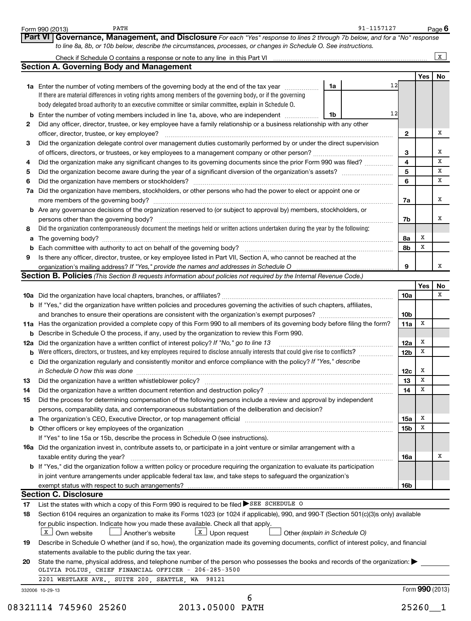|    | PATH<br>Form 990 (2013)                                                                                                                                                                                                                            | 91-1157127                    |                 |                              | Page $6$     |
|----|----------------------------------------------------------------------------------------------------------------------------------------------------------------------------------------------------------------------------------------------------|-------------------------------|-----------------|------------------------------|--------------|
|    | Part VI<br>Governance, Management, and Disclosure For each "Yes" response to lines 2 through 7b below, and for a "No" response<br>to line 8a, 8b, or 10b below, describe the circumstances, processes, or changes in Schedule O. See instructions. |                               |                 |                              |              |
|    |                                                                                                                                                                                                                                                    |                               |                 |                              | $\mathbf{x}$ |
|    | <b>Section A. Governing Body and Management</b>                                                                                                                                                                                                    |                               |                 |                              |              |
|    |                                                                                                                                                                                                                                                    | 12                            |                 | Yes                          | No           |
|    | 1a Enter the number of voting members of the governing body at the end of the tax year<br>If there are material differences in voting rights among members of the governing body, or if the governing                                              | 1a                            |                 |                              |              |
|    | body delegated broad authority to an executive committee or similar committee, explain in Schedule O.                                                                                                                                              |                               |                 |                              |              |
| b  | Enter the number of voting members included in line 1a, above, who are independent                                                                                                                                                                 | 12<br>1b                      |                 |                              |              |
| 2  | Did any officer, director, trustee, or key employee have a family relationship or a business relationship with any other                                                                                                                           |                               |                 |                              |              |
|    | officer, director, trustee, or key employee?                                                                                                                                                                                                       |                               | 2               |                              | х            |
| З  | Did the organization delegate control over management duties customarily performed by or under the direct supervision                                                                                                                              |                               |                 |                              |              |
|    |                                                                                                                                                                                                                                                    |                               | 3               |                              | x            |
| 4  | Did the organization make any significant changes to its governing documents since the prior Form 990 was filed?                                                                                                                                   |                               | 4               |                              | x            |
| 5  |                                                                                                                                                                                                                                                    |                               | 5               |                              | x            |
| 6  |                                                                                                                                                                                                                                                    |                               | 6               |                              | x            |
| 7а | Did the organization have members, stockholders, or other persons who had the power to elect or appoint one or                                                                                                                                     |                               |                 |                              |              |
|    | more members of the governing body?                                                                                                                                                                                                                |                               | 7a              |                              | x            |
|    | <b>b</b> Are any governance decisions of the organization reserved to (or subject to approval by) members, stockholders, or                                                                                                                        |                               |                 |                              |              |
|    | persons other than the governing body?                                                                                                                                                                                                             |                               | 7b              |                              | x            |
| 8  | Did the organization contemporaneously document the meetings held or written actions undertaken during the year by the following:                                                                                                                  |                               |                 |                              |              |
| a  |                                                                                                                                                                                                                                                    |                               | 8а              | х<br>х                       |              |
| b  |                                                                                                                                                                                                                                                    |                               | 8b              |                              |              |
| 9  | Is there any officer, director, trustee, or key employee listed in Part VII, Section A, who cannot be reached at the                                                                                                                               |                               | 9               |                              | x            |
|    | Section B. Policies (This Section B requests information about policies not required by the Internal Revenue Code.)                                                                                                                                |                               |                 |                              |              |
|    |                                                                                                                                                                                                                                                    |                               |                 | Yes                          | No           |
|    |                                                                                                                                                                                                                                                    |                               | <b>10a</b>      |                              | х            |
|    | <b>b</b> If "Yes," did the organization have written policies and procedures governing the activities of such chapters, affiliates,                                                                                                                |                               |                 |                              |              |
|    |                                                                                                                                                                                                                                                    |                               | 10 <sub>b</sub> |                              |              |
|    | 11a Has the organization provided a complete copy of this Form 990 to all members of its governing body before filing the form?                                                                                                                    |                               | 11a             | х                            |              |
|    | <b>b</b> Describe in Schedule O the process, if any, used by the organization to review this Form 990.                                                                                                                                             |                               |                 |                              |              |
|    | 12a Did the organization have a written conflict of interest policy? If "No," go to line 13                                                                                                                                                        |                               | 12a             | х                            |              |
| b  | Were officers, directors, or trustees, and key employees required to disclose annually interests that could give rise to conflicts?                                                                                                                |                               | 12 <sub>b</sub> | х                            |              |
|    | c Did the organization regularly and consistently monitor and enforce compliance with the policy? If "Yes," describe                                                                                                                               |                               |                 |                              |              |
|    | in Schedule O how this was done <b>construction and construction</b> construction of the schedule O how this was done                                                                                                                              |                               | 12c             | х<br>$\overline{\textbf{x}}$ |              |
|    |                                                                                                                                                                                                                                                    |                               | 13              | х                            |              |
| 14 | Did the organization have a written document retention and destruction policy? [11] manufaction in the organization have a written document retention and destruction policy?                                                                      |                               | 14              |                              |              |
| 15 | Did the process for determining compensation of the following persons include a review and approval by independent<br>persons, comparability data, and contemporaneous substantiation of the deliberation and decision?                            |                               |                 |                              |              |
| а  |                                                                                                                                                                                                                                                    |                               | <b>15a</b>      | х                            |              |
|    |                                                                                                                                                                                                                                                    |                               | 15 <sub>b</sub> | х                            |              |
|    | If "Yes" to line 15a or 15b, describe the process in Schedule O (see instructions).                                                                                                                                                                |                               |                 |                              |              |
|    | 16a Did the organization invest in, contribute assets to, or participate in a joint venture or similar arrangement with a                                                                                                                          |                               |                 |                              |              |
|    | taxable entity during the year?                                                                                                                                                                                                                    |                               | 16a             |                              | х            |
|    | b If "Yes," did the organization follow a written policy or procedure requiring the organization to evaluate its participation                                                                                                                     |                               |                 |                              |              |
|    | in joint venture arrangements under applicable federal tax law, and take steps to safequard the organization's                                                                                                                                     |                               |                 |                              |              |
|    | exempt status with respect to such arrangements?                                                                                                                                                                                                   |                               | 16b             |                              |              |
|    | <b>Section C. Disclosure</b>                                                                                                                                                                                                                       |                               |                 |                              |              |
| 17 | List the states with which a copy of this Form 990 is required to be filed SEE SCHEDULE O                                                                                                                                                          |                               |                 |                              |              |
| 18 | Section 6104 requires an organization to make its Forms 1023 (or 1024 if applicable), 990, and 990-T (Section 501(c)(3)s only) available                                                                                                           |                               |                 |                              |              |
|    | for public inspection. Indicate how you made these available. Check all that apply.                                                                                                                                                                |                               |                 |                              |              |
|    | $\lfloor x \rfloor$ Own website<br>$\lfloor x \rfloor$ Upon request<br>Another's website                                                                                                                                                           | Other (explain in Schedule O) |                 |                              |              |
| 19 | Describe in Schedule O whether (and if so, how), the organization made its governing documents, conflict of interest policy, and financial                                                                                                         |                               |                 |                              |              |
|    | statements available to the public during the tax year.                                                                                                                                                                                            |                               |                 |                              |              |
| 20 | State the name, physical address, and telephone number of the person who possesses the books and records of the organization:<br>OLIVIA POLIUS, CHIEF FINANCIAL OFFICER - 206-285-3500                                                             |                               |                 |                              |              |
|    | 2201 WESTLAKE AVE., SUITE 200, SEATTLE, WA 98121                                                                                                                                                                                                   |                               |                 |                              |              |
|    | 332006 10-29-13                                                                                                                                                                                                                                    |                               |                 | Form 990 (2013)              |              |
|    | 6                                                                                                                                                                                                                                                  |                               |                 |                              |              |
|    | 2013.05000 PATH<br>08321114 745960 25260                                                                                                                                                                                                           |                               |                 | $25260 - 1$                  |              |
|    |                                                                                                                                                                                                                                                    |                               |                 |                              |              |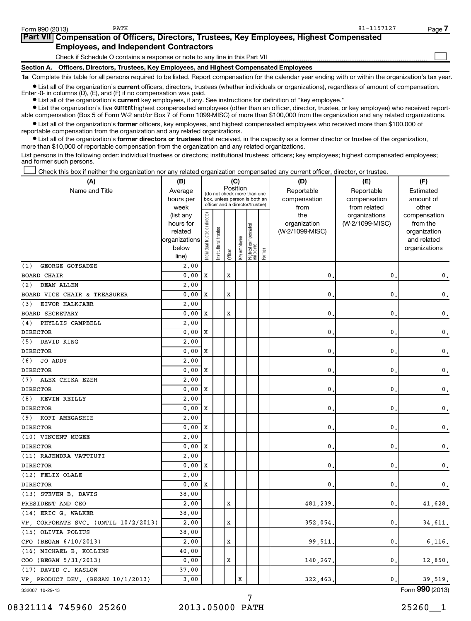| Form 990 (2013) | PATH                                                                                                                                                       | 91-1157127 | Page |
|-----------------|------------------------------------------------------------------------------------------------------------------------------------------------------------|------------|------|
|                 | Part VII Compensation of Officers, Directors, Trustees, Key Employees, Highest Compensated                                                                 |            |      |
|                 | <b>Employees, and Independent Contractors</b>                                                                                                              |            |      |
|                 | Check if Schedule O contains a response or note to any line in this Part VII                                                                               |            |      |
| Section A.      | Officers, Directors, Trustees, Key Employees, and Highest Compensated Employees                                                                            |            |      |
|                 | 1a Complete this table for all persons required to be listed. Report compensation for the calendar year ending with or within the organization's tax year. |            |      |

**•** List all of the organization's current officers, directors, trustees (whether individuals or organizations), regardless of amount of compensation. Enter -0- in columns (D), (E), and (F) if no compensation was paid.

**•** List all of the organization's **current** key employees, if any. See instructions for definition of "key employee."

**•** List the organization's five *current* highest compensated employees (other than an officer, director, trustee, or key employee) who received reportable compensation (Box 5 of Form W-2 and/or Box 7 of Form 1099-MISC) of more than \$100,000 from the organization and any related organizations.

 $\bullet$  List all of the organization's former officers, key employees, and highest compensated employees who received more than \$100,000 of reportable compensation from the organization and any related organizations.

**•** List all of the organization's former directors or trustees that received, in the capacity as a former director or trustee of the organization, more than \$10,000 of reportable compensation from the organization and any related organizations.

List persons in the following order: individual trustees or directors; institutional trustees; officers; key employees; highest compensated employees; and former such persons.

Check this box if neither the organization nor any related organization compensated any current officer, director, or trustee.  $\left\vert \cdot\right\vert$ 

| (A)                                  | (B)                    |                                         |                 |             | (C)          |                                                                  |        | (D)                 | (E)                              | (F)                      |
|--------------------------------------|------------------------|-----------------------------------------|-----------------|-------------|--------------|------------------------------------------------------------------|--------|---------------------|----------------------------------|--------------------------|
| Name and Title                       | Average                | Position<br>(do not check more than one |                 |             |              |                                                                  |        | Reportable          | Reportable                       | Estimated                |
|                                      | hours per              |                                         |                 |             |              | box, unless person is both an<br>officer and a director/trustee) |        | compensation        | compensation                     | amount of                |
|                                      | week                   |                                         |                 |             |              |                                                                  |        | from                | from related                     | other                    |
|                                      | (list any<br>hours for | Individual trustee or director          |                 |             |              |                                                                  |        | the<br>organization | organizations<br>(W-2/1099-MISC) | compensation<br>from the |
|                                      | related                |                                         |                 |             |              |                                                                  |        | (W-2/1099-MISC)     |                                  | organization             |
|                                      | organizations          |                                         |                 |             |              |                                                                  |        |                     |                                  | and related              |
|                                      | below                  |                                         | Institutional t |             | Key employee | Highest compensated<br>employee                                  |        |                     |                                  | organizations            |
|                                      | line)                  |                                         |                 | Officer     |              |                                                                  | Former |                     |                                  |                          |
| GEORGE GOTSADZE<br>(1)               | 2,00                   |                                         |                 |             |              |                                                                  |        |                     |                                  |                          |
| <b>BOARD CHAIR</b>                   | 0.00                   | X                                       |                 | х           |              |                                                                  |        | 0.                  | 0                                | 0.                       |
| (2)<br><b>DEAN ALLEN</b>             | 2,00                   |                                         |                 |             |              |                                                                  |        |                     |                                  |                          |
| BOARD VICE CHAIR & TREASURER         | 0.00                   | X                                       |                 | $\mathbf x$ |              |                                                                  |        | $\mathbf 0$ .       | 0                                | 0.                       |
| EIVOR HALKJAER<br>(3)                | 2,00                   |                                         |                 |             |              |                                                                  |        |                     |                                  |                          |
| <b>BOARD SECRETARY</b>               | 0.00                   | X                                       |                 | х           |              |                                                                  |        | $\mathbf{0}$        | 0                                | 0.                       |
| PHYLLIS CAMPBELL<br>(4)              | 2,00                   |                                         |                 |             |              |                                                                  |        |                     |                                  |                          |
| <b>DIRECTOR</b>                      | 0.00                   | X                                       |                 |             |              |                                                                  |        | 0.                  | 0                                | 0.                       |
| (5) DAVID KING                       | 2,00                   |                                         |                 |             |              |                                                                  |        |                     |                                  |                          |
| <b>DIRECTOR</b>                      | 0.00                   | X                                       |                 |             |              |                                                                  |        | 0.                  | $\mathbf{0}$                     | $\mathbf{0}$ .           |
| (6)<br>JO ADDY                       | 2,00                   |                                         |                 |             |              |                                                                  |        |                     |                                  |                          |
| <b>DIRECTOR</b>                      | 0.00                   | x                                       |                 |             |              |                                                                  |        | $\mathbf{0}$ .      | 0                                | 0.                       |
| (7)<br>ALEX CHIKA EZEH               | 2,00                   |                                         |                 |             |              |                                                                  |        |                     |                                  |                          |
| <b>DIRECTOR</b>                      | 0.00                   | X                                       |                 |             |              |                                                                  |        | $\mathbf{0}$ .      | 0                                | 0.                       |
| (8)<br>KEVIN REILLY                  | 2,00                   |                                         |                 |             |              |                                                                  |        |                     |                                  |                          |
| <b>DIRECTOR</b>                      | 0.00                   | X                                       |                 |             |              |                                                                  |        | 0.                  | 0                                | 0.                       |
| (9)<br>KOFI AMEGASHIE                | 2,00                   |                                         |                 |             |              |                                                                  |        |                     |                                  |                          |
| <b>DIRECTOR</b>                      | 0.00                   | X                                       |                 |             |              |                                                                  |        | $\mathbf{0}$ .      | $\mathbf{0}$                     | 0.                       |
| (10) VINCENT MCGEE                   | 2.00                   |                                         |                 |             |              |                                                                  |        |                     |                                  |                          |
| <b>DIRECTOR</b>                      | 0.00                   | X                                       |                 |             |              |                                                                  |        | $\mathbf 0$         | 0                                | 0.                       |
| (11) RAJENDRA VATTIUTI               | 2,00                   |                                         |                 |             |              |                                                                  |        |                     |                                  |                          |
| <b>DIRECTOR</b>                      | 0.00                   | х                                       |                 |             |              |                                                                  |        | $\mathbf 0$ .       | 0                                | 0.                       |
| (12) FELIX OLALE                     | 2,00                   |                                         |                 |             |              |                                                                  |        |                     |                                  |                          |
| <b>DIRECTOR</b>                      | 0.00                   | X                                       |                 |             |              |                                                                  |        | 0.                  | $\mathbf 0$ .                    | 0.                       |
| (13) STEVEN B. DAVIS                 | 38.00                  |                                         |                 |             |              |                                                                  |        |                     |                                  |                          |
| PRESIDENT AND CEO                    | 2,00                   |                                         |                 | X           |              |                                                                  |        | 481,239.            | 0.                               | 41,628.                  |
| (14) ERIC G. WALKER                  | 38.00                  |                                         |                 |             |              |                                                                  |        |                     |                                  |                          |
| VP, CORPORATE SVC. (UNTIL 10/2/2013) | 2,00                   |                                         |                 | X           |              |                                                                  |        | 352,054.            | $\mathbf{0}$                     | 34,611.                  |
| (15) OLIVIA POLIUS                   | 38.00                  |                                         |                 |             |              |                                                                  |        |                     |                                  |                          |
| CFO (BEGAN 6/10/2013)                | 2,00                   |                                         |                 | X           |              |                                                                  |        | 99,511.             | $\mathbf{0}$                     | 6,116.                   |
| (16) MICHAEL B. KOLLINS              | 40.00                  |                                         |                 |             |              |                                                                  |        |                     |                                  |                          |
| COO (BEGAN 5/31/2013)                | 0.00                   |                                         |                 | $\mathbf x$ |              |                                                                  |        | 140,267.            | 0.                               | 12,850.                  |
| (17) DAVID C. KASLOW                 | 37.00                  |                                         |                 |             |              |                                                                  |        |                     |                                  |                          |
| VP, PRODUCT DEV. (BEGAN 10/1/2013)   | 3.00                   |                                         |                 |             | $\mathbf x$  |                                                                  |        | 322,463.            | $\mathbf{0}$                     | 39,519.                  |
| 332007 10-29-13                      |                        |                                         |                 |             |              |                                                                  |        |                     |                                  | Form 990 (2013)          |

332007 10-29-13

08321114 745960 25260 2013.05000 PATH 2020 2013.05000 PATH

7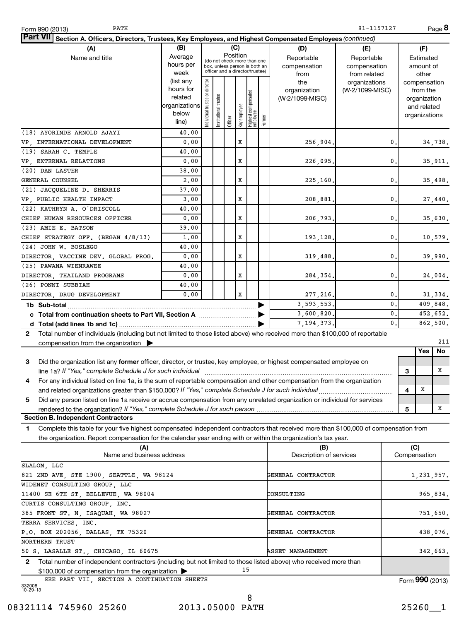| Part VII Section A. Officers, Directors, Trustees, Key Employees, and Highest Compensated Employees (continued)                            |                          |                                |                       |                                                              |              |                                  |        |                         |                 |              |               |                          |
|--------------------------------------------------------------------------------------------------------------------------------------------|--------------------------|--------------------------------|-----------------------|--------------------------------------------------------------|--------------|----------------------------------|--------|-------------------------|-----------------|--------------|---------------|--------------------------|
| (A)                                                                                                                                        | (B)                      |                                |                       | (C)                                                          |              |                                  |        | (D)                     | (E)             |              | (F)           |                          |
| Name and title                                                                                                                             | Average                  |                                |                       | Position                                                     |              |                                  |        | Reportable              | Reportable      |              | Estimated     |                          |
|                                                                                                                                            | hours per                |                                |                       | (do not check more than one<br>box, unless person is both an |              |                                  |        | compensation            | compensation    |              | amount of     |                          |
|                                                                                                                                            | week                     |                                |                       | officer and a director/trustee)                              |              |                                  |        | from                    | from related    |              | other         |                          |
|                                                                                                                                            | (list any                |                                |                       |                                                              |              |                                  |        | the                     | organizations   |              | compensation  |                          |
|                                                                                                                                            | hours for                |                                |                       |                                                              |              |                                  |        | organization            | (W-2/1099-MISC) |              | from the      |                          |
|                                                                                                                                            | related<br>organizations |                                |                       |                                                              |              |                                  |        | (W-2/1099-MISC)         |                 |              | organization  |                          |
|                                                                                                                                            | below                    |                                |                       |                                                              |              |                                  |        |                         |                 |              | and related   |                          |
|                                                                                                                                            | line)                    | Individual trustee or director | Institutional trustee | Officer                                                      | Key employee | Highest compensated<br> employee | Former |                         |                 |              | organizations |                          |
| (18) AYORINDE ARNOLD AJAYI                                                                                                                 | 40.00                    |                                |                       |                                                              |              |                                  |        |                         |                 |              |               |                          |
| VP, INTERNATIONAL DEVELOPMENT                                                                                                              | 0.00                     |                                |                       |                                                              | X            |                                  |        | 256,904.                | 0.              |              |               | 34,738.                  |
| (19) SARAH C. TEMPLE                                                                                                                       | 40.00                    |                                |                       |                                                              |              |                                  |        |                         |                 |              |               |                          |
| VP, EXTERNAL RELATIONS                                                                                                                     | 0.00                     |                                |                       |                                                              | x            |                                  |        | 226,095.                | 0.              |              |               | 35,911.                  |
| (20) DAN LASTER                                                                                                                            | 38.00                    |                                |                       |                                                              |              |                                  |        |                         |                 |              |               |                          |
| GENERAL COUNSEL                                                                                                                            | 2,00                     |                                |                       |                                                              | x            |                                  |        | 225,160.                | 0.              |              |               | 35,498.                  |
| (21) JACQUELINE D. SHERRIS                                                                                                                 | 37.00                    |                                |                       |                                                              |              |                                  |        |                         |                 |              |               |                          |
| VP, PUBLIC HEALTH IMPACT                                                                                                                   | 3.00                     |                                |                       |                                                              | x            |                                  |        | 208,881.                | 0.              |              |               | $\bf{27}$ , $\bf{440}$ . |
| (22) KATHRYN A. O'DRISCOLL                                                                                                                 | 40.00                    |                                |                       |                                                              |              |                                  |        |                         |                 |              |               |                          |
| CHIEF HUMAN RESOURCES OFFICER                                                                                                              | 0.00                     |                                |                       |                                                              | x            |                                  |        | 206,793.                | 0.              |              |               | 35,630.                  |
| (23) AMIE E. BATSON                                                                                                                        | 39.00                    |                                |                       |                                                              |              |                                  |        |                         |                 |              |               |                          |
| CHIEF STRATEGY OFF. (BEGAN 4/8/13)                                                                                                         | 1.00                     |                                |                       |                                                              | x            |                                  |        | 193,128.                | 0.              |              |               | 10,579.                  |
| (24) JOHN W. BOSLEGO                                                                                                                       | 40.00                    |                                |                       |                                                              |              |                                  |        |                         |                 |              |               |                          |
| DIRECTOR, VACCINE DEV. GLOBAL PROG.                                                                                                        | 0.00                     |                                |                       |                                                              | x            |                                  |        | 319,488.                | 0.              |              |               | 39,990.                  |
| (25) PAWANA WIENRAWEE                                                                                                                      | 40.00                    |                                |                       |                                                              |              |                                  |        |                         |                 |              |               |                          |
| DIRECTOR, THAILAND PROGRAMS                                                                                                                | 0.00                     |                                |                       |                                                              | x            |                                  |        | 284,354.                | 0.              |              |               | 24,004.                  |
| (26) PONNI SUBBIAH                                                                                                                         | 40.00                    |                                |                       |                                                              |              |                                  |        |                         |                 |              |               |                          |
| DIRECTOR, DRUG DEVELOPMENT                                                                                                                 | 0.00                     |                                |                       |                                                              | X            |                                  |        | 277, 216.               | 0.              |              |               | 31,334.                  |
|                                                                                                                                            |                          |                                |                       |                                                              |              |                                  |        | 3,593,553.              | 0.              |              |               | 409,848.                 |
|                                                                                                                                            |                          |                                |                       |                                                              |              |                                  |        | 3,600,820.              | 0.              |              |               | 452,652.                 |
|                                                                                                                                            |                          |                                |                       |                                                              |              |                                  |        | 7, 194, 373.            | 0.              |              |               | 862,500.                 |
| Total number of individuals (including but not limited to those listed above) who received more than \$100,000 of reportable<br>2          |                          |                                |                       |                                                              |              |                                  |        |                         |                 |              |               |                          |
|                                                                                                                                            |                          |                                |                       |                                                              |              |                                  |        |                         |                 |              |               | 211                      |
| compensation from the organization                                                                                                         |                          |                                |                       |                                                              |              |                                  |        |                         |                 |              | Yes           | No                       |
| 3<br>Did the organization list any former officer, director, or trustee, key employee, or highest compensated employee on                  |                          |                                |                       |                                                              |              |                                  |        |                         |                 |              |               |                          |
| line 1a? If "Yes," complete Schedule J for such individual                                                                                 |                          |                                |                       |                                                              |              |                                  |        |                         |                 | 3            |               | x                        |
| For any individual listed on line 1a, is the sum of reportable compensation and other compensation from the organization<br>4              |                          |                                |                       |                                                              |              |                                  |        |                         |                 |              |               |                          |
| and related organizations greater than \$150,000? If "Yes," complete Schedule J for such individual                                        |                          |                                |                       |                                                              |              |                                  |        |                         |                 | 4            | X             |                          |
| 5<br>Did any person listed on line 1a receive or accrue compensation from any unrelated organization or individual for services            |                          |                                |                       |                                                              |              |                                  |        |                         |                 |              |               |                          |
| rendered to the organization? If "Yes," complete Schedule J for such person                                                                |                          |                                |                       |                                                              |              |                                  |        |                         |                 | 5            |               | X                        |
| <b>Section B. Independent Contractors</b>                                                                                                  |                          |                                |                       |                                                              |              |                                  |        |                         |                 |              |               |                          |
| Complete this table for your five highest compensated independent contractors that received more than \$100,000 of compensation from<br>1. |                          |                                |                       |                                                              |              |                                  |        |                         |                 |              |               |                          |
| the organization. Report compensation for the calendar year ending with or within the organization's tax year.                             |                          |                                |                       |                                                              |              |                                  |        |                         |                 |              |               |                          |
| (A)                                                                                                                                        |                          |                                |                       |                                                              |              |                                  |        | (B)                     |                 |              | (C)           |                          |
| Name and business address                                                                                                                  |                          |                                |                       |                                                              |              |                                  |        | Description of services |                 | Compensation |               |                          |
| SLALOM, LLC                                                                                                                                |                          |                                |                       |                                                              |              |                                  |        |                         |                 |              |               |                          |
| 821 2ND AVE, STE 1900, SEATTLE, WA 98124                                                                                                   |                          |                                |                       |                                                              |              |                                  |        | GENERAL CONTRACTOR      |                 |              |               | 1, 231, 957.             |
| WIDENET CONSULTING GROUP, LLC                                                                                                              |                          |                                |                       |                                                              |              |                                  |        |                         |                 |              |               |                          |
| 11400 SE 6TH ST, BELLEVUE, WA 98004                                                                                                        |                          |                                |                       |                                                              |              |                                  |        | CONSULTING              |                 |              |               | 965,834.                 |
| CURTIS CONSULTING GROUP, INC.                                                                                                              |                          |                                |                       |                                                              |              |                                  |        |                         |                 |              |               |                          |
| 385 FRONT ST. N, ISAQUAH, WA 98027                                                                                                         |                          |                                |                       |                                                              |              |                                  |        | GENERAL CONTRACTOR      |                 |              |               | 751,650.                 |
| TERRA SERVICES, INC.                                                                                                                       |                          |                                |                       |                                                              |              |                                  |        |                         |                 |              |               |                          |
| P.O. BOX 202056, DALLAS, TX 75320                                                                                                          |                          |                                |                       |                                                              |              |                                  |        | GENERAL CONTRACTOR      |                 |              |               | 438,076.                 |
| NORTHERN TRUST                                                                                                                             |                          |                                |                       |                                                              |              |                                  |        |                         |                 |              |               |                          |
| 50 S. LASALLE ST., CHICAGO, IL 60675                                                                                                       |                          |                                |                       |                                                              |              |                                  |        | <b>ASSET MANAGEMENT</b> |                 |              |               | 342,663.                 |
| Total number of independent contractors (including but not limited to those listed above) who received more than<br>2                      |                          |                                |                       |                                                              |              |                                  |        |                         |                 |              |               |                          |
| \$100,000 of compensation from the organization                                                                                            |                          |                                |                       |                                                              | 15           |                                  |        |                         |                 |              |               |                          |
| SEE PART VII, SECTION A CONTINUATION SHEETS                                                                                                |                          |                                |                       |                                                              |              |                                  |        |                         |                 |              |               | Form 990 (2013)          |
| 332008<br>10-29-13                                                                                                                         |                          |                                |                       |                                                              |              |                                  |        |                         |                 |              |               |                          |

08321114 745960 25260 2013.05000 PATH 25260 25260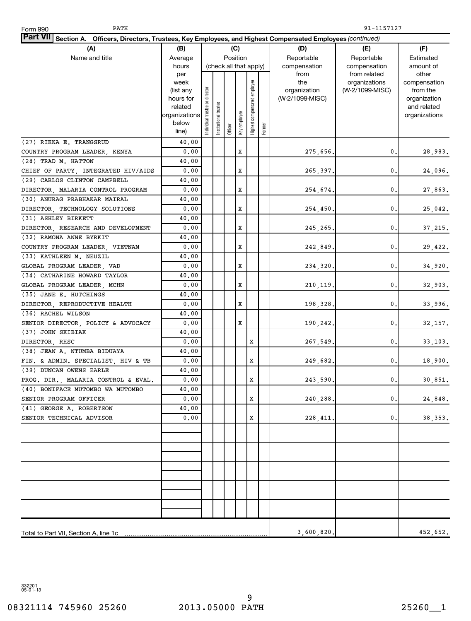| PATH<br>Form 990                                                                                                |                        |                                |                       |         |                        |                              |        |                                 | 91-1157127      |                          |
|-----------------------------------------------------------------------------------------------------------------|------------------------|--------------------------------|-----------------------|---------|------------------------|------------------------------|--------|---------------------------------|-----------------|--------------------------|
| Part VII Section A. Officers, Directors, Trustees, Key Employees, and Highest Compensated Employees (continued) |                        |                                |                       |         |                        |                              |        |                                 |                 |                          |
| (A)                                                                                                             | (B)                    | (C)                            |                       |         |                        |                              |        | (D)                             | (E)             | (F)                      |
| Name and title                                                                                                  | Average                |                                |                       |         | Position               |                              |        | Reportable                      | Reportable      | Estimated                |
|                                                                                                                 | hours                  |                                |                       |         | (check all that apply) |                              |        | compensation                    | compensation    | amount of                |
|                                                                                                                 | per                    |                                |                       |         |                        |                              |        | from                            | from related    | other                    |
|                                                                                                                 | week                   |                                |                       |         |                        | Highest compensated employee |        | the                             | organizations   | compensation             |
|                                                                                                                 | (list any<br>hours for |                                |                       |         |                        |                              |        | organization<br>(W-2/1099-MISC) | (W-2/1099-MISC) | from the<br>organization |
|                                                                                                                 | related                |                                |                       |         |                        |                              |        |                                 |                 | and related              |
|                                                                                                                 | organizations          | Individual trustee or director | Institutional trustee |         |                        |                              |        |                                 |                 | organizations            |
|                                                                                                                 | below                  |                                |                       |         | Key employee           |                              |        |                                 |                 |                          |
|                                                                                                                 | line)                  |                                |                       | Officer |                        |                              | Former |                                 |                 |                          |
| (27) RIKKA E. TRANGSRUD                                                                                         | 40.00                  |                                |                       |         |                        |                              |        |                                 |                 |                          |
| COUNTRY PROGRAM LEADER, KENYA                                                                                   | 0.00                   |                                |                       |         | Х                      |                              |        | 275,656.                        | 0.              | 28,983.                  |
| (28) TRAD M. HATTON                                                                                             | 40.00                  |                                |                       |         |                        |                              |        |                                 |                 |                          |
| CHIEF OF PARTY, INTEGRATED HIV/AIDS                                                                             | 0.00                   |                                |                       |         | Х                      |                              |        | 265,397.                        | 0.              | 24,096.                  |
| (29) CARLOS CLINTON CAMPBELL                                                                                    | 40.00                  |                                |                       |         |                        |                              |        |                                 |                 |                          |
| DIRECTOR, MALARIA CONTROL PROGRAM                                                                               | 0.00                   |                                |                       |         | Х                      |                              |        | 254,674.                        | 0               | 27,863.                  |
| (30) ANURAG PRABHAKAR MAIRAL                                                                                    | 40.00                  |                                |                       |         |                        |                              |        |                                 |                 |                          |
| DIRECTOR, TECHNOLOGY SOLUTIONS                                                                                  | 0.00                   |                                |                       |         | Х                      |                              |        | 254, 450.                       | 0               | 25,042.                  |
| (31) ASHLEY BIRKETT                                                                                             | 40.00                  |                                |                       |         |                        |                              |        |                                 |                 |                          |
| DIRECTOR, RESEARCH AND DEVELOPMENT                                                                              | 0.00                   |                                |                       |         | Х                      |                              |        | 245,265.                        | 0               | 37, 215.                 |
| (32) RAMONA ANNE BYRKIT                                                                                         | 40.00                  |                                |                       |         |                        |                              |        |                                 |                 |                          |
| COUNTRY PROGRAM LEADER, VIETNAM                                                                                 | 0.00                   |                                |                       |         | Х                      |                              |        | 242,849.                        | 0               | 29,422.                  |
| (33) KATHLEEN M. NEUZIL                                                                                         | 40.00                  |                                |                       |         |                        |                              |        |                                 |                 |                          |
| GLOBAL PROGRAM LEADER, VAD                                                                                      | 0.00                   |                                |                       |         | Х                      |                              |        | 234,320.                        | 0               | 34,920.                  |
| (34) CATHARINE HOWARD TAYLOR                                                                                    | 40.00                  |                                |                       |         |                        |                              |        |                                 |                 |                          |
| GLOBAL PROGRAM LEADER, MCHN                                                                                     | 0.00                   |                                |                       |         | Х                      |                              |        | 210, 119.                       | 0               | 32,903.                  |
| (35) JANE E. HUTCHINGS                                                                                          | 40.00                  |                                |                       |         |                        |                              |        |                                 |                 |                          |
| DIRECTOR, REPRODUCTIVE HEALTH                                                                                   | 0.00                   |                                |                       |         | Х                      |                              |        | 198,328.                        | 0               | 33,996.                  |
| (36) RACHEL WILSON                                                                                              | 40.00                  |                                |                       |         |                        |                              |        |                                 |                 |                          |
| SENIOR DIRECTOR, POLICY & ADVOCACY                                                                              | 0.00                   |                                |                       |         | Х                      |                              |        | 190,242.                        | 0.              | 32,157.                  |
| (37) JOHN SKIBIAK                                                                                               | 40.00                  |                                |                       |         |                        |                              |        |                                 |                 |                          |
| DIRECTOR, RHSC                                                                                                  | 0.00                   |                                |                       |         |                        | X                            |        | 267,549.                        | 0.              | 33,103.                  |
| (38) JEAN A. NTUMBA BIDUAYA                                                                                     | 40.00                  |                                |                       |         |                        |                              |        |                                 |                 |                          |
| FIN. & ADMIN. SPECIALIST, HIV & TB                                                                              | 0.00                   |                                |                       |         |                        | Х                            |        | 249,682.                        | 0.              | 18,900.                  |
| (39) DUNCAN OWENS EARLE                                                                                         | 40.00                  |                                |                       |         |                        |                              |        |                                 |                 |                          |
| PROG. DIR., MALARIA CONTROL & EVAL.                                                                             | 0.00                   |                                |                       |         |                        | X                            |        | 243,590.                        | $\mathfrak o$ . | 30,851.                  |
| (40) BONIFACE MUTOMBO WA MUTOMBO                                                                                | 40.00<br>0.00          |                                |                       |         |                        |                              |        |                                 |                 |                          |
| SENIOR PROGRAM OFFICER<br>(41) GEORGE A. ROBERTSON                                                              | 40.00                  |                                |                       |         |                        | X                            |        | 240,288.                        | 0.              | 24,848.                  |
| SENIOR TECHNICAL ADVISOR                                                                                        | 0.00                   |                                |                       |         |                        | X                            |        |                                 | 0               | 38,353.                  |
|                                                                                                                 |                        |                                |                       |         |                        |                              |        | 228, 411.                       |                 |                          |
|                                                                                                                 |                        |                                |                       |         |                        |                              |        |                                 |                 |                          |
|                                                                                                                 |                        |                                |                       |         |                        |                              |        |                                 |                 |                          |
|                                                                                                                 |                        |                                |                       |         |                        |                              |        |                                 |                 |                          |
|                                                                                                                 |                        |                                |                       |         |                        |                              |        |                                 |                 |                          |
|                                                                                                                 |                        |                                |                       |         |                        |                              |        |                                 |                 |                          |
|                                                                                                                 |                        |                                |                       |         |                        |                              |        |                                 |                 |                          |
|                                                                                                                 |                        |                                |                       |         |                        |                              |        |                                 |                 |                          |
|                                                                                                                 |                        |                                |                       |         |                        |                              |        |                                 |                 |                          |
|                                                                                                                 |                        |                                |                       |         |                        |                              |        |                                 |                 |                          |
|                                                                                                                 |                        |                                |                       |         |                        |                              |        |                                 |                 |                          |
|                                                                                                                 |                        |                                |                       |         |                        |                              |        | 3,600,820.                      |                 | 452, 652.                |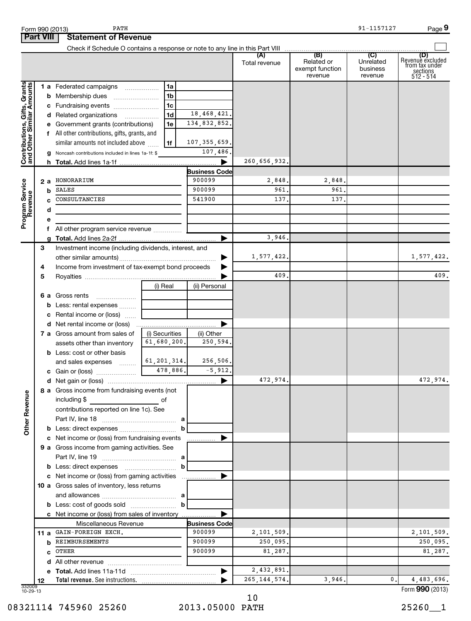|                                                           |                  | PATH<br>Form 990 (2013)                                                                                                                                                               |                |                      |                |                                          | 91-1157127                       | Page 9                                                             |
|-----------------------------------------------------------|------------------|---------------------------------------------------------------------------------------------------------------------------------------------------------------------------------------|----------------|----------------------|----------------|------------------------------------------|----------------------------------|--------------------------------------------------------------------|
|                                                           | <b>Part VIII</b> | <b>Statement of Revenue</b>                                                                                                                                                           |                |                      |                |                                          |                                  |                                                                    |
|                                                           |                  |                                                                                                                                                                                       |                |                      |                |                                          |                                  |                                                                    |
|                                                           |                  |                                                                                                                                                                                       |                |                      | Total revenue  | Related or<br>exempt function<br>revenue | Unrelated<br>business<br>revenue | (D)<br>Revenue excluded<br>from tax under<br>sections<br>512 - 514 |
|                                                           |                  | 1 a Federated campaigns                                                                                                                                                               | 1a             |                      |                |                                          |                                  |                                                                    |
| Contributions, Gifts, Grants<br>and Other Similar Amounts |                  | <b>b</b> Membership dues                                                                                                                                                              | 1 <sub>b</sub> |                      |                |                                          |                                  |                                                                    |
|                                                           |                  | c Fundraising events                                                                                                                                                                  | 1 <sub>c</sub> |                      |                |                                          |                                  |                                                                    |
|                                                           |                  | d Related organizations                                                                                                                                                               | 1 <sub>d</sub> | 18,468,421.          |                |                                          |                                  |                                                                    |
|                                                           |                  | e Government grants (contributions)                                                                                                                                                   | 1e             | 134,832,852.         |                |                                          |                                  |                                                                    |
|                                                           |                  | f All other contributions, gifts, grants, and                                                                                                                                         |                |                      |                |                                          |                                  |                                                                    |
|                                                           |                  | similar amounts not included above                                                                                                                                                    | 1f             | 107, 355, 659.       |                |                                          |                                  |                                                                    |
|                                                           |                  | g Noncash contributions included in lines 1a-1f: \$                                                                                                                                   |                | 107,486.             |                |                                          |                                  |                                                                    |
|                                                           |                  |                                                                                                                                                                                       |                | ▶                    | 260,656,932.   |                                          |                                  |                                                                    |
|                                                           |                  |                                                                                                                                                                                       |                | <b>Business Code</b> |                |                                          |                                  |                                                                    |
|                                                           | 2а               | HONORARIUM                                                                                                                                                                            |                | 900099               | 2,848.         | 2,848.                                   |                                  |                                                                    |
|                                                           | b                | <b>SALES</b>                                                                                                                                                                          |                | 900099               | 961.           | 961.                                     |                                  |                                                                    |
|                                                           |                  | CONSULTANCIES                                                                                                                                                                         |                | 541900               | 137.           | 137.                                     |                                  |                                                                    |
|                                                           | d                |                                                                                                                                                                                       |                |                      |                |                                          |                                  |                                                                    |
| Program Service<br>Revenue                                | е                |                                                                                                                                                                                       |                |                      |                |                                          |                                  |                                                                    |
|                                                           | f                | All other program service revenue                                                                                                                                                     |                |                      |                |                                          |                                  |                                                                    |
|                                                           | a                |                                                                                                                                                                                       |                | ▶                    | 3,946.         |                                          |                                  |                                                                    |
|                                                           | З                | Investment income (including dividends, interest, and                                                                                                                                 |                |                      |                |                                          |                                  |                                                                    |
|                                                           |                  |                                                                                                                                                                                       |                |                      | 1,577,422.     |                                          |                                  | 1,577,422.                                                         |
|                                                           | 4                | Income from investment of tax-exempt bond proceeds                                                                                                                                    |                |                      |                |                                          |                                  |                                                                    |
|                                                           | 5                |                                                                                                                                                                                       |                |                      | 409.           |                                          |                                  | 409.                                                               |
|                                                           |                  |                                                                                                                                                                                       | (i) Real       | (ii) Personal        |                |                                          |                                  |                                                                    |
|                                                           |                  | <b>6 a</b> Gross rents                                                                                                                                                                |                |                      |                |                                          |                                  |                                                                    |
|                                                           |                  | <b>b</b> Less: rental expenses                                                                                                                                                        |                |                      |                |                                          |                                  |                                                                    |
|                                                           |                  | c Rental income or (loss)                                                                                                                                                             |                |                      |                |                                          |                                  |                                                                    |
|                                                           |                  |                                                                                                                                                                                       |                | ▶                    |                |                                          |                                  |                                                                    |
|                                                           |                  | 7 a Gross amount from sales of                                                                                                                                                        | (i) Securities | (ii) Other           |                |                                          |                                  |                                                                    |
|                                                           |                  | assets other than inventory                                                                                                                                                           | 61,680,200.    | 250,594.             |                |                                          |                                  |                                                                    |
|                                                           |                  | <b>b</b> Less: cost or other basis                                                                                                                                                    |                |                      |                |                                          |                                  |                                                                    |
|                                                           |                  | and sales expenses                                                                                                                                                                    | 61, 201, 314.  | 256,506.             |                |                                          |                                  |                                                                    |
|                                                           |                  | c Gain or (loss)                                                                                                                                                                      | 478,886.       | $-5,912.$            |                |                                          |                                  |                                                                    |
|                                                           |                  |                                                                                                                                                                                       |                |                      | 472,974.       |                                          |                                  | 472,974.                                                           |
| <b>Other Revenue</b>                                      |                  | 8 a Gross income from fundraising events (not<br>including \$<br><u>de la contrada de la contrada de la contrada de la contrada de la contrada de la contrada de la contrada de l</u> |                |                      |                |                                          |                                  |                                                                    |
|                                                           |                  | contributions reported on line 1c). See                                                                                                                                               |                |                      |                |                                          |                                  |                                                                    |
|                                                           |                  |                                                                                                                                                                                       |                |                      |                |                                          |                                  |                                                                    |
|                                                           |                  |                                                                                                                                                                                       | b              |                      |                |                                          |                                  |                                                                    |
|                                                           |                  | c Net income or (loss) from fundraising events                                                                                                                                        |                | ___________ ▶        |                |                                          |                                  |                                                                    |
|                                                           |                  | 9 a Gross income from gaming activities. See                                                                                                                                          |                |                      |                |                                          |                                  |                                                                    |
|                                                           |                  |                                                                                                                                                                                       |                |                      |                |                                          |                                  |                                                                    |
|                                                           |                  |                                                                                                                                                                                       | $\mathbf b$    |                      |                |                                          |                                  |                                                                    |
|                                                           |                  |                                                                                                                                                                                       |                |                      |                |                                          |                                  |                                                                    |
|                                                           |                  | 10 a Gross sales of inventory, less returns                                                                                                                                           |                |                      |                |                                          |                                  |                                                                    |
|                                                           |                  |                                                                                                                                                                                       |                |                      |                |                                          |                                  |                                                                    |
|                                                           |                  |                                                                                                                                                                                       |                |                      |                |                                          |                                  |                                                                    |
|                                                           |                  |                                                                                                                                                                                       |                |                      |                |                                          |                                  |                                                                    |
|                                                           |                  | Miscellaneous Revenue                                                                                                                                                                 |                | <b>Business Code</b> |                |                                          |                                  |                                                                    |
|                                                           |                  | 11 a GAIN-FOREIGN EXCH.                                                                                                                                                               |                | 900099               | 2,101,509.     |                                          |                                  | 2,101,509.                                                         |
|                                                           |                  | <b>b</b> REIMBURSEMENTS                                                                                                                                                               |                | 900099               | 250,095.       |                                          |                                  | 250,095.                                                           |
|                                                           | C                | OTHER                                                                                                                                                                                 |                | 900099               | 81,287.        |                                          |                                  | 81,287.                                                            |
|                                                           |                  |                                                                                                                                                                                       |                |                      |                |                                          |                                  |                                                                    |
|                                                           |                  |                                                                                                                                                                                       |                |                      | 2,432,891.     |                                          |                                  |                                                                    |
|                                                           | 12               |                                                                                                                                                                                       |                |                      | 265, 144, 574. | 3,946.                                   | 0.1                              | 4,483,696.                                                         |
| 332009<br>10-29-13                                        |                  |                                                                                                                                                                                       |                |                      |                |                                          |                                  | Form 990 (2013)                                                    |

08321114 745960 25260 2013.05000 PATH 25260 25260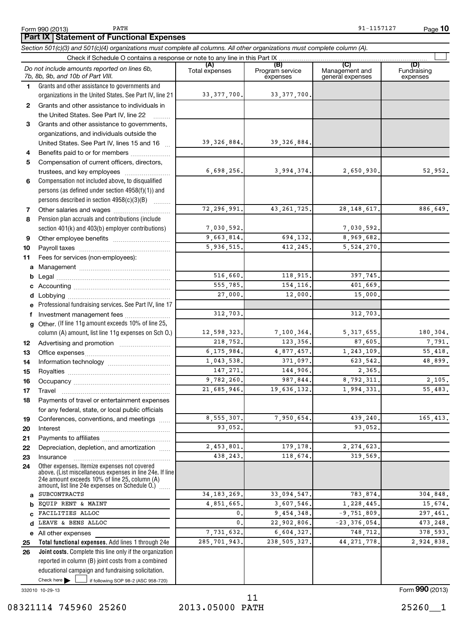PATH 91-1157127

*Section 501(c)(3) and 501(c)(4) organizations must complete all columns. All other organizations must complete column (A).* **Part IX Statement of Functional Expenses**

|              | bechon oo nchol aha oo nch+) organizahons mast complete ali columns. Ali olher organizahons mast complete column (A)                                                                                        |                       |                                    |                                           |                                |
|--------------|-------------------------------------------------------------------------------------------------------------------------------------------------------------------------------------------------------------|-----------------------|------------------------------------|-------------------------------------------|--------------------------------|
|              | Do not include amounts reported on lines 6b,<br>7b, 8b, 9b, and 10b of Part VIII.                                                                                                                           | (A)<br>Total expenses | (B)<br>Program service<br>expenses | (C)<br>Management and<br>general expenses | (D)<br>Fundraising<br>expenses |
| $\mathbf 1$  | Grants and other assistance to governments and<br>organizations in the United States. See Part IV, line 21                                                                                                  | 33, 377, 700.         | 33, 377, 700.                      |                                           |                                |
| $\mathbf{2}$ | Grants and other assistance to individuals in<br>the United States. See Part IV, line 22                                                                                                                    |                       |                                    |                                           |                                |
| 3            | Grants and other assistance to governments,                                                                                                                                                                 |                       |                                    |                                           |                                |
|              | organizations, and individuals outside the                                                                                                                                                                  |                       |                                    |                                           |                                |
|              | United States. See Part IV, lines 15 and 16                                                                                                                                                                 | 39, 326, 884.         | 39, 326, 884.                      |                                           |                                |
| 4            | Benefits paid to or for members                                                                                                                                                                             |                       |                                    |                                           |                                |
| 5            | Compensation of current officers, directors,                                                                                                                                                                |                       |                                    |                                           |                                |
|              | trustees, and key employees                                                                                                                                                                                 | 6,698,256.            | 3,994,374.                         | 2,650,930.                                | 52,952.                        |
| 6            | Compensation not included above, to disqualified                                                                                                                                                            |                       |                                    |                                           |                                |
|              | persons (as defined under section 4958(f)(1)) and                                                                                                                                                           |                       |                                    |                                           |                                |
|              | persons described in section 4958(c)(3)(B)                                                                                                                                                                  | 72, 296, 991.         |                                    |                                           |                                |
| 7            |                                                                                                                                                                                                             |                       | 43, 261, 725.                      | 28, 148, 617.                             | 886,649.                       |
| 8            | Pension plan accruals and contributions (include<br>section 401(k) and 403(b) employer contributions)                                                                                                       | 7,030,592.            |                                    | 7,030,592.                                |                                |
|              |                                                                                                                                                                                                             | 9,663,814.            | 694,132.                           | 8,969,682.                                |                                |
| 9<br>10      | Other employee benefits                                                                                                                                                                                     | 5,936,515.            | 412,245.                           | 5,524,270.                                |                                |
| 11           | Fees for services (non-employees):                                                                                                                                                                          |                       |                                    |                                           |                                |
| a            |                                                                                                                                                                                                             |                       |                                    |                                           |                                |
| b            |                                                                                                                                                                                                             | 516,660.              | 118,915.                           | 397,745.                                  |                                |
|              |                                                                                                                                                                                                             | 555,785.              | 154, 116.                          | 401,669.                                  |                                |
| d            |                                                                                                                                                                                                             | 27,000.               | 12,000.                            | 15,000.                                   |                                |
|              | Professional fundraising services. See Part IV, line 17                                                                                                                                                     |                       |                                    |                                           |                                |
| f            | Investment management fees                                                                                                                                                                                  | 312,703.              |                                    | 312,703.                                  |                                |
| a            | Other. (If line 11g amount exceeds 10% of line 25,                                                                                                                                                          |                       |                                    |                                           |                                |
|              | column (A) amount, list line 11g expenses on Sch O.)                                                                                                                                                        | 12,598,323.           | 7,100,364.                         | 5, 317, 655.                              | 180,304.                       |
| 12           |                                                                                                                                                                                                             | 218,752.              | 123,356.                           | 87,605.                                   | 7,791.                         |
| 13           |                                                                                                                                                                                                             | 6, 175, 984.          | 4,877,457.                         | 1,243,109.                                | 55,418.                        |
| 14           |                                                                                                                                                                                                             | 1,043,538.            | 371,097.                           | 623, 542.                                 | 48,899.                        |
| 15           |                                                                                                                                                                                                             | 147,271.              | 144,906.                           | 2,365.                                    |                                |
| 16           |                                                                                                                                                                                                             | 9,782,260.            | 987,844.                           | 8,792,311.                                | 2,105.                         |
| 17           |                                                                                                                                                                                                             | 21,685,946.           | 19,636,132.                        | 1,994,331.                                | 55,483.                        |
| 18           | Payments of travel or entertainment expenses                                                                                                                                                                |                       |                                    |                                           |                                |
|              | for any federal, state, or local public officials                                                                                                                                                           |                       |                                    |                                           |                                |
| 19           | Conferences, conventions, and meetings                                                                                                                                                                      | 8,555,307.<br>93,052. | 7,950,654                          | 439,240.<br>93,052.                       | 165,413.                       |
| 20           | Interest                                                                                                                                                                                                    |                       |                                    |                                           |                                |
| 21<br>22     | Depreciation, depletion, and amortization                                                                                                                                                                   | 2,453,801             | 179,178.                           | 2,274,623                                 |                                |
| 23           | Insurance                                                                                                                                                                                                   | 438,243.              | 118,674.                           | 319,569.                                  |                                |
| 24           | Other expenses. Itemize expenses not covered<br>above. (List miscellaneous expenses in line 24e. If line<br>24e amount exceeds 10% of line 25, column (A)<br>amount, list line 24e expenses on Schedule O.) |                       |                                    |                                           |                                |
| a            | <b>SUBCONTRACTS</b>                                                                                                                                                                                         | 34, 183, 269.         | 33,094,547.                        | 783,874                                   | 304,848.                       |
|              | EQUIP RENT & MAINT                                                                                                                                                                                          | 4,851,665.            | 3,607,546.                         | 1,228,445.                                | 15,674.                        |
| c            | FACILITIES ALLOC                                                                                                                                                                                            | 0.                    | 9,454,348.                         | $-9,751,809.$                             | 297,461.                       |
| d            | LEAVE & BENS ALLOC                                                                                                                                                                                          | 0.                    | 22,902,806.                        | $-23, 376, 054.$                          | 473,248.                       |
| е            | All other expenses                                                                                                                                                                                          | 7,731,632.            | 6,604,327.                         | 748,712.                                  | 378,593.                       |
| 25           | Total functional expenses. Add lines 1 through 24e                                                                                                                                                          | 285, 701, 943.        | 238, 505, 327.                     | 44, 271, 778.                             | 2,924,838.                     |
| 26           | Joint costs. Complete this line only if the organization                                                                                                                                                    |                       |                                    |                                           |                                |
|              | reported in column (B) joint costs from a combined                                                                                                                                                          |                       |                                    |                                           |                                |
|              | educational campaign and fundraising solicitation.                                                                                                                                                          |                       |                                    |                                           |                                |
|              | Check here $\blacktriangleright$<br>if following SOP 98-2 (ASC 958-720)                                                                                                                                     |                       |                                    |                                           |                                |

332010 10-29-13

08321114 745960 25260 2013.05000 PATH 25260 25260

Form **990** (2013)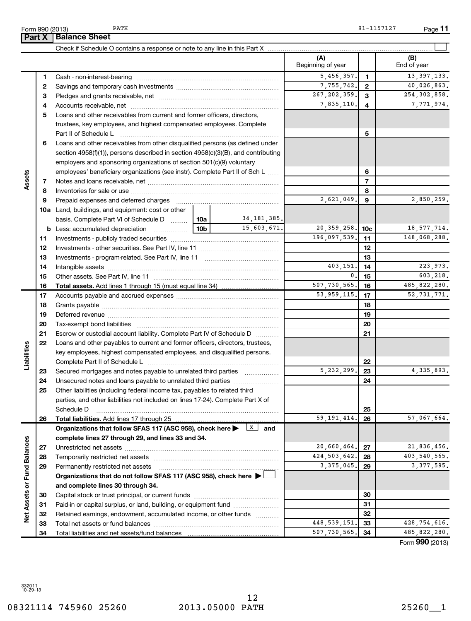| 27             |        |                       |                                                                        | 20,660,464.                                                                                                                                                                                                                                      | 27 | 21,836,456                       |
|----------------|--------|-----------------------|------------------------------------------------------------------------|--------------------------------------------------------------------------------------------------------------------------------------------------------------------------------------------------------------------------------------------------|----|----------------------------------|
| 28             |        |                       |                                                                        |                                                                                                                                                                                                                                                  | 28 | 403, 540, 565                    |
| 29             |        |                       |                                                                        | 3, 375, 045.                                                                                                                                                                                                                                     | 29 | 3, 377, 595                      |
|                |        |                       |                                                                        |                                                                                                                                                                                                                                                  |    |                                  |
|                |        |                       |                                                                        |                                                                                                                                                                                                                                                  |    |                                  |
| 30             |        |                       |                                                                        | 30                                                                                                                                                                                                                                               |    |                                  |
| 31             |        |                       | 31                                                                     |                                                                                                                                                                                                                                                  |    |                                  |
| 32             |        |                       |                                                                        |                                                                                                                                                                                                                                                  | 32 |                                  |
| 33             |        |                       |                                                                        | 448, 539, 151.                                                                                                                                                                                                                                   | 33 | 428,754,616                      |
| 34             |        |                       |                                                                        |                                                                                                                                                                                                                                                  | 34 | 485, 822, 280                    |
|                |        |                       |                                                                        |                                                                                                                                                                                                                                                  |    | Form 990 (2013                   |
|                |        |                       |                                                                        |                                                                                                                                                                                                                                                  |    |                                  |
|                |        |                       |                                                                        |                                                                                                                                                                                                                                                  |    |                                  |
|                |        |                       |                                                                        |                                                                                                                                                                                                                                                  |    |                                  |
|                |        |                       |                                                                        |                                                                                                                                                                                                                                                  |    |                                  |
| $10 - 29 - 13$ |        |                       |                                                                        |                                                                                                                                                                                                                                                  |    |                                  |
|                |        |                       | 12                                                                     |                                                                                                                                                                                                                                                  |    |                                  |
|                |        |                       |                                                                        |                                                                                                                                                                                                                                                  |    | 25260 1                          |
|                |        |                       |                                                                        |                                                                                                                                                                                                                                                  |    |                                  |
|                | 332011 | 08321114 745960 25260 | Permanently restricted net assets<br>and complete lines 30 through 34. | Organizations that do not follow SFAS 117 (ASC 958), check here $\blacktriangleright$<br>Paid-in or capital surplus, or land, building, or equipment fund<br>Retained earnings, endowment, accumulated income, or other funds<br>2013.05000 PATH |    | 424, 503, 642.<br>507, 730, 565. |

|                             |    |                                                                                                                                                                    |                |               | (A)<br>Beginning of year   |                          | (B)<br>End of year |
|-----------------------------|----|--------------------------------------------------------------------------------------------------------------------------------------------------------------------|----------------|---------------|----------------------------|--------------------------|--------------------|
|                             | 1. | Cash - non-interest-bearing                                                                                                                                        |                |               | 5,456,357.                 | $\mathbf{1}$             | 13, 397, 133.      |
|                             | 2  |                                                                                                                                                                    |                |               | 7,755,742.                 | $\mathbf{2}$             | 40,026,863.        |
|                             | З  |                                                                                                                                                                    | 267, 202, 359. | 3             | 254, 302, 858.             |                          |                    |
|                             | 4  |                                                                                                                                                                    | 7,835,110.     | 4             | 7,771,974.                 |                          |                    |
|                             | 5  | Loans and other receivables from current and former officers, directors,                                                                                           |                |               |                            |                          |                    |
|                             |    | trustees, key employees, and highest compensated employees. Complete                                                                                               |                |               |                            |                          |                    |
|                             |    |                                                                                                                                                                    |                | 5             |                            |                          |                    |
|                             | 6  | Loans and other receivables from other disqualified persons (as defined under<br>section 4958(f)(1)), persons described in section 4958(c)(3)(B), and contributing |                |               |                            |                          |                    |
|                             |    | employers and sponsoring organizations of section 501(c)(9) voluntary                                                                                              |                |               |                            |                          |                    |
|                             |    | employees' beneficiary organizations (see instr). Complete Part II of Sch L                                                                                        |                | 6             |                            |                          |                    |
| Assets                      | 7  |                                                                                                                                                                    |                |               |                            | $\overline{\phantom{a}}$ |                    |
|                             | 8  |                                                                                                                                                                    |                |               |                            | 8                        |                    |
|                             | 9  |                                                                                                                                                                    |                |               | 2,621,049.                 | 9                        | 2,850,259.         |
|                             |    | 10a Land, buildings, and equipment: cost or other                                                                                                                  |                |               |                            |                          |                    |
|                             |    | basis. Complete Part VI of Schedule D  10a                                                                                                                         |                | 34, 181, 385. |                            |                          |                    |
|                             |    |                                                                                                                                                                    |                | 15,603,671.   | 20, 359, 258.              | 10 <sub>c</sub>          | 18, 577, 714.      |
|                             | 11 |                                                                                                                                                                    |                |               | $\overline{196,097,539}$ . | 11                       | 148,068,288.       |
|                             | 12 |                                                                                                                                                                    |                |               |                            | 12                       |                    |
|                             | 13 |                                                                                                                                                                    |                |               | 13                         |                          |                    |
|                             | 14 |                                                                                                                                                                    |                |               | 403,151.                   | 14                       | 223.973.           |
|                             | 15 |                                                                                                                                                                    |                |               | 0.                         | 15                       | 603,218.           |
|                             | 16 |                                                                                                                                                                    |                |               | 507,730,565.               | 16                       | 485, 822, 280.     |
|                             | 17 |                                                                                                                                                                    |                |               | 53, 959, 115.              | 17                       | 52, 731, 771.      |
|                             | 18 |                                                                                                                                                                    |                | 18            |                            |                          |                    |
|                             | 19 |                                                                                                                                                                    |                | 19            |                            |                          |                    |
|                             | 20 |                                                                                                                                                                    |                |               |                            | 20                       |                    |
|                             | 21 | Escrow or custodial account liability. Complete Part IV of Schedule D                                                                                              |                |               |                            | 21                       |                    |
|                             | 22 | Loans and other payables to current and former officers, directors, trustees,                                                                                      |                |               |                            |                          |                    |
|                             |    | key employees, highest compensated employees, and disqualified persons.                                                                                            |                |               |                            |                          |                    |
| Liabilities                 |    |                                                                                                                                                                    |                |               |                            | 22                       |                    |
|                             | 23 | Secured mortgages and notes payable to unrelated third parties                                                                                                     |                |               | 5, 232, 299.               | 23                       | 4, 335, 893.       |
|                             | 24 |                                                                                                                                                                    |                |               |                            | 24                       |                    |
|                             | 25 | Other liabilities (including federal income tax, payables to related third                                                                                         |                |               |                            |                          |                    |
|                             |    | parties, and other liabilities not included on lines 17-24). Complete Part X of                                                                                    |                |               |                            |                          |                    |
|                             |    | Schedule D                                                                                                                                                         |                |               |                            | 25                       |                    |
|                             | 26 | Total liabilities. Add lines 17 through 25                                                                                                                         |                |               | 59, 191, 414.              | 26                       | 57,067,664.        |
|                             |    | Organizations that follow SFAS 117 (ASC 958), check here $\blacktriangleright$ $\lfloor x \rfloor$                                                                 |                | and           |                            |                          |                    |
|                             |    | complete lines 27 through 29, and lines 33 and 34.                                                                                                                 |                |               |                            |                          |                    |
|                             | 27 |                                                                                                                                                                    |                |               | 20,660,464.                | 27                       | 21,836,456.        |
|                             | 28 | Temporarily restricted net assets                                                                                                                                  | 424, 503, 642. | 28            | 403,540,565.               |                          |                    |
|                             | 29 | Permanently restricted net assets                                                                                                                                  |                | 3, 375, 045.  | 29                         | 3, 377, 595.             |                    |
| Net Assets or Fund Balances |    | Organizations that do not follow SFAS 117 (ASC 958), check here >                                                                                                  |                |               |                            |                          |                    |
|                             |    | and complete lines 30 through 34.                                                                                                                                  |                |               |                            |                          |                    |
|                             | 30 |                                                                                                                                                                    |                |               |                            | 30                       |                    |
|                             | 31 | Paid-in or capital surplus, or land, building, or equipment fund                                                                                                   |                |               |                            | 31                       |                    |
|                             | 32 | Retained earnings, endowment, accumulated income, or other funds                                                                                                   |                |               |                            | 32                       |                    |
|                             | 33 |                                                                                                                                                                    |                |               | 448, 539, 151              | 33                       | 428,754,616.       |
|                             | 34 |                                                                                                                                                                    |                |               | 507,730,565.               | 34                       | 485,822,280.       |

Check if Schedule O contains a response or note to any line in this Part X ...

Form 990 (2013) Page PATH 91-1157127

**11**

 $\left| \begin{array}{c} \end{array} \right|$ 

**Part X** | Balance Sheet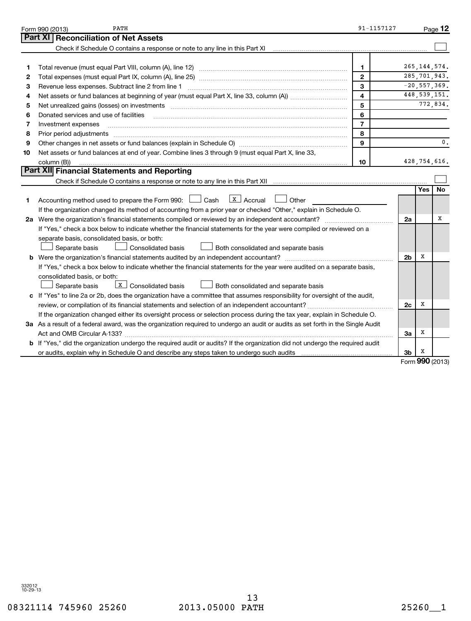| Part XI<br><b>Reconciliation of Net Assets</b>                                                                                                                                                                                           |               |                |
|------------------------------------------------------------------------------------------------------------------------------------------------------------------------------------------------------------------------------------------|---------------|----------------|
|                                                                                                                                                                                                                                          |               |                |
|                                                                                                                                                                                                                                          |               |                |
|                                                                                                                                                                                                                                          |               |                |
| 265, 144, 574.<br>1<br>1                                                                                                                                                                                                                 |               |                |
| 285, 701, 943.<br>$\overline{2}$<br>2                                                                                                                                                                                                    |               |                |
| $\overline{-20}$ , 557, 369.<br>3<br>Revenue less expenses. Subtract line 2 from line 1<br>з                                                                                                                                             |               |                |
| $\overline{\mathbf{4}}$<br>4                                                                                                                                                                                                             |               | 448, 539, 151. |
| 5<br>5                                                                                                                                                                                                                                   |               | 772,834.       |
| 6<br>Donated services and use of facilities<br>6                                                                                                                                                                                         |               |                |
| $\overline{7}$<br>Investment expenses<br>7                                                                                                                                                                                               |               |                |
| 8<br>8<br>Prior period adjustments material contents and content of the content of the content of the content of the content of the content of the content of the content of the content of the content of the content of the content of |               |                |
| $\mathbf{9}$<br>9                                                                                                                                                                                                                        |               | 0.             |
| Net assets or fund balances at end of year. Combine lines 3 through 9 (must equal Part X, line 33,<br>10                                                                                                                                 |               |                |
| 428,754,616.<br>column (B))<br>10                                                                                                                                                                                                        |               |                |
| Part XII Financial Statements and Reporting                                                                                                                                                                                              |               |                |
|                                                                                                                                                                                                                                          |               |                |
|                                                                                                                                                                                                                                          | <b>Yes</b>    | No             |
| $\lfloor x \rfloor$ Accrual<br>Accounting method used to prepare the Form 990: $\Box$ Cash<br>Other<br>1                                                                                                                                 |               |                |
| If the organization changed its method of accounting from a prior year or checked "Other," explain in Schedule O.                                                                                                                        |               |                |
| 2a Were the organization's financial statements compiled or reviewed by an independent accountant?<br>2a                                                                                                                                 |               | х              |
| If "Yes," check a box below to indicate whether the financial statements for the year were compiled or reviewed on a                                                                                                                     |               |                |
| separate basis, consolidated basis, or both:                                                                                                                                                                                             |               |                |
| <b>Consolidated basis</b><br>Both consolidated and separate basis<br>Separate basis                                                                                                                                                      |               |                |
| 2 <sub>b</sub>                                                                                                                                                                                                                           | х             |                |
| If "Yes," check a box below to indicate whether the financial statements for the year were audited on a separate basis,                                                                                                                  |               |                |
| consolidated basis, or both:                                                                                                                                                                                                             |               |                |
| $X$ Consolidated basis<br>Separate basis<br>Both consolidated and separate basis                                                                                                                                                         |               |                |
| c If "Yes" to line 2a or 2b, does the organization have a committee that assumes responsibility for oversight of the audit,                                                                                                              |               |                |
| review, or compilation of its financial statements and selection of an independent accountant?<br>2c                                                                                                                                     | x             |                |
| If the organization changed either its oversight process or selection process during the tax year, explain in Schedule O.                                                                                                                |               |                |
| 3a As a result of a federal award, was the organization required to undergo an audit or audits as set forth in the Single Audit                                                                                                          |               |                |
| За                                                                                                                                                                                                                                       | х             |                |
| b If "Yes," did the organization undergo the required audit or audits? If the organization did not undergo the required audit                                                                                                            |               |                |
| 3b                                                                                                                                                                                                                                       | х<br>$\Omega$ |                |

Form **990** (2013)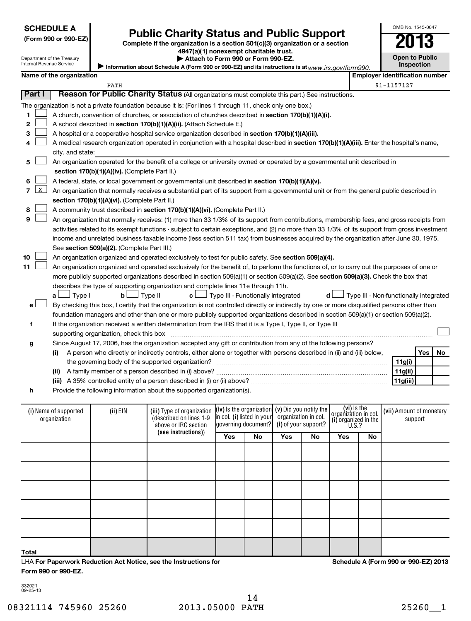| <b>SCHEDULE A</b> |
|-------------------|
|-------------------|

| ום־טכפוט טכפוווט וו        |  |
|----------------------------|--|
| Department of the Treasury |  |

# Form 990 or 990-EZ)<br>
Complete if the organization is a section 501(c)(3) organization or a section<br> **Public Charity Status and Public Support**

#### **4947(a)(1) nonexempt charitable trust. | Attach to Form 990 or Form 990-EZ.**

OMB No. 1545-0047

**Open to Public Inspection**

|  | Internal Revenue Service |                          |  |
|--|--------------------------|--------------------------|--|
|  |                          | Namo of the organization |  |

Information about Schedule A (Form 990 or 990-EZ) and its instructions is at www.irs.gov/form990.

|                                | Name of the organization                                                                                                                                     |                                               |                                                                                                                                               |                            |                                               |                      |    |                      | <b>Employer identification number</b>  |  |            |     |     |
|--------------------------------|--------------------------------------------------------------------------------------------------------------------------------------------------------------|-----------------------------------------------|-----------------------------------------------------------------------------------------------------------------------------------------------|----------------------------|-----------------------------------------------|----------------------|----|----------------------|----------------------------------------|--|------------|-----|-----|
|                                |                                                                                                                                                              | PATH                                          |                                                                                                                                               |                            |                                               |                      |    |                      |                                        |  | 91-1157127 |     |     |
| <b>Part I</b>                  |                                                                                                                                                              |                                               | Reason for Public Charity Status (All organizations must complete this part.) See instructions.                                               |                            |                                               |                      |    |                      |                                        |  |            |     |     |
|                                |                                                                                                                                                              |                                               | The organization is not a private foundation because it is: (For lines 1 through 11, check only one box.)                                     |                            |                                               |                      |    |                      |                                        |  |            |     |     |
| 1                              |                                                                                                                                                              |                                               | A church, convention of churches, or association of churches described in section 170(b)(1)(A)(i).                                            |                            |                                               |                      |    |                      |                                        |  |            |     |     |
| $\mathbf{2}$                   |                                                                                                                                                              |                                               | A school described in section 170(b)(1)(A)(ii). (Attach Schedule E.)                                                                          |                            |                                               |                      |    |                      |                                        |  |            |     |     |
| 3                              |                                                                                                                                                              |                                               | A hospital or a cooperative hospital service organization described in section 170(b)(1)(A)(iii).                                             |                            |                                               |                      |    |                      |                                        |  |            |     |     |
| 4                              |                                                                                                                                                              |                                               | A medical research organization operated in conjunction with a hospital described in section 170(b)(1)(A)(iii). Enter the hospital's name,    |                            |                                               |                      |    |                      |                                        |  |            |     |     |
|                                | city, and state:                                                                                                                                             |                                               |                                                                                                                                               |                            |                                               |                      |    |                      |                                        |  |            |     |     |
| 5                              |                                                                                                                                                              |                                               | An organization operated for the benefit of a college or university owned or operated by a governmental unit described in                     |                            |                                               |                      |    |                      |                                        |  |            |     |     |
|                                | section 170(b)(1)(A)(iv). (Complete Part II.)                                                                                                                |                                               |                                                                                                                                               |                            |                                               |                      |    |                      |                                        |  |            |     |     |
|                                |                                                                                                                                                              |                                               | A federal, state, or local government or governmental unit described in section 170(b)(1)(A)(v).                                              |                            |                                               |                      |    |                      |                                        |  |            |     |     |
| $\mathbf{x}$<br>$\overline{7}$ |                                                                                                                                                              |                                               | An organization that normally receives a substantial part of its support from a governmental unit or from the general public described in     |                            |                                               |                      |    |                      |                                        |  |            |     |     |
|                                |                                                                                                                                                              | section 170(b)(1)(A)(vi). (Complete Part II.) |                                                                                                                                               |                            |                                               |                      |    |                      |                                        |  |            |     |     |
| 8                              |                                                                                                                                                              |                                               | A community trust described in section 170(b)(1)(A)(vi). (Complete Part II.)                                                                  |                            |                                               |                      |    |                      |                                        |  |            |     |     |
| 9                              |                                                                                                                                                              |                                               | An organization that normally receives: (1) more than 33 1/3% of its support from contributions, membership fees, and gross receipts from     |                            |                                               |                      |    |                      |                                        |  |            |     |     |
|                                |                                                                                                                                                              |                                               | activities related to its exempt functions - subject to certain exceptions, and (2) no more than 33 1/3% of its support from gross investment |                            |                                               |                      |    |                      |                                        |  |            |     |     |
|                                |                                                                                                                                                              |                                               | income and unrelated business taxable income (less section 511 tax) from businesses acquired by the organization after June 30, 1975.         |                            |                                               |                      |    |                      |                                        |  |            |     |     |
|                                |                                                                                                                                                              | See section 509(a)(2). (Complete Part III.)   |                                                                                                                                               |                            |                                               |                      |    |                      |                                        |  |            |     |     |
| 10                             |                                                                                                                                                              |                                               | An organization organized and operated exclusively to test for public safety. See section 509(a)(4).                                          |                            |                                               |                      |    |                      |                                        |  |            |     |     |
| 11                             |                                                                                                                                                              |                                               | An organization organized and operated exclusively for the benefit of, to perform the functions of, or to carry out the purposes of one or    |                            |                                               |                      |    |                      |                                        |  |            |     |     |
|                                |                                                                                                                                                              |                                               | more publicly supported organizations described in section 509(a)(1) or section 509(a)(2). See section 509(a)(3). Check the box that          |                            |                                               |                      |    |                      |                                        |  |            |     |     |
|                                |                                                                                                                                                              |                                               | describes the type of supporting organization and complete lines 11e through 11h.                                                             |                            |                                               |                      |    |                      |                                        |  |            |     |     |
|                                | $\Box$ Type I<br>a ∟                                                                                                                                         | $\mathbf{b}$                                  | $\Box$ Type II                                                                                                                                |                            | $c$ $\Box$ Type III - Functionally integrated |                      |    | d l                  | Type III - Non-functionally integrated |  |            |     |     |
| е                              |                                                                                                                                                              |                                               | By checking this box, I certify that the organization is not controlled directly or indirectly by one or more disqualified persons other than |                            |                                               |                      |    |                      |                                        |  |            |     |     |
|                                |                                                                                                                                                              |                                               | foundation managers and other than one or more publicly supported organizations described in section 509(a)(1) or section 509(a)(2).          |                            |                                               |                      |    |                      |                                        |  |            |     |     |
| f                              |                                                                                                                                                              |                                               | If the organization received a written determination from the IRS that it is a Type I, Type II, or Type III                                   |                            |                                               |                      |    |                      |                                        |  |            |     |     |
|                                |                                                                                                                                                              | supporting organization, check this box       |                                                                                                                                               |                            |                                               |                      |    |                      |                                        |  |            |     |     |
| g                              |                                                                                                                                                              |                                               | Since August 17, 2006, has the organization accepted any gift or contribution from any of the following persons?                              |                            |                                               |                      |    |                      |                                        |  |            |     |     |
|                                | (i)                                                                                                                                                          |                                               | A person who directly or indirectly controls, either alone or together with persons described in (ii) and (iii) below,                        |                            |                                               |                      |    |                      |                                        |  |            | Yes | No. |
|                                |                                                                                                                                                              |                                               |                                                                                                                                               |                            |                                               |                      |    |                      |                                        |  | 11g(i)     |     |     |
|                                | (ii)                                                                                                                                                         |                                               |                                                                                                                                               |                            |                                               |                      |    |                      | 11g(ii)                                |  |            |     |     |
|                                |                                                                                                                                                              |                                               |                                                                                                                                               |                            |                                               |                      |    |                      | 11g(iii)                               |  |            |     |     |
| h                              |                                                                                                                                                              |                                               | Provide the following information about the supported organization(s).                                                                        |                            |                                               |                      |    |                      |                                        |  |            |     |     |
|                                |                                                                                                                                                              |                                               |                                                                                                                                               |                            |                                               |                      |    |                      |                                        |  |            |     |     |
|                                | (vi) Is the<br>(iv) is the organization<br>(v) Did you notify the<br>(i) Name of supported<br>(ii) EIN<br>(iii) Type of organization<br>organizátion in col. |                                               |                                                                                                                                               |                            |                                               |                      |    |                      | (vii) Amount of monetary               |  |            |     |     |
|                                | organization                                                                                                                                                 |                                               | (described on lines 1-9                                                                                                                       | in col. (i) listed in your |                                               | organization in col. |    | (i) organized in the |                                        |  | support    |     |     |
|                                |                                                                                                                                                              |                                               | above or IRC section<br>(see instructions))                                                                                                   |                            | governing document?                           | (i) of your support? |    | U.S.?                |                                        |  |            |     |     |
|                                |                                                                                                                                                              |                                               |                                                                                                                                               | Yes                        | No                                            | Yes                  | No | Yes                  | No                                     |  |            |     |     |

**Total**

LHA **For Paperwork Reduction Act Notice, see the Instructions for Form 990 or 990-EZ.**

**Schedule A (Form 990 or 990-EZ) 2013**

332021 09-25-13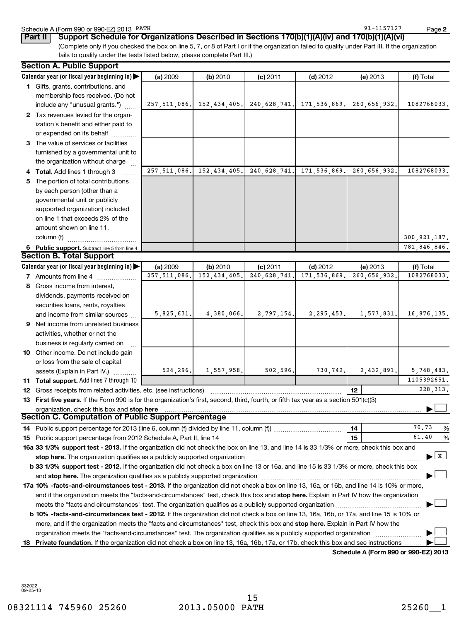**2**

6 Public support. Subtract line 5 from line 4. **Calendar year (or fiscal year beginning in)**  | **Calendar year (or fiscal year beginning in) | (a)** 2009 **| (b)** 2010 **| (c)** 2011 **| (d)** 2012 **| (e)** 2013 **| (f) 1** Gifts, grants, contributions, and **2** Tax revenues levied for the organ-**3** The value of services or facilities **4 Total.** Add lines 1 through 3  $\ldots$ **5** The portion of total contributions **(a)** 2009 **| (b)** 2010 **| (c)** 2011 **| (d)** 2012 **| (e)** 2013 **| (f) 7** Amounts from line 4  $\ldots$  **Amounts** from line 4 **8** Gross income from interest, **9** Net income from unrelated business **10** Other income. Do not include gain **11 Total support.**  Add lines 7 through 10 **12** Gross receipts from related activities, etc. (see instructions) ~~~~~~~~~~~~~~~~~~~~~~~ 13 First five years. If the Form 990 is for the organization's first, second, third, fourth, or fifth tax year as a section 501(c)(3) **12 stop here** organization, check this box and | **14 15 14** Public support percentage for 2013 (line 6, column (f) divided by line 11, column (f))~~~~~~~~~~~~ **15** Public support percentage from 2012 Schedule A, Part II, line 14 ~~~~~~~~~~~~~~~~~~~~~ % 16a 33 1/3% support test - 2013. If the organization did not check the box on line 13, and line 14 is 33 1/3% or more, check this box and **b 33 1/3% support test - 2012.** If the organization did not check a box on line 13 or 16a, and line 15 is 33 1/3% or more, check this box **stop here.**  The organization qualifies as a publicly supported organization ~~~~~~~~~~~~~~~~~~~~~~~~~~~~~~ | and stop here. The organization qualifies as a publicly supported organization  $\ldots$   $\ldots$   $\ldots$   $\ldots$   $\ldots$   $\ldots$   $\ldots$   $\ldots$   $\ldots$   $\ldots$   $\ldots$ Schedule A (Form 990 or 990-EZ) 2013 PATH 30 AM AND 100 AM AND 100 AM AND 100 AM AND 100 AM AND 1157127 (Complete only if you checked the box on line 5, 7, or 8 of Part I or if the organization failed to qualify under Part III. If the organization fails to qualify under the tests listed below, please complete Part III.) 2009 **| (b)** 2010 **| (c)** 2011 **| (d)** 2012 **| (e)** 2013 **| (f)** Total membership fees received. (Do not include any "unusual grants.") ization's benefit and either paid to or expended on its behalf furnished by a governmental unit to the organization without charge by each person (other than a governmental unit or publicly supported organization) included on line 1 that exceeds 2% of the amount shown on line 11,  $column (f)$ 2009 **| (b)** 2010 **| (c)** 2011 **| (d)** 2012 **| (e)** 2013 **| (f)** Total dividends, payments received on securities loans, rents, royalties and income from similar sources activities, whether or not the business is regularly carried on ~ or loss from the sale of capital assets (Explain in Part IV.) **Part II Support Schedule for Organizations Described in Sections 170(b)(1)(A)(iv) and 170(b)(1)(A)(vi) Section A. Public Support Section B. Total Support Section C. Computation of Public Support Percentage**  $\overline{\phantom{a}}$  $\overline{X}$  $\overline{\phantom{a}}$ PATH 91-1157127 257,511,086. 152,434,405. 240,628,741. 171,536,869. 260,656,932. 1082768033. 257,511,086. 152,434,405. 240,628,741. 171,536,869. 260,656,932. 1082768033. 300,921,187. 781,846,846. 257,511,086. 152,434,405. 240,628,741. 171,536,869. 260,656,932. 1082768033. 5,825,631. 4,380,066. 2,797,154. 2,295,453. 1,577,831. 16,876,135. 524,296. 1,557,958. 502,596. 730,742. 2,432,891. 5,748,483. 1105392651. 228,313. 70.73 61.40

**17a 10% -facts-and-circumstances test - 2013.** If the organization did not check a box on line 13, 16a, or 16b, and line 14 is 10% or more, and if the organization meets the "facts-and-circumstances" test, check this box and **stop here.** Explain in Part IV how the organization meets the "facts-and-circumstances" test. The organization qualifies as a publicly supported organization  $\overline{\phantom{a}}$ 

**b 10% -facts-and-circumstances test - 2012.** If the organization did not check a box on line 13, 16a, 16b, or 17a, and line 15 is 10% or more, and if the organization meets the "facts-and-circumstances" test, check this box and **stop here.** Explain in Part IV how the organization meets the "facts-and-circumstances" test. The organization qualifies as a publicly supported organization  $\overline{\phantom{a}}$  $\overline{\phantom{a}}$ 

18 Private foundation. If the organization did not check a box on line 13, 16a, 16b, 17a, or 17b, check this box and see instructions .........

**Schedule A (Form 990 or 990-EZ) 2013**

332022 09-25-13

%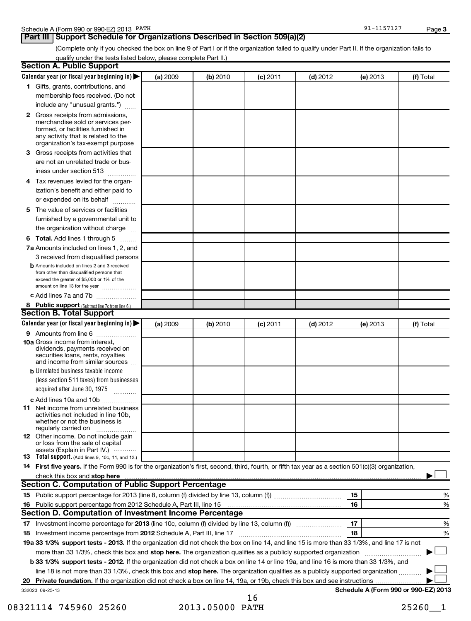| PATH<br>ດາ<br>Schedule A<br>A (Form 990 or 990-EZ) 2013<br>,,⊥∠<br>---- | Page |  |
|-------------------------------------------------------------------------|------|--|
|-------------------------------------------------------------------------|------|--|

#### **Part III | Support Schedule for Organizations Described in Section 509(a)(2)**

91-1157127

**3**

(Complete only if you checked the box on line 9 of Part I or if the organization failed to qualify under Part II. If the organization fails to qualify under the tests listed below, please complete Part II.)

|    | <b>Section A. Public Support</b>                                                                                                                                                                                               |          |          |            |            |                                      |           |
|----|--------------------------------------------------------------------------------------------------------------------------------------------------------------------------------------------------------------------------------|----------|----------|------------|------------|--------------------------------------|-----------|
|    | Calendar year (or fiscal year beginning in)                                                                                                                                                                                    | (a) 2009 | (b) 2010 | (c) 2011   | $(d)$ 2012 | (e) 2013                             | (f) Total |
|    | 1 Gifts, grants, contributions, and                                                                                                                                                                                            |          |          |            |            |                                      |           |
|    | membership fees received. (Do not                                                                                                                                                                                              |          |          |            |            |                                      |           |
|    | include any "unusual grants.")                                                                                                                                                                                                 |          |          |            |            |                                      |           |
|    | <b>2</b> Gross receipts from admissions,<br>merchandise sold or services per-<br>formed, or facilities furnished in<br>any activity that is related to the<br>organization's tax-exempt purpose                                |          |          |            |            |                                      |           |
|    | 3 Gross receipts from activities that                                                                                                                                                                                          |          |          |            |            |                                      |           |
|    | are not an unrelated trade or bus-                                                                                                                                                                                             |          |          |            |            |                                      |           |
|    | iness under section 513                                                                                                                                                                                                        |          |          |            |            |                                      |           |
| 4  | Tax revenues levied for the organ-                                                                                                                                                                                             |          |          |            |            |                                      |           |
|    | ization's benefit and either paid to<br>or expended on its behalf                                                                                                                                                              |          |          |            |            |                                      |           |
|    | 5 The value of services or facilities                                                                                                                                                                                          |          |          |            |            |                                      |           |
|    | furnished by a governmental unit to                                                                                                                                                                                            |          |          |            |            |                                      |           |
|    | the organization without charge                                                                                                                                                                                                |          |          |            |            |                                      |           |
|    | <b>6 Total.</b> Add lines 1 through 5                                                                                                                                                                                          |          |          |            |            |                                      |           |
|    | 7a Amounts included on lines 1, 2, and                                                                                                                                                                                         |          |          |            |            |                                      |           |
|    | 3 received from disqualified persons                                                                                                                                                                                           |          |          |            |            |                                      |           |
|    | <b>b</b> Amounts included on lines 2 and 3 received<br>from other than disqualified persons that<br>exceed the greater of \$5,000 or 1% of the                                                                                 |          |          |            |            |                                      |           |
|    | amount on line 13 for the year<br>c Add lines 7a and 7b                                                                                                                                                                        |          |          |            |            |                                      |           |
|    |                                                                                                                                                                                                                                |          |          |            |            |                                      |           |
|    | 8 Public support (Subtract line 7c from line 6.)<br><b>Section B. Total Support</b>                                                                                                                                            |          |          |            |            |                                      |           |
|    | Calendar year (or fiscal year beginning in)                                                                                                                                                                                    | (a) 2009 | (b) 2010 | $(c)$ 2011 | $(d)$ 2012 | (e) 2013                             | (f) Total |
|    | 9 Amounts from line 6                                                                                                                                                                                                          |          |          |            |            |                                      |           |
|    | <b>10a</b> Gross income from interest,<br>dividends, payments received on<br>securities loans, rents, royalties<br>and income from similar sources                                                                             |          |          |            |            |                                      |           |
|    | <b>b</b> Unrelated business taxable income                                                                                                                                                                                     |          |          |            |            |                                      |           |
|    | (less section 511 taxes) from businesses                                                                                                                                                                                       |          |          |            |            |                                      |           |
|    | acquired after June 30, 1975<br>$\overline{\phantom{a}}$                                                                                                                                                                       |          |          |            |            |                                      |           |
|    | c Add lines 10a and 10b                                                                                                                                                                                                        |          |          |            |            |                                      |           |
|    | <b>11</b> Net income from unrelated business<br>activities not included in line 10b,<br>whether or not the business is<br>regularly carried on                                                                                 |          |          |            |            |                                      |           |
|    | 12 Other income. Do not include gain<br>or loss from the sale of capital<br>assets (Explain in Part IV.)                                                                                                                       |          |          |            |            |                                      |           |
|    | <b>13</b> Total support. (Add lines 9, 10c, 11, and 12.)                                                                                                                                                                       |          |          |            |            |                                      |           |
|    | 14 First five years. If the Form 990 is for the organization's first, second, third, fourth, or fifth tax year as a section 501(c)(3) organization,                                                                            |          |          |            |            |                                      |           |
|    | check this box and stop here with the continuum control of the state of the state of the state of the state of the state of the state of the state of the state of the state of the state of the state of the state of the sta |          |          |            |            |                                      |           |
|    | <b>Section C. Computation of Public Support Percentage</b>                                                                                                                                                                     |          |          |            |            |                                      |           |
|    |                                                                                                                                                                                                                                |          |          |            |            | 15                                   | %         |
|    |                                                                                                                                                                                                                                |          |          |            |            | 16                                   | %         |
|    | Section D. Computation of Investment Income Percentage                                                                                                                                                                         |          |          |            |            |                                      |           |
|    |                                                                                                                                                                                                                                |          |          |            |            | 17                                   | %         |
|    | 18 Investment income percentage from 2012 Schedule A, Part III, line 17                                                                                                                                                        |          |          |            |            | 18                                   | %         |
|    | 19a 33 1/3% support tests - 2013. If the organization did not check the box on line 14, and line 15 is more than 33 1/3%, and line 17 is not                                                                                   |          |          |            |            |                                      |           |
|    | more than 33 1/3%, check this box and stop here. The organization qualifies as a publicly supported organization                                                                                                               |          |          |            |            |                                      |           |
|    | b 33 1/3% support tests - 2012. If the organization did not check a box on line 14 or line 19a, and line 16 is more than 33 1/3%, and                                                                                          |          |          |            |            |                                      |           |
|    | line 18 is not more than 33 1/3%, check this box and stop here. The organization qualifies as a publicly supported organization                                                                                                |          |          |            |            |                                      |           |
| 20 |                                                                                                                                                                                                                                |          |          |            |            |                                      |           |
|    | 332023 09-25-13                                                                                                                                                                                                                |          |          | 1 ሬ        |            | Schedule A (Form 990 or 990-EZ) 2013 |           |

16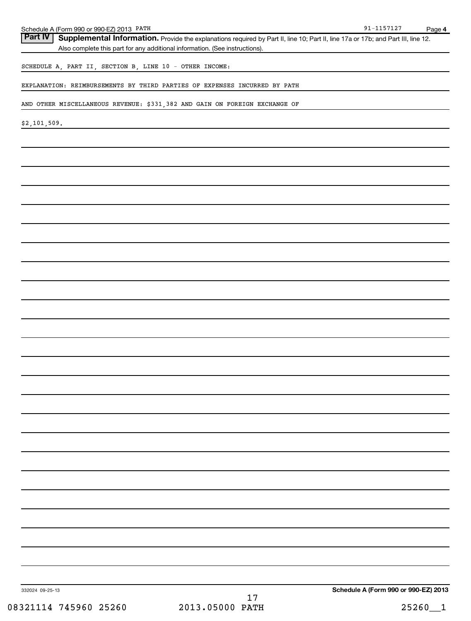| Schedule A (Form 990 or 990-EZ) 2013 PATH               |                                                                                                                                   | $91 - 1157127$<br>Page 4             |
|---------------------------------------------------------|-----------------------------------------------------------------------------------------------------------------------------------|--------------------------------------|
| Part IV                                                 | Supplemental Information. Provide the explanations required by Part II, line 10; Part II, line 17a or 17b; and Part III, line 12. |                                      |
|                                                         | Also complete this part for any additional information. (See instructions).                                                       |                                      |
| SCHEDULE A, PART II, SECTION B, LINE 10 - OTHER INCOME: |                                                                                                                                   |                                      |
|                                                         | EXPLANATION: REIMBURSEMENTS BY THIRD PARTIES OF EXPENSES INCURRED BY PATH                                                         |                                      |
|                                                         | AND OTHER MISCELLANEOUS REVENUE: \$331,382 AND GAIN ON FOREIGN EXCHANGE OF                                                        |                                      |
| \$2,101,509.                                            |                                                                                                                                   |                                      |
|                                                         |                                                                                                                                   |                                      |
|                                                         |                                                                                                                                   |                                      |
|                                                         |                                                                                                                                   |                                      |
|                                                         |                                                                                                                                   |                                      |
|                                                         |                                                                                                                                   |                                      |
|                                                         |                                                                                                                                   |                                      |
|                                                         |                                                                                                                                   |                                      |
|                                                         |                                                                                                                                   |                                      |
|                                                         |                                                                                                                                   |                                      |
|                                                         |                                                                                                                                   |                                      |
|                                                         |                                                                                                                                   |                                      |
|                                                         |                                                                                                                                   |                                      |
|                                                         |                                                                                                                                   |                                      |
|                                                         |                                                                                                                                   |                                      |
|                                                         |                                                                                                                                   |                                      |
|                                                         |                                                                                                                                   |                                      |
|                                                         |                                                                                                                                   |                                      |
|                                                         |                                                                                                                                   |                                      |
|                                                         |                                                                                                                                   |                                      |
|                                                         |                                                                                                                                   |                                      |
|                                                         |                                                                                                                                   |                                      |
|                                                         |                                                                                                                                   |                                      |
|                                                         |                                                                                                                                   |                                      |
|                                                         |                                                                                                                                   |                                      |
|                                                         |                                                                                                                                   |                                      |
|                                                         |                                                                                                                                   |                                      |
|                                                         |                                                                                                                                   |                                      |
|                                                         |                                                                                                                                   |                                      |
|                                                         |                                                                                                                                   |                                      |
|                                                         |                                                                                                                                   |                                      |
|                                                         |                                                                                                                                   |                                      |
| 332024 09-25-13                                         | 17                                                                                                                                | Schedule A (Form 990 or 990-EZ) 2013 |
| 08321114 745960 25260                                   | 2013.05000 PATH                                                                                                                   | 25260<br>$\mathbf{1}$                |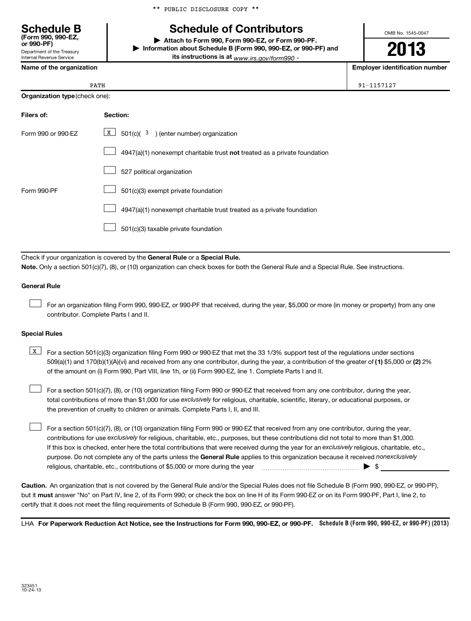\*\* PUBLIC DISCLOSURE COPY \*\*

# **Schedule B Schedule of Contributors**

**or 990-PF) | Attach to Form 990, Form 990-EZ, or Form 990-PF. | Information about Schedule B (Form 990, 990-EZ, or 990-PF) and its instructions is at** <sub>www.irs.gov/form990  $\cdot$ </sub>

**2013**

OMB No. 1545-0047

**Name of the organization Employer identification number**

| a |  | 1 | 5 |  |
|---|--|---|---|--|

|  | Name of the organization |
|--|--------------------------|
|--|--------------------------|

Department of the Treasury Internal Revenue Service

**(Form 990, 990-EZ,**

|                    | PATH                                                                      |  |  |  |  |  |
|--------------------|---------------------------------------------------------------------------|--|--|--|--|--|
|                    | <b>Organization type (check one):</b>                                     |  |  |  |  |  |
| Filers of:         | Section:                                                                  |  |  |  |  |  |
| Form 990 or 990-EZ | x  <br>$501(c)(3)$ (enter number) organization                            |  |  |  |  |  |
|                    | 4947(a)(1) nonexempt charitable trust not treated as a private foundation |  |  |  |  |  |
|                    | 527 political organization                                                |  |  |  |  |  |

|             | 527 political organization                                                   |
|-------------|------------------------------------------------------------------------------|
| Form 990-PF |                                                                              |
|             | $\Box$ 4947(a)(1) nonexempt charitable trust treated as a private foundation |
|             |                                                                              |

Check if your organization is covered by the General Rule or a Special Rule. **Note.**  Only a section 501(c)(7), (8), or (10) organization can check boxes for both the General Rule and a Special Rule. See instructions.

#### **General Rule**

For an organization filing Form 990, 990-EZ, or 990-PF that received, during the year, \$5,000 or more (in money or property) from any one contributor. Complete Parts I and II.  $\left\vert \cdot\right\vert$ 

#### **Special Rules**

509(a)(1) and 170(b)(1)(A)(vi) and received from any one contributor, during the year, a contribution of the greater of (1**)** \$5,000 or (**2**) 2%  $\boxed{\text{X}}$  For a section 501(c)(3) organization filing Form 990 or 990-EZ that met the 33 1/3% support test of the regulations under sections of the amount on (i) Form 990, Part VIII, line 1h, or (ii) Form 990-EZ, line 1. Complete Parts I and II.

total contributions of more than \$1,000 for use exclusively for religious, charitable, scientific, literary, or educational purposes, or For a section 501(c)(7), (8), or (10) organization filing Form 990 or 990-EZ that received from any one contributor, during the year, the prevention of cruelty to children or animals. Complete Parts I, II, and III.  $\left\vert \cdot\right\vert$ 

purpose. Do not complete any of the parts unless the General Rule applies to this organization because it received nonexclusively contributions for use exclusively for religious, charitable, etc., purposes, but these contributions did not total to more than \$1,000. If this box is checked, enter here the total contributions that were received during the year for an exclusively religious, charitable, etc., For a section 501(c)(7), (8), or (10) organization filing Form 990 or 990-EZ that received from any one contributor, during the year, religious, charitable, etc., contributions of \$5,000 or more during the year  $\Box$   $\Box$   $\Box$   $\Box$  $\left\vert \cdot\right\vert$ 

**Caution.** An organization that is not covered by the General Rule and/or the Special Rules does not file Schedule B (Form 990, 990-EZ, or 990-PF),  **must** but it answer "No" on Part IV, line 2, of its Form 990; or check the box on line H of its Form 990-EZ or on its Form 990-PF, Part I, line 2, to certify that it does not meet the filing requirements of Schedule B (Form 990, 990-EZ, or 990-PF).

LHA For Paperwork Reduction Act Notice, see the Instructions for Form 990, 990-EZ, or 990-PF. Schedule B (Form 990, 990-EZ, or 990-PF) (2013)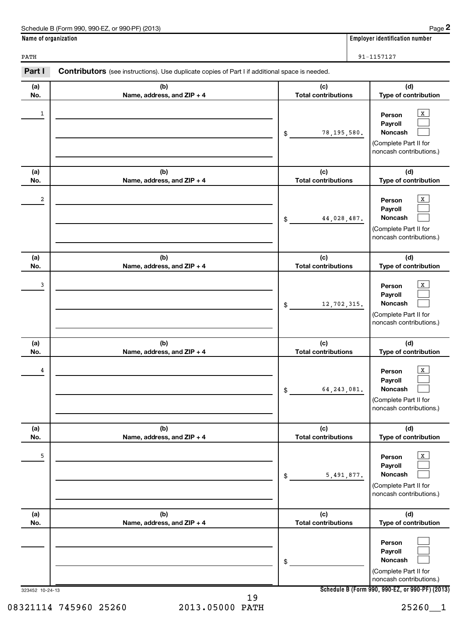|              | Name of organization                                                                                  | <b>Employer identification number</b> |                                                                                              |
|--------------|-------------------------------------------------------------------------------------------------------|---------------------------------------|----------------------------------------------------------------------------------------------|
| PATH         |                                                                                                       |                                       | 91-1157127                                                                                   |
| Part I       | <b>Contributors</b> (see instructions). Use duplicate copies of Part I if additional space is needed. |                                       |                                                                                              |
| (a)<br>No.   | (b)<br>Name, address, and $ZIP + 4$                                                                   | (c)<br><b>Total contributions</b>     | (d)<br><b>Type of contribution</b>                                                           |
| $\mathbf{1}$ |                                                                                                       | 78, 195, 580.<br>\$.                  | X<br>Person<br>Payroll<br><b>Noncash</b><br>(Complete Part II for<br>noncash contributions.) |

 $\begin{array}{|c|c|c|c|c|c|}\hline \end{array}$  Person  $\begin{array}{|c|c|c|c|}\hline \end{array}$ 

 $\frac{3}{2}$  Person  $\frac{1}{2}$ 

 $\frac{4}{4}$  Person  $\frac{1}{2}$ 

5 X

**(c) Total contributions**

**(c) Total contributions**

44,028,487.

12,702,315.

64,243,081.

5,491,877.

\$

\$

\$

\$

\$

**(c) Total contributions**

**(c) Total contributions**

**(c) Total contributions**

**(d) Type of contribution**

> $\sqrt{\frac{1}{\pi}}$  $\Box$  $\Box$

> $\lfloor x \rfloor$  $\Box$  $\Box$

> $\boxed{\mathbf{X}}$  $\Box$  $\Box$

 $\boxed{\mathbf{X}}$  $\Box$  $\Box$ 

**(d) Type of contribution**

(Complete Part II for noncash contributions.)

**(d) Type of contribution**

(Complete Part II for noncash contributions.)

**(d) Type of contribution**

(Complete Part II for noncash contributions.)

**(d) Type of contribution**

(Complete Part II for noncash contributions.)

**Person Payroll Noncash**

**Person Payroll Noncash**

**Person Payroll Noncash**

**Person Payroll Noncash**

**(b) Name, address, and ZIP + 4**

**(b) Name, address, and ZIP + 4**

**(b) Name, address, and ZIP + 4**

**(b) Name, address, and ZIP + 4**

**(b) Name, address, and ZIP + 4**

|  |  | I |
|--|--|---|
|  |  |   |
|  |  |   |
|  |  |   |
|  |  |   |
|  |  |   |
|  |  |   |
|  |  |   |
|  |  |   |
|  |  |   |
|  |  |   |
|  |  |   |
|  |  |   |
|  |  |   |

**(a) No.**

**(a) No.**

**(a) No.**

**(a) No.**

**(a) No.**

**Schedule B (Form 990, 990-EZ, or 990-PF) (2013)**

**Person Payroll Noncash**

(Complete Part II for noncash contributions.)

 $\Box$  $\Box$  $\Box$ 

08321114 745960 25260 2013.05000 PATH 25260 25260 19

323452 10-24-13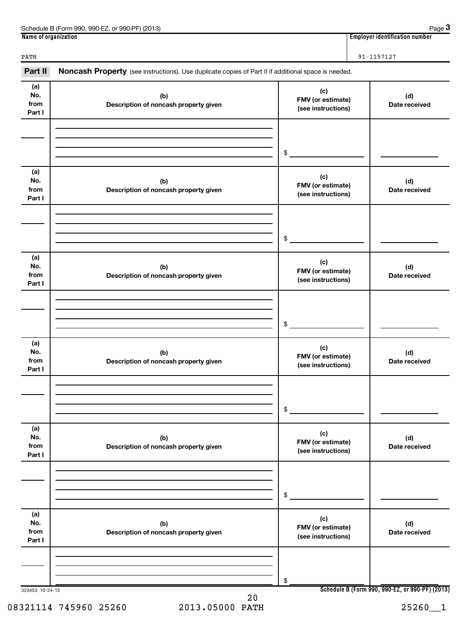| (2013)<br>Schedule<br>990-FZ<br>or 990-PF <sup>)</sup><br>990<br>ੇ (Form | Page                                     |
|--------------------------------------------------------------------------|------------------------------------------|
| Name of organization                                                     | <br>r identification number.<br>Employer |

**3**

PATH 91-1157127

| Part II                      |                                              | Noncash Property (see instructions). Use duplicate copies of Part II if additional space is needed. |                                                 |  |  |  |
|------------------------------|----------------------------------------------|-----------------------------------------------------------------------------------------------------|-------------------------------------------------|--|--|--|
| (a)<br>No.<br>from<br>Part I | (b)<br>Description of noncash property given | (c)<br>FMV (or estimate)<br>(see instructions)                                                      | (d)<br>Date received                            |  |  |  |
|                              |                                              | \$                                                                                                  |                                                 |  |  |  |
| (a)<br>No.<br>from<br>Part I | (b)<br>Description of noncash property given | (c)<br>FMV (or estimate)<br>(see instructions)                                                      | (d)<br>Date received                            |  |  |  |
|                              |                                              | \$                                                                                                  |                                                 |  |  |  |
| (a)<br>No.<br>from<br>Part I | (b)<br>Description of noncash property given | (c)<br>FMV (or estimate)<br>(see instructions)                                                      | (d)<br>Date received                            |  |  |  |
|                              |                                              | \$                                                                                                  |                                                 |  |  |  |
| (a)<br>No.<br>from<br>Part I | (b)<br>Description of noncash property given | (c)<br>FMV (or estimate)<br>(see instructions)                                                      | (d)<br>Date received                            |  |  |  |
|                              |                                              | \$                                                                                                  |                                                 |  |  |  |
| (a)<br>No.<br>from<br>Part I | (b)<br>Description of noncash property given | (c)<br>FMV (or estimate)<br>(see instructions)                                                      | (d)<br>Date received                            |  |  |  |
|                              |                                              | \$                                                                                                  |                                                 |  |  |  |
| (a)<br>No.<br>from<br>Part I | (b)<br>Description of noncash property given | (c)<br>FMV (or estimate)<br>(see instructions)                                                      | (d)<br>Date received                            |  |  |  |
|                              |                                              | \$                                                                                                  |                                                 |  |  |  |
| 323453 10-24-13              | $\sim$ $\sim$                                |                                                                                                     | Schedule B (Form 990, 990-EZ, or 990-PF) (2013) |  |  |  |

08321114 745960 25260 2013.05000 PATH 25260 25260

20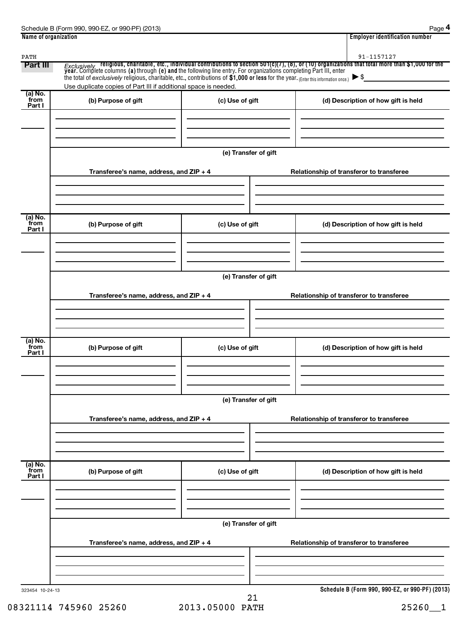| PATH<br>Part III                       | Use duplicate copies of Part III if additional space is needed. |                      | 91-1157127<br><i>Exclusively</i> religious, charitable, etc., individual contributions to section 501(c)(7), (8), or (10) organizations that total more than \$1,000 for the year. Complete columns (a) through (e) and the following line entry. |  |  |  |
|----------------------------------------|-----------------------------------------------------------------|----------------------|---------------------------------------------------------------------------------------------------------------------------------------------------------------------------------------------------------------------------------------------------|--|--|--|
| $\overline{a}$ ) No.<br>from<br>Part I | (b) Purpose of gift                                             | (c) Use of gift      | (d) Description of how gift is held                                                                                                                                                                                                               |  |  |  |
|                                        |                                                                 |                      |                                                                                                                                                                                                                                                   |  |  |  |
|                                        |                                                                 | (e) Transfer of gift |                                                                                                                                                                                                                                                   |  |  |  |
|                                        | Transferee's name, address, and ZIP + 4                         |                      | Relationship of transferor to transferee                                                                                                                                                                                                          |  |  |  |
| (a) No.<br>from                        |                                                                 | (c) Use of gift      | (d) Description of how gift is held                                                                                                                                                                                                               |  |  |  |
| Part I                                 | (b) Purpose of gift                                             |                      |                                                                                                                                                                                                                                                   |  |  |  |
|                                        |                                                                 |                      |                                                                                                                                                                                                                                                   |  |  |  |
|                                        | Transferee's name, address, and ZIP + 4                         | (e) Transfer of gift | Relationship of transferor to transferee                                                                                                                                                                                                          |  |  |  |
|                                        |                                                                 |                      |                                                                                                                                                                                                                                                   |  |  |  |
| (a) No.<br>from<br>Part I              | (b) Purpose of gift                                             | (c) Use of gift      | (d) Description of how gift is held                                                                                                                                                                                                               |  |  |  |
|                                        |                                                                 |                      |                                                                                                                                                                                                                                                   |  |  |  |
|                                        |                                                                 | (e) Transfer of gift |                                                                                                                                                                                                                                                   |  |  |  |
|                                        | Transferee's name, address, and ZIP + 4                         |                      | Relationship of transferor to transferee                                                                                                                                                                                                          |  |  |  |
| (a) No.<br>from<br>Part I              | (b) Purpose of gift                                             | (c) Use of gift      | (d) Description of how gift is held                                                                                                                                                                                                               |  |  |  |
|                                        |                                                                 |                      |                                                                                                                                                                                                                                                   |  |  |  |
|                                        | (e) Transfer of gift                                            |                      |                                                                                                                                                                                                                                                   |  |  |  |
|                                        | Transferee's name, address, and ZIP + 4                         |                      | Relationship of transferor to transferee                                                                                                                                                                                                          |  |  |  |
|                                        |                                                                 |                      |                                                                                                                                                                                                                                                   |  |  |  |
| 323454 10-24-13                        |                                                                 | 21                   | Schedule B (Form 990, 990-EZ, or 990-PF) (2013)                                                                                                                                                                                                   |  |  |  |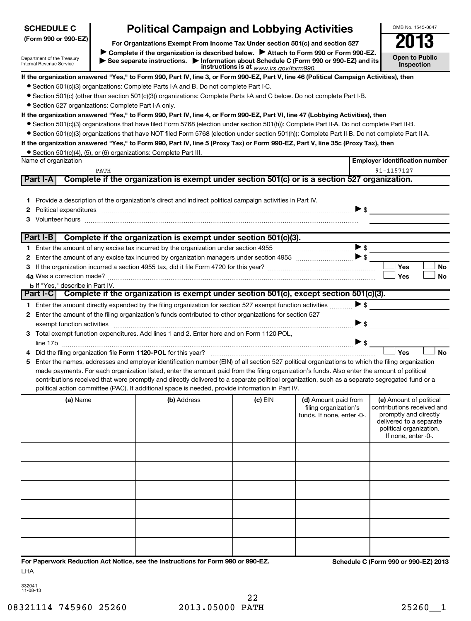| <b>SCHEDULE C</b>                                      |                                                                               | <b>Political Campaign and Lobbying Activities</b>                                                                                                                                                                              |                                         |                                                                                                                                                                             | OMB No. 1545-0047                                                                                                                                           |
|--------------------------------------------------------|-------------------------------------------------------------------------------|--------------------------------------------------------------------------------------------------------------------------------------------------------------------------------------------------------------------------------|-----------------------------------------|-----------------------------------------------------------------------------------------------------------------------------------------------------------------------------|-------------------------------------------------------------------------------------------------------------------------------------------------------------|
| (Form 990 or 990-EZ)                                   | For Organizations Exempt From Income Tax Under section 501(c) and section 527 |                                                                                                                                                                                                                                |                                         |                                                                                                                                                                             |                                                                                                                                                             |
| Department of the Treasury<br>Internal Revenue Service |                                                                               |                                                                                                                                                                                                                                | instructions is at www.irs.gov/form990. | Complete if the organization is described below. Attach to Form 990 or Form 990-EZ.<br>See separate instructions. Information about Schedule C (Form 990 or 990-EZ) and its | 13<br><b>Open to Public</b><br><b>Inspection</b>                                                                                                            |
|                                                        |                                                                               |                                                                                                                                                                                                                                |                                         | If the organization answered "Yes," to Form 990, Part IV, line 3, or Form 990-EZ, Part V, line 46 (Political Campaign Activities), then                                     |                                                                                                                                                             |
|                                                        |                                                                               | • Section 501(c)(3) organizations: Complete Parts I-A and B. Do not complete Part I-C.                                                                                                                                         |                                         |                                                                                                                                                                             |                                                                                                                                                             |
|                                                        |                                                                               | • Section 501(c) (other than section 501(c)(3)) organizations: Complete Parts I-A and C below. Do not complete Part I-B.                                                                                                       |                                         |                                                                                                                                                                             |                                                                                                                                                             |
| • Section 527 organizations: Complete Part I-A only.   |                                                                               |                                                                                                                                                                                                                                |                                         |                                                                                                                                                                             |                                                                                                                                                             |
|                                                        |                                                                               |                                                                                                                                                                                                                                |                                         | If the organization answered "Yes," to Form 990, Part IV, line 4, or Form 990-EZ, Part VI, line 47 (Lobbying Activities), then                                              |                                                                                                                                                             |
|                                                        |                                                                               |                                                                                                                                                                                                                                |                                         | • Section 501(c)(3) organizations that have filed Form 5768 (election under section 501(h)): Complete Part II-A. Do not complete Part II-B.                                 |                                                                                                                                                             |
|                                                        |                                                                               |                                                                                                                                                                                                                                |                                         | • Section 501(c)(3) organizations that have NOT filed Form 5768 (election under section 501(h)): Complete Part II-B. Do not complete Part II-A.                             |                                                                                                                                                             |
|                                                        |                                                                               |                                                                                                                                                                                                                                |                                         | If the organization answered "Yes," to Form 990, Part IV, line 5 (Proxy Tax) or Form 990-EZ, Part V, line 35c (Proxy Tax), then                                             |                                                                                                                                                             |
| Name of organization                                   |                                                                               | • Section 501(c)(4), (5), or (6) organizations: Complete Part III.                                                                                                                                                             |                                         |                                                                                                                                                                             | <b>Employer identification number</b>                                                                                                                       |
|                                                        | PATH                                                                          |                                                                                                                                                                                                                                |                                         |                                                                                                                                                                             | 91-1157127                                                                                                                                                  |
| Part I-A                                               |                                                                               |                                                                                                                                                                                                                                |                                         | Complete if the organization is exempt under section 501(c) or is a section 527 organization.                                                                               |                                                                                                                                                             |
|                                                        |                                                                               |                                                                                                                                                                                                                                |                                         |                                                                                                                                                                             |                                                                                                                                                             |
| 1.                                                     |                                                                               | Provide a description of the organization's direct and indirect political campaign activities in Part IV.                                                                                                                      |                                         |                                                                                                                                                                             |                                                                                                                                                             |
| 2                                                      |                                                                               | Political expenditures information and continuum and contract the contract of the contract of the contract of                                                                                                                  |                                         | $\triangleright$ s                                                                                                                                                          |                                                                                                                                                             |
| З                                                      |                                                                               | Volunteer hours with the continuum contract to the contract of the contract of the contract of the contract of the contract of the contract of the contract of the contract of the contract of the contract of the contract of |                                         |                                                                                                                                                                             |                                                                                                                                                             |
|                                                        |                                                                               |                                                                                                                                                                                                                                |                                         |                                                                                                                                                                             |                                                                                                                                                             |
| Part I-B                                               |                                                                               | Complete if the organization is exempt under section 501(c)(3).                                                                                                                                                                |                                         |                                                                                                                                                                             |                                                                                                                                                             |
| 1.                                                     |                                                                               |                                                                                                                                                                                                                                |                                         |                                                                                                                                                                             |                                                                                                                                                             |
| 2                                                      |                                                                               |                                                                                                                                                                                                                                |                                         |                                                                                                                                                                             |                                                                                                                                                             |
| 3                                                      |                                                                               |                                                                                                                                                                                                                                |                                         |                                                                                                                                                                             | Yes<br>No                                                                                                                                                   |
|                                                        |                                                                               |                                                                                                                                                                                                                                |                                         |                                                                                                                                                                             | <b>No</b><br>Yes                                                                                                                                            |
| <b>b</b> If "Yes," describe in Part IV.<br>Part I-CI   |                                                                               |                                                                                                                                                                                                                                |                                         | Complete if the organization is exempt under section 501(c), except section 501(c)(3).                                                                                      |                                                                                                                                                             |
|                                                        |                                                                               | 1 Enter the amount directly expended by the filing organization for section 527 exempt function activities                                                                                                                     |                                         | $\blacktriangleright$ \$                                                                                                                                                    |                                                                                                                                                             |
| 2                                                      |                                                                               | Enter the amount of the filing organization's funds contributed to other organizations for section 527                                                                                                                         |                                         |                                                                                                                                                                             |                                                                                                                                                             |
|                                                        |                                                                               |                                                                                                                                                                                                                                |                                         | $\blacktriangleright$ \$                                                                                                                                                    |                                                                                                                                                             |
| З.                                                     |                                                                               | Total exempt function expenditures. Add lines 1 and 2. Enter here and on Form 1120-POL.                                                                                                                                        |                                         |                                                                                                                                                                             |                                                                                                                                                             |
|                                                        |                                                                               | line 17b $\ldots$ . $\bullet$ s $\Box$                                                                                                                                                                                         |                                         |                                                                                                                                                                             |                                                                                                                                                             |
| 4                                                      |                                                                               |                                                                                                                                                                                                                                |                                         |                                                                                                                                                                             | Yes<br><b>No</b>                                                                                                                                            |
| 5                                                      |                                                                               |                                                                                                                                                                                                                                |                                         | Enter the names, addresses and employer identification number (EIN) of all section 527 political organizations to which the filing organization                             |                                                                                                                                                             |
|                                                        |                                                                               |                                                                                                                                                                                                                                |                                         | made payments. For each organization listed, enter the amount paid from the filing organization's funds. Also enter the amount of political                                 |                                                                                                                                                             |
|                                                        |                                                                               |                                                                                                                                                                                                                                |                                         | contributions received that were promptly and directly delivered to a separate political organization, such as a separate segregated fund or a                              |                                                                                                                                                             |
|                                                        |                                                                               | political action committee (PAC). If additional space is needed, provide information in Part IV.                                                                                                                               |                                         |                                                                                                                                                                             |                                                                                                                                                             |
| (a) Name                                               |                                                                               | (b) Address                                                                                                                                                                                                                    | $(c)$ EIN                               | (d) Amount paid from<br>filing organization's<br>funds. If none, enter -0-.                                                                                                 | (e) Amount of political<br>contributions received and<br>promptly and directly<br>delivered to a separate<br>political organization.<br>If none, enter -0-. |
|                                                        |                                                                               |                                                                                                                                                                                                                                |                                         |                                                                                                                                                                             |                                                                                                                                                             |
|                                                        |                                                                               |                                                                                                                                                                                                                                |                                         |                                                                                                                                                                             |                                                                                                                                                             |
|                                                        |                                                                               |                                                                                                                                                                                                                                |                                         |                                                                                                                                                                             |                                                                                                                                                             |
|                                                        |                                                                               |                                                                                                                                                                                                                                |                                         |                                                                                                                                                                             |                                                                                                                                                             |
|                                                        |                                                                               |                                                                                                                                                                                                                                |                                         |                                                                                                                                                                             |                                                                                                                                                             |
|                                                        |                                                                               |                                                                                                                                                                                                                                |                                         |                                                                                                                                                                             |                                                                                                                                                             |
| LHA                                                    |                                                                               | For Paperwork Reduction Act Notice, see the Instructions for Form 990 or 990-EZ.                                                                                                                                               |                                         |                                                                                                                                                                             | Schedule C (Form 990 or 990-EZ) 2013                                                                                                                        |

| ドンロム<br>z. |
|------------|
| 08-1       |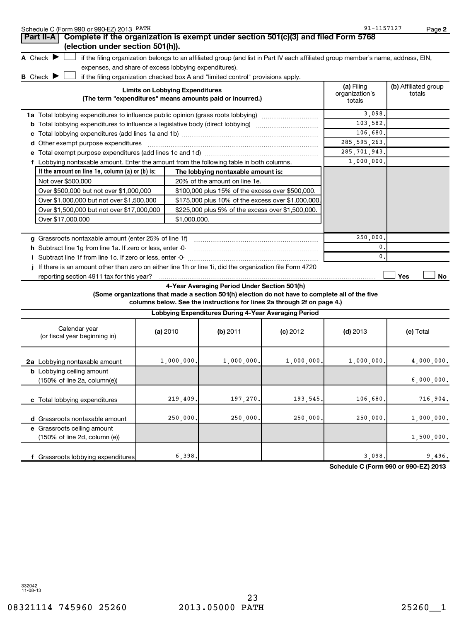| Schedule C (Form 990 or 990-EZ) 2013 PATH                                                                 |                                                           |                                        |                                                                                                 |            | 91-1157127                                                                                                                        |                      | Page 2     |
|-----------------------------------------------------------------------------------------------------------|-----------------------------------------------------------|----------------------------------------|-------------------------------------------------------------------------------------------------|------------|-----------------------------------------------------------------------------------------------------------------------------------|----------------------|------------|
| Complete if the organization is exempt under section 501(c)(3) and filed Form 5768<br>Part II-A           |                                                           |                                        |                                                                                                 |            |                                                                                                                                   |                      |            |
| (election under section 501(h)).                                                                          |                                                           |                                        |                                                                                                 |            |                                                                                                                                   |                      |            |
| A Check $\blacktriangleright$                                                                             |                                                           |                                        |                                                                                                 |            | if the filing organization belongs to an affiliated group (and list in Part IV each affiliated group member's name, address, EIN, |                      |            |
| expenses, and share of excess lobbying expenditures).                                                     |                                                           |                                        |                                                                                                 |            |                                                                                                                                   |                      |            |
| <b>B</b> Check I                                                                                          |                                                           |                                        | if the filing organization checked box A and "limited control" provisions apply.                |            |                                                                                                                                   |                      |            |
|                                                                                                           |                                                           | <b>Limits on Lobbying Expenditures</b> |                                                                                                 |            | (a) Filing<br>organization's                                                                                                      | (b) Affiliated group |            |
|                                                                                                           | (The term "expenditures" means amounts paid or incurred.) |                                        |                                                                                                 |            |                                                                                                                                   | totals               |            |
| 1a Total lobbying expenditures to influence public opinion (grass roots lobbying)                         |                                                           |                                        |                                                                                                 |            | 3,098                                                                                                                             |                      |            |
| <b>b</b> Total lobbying expenditures to influence a legislative body (direct lobbying) <i>manumumumum</i> |                                                           |                                        |                                                                                                 |            | 103,582.                                                                                                                          |                      |            |
|                                                                                                           |                                                           |                                        |                                                                                                 |            | 106,680.                                                                                                                          |                      |            |
| d Other exempt purpose expenditures                                                                       |                                                           |                                        |                                                                                                 |            | 285, 595, 263.                                                                                                                    |                      |            |
|                                                                                                           |                                                           |                                        |                                                                                                 |            | 285, 701, 943.                                                                                                                    |                      |            |
| f Lobbying nontaxable amount. Enter the amount from the following table in both columns.                  |                                                           |                                        |                                                                                                 |            | 1,000,000.                                                                                                                        |                      |            |
| If the amount on line 1e, column $(a)$ or $(b)$ is:                                                       |                                                           |                                        | The lobbying nontaxable amount is:                                                              |            |                                                                                                                                   |                      |            |
| Not over \$500,000                                                                                        |                                                           |                                        | 20% of the amount on line 1e.                                                                   |            |                                                                                                                                   |                      |            |
| Over \$500,000 but not over \$1,000,000                                                                   |                                                           |                                        | \$100,000 plus 15% of the excess over \$500,000.                                                |            |                                                                                                                                   |                      |            |
| Over \$1,000,000 but not over \$1,500,000                                                                 |                                                           |                                        | \$175,000 plus 10% of the excess over \$1,000,000                                               |            |                                                                                                                                   |                      |            |
| Over \$1,500,000 but not over \$17,000,000                                                                |                                                           |                                        | \$225,000 plus 5% of the excess over \$1,500,000.                                               |            |                                                                                                                                   |                      |            |
| Over \$17,000,000<br>\$1,000,000.                                                                         |                                                           |                                        |                                                                                                 |            |                                                                                                                                   |                      |            |
|                                                                                                           |                                                           |                                        |                                                                                                 |            |                                                                                                                                   |                      |            |
|                                                                                                           |                                                           |                                        |                                                                                                 |            | 250,000                                                                                                                           |                      |            |
| h Subtract line 1q from line 1a. If zero or less, enter -0-                                               |                                                           |                                        |                                                                                                 |            | 0.                                                                                                                                |                      |            |
|                                                                                                           |                                                           |                                        |                                                                                                 |            | 0.                                                                                                                                |                      |            |
| j If there is an amount other than zero on either line 1h or line 1i, did the organization file Form 4720 |                                                           |                                        |                                                                                                 |            |                                                                                                                                   |                      |            |
| reporting section 4911 tax for this year?                                                                 |                                                           |                                        |                                                                                                 |            |                                                                                                                                   | Yes                  | No         |
|                                                                                                           |                                                           |                                        | 4-Year Averaging Period Under Section 501(h)                                                    |            |                                                                                                                                   |                      |            |
|                                                                                                           |                                                           |                                        | (Some organizations that made a section 501(h) election do not have to complete all of the five |            |                                                                                                                                   |                      |            |
|                                                                                                           |                                                           |                                        | columns below. See the instructions for lines 2a through 2f on page 4.)                         |            |                                                                                                                                   |                      |            |
|                                                                                                           |                                                           |                                        | Lobbying Expenditures During 4-Year Averaging Period                                            |            |                                                                                                                                   |                      |            |
| Calendar year<br>(or fiscal year beginning in)                                                            |                                                           | (a) 2010                               | (b) 2011                                                                                        | $(c)$ 2012 | $(d)$ 2013                                                                                                                        | (e) Total            |            |
| 2a Lobbying nontaxable amount                                                                             |                                                           | 1,000,000.                             | 1,000,000.                                                                                      | 1,000,000. | 1,000,000.                                                                                                                        |                      | 4,000,000. |
| <b>b</b> Lobbying ceiling amount                                                                          |                                                           |                                        |                                                                                                 |            |                                                                                                                                   |                      |            |
| (150% of line 2a, column(e))                                                                              |                                                           |                                        |                                                                                                 |            |                                                                                                                                   |                      | 6,000,000. |
| c Total lobbying expenditures                                                                             |                                                           | 219,409                                | 197,270                                                                                         | 193,545    | 106,680                                                                                                                           |                      | 716,904.   |
|                                                                                                           |                                                           |                                        |                                                                                                 |            |                                                                                                                                   |                      |            |
| d Grassroots nontaxable amount                                                                            |                                                           | 250,000                                | 250,000                                                                                         | 250,000    | 250,000.                                                                                                                          |                      | 1,000,000. |
| e Grassroots ceiling amount<br>(150% of line 2d, column (e))                                              |                                                           |                                        |                                                                                                 |            |                                                                                                                                   |                      | 1,500,000. |
|                                                                                                           |                                                           |                                        |                                                                                                 |            |                                                                                                                                   |                      |            |

**Schedule C (Form 990 or 990-EZ) 2013**

 $6,398.$  9,496.

**f** Grassroots lobbying expenditures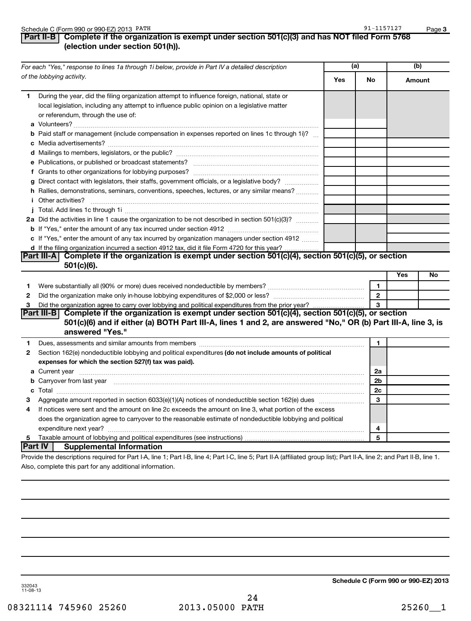#### Schedule C (Form 990 or 990-EZ) 2013 PATH

#### 91-1157127

#### **Part II-B Complete if the organization is exempt under section 501(c)(3) and has NOT filed Form 5768 (election under section 501(h)).**

| For each "Yes," response to lines 1a through 1i below, provide in Part IV a detailed description |                                                                                                                                                                                                                                     | (a) |                | (b)        |    |
|--------------------------------------------------------------------------------------------------|-------------------------------------------------------------------------------------------------------------------------------------------------------------------------------------------------------------------------------------|-----|----------------|------------|----|
|                                                                                                  | of the lobbying activity.                                                                                                                                                                                                           | Yes | No             | Amount     |    |
| 1.                                                                                               | During the year, did the filing organization attempt to influence foreign, national, state or<br>local legislation, including any attempt to influence public opinion on a legislative matter<br>or referendum, through the use of: |     |                |            |    |
|                                                                                                  | <b>b</b> Paid staff or management (include compensation in expenses reported on lines 1c through 1i)?                                                                                                                               |     |                |            |    |
|                                                                                                  |                                                                                                                                                                                                                                     |     |                |            |    |
|                                                                                                  |                                                                                                                                                                                                                                     |     |                |            |    |
|                                                                                                  |                                                                                                                                                                                                                                     |     |                |            |    |
|                                                                                                  |                                                                                                                                                                                                                                     |     |                |            |    |
|                                                                                                  | g Direct contact with legislators, their staffs, government officials, or a legislative body?                                                                                                                                       |     |                |            |    |
|                                                                                                  | h Rallies, demonstrations, seminars, conventions, speeches, lectures, or any similar means?                                                                                                                                         |     |                |            |    |
|                                                                                                  | <i>i</i> Other activities?                                                                                                                                                                                                          |     |                |            |    |
|                                                                                                  |                                                                                                                                                                                                                                     |     |                |            |    |
|                                                                                                  | 2a Did the activities in line 1 cause the organization to be not described in section 501(c)(3)?                                                                                                                                    |     |                |            |    |
|                                                                                                  |                                                                                                                                                                                                                                     |     |                |            |    |
|                                                                                                  | c If "Yes," enter the amount of any tax incurred by organization managers under section 4912                                                                                                                                        |     |                |            |    |
|                                                                                                  | d If the filing organization incurred a section 4912 tax, did it file Form 4720 for this year?                                                                                                                                      |     |                |            |    |
|                                                                                                  | Part III-A Complete if the organization is exempt under section 501(c)(4), section 501(c)(5), or section<br>$501(c)(6)$ .                                                                                                           |     |                |            |    |
|                                                                                                  |                                                                                                                                                                                                                                     |     |                | <b>Yes</b> | No |
| 1.                                                                                               | Were substantially all (90% or more) dues received nondeductible by members?                                                                                                                                                        |     | 1              |            |    |
| 2                                                                                                |                                                                                                                                                                                                                                     |     | $\overline{2}$ |            |    |
| 3                                                                                                | Did the organization agree to carry over lobbying and political expenditures from the prior year?                                                                                                                                   |     | 3              |            |    |
|                                                                                                  | Part III-B Complete if the organization is exempt under section 501(c)(4), section 501(c)(5), or section                                                                                                                            |     |                |            |    |
|                                                                                                  | 501(c)(6) and if either (a) BOTH Part III-A, lines 1 and 2, are answered "No," OR (b) Part III-A, line 3, is                                                                                                                        |     |                |            |    |
|                                                                                                  | answered "Yes."                                                                                                                                                                                                                     |     |                |            |    |
| 1                                                                                                | Dues, assessments and similar amounts from members [111] Dues, assessments and similar and similar amounts from members [111] Dues, assessments and similar amounts from members [11] Dues and the set of the set of the set o      |     | 1              |            |    |
| 2                                                                                                | Section 162(e) nondeductible lobbying and political expenditures (do not include amounts of political                                                                                                                               |     |                |            |    |
|                                                                                                  | expenses for which the section 527(f) tax was paid).                                                                                                                                                                                |     |                |            |    |
|                                                                                                  |                                                                                                                                                                                                                                     |     | 2a             |            |    |
|                                                                                                  | b Carryover from last year measured and contact the contract of the contract of the contract of the contract of the contract of the contract of the contract of the contract of the contract of the contract of the contract o      |     | 2 <sub>b</sub> |            |    |
|                                                                                                  |                                                                                                                                                                                                                                     |     | 2c             |            |    |
| 3                                                                                                |                                                                                                                                                                                                                                     |     | 3              |            |    |
| 4                                                                                                | If notices were sent and the amount on line 2c exceeds the amount on line 3, what portion of the excess                                                                                                                             |     |                |            |    |
|                                                                                                  | does the organization agree to carryover to the reasonable estimate of nondeductible lobbying and political                                                                                                                         |     |                |            |    |
|                                                                                                  |                                                                                                                                                                                                                                     |     | 4              |            |    |
| 5                                                                                                |                                                                                                                                                                                                                                     |     | 5              |            |    |
|                                                                                                  | <b>Part IV</b><br><b>Supplemental Information</b>                                                                                                                                                                                   |     |                |            |    |
|                                                                                                  | Provide the descriptions required for Part I-A, line 1; Part I-B, line 4; Part I-C, line 5; Part II-A (affiliated group list); Part II-A, line 2; and Part II-B, line 1.                                                            |     |                |            |    |
|                                                                                                  | Also, complete this part for any additional information.                                                                                                                                                                            |     |                |            |    |

**Schedule C (Form 990 or 990-EZ) 2013**

332043 11-08-13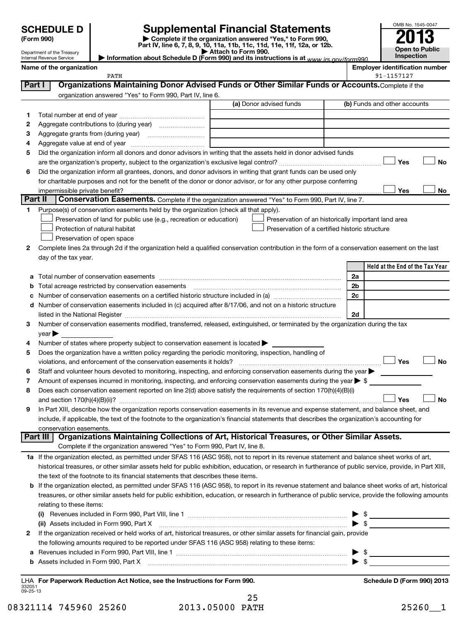## **SCHEDULE D Supplemental Financial Statements 2013**

**(Form 990) | Complete if the organization answered "Yes," to Form 990, Part IV, line 6, 7, 8, 9, 10, 11a, 11b, 11c, 11d, 11e, 11f, 12a, or 12b. | Attach to Form 990. | Information about Schedule D (Form 990) and its instructions is at**  *www.irs.gov/form990.*



Department of the Treasury Internal Revenue Service

|        | Name of the organization<br>PATH                                                                                                               |                                                     |                | <b>Employer identification number</b><br>91-1157127 |           |
|--------|------------------------------------------------------------------------------------------------------------------------------------------------|-----------------------------------------------------|----------------|-----------------------------------------------------|-----------|
| Part I | Organizations Maintaining Donor Advised Funds or Other Similar Funds or Accounts. Complete if the                                              |                                                     |                |                                                     |           |
|        | organization answered "Yes" to Form 990, Part IV, line 6.                                                                                      |                                                     |                |                                                     |           |
|        |                                                                                                                                                | (a) Donor advised funds                             |                | (b) Funds and other accounts                        |           |
| 1      |                                                                                                                                                |                                                     |                |                                                     |           |
| 2      |                                                                                                                                                |                                                     |                |                                                     |           |
| З      |                                                                                                                                                |                                                     |                |                                                     |           |
| 4      |                                                                                                                                                |                                                     |                |                                                     |           |
| 5      | Did the organization inform all donors and donor advisors in writing that the assets held in donor advised funds                               |                                                     |                | Yes                                                 | <b>No</b> |
| 6      | Did the organization inform all grantees, donors, and donor advisors in writing that grant funds can be used only                              |                                                     |                |                                                     |           |
|        | for charitable purposes and not for the benefit of the donor or donor advisor, or for any other purpose conferring                             |                                                     |                |                                                     |           |
|        | impermissible private benefit?                                                                                                                 |                                                     |                | Yes                                                 | No        |
|        | Part II<br>Conservation Easements. Complete if the organization answered "Yes" to Form 990, Part IV, line 7.                                   |                                                     |                |                                                     |           |
| 1      | Purpose(s) of conservation easements held by the organization (check all that apply).                                                          |                                                     |                |                                                     |           |
|        | Preservation of land for public use (e.g., recreation or education)                                                                            | Preservation of an historically important land area |                |                                                     |           |
|        | Protection of natural habitat                                                                                                                  | Preservation of a certified historic structure      |                |                                                     |           |
|        | Preservation of open space                                                                                                                     |                                                     |                |                                                     |           |
| 2      | Complete lines 2a through 2d if the organization held a qualified conservation contribution in the form of a conservation easement on the last |                                                     |                |                                                     |           |
|        | day of the tax year.                                                                                                                           |                                                     |                |                                                     |           |
|        |                                                                                                                                                |                                                     |                | Held at the End of the Tax Year                     |           |
| a      |                                                                                                                                                |                                                     | 2a             |                                                     |           |
| b      |                                                                                                                                                |                                                     | 2 <sub>b</sub> |                                                     |           |
|        | Number of conservation easements on a certified historic structure included in (a) manufacture included in (a)                                 |                                                     | 2c             |                                                     |           |
| d      | Number of conservation easements included in (c) acquired after 8/17/06, and not on a historic structure                                       |                                                     |                |                                                     |           |
|        | listed in the National Register [1111] [12] https://www.mail.com/mail.com/mail.com/mail.com/mail.com/mail.com/                                 |                                                     | 2d             |                                                     |           |
| 3      | Number of conservation easements modified, transferred, released, extinguished, or terminated by the organization during the tax               |                                                     |                |                                                     |           |
|        | $\vee$ ear $\blacktriangleright$                                                                                                               |                                                     |                |                                                     |           |
| 4      | Number of states where property subject to conservation easement is located $\blacktriangleright$                                              |                                                     |                |                                                     |           |
| 5      | Does the organization have a written policy regarding the periodic monitoring, inspection, handling of                                         |                                                     |                |                                                     |           |
|        | violations, and enforcement of the conservation easements it holds?                                                                            |                                                     |                | Yes                                                 | No        |

| 5  | Does the organization have a written policy regarding the periodic monitoring, inspection, handling of<br><b>Yes</b><br>No                                |
|----|-----------------------------------------------------------------------------------------------------------------------------------------------------------|
| 6  | Staff and volunteer hours devoted to monitoring, inspecting, and enforcing conservation easements during the year                                         |
| 7  | Amount of expenses incurred in monitoring, inspecting, and enforcing conservation easements during the year $\triangleright$ \$                           |
| 8  | Does each conservation easement reported on line 2(d) above satisfy the requirements of section 170(h)(4)(B)(i)<br>Yes<br>Nο                              |
| 9  | In Part XIII, describe how the organization reports conservation easements in its revenue and expense statement, and balance sheet, and                   |
|    | include, if applicable, the text of the footnote to the organization's financial statements that describes the organization's accounting for              |
|    | conservation easements.                                                                                                                                   |
|    | Organizations Maintaining Collections of Art, Historical Treasures, or Other Similar Assets.<br>Part III                                                  |
|    | Complete if the organization answered "Yes" to Form 990, Part IV, line 8.                                                                                 |
| 1a | If the organization elected, as permitted under SFAS 116 (ASC 958), not to report in its revenue statement and balance sheet works of art,                |
|    | historical treasures, or other similar assets held for public exhibition, education, or research in furtherance of public service, provide, in Part XIII, |
|    | the text of the footnote to its financial statements that describes these items.                                                                          |
| b  | If the organization elected, as permitted under SFAS 116 (ASC 958), to report in its revenue statement and balance sheet works of art, historical         |
|    | treasures, or other similar assets held for public exhibition, education, or research in furtherance of public service, provide the following amounts     |
|    | relating to these items:                                                                                                                                  |
|    | Revenues included in Form 990, Part VIII, line 1<br>(i)                                                                                                   |
|    | (ii) Assets included in Form 990, Part X                                                                                                                  |

| 2 If the organization received or held works of art, historical treasures, or other similar assets for financial gain, provide |  |
|--------------------------------------------------------------------------------------------------------------------------------|--|
| the following amounts required to be reported under SFAS 116 (ASC 958) relating to these items:                                |  |
| a Revenues included in Form 990, Part VIII, line 1                                                                             |  |

| мι |  |  |  |  |
|----|--|--|--|--|
|----|--|--|--|--|

332051 09-25-13 **For Paperwork Reduction Act Notice, see the Instructions for Form 990. Schedule D (Form 990) 2013** LHA

| 08321114 745960 25260 | 2013.05000 PATH | $\blacksquare$<br>25260 |
|-----------------------|-----------------|-------------------------|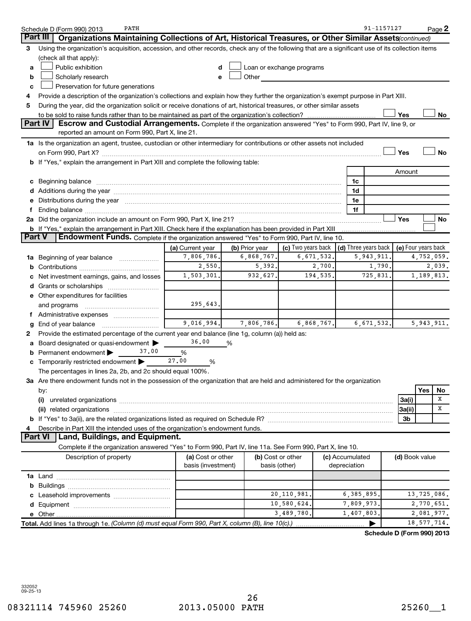| Organizations Maintaining Collections of Art, Historical Treasures, or Other Similar Assets(continued)<br>Part III<br>Using the organization's acquisition, accession, and other records, check any of the following that are a significant use of its collection items<br>3<br>(check all that apply):<br>Public exhibition<br>Loan or exchange programs<br>a<br>Scholarly research<br>Other<br>b<br>e<br>Preservation for future generations<br>c<br>Provide a description of the organization's collections and explain how they further the organization's exempt purpose in Part XIII.<br>4<br>During the year, did the organization solicit or receive donations of art, historical treasures, or other similar assets<br>5<br>Yes<br>No<br>Part IV<br>Escrow and Custodial Arrangements. Complete if the organization answered "Yes" to Form 990, Part IV, line 9, or<br>reported an amount on Form 990, Part X, line 21.<br>1a Is the organization an agent, trustee, custodian or other intermediary for contributions or other assets not included<br>Yes<br><b>No</b><br>b If "Yes," explain the arrangement in Part XIII and complete the following table:<br>Amount<br>c Beginning balance measurements and the contract of Beginning balance measurements are all the contract of the contract of the contract of the contract of the contract of the contract of the contract of the contract of th<br>1c<br>1d<br>e Distributions during the year manufactured and contain an account of the year manufactured and the year manufactured and the year manufactured and the year manufactured and the year manufactured and the year manufactured<br>1е<br>1f<br>f.<br>Yes<br><b>No</b><br>b If "Yes," explain the arrangement in Part XIII. Check here if the explanation has been provided in Part XIII<br>Part V<br>Endowment Funds. Complete if the organization answered "Yes" to Form 990, Part IV, line 10.<br>(c) Two years back $\vert$ (d) Three years back $\vert$<br>(e) Four years back<br>(a) Current year<br>(b) Prior year<br>7,806,786.<br>6,868,767.<br>6,671,532.<br>5,943,911.<br>4,752,059.<br>1a Beginning of year balance<br>2,550.<br>5,392.<br>2,700.<br>1,790.<br>2,039.<br>932,627.<br>194, 535.<br>1,503,301.<br>725,831.<br>1,189,813.<br>c Net investment earnings, gains, and losses<br>e Other expenditures for facilities<br>295,643.<br>and programs<br>f Administrative expenses<br>$\overline{9,016,994.}$<br>7,806,786.<br>6,868,767.<br>6,671,532.<br>Provide the estimated percentage of the current year end balance (line 1g, column (a)) held as:<br>2<br>36.00<br>a Board designated or quasi-endowment ><br>%<br><b>b</b> Permanent endowment $\blacktriangleright$<br>37.00<br>%<br>27.00<br><b>c</b> Temporarily restricted endowment $\blacktriangleright$<br>%<br>The percentages in lines 2a, 2b, and 2c should equal 100%.<br>3a Are there endowment funds not in the possession of the organization that are held and administered for the organization<br>Yes<br>No<br>by:<br>X<br>(i)<br>3a(i)<br>X<br> 3a(ii)<br>3b<br>Describe in Part XIII the intended uses of the organization's endowment funds.<br>4<br><b>Land, Buildings, and Equipment.</b><br>Part VI<br>Complete if the organization answered "Yes" to Form 990, Part IV, line 11a. See Form 990, Part X, line 10.<br>Description of property<br>(a) Cost or other<br>(b) Cost or other<br>(c) Accumulated<br>(d) Book value<br>basis (investment)<br>depreciation<br>basis (other)<br>20, 110, 981.<br>6,385,895.<br>13,725,086.<br>10,580,624.<br>7,809,973.<br>2,770,651.<br>3,489,780.<br>1,407,803.<br>2,081,977.<br>e Other.<br>Total. Add lines 1a through 1e. (Column (d) must equal Form 990, Part X, column (B), line 10(c).)<br>18, 577, 714.<br>Schedule D (Form 990) 2013 | PATH<br>Schedule D (Form 990) 2013 |  |  | 91-1157127 |  | Page 2 |
|------------------------------------------------------------------------------------------------------------------------------------------------------------------------------------------------------------------------------------------------------------------------------------------------------------------------------------------------------------------------------------------------------------------------------------------------------------------------------------------------------------------------------------------------------------------------------------------------------------------------------------------------------------------------------------------------------------------------------------------------------------------------------------------------------------------------------------------------------------------------------------------------------------------------------------------------------------------------------------------------------------------------------------------------------------------------------------------------------------------------------------------------------------------------------------------------------------------------------------------------------------------------------------------------------------------------------------------------------------------------------------------------------------------------------------------------------------------------------------------------------------------------------------------------------------------------------------------------------------------------------------------------------------------------------------------------------------------------------------------------------------------------------------------------------------------------------------------------------------------------------------------------------------------------------------------------------------------------------------------------------------------------------------------------------------------------------------------------------------------------------------------------------------------------------------------------------------------------------------------------------------------------------------------------------------------------------------------------------------------------------------------------------------------------------------------------------------------------------------------------------------------------------------------------------------------------------------------------------------------------------------------------------------------------------------------------------------------------------------------------------------------------------------------------------------------------------------------------------------------------------------------------------------------------------------------------------------------------------------------------------------------------------------------------------------------------------------------------------------------------------------------------------------------------------------------------------------------------------------------------------------------------------------------------------------------------------------------------------------------------------------------------------------------------------------------------------------------------------------------------------------------------------------------------------------------------------------------------------------------------------------------------------------------------------------------------------------------------------------------------------------------------------------------------------------------------|------------------------------------|--|--|------------|--|--------|
|                                                                                                                                                                                                                                                                                                                                                                                                                                                                                                                                                                                                                                                                                                                                                                                                                                                                                                                                                                                                                                                                                                                                                                                                                                                                                                                                                                                                                                                                                                                                                                                                                                                                                                                                                                                                                                                                                                                                                                                                                                                                                                                                                                                                                                                                                                                                                                                                                                                                                                                                                                                                                                                                                                                                                                                                                                                                                                                                                                                                                                                                                                                                                                                                                                                                                                                                                                                                                                                                                                                                                                                                                                                                                                                                                                                                                        |                                    |  |  |            |  |        |
|                                                                                                                                                                                                                                                                                                                                                                                                                                                                                                                                                                                                                                                                                                                                                                                                                                                                                                                                                                                                                                                                                                                                                                                                                                                                                                                                                                                                                                                                                                                                                                                                                                                                                                                                                                                                                                                                                                                                                                                                                                                                                                                                                                                                                                                                                                                                                                                                                                                                                                                                                                                                                                                                                                                                                                                                                                                                                                                                                                                                                                                                                                                                                                                                                                                                                                                                                                                                                                                                                                                                                                                                                                                                                                                                                                                                                        |                                    |  |  |            |  |        |
|                                                                                                                                                                                                                                                                                                                                                                                                                                                                                                                                                                                                                                                                                                                                                                                                                                                                                                                                                                                                                                                                                                                                                                                                                                                                                                                                                                                                                                                                                                                                                                                                                                                                                                                                                                                                                                                                                                                                                                                                                                                                                                                                                                                                                                                                                                                                                                                                                                                                                                                                                                                                                                                                                                                                                                                                                                                                                                                                                                                                                                                                                                                                                                                                                                                                                                                                                                                                                                                                                                                                                                                                                                                                                                                                                                                                                        |                                    |  |  |            |  |        |
| 5, 943, 911.                                                                                                                                                                                                                                                                                                                                                                                                                                                                                                                                                                                                                                                                                                                                                                                                                                                                                                                                                                                                                                                                                                                                                                                                                                                                                                                                                                                                                                                                                                                                                                                                                                                                                                                                                                                                                                                                                                                                                                                                                                                                                                                                                                                                                                                                                                                                                                                                                                                                                                                                                                                                                                                                                                                                                                                                                                                                                                                                                                                                                                                                                                                                                                                                                                                                                                                                                                                                                                                                                                                                                                                                                                                                                                                                                                                                           |                                    |  |  |            |  |        |
|                                                                                                                                                                                                                                                                                                                                                                                                                                                                                                                                                                                                                                                                                                                                                                                                                                                                                                                                                                                                                                                                                                                                                                                                                                                                                                                                                                                                                                                                                                                                                                                                                                                                                                                                                                                                                                                                                                                                                                                                                                                                                                                                                                                                                                                                                                                                                                                                                                                                                                                                                                                                                                                                                                                                                                                                                                                                                                                                                                                                                                                                                                                                                                                                                                                                                                                                                                                                                                                                                                                                                                                                                                                                                                                                                                                                                        |                                    |  |  |            |  |        |
|                                                                                                                                                                                                                                                                                                                                                                                                                                                                                                                                                                                                                                                                                                                                                                                                                                                                                                                                                                                                                                                                                                                                                                                                                                                                                                                                                                                                                                                                                                                                                                                                                                                                                                                                                                                                                                                                                                                                                                                                                                                                                                                                                                                                                                                                                                                                                                                                                                                                                                                                                                                                                                                                                                                                                                                                                                                                                                                                                                                                                                                                                                                                                                                                                                                                                                                                                                                                                                                                                                                                                                                                                                                                                                                                                                                                                        |                                    |  |  |            |  |        |
|                                                                                                                                                                                                                                                                                                                                                                                                                                                                                                                                                                                                                                                                                                                                                                                                                                                                                                                                                                                                                                                                                                                                                                                                                                                                                                                                                                                                                                                                                                                                                                                                                                                                                                                                                                                                                                                                                                                                                                                                                                                                                                                                                                                                                                                                                                                                                                                                                                                                                                                                                                                                                                                                                                                                                                                                                                                                                                                                                                                                                                                                                                                                                                                                                                                                                                                                                                                                                                                                                                                                                                                                                                                                                                                                                                                                                        |                                    |  |  |            |  |        |
|                                                                                                                                                                                                                                                                                                                                                                                                                                                                                                                                                                                                                                                                                                                                                                                                                                                                                                                                                                                                                                                                                                                                                                                                                                                                                                                                                                                                                                                                                                                                                                                                                                                                                                                                                                                                                                                                                                                                                                                                                                                                                                                                                                                                                                                                                                                                                                                                                                                                                                                                                                                                                                                                                                                                                                                                                                                                                                                                                                                                                                                                                                                                                                                                                                                                                                                                                                                                                                                                                                                                                                                                                                                                                                                                                                                                                        |                                    |  |  |            |  |        |
|                                                                                                                                                                                                                                                                                                                                                                                                                                                                                                                                                                                                                                                                                                                                                                                                                                                                                                                                                                                                                                                                                                                                                                                                                                                                                                                                                                                                                                                                                                                                                                                                                                                                                                                                                                                                                                                                                                                                                                                                                                                                                                                                                                                                                                                                                                                                                                                                                                                                                                                                                                                                                                                                                                                                                                                                                                                                                                                                                                                                                                                                                                                                                                                                                                                                                                                                                                                                                                                                                                                                                                                                                                                                                                                                                                                                                        |                                    |  |  |            |  |        |
|                                                                                                                                                                                                                                                                                                                                                                                                                                                                                                                                                                                                                                                                                                                                                                                                                                                                                                                                                                                                                                                                                                                                                                                                                                                                                                                                                                                                                                                                                                                                                                                                                                                                                                                                                                                                                                                                                                                                                                                                                                                                                                                                                                                                                                                                                                                                                                                                                                                                                                                                                                                                                                                                                                                                                                                                                                                                                                                                                                                                                                                                                                                                                                                                                                                                                                                                                                                                                                                                                                                                                                                                                                                                                                                                                                                                                        |                                    |  |  |            |  |        |
|                                                                                                                                                                                                                                                                                                                                                                                                                                                                                                                                                                                                                                                                                                                                                                                                                                                                                                                                                                                                                                                                                                                                                                                                                                                                                                                                                                                                                                                                                                                                                                                                                                                                                                                                                                                                                                                                                                                                                                                                                                                                                                                                                                                                                                                                                                                                                                                                                                                                                                                                                                                                                                                                                                                                                                                                                                                                                                                                                                                                                                                                                                                                                                                                                                                                                                                                                                                                                                                                                                                                                                                                                                                                                                                                                                                                                        |                                    |  |  |            |  |        |
|                                                                                                                                                                                                                                                                                                                                                                                                                                                                                                                                                                                                                                                                                                                                                                                                                                                                                                                                                                                                                                                                                                                                                                                                                                                                                                                                                                                                                                                                                                                                                                                                                                                                                                                                                                                                                                                                                                                                                                                                                                                                                                                                                                                                                                                                                                                                                                                                                                                                                                                                                                                                                                                                                                                                                                                                                                                                                                                                                                                                                                                                                                                                                                                                                                                                                                                                                                                                                                                                                                                                                                                                                                                                                                                                                                                                                        |                                    |  |  |            |  |        |
|                                                                                                                                                                                                                                                                                                                                                                                                                                                                                                                                                                                                                                                                                                                                                                                                                                                                                                                                                                                                                                                                                                                                                                                                                                                                                                                                                                                                                                                                                                                                                                                                                                                                                                                                                                                                                                                                                                                                                                                                                                                                                                                                                                                                                                                                                                                                                                                                                                                                                                                                                                                                                                                                                                                                                                                                                                                                                                                                                                                                                                                                                                                                                                                                                                                                                                                                                                                                                                                                                                                                                                                                                                                                                                                                                                                                                        |                                    |  |  |            |  |        |
|                                                                                                                                                                                                                                                                                                                                                                                                                                                                                                                                                                                                                                                                                                                                                                                                                                                                                                                                                                                                                                                                                                                                                                                                                                                                                                                                                                                                                                                                                                                                                                                                                                                                                                                                                                                                                                                                                                                                                                                                                                                                                                                                                                                                                                                                                                                                                                                                                                                                                                                                                                                                                                                                                                                                                                                                                                                                                                                                                                                                                                                                                                                                                                                                                                                                                                                                                                                                                                                                                                                                                                                                                                                                                                                                                                                                                        |                                    |  |  |            |  |        |
|                                                                                                                                                                                                                                                                                                                                                                                                                                                                                                                                                                                                                                                                                                                                                                                                                                                                                                                                                                                                                                                                                                                                                                                                                                                                                                                                                                                                                                                                                                                                                                                                                                                                                                                                                                                                                                                                                                                                                                                                                                                                                                                                                                                                                                                                                                                                                                                                                                                                                                                                                                                                                                                                                                                                                                                                                                                                                                                                                                                                                                                                                                                                                                                                                                                                                                                                                                                                                                                                                                                                                                                                                                                                                                                                                                                                                        |                                    |  |  |            |  |        |
|                                                                                                                                                                                                                                                                                                                                                                                                                                                                                                                                                                                                                                                                                                                                                                                                                                                                                                                                                                                                                                                                                                                                                                                                                                                                                                                                                                                                                                                                                                                                                                                                                                                                                                                                                                                                                                                                                                                                                                                                                                                                                                                                                                                                                                                                                                                                                                                                                                                                                                                                                                                                                                                                                                                                                                                                                                                                                                                                                                                                                                                                                                                                                                                                                                                                                                                                                                                                                                                                                                                                                                                                                                                                                                                                                                                                                        |                                    |  |  |            |  |        |
|                                                                                                                                                                                                                                                                                                                                                                                                                                                                                                                                                                                                                                                                                                                                                                                                                                                                                                                                                                                                                                                                                                                                                                                                                                                                                                                                                                                                                                                                                                                                                                                                                                                                                                                                                                                                                                                                                                                                                                                                                                                                                                                                                                                                                                                                                                                                                                                                                                                                                                                                                                                                                                                                                                                                                                                                                                                                                                                                                                                                                                                                                                                                                                                                                                                                                                                                                                                                                                                                                                                                                                                                                                                                                                                                                                                                                        |                                    |  |  |            |  |        |
|                                                                                                                                                                                                                                                                                                                                                                                                                                                                                                                                                                                                                                                                                                                                                                                                                                                                                                                                                                                                                                                                                                                                                                                                                                                                                                                                                                                                                                                                                                                                                                                                                                                                                                                                                                                                                                                                                                                                                                                                                                                                                                                                                                                                                                                                                                                                                                                                                                                                                                                                                                                                                                                                                                                                                                                                                                                                                                                                                                                                                                                                                                                                                                                                                                                                                                                                                                                                                                                                                                                                                                                                                                                                                                                                                                                                                        |                                    |  |  |            |  |        |
|                                                                                                                                                                                                                                                                                                                                                                                                                                                                                                                                                                                                                                                                                                                                                                                                                                                                                                                                                                                                                                                                                                                                                                                                                                                                                                                                                                                                                                                                                                                                                                                                                                                                                                                                                                                                                                                                                                                                                                                                                                                                                                                                                                                                                                                                                                                                                                                                                                                                                                                                                                                                                                                                                                                                                                                                                                                                                                                                                                                                                                                                                                                                                                                                                                                                                                                                                                                                                                                                                                                                                                                                                                                                                                                                                                                                                        |                                    |  |  |            |  |        |
|                                                                                                                                                                                                                                                                                                                                                                                                                                                                                                                                                                                                                                                                                                                                                                                                                                                                                                                                                                                                                                                                                                                                                                                                                                                                                                                                                                                                                                                                                                                                                                                                                                                                                                                                                                                                                                                                                                                                                                                                                                                                                                                                                                                                                                                                                                                                                                                                                                                                                                                                                                                                                                                                                                                                                                                                                                                                                                                                                                                                                                                                                                                                                                                                                                                                                                                                                                                                                                                                                                                                                                                                                                                                                                                                                                                                                        |                                    |  |  |            |  |        |
|                                                                                                                                                                                                                                                                                                                                                                                                                                                                                                                                                                                                                                                                                                                                                                                                                                                                                                                                                                                                                                                                                                                                                                                                                                                                                                                                                                                                                                                                                                                                                                                                                                                                                                                                                                                                                                                                                                                                                                                                                                                                                                                                                                                                                                                                                                                                                                                                                                                                                                                                                                                                                                                                                                                                                                                                                                                                                                                                                                                                                                                                                                                                                                                                                                                                                                                                                                                                                                                                                                                                                                                                                                                                                                                                                                                                                        |                                    |  |  |            |  |        |
|                                                                                                                                                                                                                                                                                                                                                                                                                                                                                                                                                                                                                                                                                                                                                                                                                                                                                                                                                                                                                                                                                                                                                                                                                                                                                                                                                                                                                                                                                                                                                                                                                                                                                                                                                                                                                                                                                                                                                                                                                                                                                                                                                                                                                                                                                                                                                                                                                                                                                                                                                                                                                                                                                                                                                                                                                                                                                                                                                                                                                                                                                                                                                                                                                                                                                                                                                                                                                                                                                                                                                                                                                                                                                                                                                                                                                        |                                    |  |  |            |  |        |
|                                                                                                                                                                                                                                                                                                                                                                                                                                                                                                                                                                                                                                                                                                                                                                                                                                                                                                                                                                                                                                                                                                                                                                                                                                                                                                                                                                                                                                                                                                                                                                                                                                                                                                                                                                                                                                                                                                                                                                                                                                                                                                                                                                                                                                                                                                                                                                                                                                                                                                                                                                                                                                                                                                                                                                                                                                                                                                                                                                                                                                                                                                                                                                                                                                                                                                                                                                                                                                                                                                                                                                                                                                                                                                                                                                                                                        |                                    |  |  |            |  |        |
|                                                                                                                                                                                                                                                                                                                                                                                                                                                                                                                                                                                                                                                                                                                                                                                                                                                                                                                                                                                                                                                                                                                                                                                                                                                                                                                                                                                                                                                                                                                                                                                                                                                                                                                                                                                                                                                                                                                                                                                                                                                                                                                                                                                                                                                                                                                                                                                                                                                                                                                                                                                                                                                                                                                                                                                                                                                                                                                                                                                                                                                                                                                                                                                                                                                                                                                                                                                                                                                                                                                                                                                                                                                                                                                                                                                                                        |                                    |  |  |            |  |        |
|                                                                                                                                                                                                                                                                                                                                                                                                                                                                                                                                                                                                                                                                                                                                                                                                                                                                                                                                                                                                                                                                                                                                                                                                                                                                                                                                                                                                                                                                                                                                                                                                                                                                                                                                                                                                                                                                                                                                                                                                                                                                                                                                                                                                                                                                                                                                                                                                                                                                                                                                                                                                                                                                                                                                                                                                                                                                                                                                                                                                                                                                                                                                                                                                                                                                                                                                                                                                                                                                                                                                                                                                                                                                                                                                                                                                                        |                                    |  |  |            |  |        |
|                                                                                                                                                                                                                                                                                                                                                                                                                                                                                                                                                                                                                                                                                                                                                                                                                                                                                                                                                                                                                                                                                                                                                                                                                                                                                                                                                                                                                                                                                                                                                                                                                                                                                                                                                                                                                                                                                                                                                                                                                                                                                                                                                                                                                                                                                                                                                                                                                                                                                                                                                                                                                                                                                                                                                                                                                                                                                                                                                                                                                                                                                                                                                                                                                                                                                                                                                                                                                                                                                                                                                                                                                                                                                                                                                                                                                        |                                    |  |  |            |  |        |
|                                                                                                                                                                                                                                                                                                                                                                                                                                                                                                                                                                                                                                                                                                                                                                                                                                                                                                                                                                                                                                                                                                                                                                                                                                                                                                                                                                                                                                                                                                                                                                                                                                                                                                                                                                                                                                                                                                                                                                                                                                                                                                                                                                                                                                                                                                                                                                                                                                                                                                                                                                                                                                                                                                                                                                                                                                                                                                                                                                                                                                                                                                                                                                                                                                                                                                                                                                                                                                                                                                                                                                                                                                                                                                                                                                                                                        |                                    |  |  |            |  |        |
|                                                                                                                                                                                                                                                                                                                                                                                                                                                                                                                                                                                                                                                                                                                                                                                                                                                                                                                                                                                                                                                                                                                                                                                                                                                                                                                                                                                                                                                                                                                                                                                                                                                                                                                                                                                                                                                                                                                                                                                                                                                                                                                                                                                                                                                                                                                                                                                                                                                                                                                                                                                                                                                                                                                                                                                                                                                                                                                                                                                                                                                                                                                                                                                                                                                                                                                                                                                                                                                                                                                                                                                                                                                                                                                                                                                                                        |                                    |  |  |            |  |        |
|                                                                                                                                                                                                                                                                                                                                                                                                                                                                                                                                                                                                                                                                                                                                                                                                                                                                                                                                                                                                                                                                                                                                                                                                                                                                                                                                                                                                                                                                                                                                                                                                                                                                                                                                                                                                                                                                                                                                                                                                                                                                                                                                                                                                                                                                                                                                                                                                                                                                                                                                                                                                                                                                                                                                                                                                                                                                                                                                                                                                                                                                                                                                                                                                                                                                                                                                                                                                                                                                                                                                                                                                                                                                                                                                                                                                                        |                                    |  |  |            |  |        |
|                                                                                                                                                                                                                                                                                                                                                                                                                                                                                                                                                                                                                                                                                                                                                                                                                                                                                                                                                                                                                                                                                                                                                                                                                                                                                                                                                                                                                                                                                                                                                                                                                                                                                                                                                                                                                                                                                                                                                                                                                                                                                                                                                                                                                                                                                                                                                                                                                                                                                                                                                                                                                                                                                                                                                                                                                                                                                                                                                                                                                                                                                                                                                                                                                                                                                                                                                                                                                                                                                                                                                                                                                                                                                                                                                                                                                        |                                    |  |  |            |  |        |
|                                                                                                                                                                                                                                                                                                                                                                                                                                                                                                                                                                                                                                                                                                                                                                                                                                                                                                                                                                                                                                                                                                                                                                                                                                                                                                                                                                                                                                                                                                                                                                                                                                                                                                                                                                                                                                                                                                                                                                                                                                                                                                                                                                                                                                                                                                                                                                                                                                                                                                                                                                                                                                                                                                                                                                                                                                                                                                                                                                                                                                                                                                                                                                                                                                                                                                                                                                                                                                                                                                                                                                                                                                                                                                                                                                                                                        |                                    |  |  |            |  |        |
|                                                                                                                                                                                                                                                                                                                                                                                                                                                                                                                                                                                                                                                                                                                                                                                                                                                                                                                                                                                                                                                                                                                                                                                                                                                                                                                                                                                                                                                                                                                                                                                                                                                                                                                                                                                                                                                                                                                                                                                                                                                                                                                                                                                                                                                                                                                                                                                                                                                                                                                                                                                                                                                                                                                                                                                                                                                                                                                                                                                                                                                                                                                                                                                                                                                                                                                                                                                                                                                                                                                                                                                                                                                                                                                                                                                                                        |                                    |  |  |            |  |        |
|                                                                                                                                                                                                                                                                                                                                                                                                                                                                                                                                                                                                                                                                                                                                                                                                                                                                                                                                                                                                                                                                                                                                                                                                                                                                                                                                                                                                                                                                                                                                                                                                                                                                                                                                                                                                                                                                                                                                                                                                                                                                                                                                                                                                                                                                                                                                                                                                                                                                                                                                                                                                                                                                                                                                                                                                                                                                                                                                                                                                                                                                                                                                                                                                                                                                                                                                                                                                                                                                                                                                                                                                                                                                                                                                                                                                                        |                                    |  |  |            |  |        |
|                                                                                                                                                                                                                                                                                                                                                                                                                                                                                                                                                                                                                                                                                                                                                                                                                                                                                                                                                                                                                                                                                                                                                                                                                                                                                                                                                                                                                                                                                                                                                                                                                                                                                                                                                                                                                                                                                                                                                                                                                                                                                                                                                                                                                                                                                                                                                                                                                                                                                                                                                                                                                                                                                                                                                                                                                                                                                                                                                                                                                                                                                                                                                                                                                                                                                                                                                                                                                                                                                                                                                                                                                                                                                                                                                                                                                        |                                    |  |  |            |  |        |
|                                                                                                                                                                                                                                                                                                                                                                                                                                                                                                                                                                                                                                                                                                                                                                                                                                                                                                                                                                                                                                                                                                                                                                                                                                                                                                                                                                                                                                                                                                                                                                                                                                                                                                                                                                                                                                                                                                                                                                                                                                                                                                                                                                                                                                                                                                                                                                                                                                                                                                                                                                                                                                                                                                                                                                                                                                                                                                                                                                                                                                                                                                                                                                                                                                                                                                                                                                                                                                                                                                                                                                                                                                                                                                                                                                                                                        |                                    |  |  |            |  |        |
|                                                                                                                                                                                                                                                                                                                                                                                                                                                                                                                                                                                                                                                                                                                                                                                                                                                                                                                                                                                                                                                                                                                                                                                                                                                                                                                                                                                                                                                                                                                                                                                                                                                                                                                                                                                                                                                                                                                                                                                                                                                                                                                                                                                                                                                                                                                                                                                                                                                                                                                                                                                                                                                                                                                                                                                                                                                                                                                                                                                                                                                                                                                                                                                                                                                                                                                                                                                                                                                                                                                                                                                                                                                                                                                                                                                                                        |                                    |  |  |            |  |        |
|                                                                                                                                                                                                                                                                                                                                                                                                                                                                                                                                                                                                                                                                                                                                                                                                                                                                                                                                                                                                                                                                                                                                                                                                                                                                                                                                                                                                                                                                                                                                                                                                                                                                                                                                                                                                                                                                                                                                                                                                                                                                                                                                                                                                                                                                                                                                                                                                                                                                                                                                                                                                                                                                                                                                                                                                                                                                                                                                                                                                                                                                                                                                                                                                                                                                                                                                                                                                                                                                                                                                                                                                                                                                                                                                                                                                                        |                                    |  |  |            |  |        |
|                                                                                                                                                                                                                                                                                                                                                                                                                                                                                                                                                                                                                                                                                                                                                                                                                                                                                                                                                                                                                                                                                                                                                                                                                                                                                                                                                                                                                                                                                                                                                                                                                                                                                                                                                                                                                                                                                                                                                                                                                                                                                                                                                                                                                                                                                                                                                                                                                                                                                                                                                                                                                                                                                                                                                                                                                                                                                                                                                                                                                                                                                                                                                                                                                                                                                                                                                                                                                                                                                                                                                                                                                                                                                                                                                                                                                        |                                    |  |  |            |  |        |
|                                                                                                                                                                                                                                                                                                                                                                                                                                                                                                                                                                                                                                                                                                                                                                                                                                                                                                                                                                                                                                                                                                                                                                                                                                                                                                                                                                                                                                                                                                                                                                                                                                                                                                                                                                                                                                                                                                                                                                                                                                                                                                                                                                                                                                                                                                                                                                                                                                                                                                                                                                                                                                                                                                                                                                                                                                                                                                                                                                                                                                                                                                                                                                                                                                                                                                                                                                                                                                                                                                                                                                                                                                                                                                                                                                                                                        |                                    |  |  |            |  |        |
|                                                                                                                                                                                                                                                                                                                                                                                                                                                                                                                                                                                                                                                                                                                                                                                                                                                                                                                                                                                                                                                                                                                                                                                                                                                                                                                                                                                                                                                                                                                                                                                                                                                                                                                                                                                                                                                                                                                                                                                                                                                                                                                                                                                                                                                                                                                                                                                                                                                                                                                                                                                                                                                                                                                                                                                                                                                                                                                                                                                                                                                                                                                                                                                                                                                                                                                                                                                                                                                                                                                                                                                                                                                                                                                                                                                                                        |                                    |  |  |            |  |        |
|                                                                                                                                                                                                                                                                                                                                                                                                                                                                                                                                                                                                                                                                                                                                                                                                                                                                                                                                                                                                                                                                                                                                                                                                                                                                                                                                                                                                                                                                                                                                                                                                                                                                                                                                                                                                                                                                                                                                                                                                                                                                                                                                                                                                                                                                                                                                                                                                                                                                                                                                                                                                                                                                                                                                                                                                                                                                                                                                                                                                                                                                                                                                                                                                                                                                                                                                                                                                                                                                                                                                                                                                                                                                                                                                                                                                                        |                                    |  |  |            |  |        |
|                                                                                                                                                                                                                                                                                                                                                                                                                                                                                                                                                                                                                                                                                                                                                                                                                                                                                                                                                                                                                                                                                                                                                                                                                                                                                                                                                                                                                                                                                                                                                                                                                                                                                                                                                                                                                                                                                                                                                                                                                                                                                                                                                                                                                                                                                                                                                                                                                                                                                                                                                                                                                                                                                                                                                                                                                                                                                                                                                                                                                                                                                                                                                                                                                                                                                                                                                                                                                                                                                                                                                                                                                                                                                                                                                                                                                        |                                    |  |  |            |  |        |
|                                                                                                                                                                                                                                                                                                                                                                                                                                                                                                                                                                                                                                                                                                                                                                                                                                                                                                                                                                                                                                                                                                                                                                                                                                                                                                                                                                                                                                                                                                                                                                                                                                                                                                                                                                                                                                                                                                                                                                                                                                                                                                                                                                                                                                                                                                                                                                                                                                                                                                                                                                                                                                                                                                                                                                                                                                                                                                                                                                                                                                                                                                                                                                                                                                                                                                                                                                                                                                                                                                                                                                                                                                                                                                                                                                                                                        |                                    |  |  |            |  |        |
|                                                                                                                                                                                                                                                                                                                                                                                                                                                                                                                                                                                                                                                                                                                                                                                                                                                                                                                                                                                                                                                                                                                                                                                                                                                                                                                                                                                                                                                                                                                                                                                                                                                                                                                                                                                                                                                                                                                                                                                                                                                                                                                                                                                                                                                                                                                                                                                                                                                                                                                                                                                                                                                                                                                                                                                                                                                                                                                                                                                                                                                                                                                                                                                                                                                                                                                                                                                                                                                                                                                                                                                                                                                                                                                                                                                                                        |                                    |  |  |            |  |        |
|                                                                                                                                                                                                                                                                                                                                                                                                                                                                                                                                                                                                                                                                                                                                                                                                                                                                                                                                                                                                                                                                                                                                                                                                                                                                                                                                                                                                                                                                                                                                                                                                                                                                                                                                                                                                                                                                                                                                                                                                                                                                                                                                                                                                                                                                                                                                                                                                                                                                                                                                                                                                                                                                                                                                                                                                                                                                                                                                                                                                                                                                                                                                                                                                                                                                                                                                                                                                                                                                                                                                                                                                                                                                                                                                                                                                                        |                                    |  |  |            |  |        |
|                                                                                                                                                                                                                                                                                                                                                                                                                                                                                                                                                                                                                                                                                                                                                                                                                                                                                                                                                                                                                                                                                                                                                                                                                                                                                                                                                                                                                                                                                                                                                                                                                                                                                                                                                                                                                                                                                                                                                                                                                                                                                                                                                                                                                                                                                                                                                                                                                                                                                                                                                                                                                                                                                                                                                                                                                                                                                                                                                                                                                                                                                                                                                                                                                                                                                                                                                                                                                                                                                                                                                                                                                                                                                                                                                                                                                        |                                    |  |  |            |  |        |
|                                                                                                                                                                                                                                                                                                                                                                                                                                                                                                                                                                                                                                                                                                                                                                                                                                                                                                                                                                                                                                                                                                                                                                                                                                                                                                                                                                                                                                                                                                                                                                                                                                                                                                                                                                                                                                                                                                                                                                                                                                                                                                                                                                                                                                                                                                                                                                                                                                                                                                                                                                                                                                                                                                                                                                                                                                                                                                                                                                                                                                                                                                                                                                                                                                                                                                                                                                                                                                                                                                                                                                                                                                                                                                                                                                                                                        |                                    |  |  |            |  |        |
|                                                                                                                                                                                                                                                                                                                                                                                                                                                                                                                                                                                                                                                                                                                                                                                                                                                                                                                                                                                                                                                                                                                                                                                                                                                                                                                                                                                                                                                                                                                                                                                                                                                                                                                                                                                                                                                                                                                                                                                                                                                                                                                                                                                                                                                                                                                                                                                                                                                                                                                                                                                                                                                                                                                                                                                                                                                                                                                                                                                                                                                                                                                                                                                                                                                                                                                                                                                                                                                                                                                                                                                                                                                                                                                                                                                                                        |                                    |  |  |            |  |        |
|                                                                                                                                                                                                                                                                                                                                                                                                                                                                                                                                                                                                                                                                                                                                                                                                                                                                                                                                                                                                                                                                                                                                                                                                                                                                                                                                                                                                                                                                                                                                                                                                                                                                                                                                                                                                                                                                                                                                                                                                                                                                                                                                                                                                                                                                                                                                                                                                                                                                                                                                                                                                                                                                                                                                                                                                                                                                                                                                                                                                                                                                                                                                                                                                                                                                                                                                                                                                                                                                                                                                                                                                                                                                                                                                                                                                                        |                                    |  |  |            |  |        |
|                                                                                                                                                                                                                                                                                                                                                                                                                                                                                                                                                                                                                                                                                                                                                                                                                                                                                                                                                                                                                                                                                                                                                                                                                                                                                                                                                                                                                                                                                                                                                                                                                                                                                                                                                                                                                                                                                                                                                                                                                                                                                                                                                                                                                                                                                                                                                                                                                                                                                                                                                                                                                                                                                                                                                                                                                                                                                                                                                                                                                                                                                                                                                                                                                                                                                                                                                                                                                                                                                                                                                                                                                                                                                                                                                                                                                        |                                    |  |  |            |  |        |
|                                                                                                                                                                                                                                                                                                                                                                                                                                                                                                                                                                                                                                                                                                                                                                                                                                                                                                                                                                                                                                                                                                                                                                                                                                                                                                                                                                                                                                                                                                                                                                                                                                                                                                                                                                                                                                                                                                                                                                                                                                                                                                                                                                                                                                                                                                                                                                                                                                                                                                                                                                                                                                                                                                                                                                                                                                                                                                                                                                                                                                                                                                                                                                                                                                                                                                                                                                                                                                                                                                                                                                                                                                                                                                                                                                                                                        |                                    |  |  |            |  |        |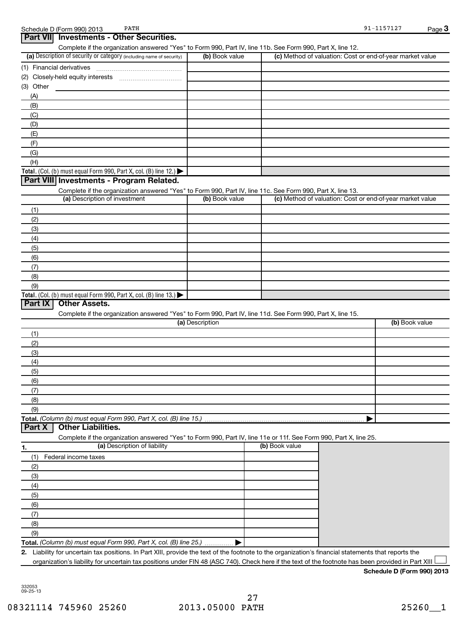| PATH<br>Schedule D (Form 990) 2013                                                                         |                 |                                                           | 91-1157127     | Page $3$ |
|------------------------------------------------------------------------------------------------------------|-----------------|-----------------------------------------------------------|----------------|----------|
| <b>Part VII</b><br><b>Investments - Other Securities.</b>                                                  |                 |                                                           |                |          |
| Complete if the organization answered "Yes" to Form 990, Part IV, line 11b. See Form 990, Part X, line 12. |                 |                                                           |                |          |
| (a) Description of security or category (including name of security)                                       | (b) Book value  | (c) Method of valuation: Cost or end-of-year market value |                |          |
| (1) Financial derivatives                                                                                  |                 |                                                           |                |          |
|                                                                                                            |                 |                                                           |                |          |
| (3) Other                                                                                                  |                 |                                                           |                |          |
| (A)                                                                                                        |                 |                                                           |                |          |
| (B)                                                                                                        |                 |                                                           |                |          |
| (C)                                                                                                        |                 |                                                           |                |          |
| (D)                                                                                                        |                 |                                                           |                |          |
| (E)                                                                                                        |                 |                                                           |                |          |
| (F)                                                                                                        |                 |                                                           |                |          |
| (G)                                                                                                        |                 |                                                           |                |          |
| (H)                                                                                                        |                 |                                                           |                |          |
| Total. (Col. (b) must equal Form 990, Part X, col. (B) line 12.) $\blacktriangleright$                     |                 |                                                           |                |          |
| Part VIII Investments - Program Related.                                                                   |                 |                                                           |                |          |
| Complete if the organization answered "Yes" to Form 990, Part IV, line 11c. See Form 990, Part X, line 13. |                 |                                                           |                |          |
| (a) Description of investment                                                                              | (b) Book value  | (c) Method of valuation: Cost or end-of-year market value |                |          |
| (1)                                                                                                        |                 |                                                           |                |          |
| (2)                                                                                                        |                 |                                                           |                |          |
| (3)                                                                                                        |                 |                                                           |                |          |
| (4)                                                                                                        |                 |                                                           |                |          |
| (5)                                                                                                        |                 |                                                           |                |          |
| (6)                                                                                                        |                 |                                                           |                |          |
| (7)                                                                                                        |                 |                                                           |                |          |
| (8)                                                                                                        |                 |                                                           |                |          |
| (9)                                                                                                        |                 |                                                           |                |          |
| Total. (Col. (b) must equal Form 990, Part X, col. (B) line 13.) $\blacktriangleright$                     |                 |                                                           |                |          |
| <b>Other Assets.</b><br>Part IX                                                                            |                 |                                                           |                |          |
| Complete if the organization answered "Yes" to Form 990, Part IV, line 11d. See Form 990, Part X, line 15. |                 |                                                           |                |          |
|                                                                                                            | (a) Description |                                                           | (b) Book value |          |
| (1)                                                                                                        |                 |                                                           |                |          |
| (2)                                                                                                        |                 |                                                           |                |          |
| (3)                                                                                                        |                 |                                                           |                |          |
| (4)                                                                                                        |                 |                                                           |                |          |

(5) (6)

(9)

**Total.**  *(Column (b) must equal Form 990, Part X, col. (B) line 15.)*

#### **Part X Other Liabilities.**

Complete if the organization answered "Yes" to Form 990, Part IV, line 11e or 11f. See Form 990, Part X, line 25.

|

| 1.  | (a) Description of liability                                       | (b) Book value |
|-----|--------------------------------------------------------------------|----------------|
| (1) | Federal income taxes                                               |                |
| (2) |                                                                    |                |
| (3) |                                                                    |                |
| (4) |                                                                    |                |
| (5) |                                                                    |                |
| (6) |                                                                    |                |
|     |                                                                    |                |
| (8) |                                                                    |                |
| (9) |                                                                    |                |
|     | Total. (Column (b) must equal Form 990, Part X, col. (B) line 25.) |                |

**2.** Liability for uncertain tax positions. In Part XIII, provide the text of the footnote to the organization's financial statements that reports the organization's liability for uncertain tax positions under FIN 48 (ASC 740). Check here if the text of the footnote has been provided in Part XIII  $\Box$ 

#### **Schedule D (Form 990) 2013**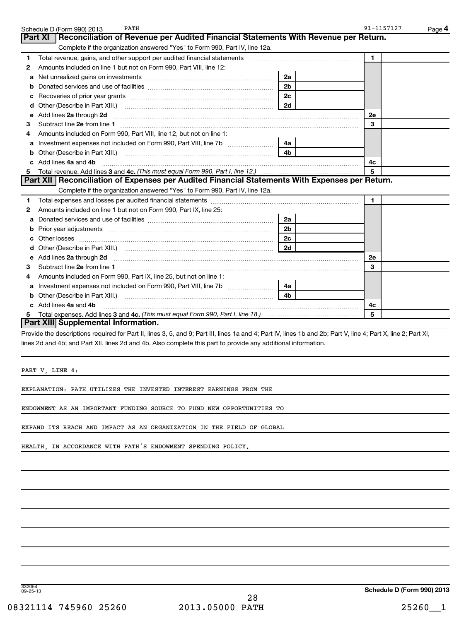|   | PATH<br>Schedule D (Form 990) 2013                                                                                                                   |                | 91-1157127<br>Page 4 |
|---|------------------------------------------------------------------------------------------------------------------------------------------------------|----------------|----------------------|
|   | Reconciliation of Revenue per Audited Financial Statements With Revenue per Return.<br>Part XI                                                       |                |                      |
|   | Complete if the organization answered "Yes" to Form 990, Part IV, line 12a.                                                                          |                |                      |
| 1 | Total revenue, gains, and other support per audited financial statements                                                                             |                | $\mathbf{1}$         |
| 2 | Amounts included on line 1 but not on Form 990, Part VIII, line 12:                                                                                  |                |                      |
| a |                                                                                                                                                      | 2a             |                      |
|   |                                                                                                                                                      | 2 <sub>b</sub> |                      |
|   |                                                                                                                                                      | 2c             |                      |
| d |                                                                                                                                                      | 2d             |                      |
| e | Add lines 2a through 2d                                                                                                                              |                | 2e                   |
| з |                                                                                                                                                      |                | 3                    |
| 4 | Amounts included on Form 990, Part VIII, line 12, but not on line 1:                                                                                 |                |                      |
| a |                                                                                                                                                      | 4a             |                      |
|   |                                                                                                                                                      | 4 <sub>h</sub> |                      |
|   | c Add lines 4a and 4b                                                                                                                                |                | 4c                   |
|   |                                                                                                                                                      |                | 5                    |
|   | Part XII   Reconciliation of Expenses per Audited Financial Statements With Expenses per Return.                                                     |                |                      |
|   | Complete if the organization answered "Yes" to Form 990, Part IV, line 12a.                                                                          |                |                      |
| 1 |                                                                                                                                                      |                | $\mathbf{1}$         |
| 2 | Amounts included on line 1 but not on Form 990, Part IX, line 25:                                                                                    |                |                      |
| a |                                                                                                                                                      | 2a             |                      |
| b | Prior year adjustments [1111] Prior year adjustments [111] Masseum Masseum Masseum Masseum Masseum Masseum Mas                                       | 2 <sub>b</sub> |                      |
|   | Other losses                                                                                                                                         | 2c             |                      |
|   |                                                                                                                                                      |                |                      |
|   | e Add lines 2a through 2d <b>[10]</b> [10] <b>All and Primes 24</b> through 2d <b>[10] All and Primes 2a</b> through 2d <b>[10] All and Primes 2</b> |                | <b>2e</b>            |
| з |                                                                                                                                                      |                | 3                    |
|   | Amounts included on Form 990, Part IX, line 25, but not on line 1:                                                                                   |                |                      |
| a |                                                                                                                                                      | 4a             |                      |
| b |                                                                                                                                                      | 4 <sub>b</sub> |                      |
|   | Add lines 4a and 4b                                                                                                                                  |                | 4c                   |
| 5 |                                                                                                                                                      |                | 5                    |
|   | Part XIII Supplemental Information.                                                                                                                  |                |                      |
|   |                                                                                                                                                      |                |                      |

Provide the descriptions required for Part II, lines 3, 5, and 9; Part III, lines 1a and 4; Part IV, lines 1b and 2b; Part V, line 4; Part X, line 2; Part XI, lines 2d and 4b; and Part XII, lines 2d and 4b. Also complete this part to provide any additional information.

PART V, LINE 4:

EXPLANATION: PATH UTILIZES THE INVESTED INTEREST EARNINGS FROM THE

ENDOWMENT AS AN IMPORTANT FUNDING SOURCE TO FUND NEW OPPORTUNITIES TO

EXPAND ITS REACH AND IMPACT AS AN ORGANIZATION IN THE FIELD OF GLOBAL

HEALTH, IN ACCORDANCE WITH PATH'S ENDOWMENT SPENDING POLICY.

332054 09-25-13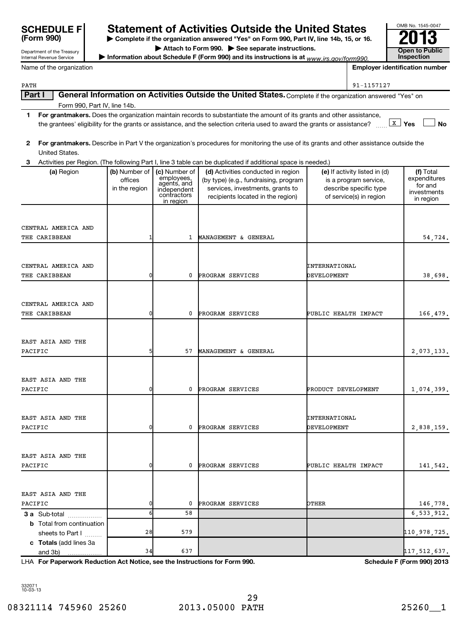| <b>SCHEDULE F</b>                                      |                              |                             | <b>Statement of Activities Outside the United States</b>                                                                                       |                              |                                                 | OMB No. 1545-0047                     |
|--------------------------------------------------------|------------------------------|-----------------------------|------------------------------------------------------------------------------------------------------------------------------------------------|------------------------------|-------------------------------------------------|---------------------------------------|
| (Form 990)                                             |                              |                             | Complete if the organization answered "Yes" on Form 990, Part IV, line 14b, 15, or 16.                                                         |                              |                                                 |                                       |
| Department of the Treasury<br>Internal Revenue Service |                              |                             | Attach to Form 990. > See separate instructions.<br>Information about Schedule F (Form 990) and its instructions is at $www.irs.gov/form990$ . |                              |                                                 | <b>Open to Public</b><br>Inspection   |
| Name of the organization                               |                              |                             |                                                                                                                                                |                              |                                                 | <b>Employer identification number</b> |
|                                                        |                              |                             |                                                                                                                                                |                              |                                                 |                                       |
| PATH                                                   |                              |                             |                                                                                                                                                |                              | 91-1157127                                      |                                       |
| Part I                                                 |                              |                             | General Information on Activities Outside the United States. Complete if the organization answered "Yes" on                                    |                              |                                                 |                                       |
| 1                                                      | Form 990, Part IV, line 14b. |                             | For grantmakers. Does the organization maintain records to substantiate the amount of its grants and other assistance,                         |                              |                                                 |                                       |
|                                                        |                              |                             | the grantees' eligibility for the grants or assistance, and the selection criteria used to award the grants or assistance?                     |                              |                                                 | $x \mid y_{es}$<br><b>No</b>          |
|                                                        |                              |                             |                                                                                                                                                |                              |                                                 |                                       |
| $\mathbf{2}$                                           |                              |                             | For grantmakers. Describe in Part V the organization's procedures for monitoring the use of its grants and other assistance outside the        |                              |                                                 |                                       |
| United States.                                         |                              |                             |                                                                                                                                                |                              |                                                 |                                       |
| 3                                                      |                              |                             | Activities per Region. (The following Part I, line 3 table can be duplicated if additional space is needed.)                                   |                              |                                                 |                                       |
| (a) Region                                             | (b) Number of                | (c) Number of<br>employees, | (d) Activities conducted in region                                                                                                             |                              | (e) If activity listed in (d)                   | (f) Total                             |
|                                                        | offices<br>in the region     | agents, and                 | (by type) (e.g., fundraising, program<br>services, investments, grants to                                                                      |                              | is a program service,<br>describe specific type | expenditures<br>for and               |
|                                                        |                              | independent<br>contractors  | recipients located in the region)                                                                                                              |                              | of service(s) in region                         | investments                           |
|                                                        |                              | in region                   |                                                                                                                                                |                              |                                                 | in region                             |
|                                                        |                              |                             |                                                                                                                                                |                              |                                                 |                                       |
| CENTRAL AMERICA AND                                    |                              |                             |                                                                                                                                                |                              |                                                 |                                       |
| THE CARIBBEAN                                          |                              | $\mathbf{1}$                | MANAGEMENT & GENERAL                                                                                                                           |                              |                                                 | 54,724.                               |
|                                                        |                              |                             |                                                                                                                                                |                              |                                                 |                                       |
|                                                        |                              |                             |                                                                                                                                                |                              |                                                 |                                       |
| CENTRAL AMERICA AND                                    |                              |                             |                                                                                                                                                | INTERNATIONAL                |                                                 |                                       |
| THE CARIBBEAN                                          | 0                            | 0                           | PROGRAM SERVICES                                                                                                                               | DEVELOPMENT                  |                                                 | 38,698.                               |
|                                                        |                              |                             |                                                                                                                                                |                              |                                                 |                                       |
|                                                        |                              |                             |                                                                                                                                                |                              |                                                 |                                       |
| CENTRAL AMERICA AND<br>THE CARIBBEAN                   | n                            | 0                           | PROGRAM SERVICES                                                                                                                               | PUBLIC HEALTH IMPACT         |                                                 | 166,479.                              |
|                                                        |                              |                             |                                                                                                                                                |                              |                                                 |                                       |
|                                                        |                              |                             |                                                                                                                                                |                              |                                                 |                                       |
| EAST ASIA AND THE                                      |                              |                             |                                                                                                                                                |                              |                                                 |                                       |
| PACIFIC                                                | 5                            | 57                          | MANAGEMENT & GENERAL                                                                                                                           |                              |                                                 | 2,073,133.                            |
|                                                        |                              |                             |                                                                                                                                                |                              |                                                 |                                       |
|                                                        |                              |                             |                                                                                                                                                |                              |                                                 |                                       |
| EAST ASIA AND THE                                      |                              |                             |                                                                                                                                                |                              |                                                 |                                       |
| PACIFIC                                                | 0                            | 0                           | PROGRAM SERVICES                                                                                                                               | PRODUCT DEVELOPMENT          |                                                 | 1,074,399.                            |
|                                                        |                              |                             |                                                                                                                                                |                              |                                                 |                                       |
|                                                        |                              |                             |                                                                                                                                                |                              |                                                 |                                       |
| EAST ASIA AND THE<br>PACIFIC                           |                              | 0                           | PROGRAM SERVICES                                                                                                                               | INTERNATIONAL<br>DEVELOPMENT |                                                 |                                       |
|                                                        |                              |                             |                                                                                                                                                |                              |                                                 | 2,838,159.                            |
|                                                        |                              |                             |                                                                                                                                                |                              |                                                 |                                       |
| EAST ASIA AND THE                                      |                              |                             |                                                                                                                                                |                              |                                                 |                                       |
| PACIFIC                                                |                              | 0                           | PROGRAM SERVICES                                                                                                                               | PUBLIC HEALTH IMPACT         |                                                 | 141,542.                              |
|                                                        |                              |                             |                                                                                                                                                |                              |                                                 |                                       |
|                                                        |                              |                             |                                                                                                                                                |                              |                                                 |                                       |
| EAST ASIA AND THE                                      |                              |                             |                                                                                                                                                |                              |                                                 |                                       |
| PACIFIC                                                |                              | 0                           | PROGRAM SERVICES                                                                                                                               | OTHER                        |                                                 | 146,778.                              |
| 3 a Sub-total                                          | 6                            | 58                          |                                                                                                                                                |                              |                                                 | 6,533,912.                            |

**c Totals**  (add lines 3a **For Paperwork Reduction Act Notice, see the Instructions for Form 990. Schedule F (Form 990) 2013** LHA sheets to Part  $1$   $\ldots$ and 3b) 28 579 579 38 579 579 579 579 579 579 579 579 581 579 581 579 581 592 593 594 595 500 500 500 500 500 500 500 5 34 637 117,512,637.

332071 10-03-13

**b** Total from continuation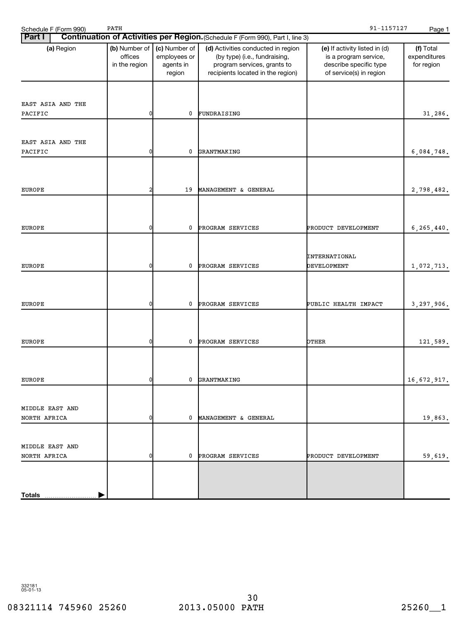| Schedule F (Form 990)           | PATH                                      |                                                      |                                                                                                                                         | 91-1157127                                                                                                  | Page 1                                  |
|---------------------------------|-------------------------------------------|------------------------------------------------------|-----------------------------------------------------------------------------------------------------------------------------------------|-------------------------------------------------------------------------------------------------------------|-----------------------------------------|
| <b>Part I</b>                   |                                           |                                                      | Continuation of Activities per Region. (Schedule F (Form 990), Part I, line 3)                                                          |                                                                                                             |                                         |
| (a) Region                      | (b) Number of<br>offices<br>in the region | (c) Number of<br>employees or<br>agents in<br>region | (d) Activities conducted in region<br>(by type) (i.e., fundraising,<br>program services, grants to<br>recipients located in the region) | (e) If activity listed in (d)<br>is a program service,<br>describe specific type<br>of service(s) in region | (f) Total<br>expenditures<br>for region |
| EAST ASIA AND THE<br>PACIFIC    | 0                                         | 0                                                    | FUNDRAISING                                                                                                                             |                                                                                                             | 31,286.                                 |
| EAST ASIA AND THE<br>PACIFIC    | 0                                         | 0                                                    | GRANTMAKING                                                                                                                             |                                                                                                             | 6,084,748.                              |
| EUROPE                          | 2                                         | 19                                                   | MANAGEMENT & GENERAL                                                                                                                    |                                                                                                             | 2,798,482.                              |
| <b>EUROPE</b>                   | 0                                         | 0                                                    | PROGRAM SERVICES                                                                                                                        | PRODUCT DEVELOPMENT                                                                                         | 6, 265, 440.                            |
| <b>EUROPE</b>                   | 0                                         | 0                                                    | PROGRAM SERVICES                                                                                                                        | INTERNATIONAL<br>DEVELOPMENT                                                                                | 1,072,713.                              |
| <b>EUROPE</b>                   | 0                                         | 0                                                    | PROGRAM SERVICES                                                                                                                        | PUBLIC HEALTH IMPACT                                                                                        | 3,297,906.                              |
| EUROPE                          | 0                                         | 0                                                    | PROGRAM SERVICES                                                                                                                        | OTHER                                                                                                       | 121,589.                                |
| EUROPE                          | ΩI                                        |                                                      | 0 GRANTMAKING                                                                                                                           |                                                                                                             | 16,672,917.                             |
| MIDDLE EAST AND                 |                                           |                                                      |                                                                                                                                         |                                                                                                             |                                         |
| NORTH AFRICA<br>MIDDLE EAST AND | 0                                         |                                                      | 0 MANAGEMENT & GENERAL                                                                                                                  |                                                                                                             | 19,863.                                 |
| NORTH AFRICA                    | 0                                         |                                                      | 0 PROGRAM SERVICES                                                                                                                      | PRODUCT DEVELOPMENT                                                                                         | 59,619.                                 |
| <u>Totals </u>                  |                                           |                                                      |                                                                                                                                         |                                                                                                             |                                         |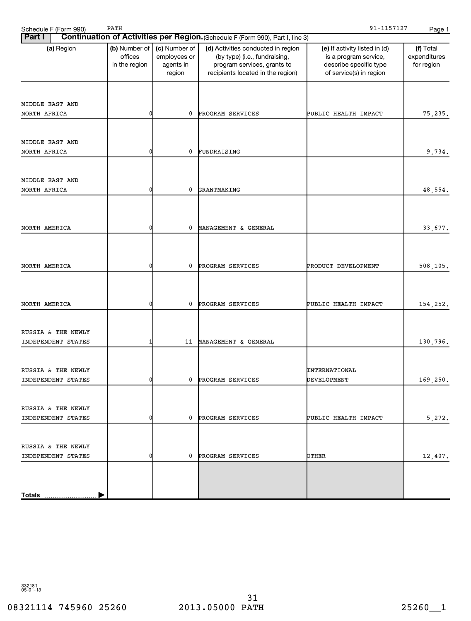| 91-1157127<br>PATH<br>Schedule F (Form 990)<br>Page 1 |                                           |                                                      |                                                                                                                                         |                                                                                                             |                                         |  |  |  |  |
|-------------------------------------------------------|-------------------------------------------|------------------------------------------------------|-----------------------------------------------------------------------------------------------------------------------------------------|-------------------------------------------------------------------------------------------------------------|-----------------------------------------|--|--|--|--|
| <b>Part I</b>                                         |                                           |                                                      | Continuation of Activities per Region. (Schedule F (Form 990), Part I, line 3)                                                          |                                                                                                             |                                         |  |  |  |  |
| (a) Region                                            | (b) Number of<br>offices<br>in the region | (c) Number of<br>employees or<br>agents in<br>region | (d) Activities conducted in region<br>(by type) (i.e., fundraising,<br>program services, grants to<br>recipients located in the region) | (e) If activity listed in (d)<br>is a program service,<br>describe specific type<br>of service(s) in region | (f) Total<br>expenditures<br>for region |  |  |  |  |
| MIDDLE EAST AND<br>NORTH AFRICA                       | 0                                         | 0                                                    | PROGRAM SERVICES                                                                                                                        | PUBLIC HEALTH IMPACT                                                                                        | 75,235.                                 |  |  |  |  |
| MIDDLE EAST AND<br>NORTH AFRICA                       | 0                                         | 0                                                    | FUNDRAISING                                                                                                                             |                                                                                                             | 9,734.                                  |  |  |  |  |
| MIDDLE EAST AND<br>NORTH AFRICA                       | 0                                         | 0                                                    | GRANTMAKING                                                                                                                             |                                                                                                             | 48,554.                                 |  |  |  |  |
| NORTH AMERICA                                         | 0                                         | 0                                                    | MANAGEMENT & GENERAL                                                                                                                    |                                                                                                             | 33,677.                                 |  |  |  |  |
| NORTH AMERICA                                         | 0                                         | 0                                                    | PROGRAM SERVICES                                                                                                                        | PRODUCT DEVELOPMENT                                                                                         | 508,105.                                |  |  |  |  |
| NORTH AMERICA                                         | 0                                         | 0                                                    | PROGRAM SERVICES                                                                                                                        | PUBLIC HEALTH IMPACT                                                                                        | 154,252.                                |  |  |  |  |
| RUSSIA & THE NEWLY<br>INDEPENDENT STATES              | 1                                         | 11                                                   | MANAGEMENT & GENERAL                                                                                                                    |                                                                                                             | 130,796.                                |  |  |  |  |
| RUSSIA & THE NEWLY<br>INDEPENDENT STATES              | - N                                       |                                                      | 0 PROGRAM SERVICES                                                                                                                      | INTERNATIONAL<br><b>DEVELOPMENT</b>                                                                         | 169,250.                                |  |  |  |  |
| RUSSIA & THE NEWLY<br>INDEPENDENT STATES              | 0                                         |                                                      | 0 PROGRAM SERVICES                                                                                                                      | PUBLIC HEALTH IMPACT                                                                                        | 5,272.                                  |  |  |  |  |
| RUSSIA & THE NEWLY<br>INDEPENDENT STATES              | 0                                         | $\mathbf 0$                                          | PROGRAM SERVICES                                                                                                                        | OTHER                                                                                                       | 12,407.                                 |  |  |  |  |
| Totals                                                |                                           |                                                      |                                                                                                                                         |                                                                                                             |                                         |  |  |  |  |

### 08321114 745960 25260 2013.05000 PATH 25260 25260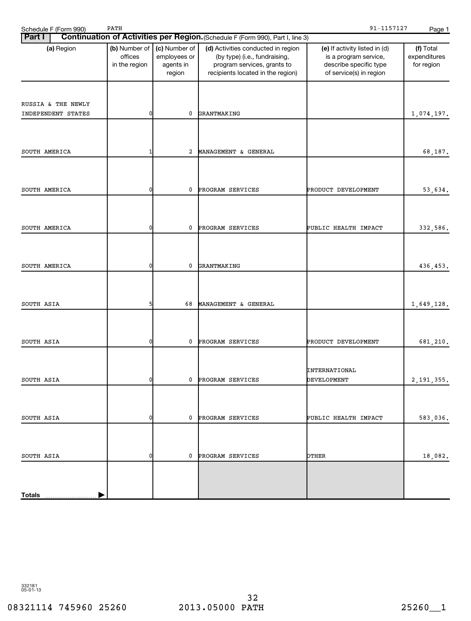| Schedule F (Form 990)                    | PATH                                                                                              |              |                                                                                                                                         | 91-1157127                                                                                                  | Page 1                                  |
|------------------------------------------|---------------------------------------------------------------------------------------------------|--------------|-----------------------------------------------------------------------------------------------------------------------------------------|-------------------------------------------------------------------------------------------------------------|-----------------------------------------|
| <b>Part I</b>                            |                                                                                                   |              | Continuation of Activities per Region. (Schedule F (Form 990), Part I, line 3)                                                          |                                                                                                             |                                         |
| (a) Region                               | (c) Number of<br>(b) Number of<br>offices<br>employees or<br>agents in<br>in the region<br>region |              | (d) Activities conducted in region<br>(by type) (i.e., fundraising,<br>program services, grants to<br>recipients located in the region) | (e) If activity listed in (d)<br>is a program service,<br>describe specific type<br>of service(s) in region | (f) Total<br>expenditures<br>for region |
| RUSSIA & THE NEWLY<br>INDEPENDENT STATES | $\mathbf 0$                                                                                       | 0            | GRANTMAKING                                                                                                                             |                                                                                                             | 1,074,197.                              |
| SOUTH AMERICA                            | 1                                                                                                 | 2            | MANAGEMENT & GENERAL                                                                                                                    |                                                                                                             | 68,187.                                 |
| SOUTH AMERICA                            | $\mathbf 0$                                                                                       | 0            | PROGRAM SERVICES                                                                                                                        | PRODUCT DEVELOPMENT                                                                                         | 53,634.                                 |
| SOUTH AMERICA                            | $\mathbf 0$                                                                                       | 0            | PROGRAM SERVICES                                                                                                                        | PUBLIC HEALTH IMPACT                                                                                        | 332,586.                                |
| SOUTH AMERICA                            | $\overline{0}$                                                                                    | 0            | GRANTMAKING                                                                                                                             |                                                                                                             | 436,453.                                |
| SOUTH ASIA                               | 5                                                                                                 | 68           | MANAGEMENT & GENERAL                                                                                                                    |                                                                                                             | 1,649,128.                              |
| SOUTH ASIA                               | 0                                                                                                 | 0            | PROGRAM SERVICES                                                                                                                        | PRODUCT DEVELOPMENT                                                                                         | 681,210.                                |
| SOUTH ASIA                               | ΩI                                                                                                | $\mathbf{0}$ | PROGRAM SERVICES                                                                                                                        | INTERNATIONAL<br><b>DEVELOPMENT</b>                                                                         | 2, 191, 355.                            |
| SOUTH ASIA                               | $\mathbf{0}$                                                                                      | 0            | PROGRAM SERVICES                                                                                                                        | PUBLIC HEALTH IMPACT                                                                                        | 583,036.                                |
| SOUTH ASIA                               | $\mathbf{0}$                                                                                      | 0            | PROGRAM SERVICES                                                                                                                        | OTHER                                                                                                       | 18,082.                                 |
| <b>Totals</b>                            |                                                                                                   |              |                                                                                                                                         |                                                                                                             |                                         |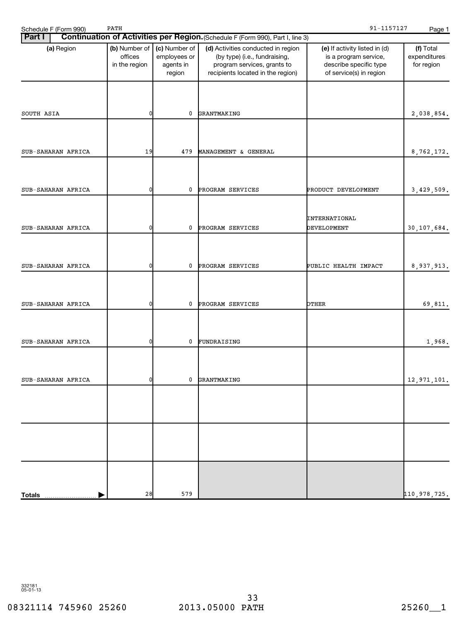| 91-1157127<br>PATH<br>Schedule F (Form 990)<br>Page 1 |                                                                                                   |     |                                                                                                                                         |                                                                                                             |                                         |  |  |  |  |
|-------------------------------------------------------|---------------------------------------------------------------------------------------------------|-----|-----------------------------------------------------------------------------------------------------------------------------------------|-------------------------------------------------------------------------------------------------------------|-----------------------------------------|--|--|--|--|
| <b>Part I</b>                                         |                                                                                                   |     | Continuation of Activities per Region. (Schedule F (Form 990), Part I, line 3)                                                          |                                                                                                             |                                         |  |  |  |  |
| (a) Region                                            | (b) Number of<br>(c) Number of<br>offices<br>employees or<br>in the region<br>agents in<br>region |     | (d) Activities conducted in region<br>(by type) (i.e., fundraising,<br>program services, grants to<br>recipients located in the region) | (e) If activity listed in (d)<br>is a program service,<br>describe specific type<br>of service(s) in region | (f) Total<br>expenditures<br>for region |  |  |  |  |
| SOUTH ASIA                                            | 0                                                                                                 | 0   | GRANTMAKING                                                                                                                             |                                                                                                             | 2,038,854.                              |  |  |  |  |
|                                                       |                                                                                                   |     |                                                                                                                                         |                                                                                                             |                                         |  |  |  |  |
| SUB-SAHARAN AFRICA                                    | 19                                                                                                | 479 | MANAGEMENT & GENERAL                                                                                                                    |                                                                                                             | 8,762,172.                              |  |  |  |  |
| SUB-SAHARAN AFRICA                                    | 0                                                                                                 | 0   | PROGRAM SERVICES                                                                                                                        | PRODUCT DEVELOPMENT                                                                                         | 3,429,509.                              |  |  |  |  |
| SUB-SAHARAN AFRICA                                    | 0                                                                                                 | 0   | PROGRAM SERVICES                                                                                                                        | INTERNATIONAL<br>DEVELOPMENT                                                                                | 30,107,684.                             |  |  |  |  |
|                                                       |                                                                                                   |     |                                                                                                                                         |                                                                                                             |                                         |  |  |  |  |
| SUB-SAHARAN AFRICA                                    | 0                                                                                                 | 0   | PROGRAM SERVICES                                                                                                                        | PUBLIC HEALTH IMPACT                                                                                        | 8,937,913.                              |  |  |  |  |
| SUB-SAHARAN AFRICA                                    | 0                                                                                                 | 0   | PROGRAM SERVICES                                                                                                                        | OTHER                                                                                                       | 69,811.                                 |  |  |  |  |
| SUB-SAHARAN AFRICA                                    | 0                                                                                                 | 0   | FUNDRAISING                                                                                                                             |                                                                                                             | 1,968.                                  |  |  |  |  |
| SUB-SAHARAN AFRICA                                    | ΩI                                                                                                |     | 0 GRANTMAKING                                                                                                                           |                                                                                                             | 12,971,101.                             |  |  |  |  |
|                                                       |                                                                                                   |     |                                                                                                                                         |                                                                                                             |                                         |  |  |  |  |
|                                                       |                                                                                                   |     |                                                                                                                                         |                                                                                                             |                                         |  |  |  |  |
|                                                       |                                                                                                   |     |                                                                                                                                         |                                                                                                             |                                         |  |  |  |  |
| <b>Totals</b>                                         | 28                                                                                                | 579 |                                                                                                                                         |                                                                                                             | 110,978,725.                            |  |  |  |  |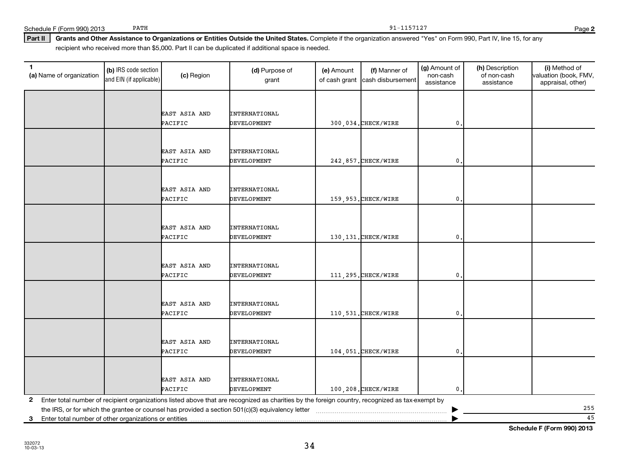332072 10-03-13

#### Part II | Grants and Other Assistance to Organizations or Entities Outside the United States. Complete if the organization answered "Yes" on Form 990, Part IV, line 15, for any recipient who received more than \$5,000. Part II can be duplicated if additional space is needed.

| 1<br>(a) Name of organization                           | (b) IRS code section<br>and EIN (if applicable) | (c) Region               | (d) Purpose of<br>grant                                                                                                                         | (e) Amount<br>of cash grant | (f) Manner of<br>cash disbursement | (g) Amount of<br>non-cash<br>assistance | (h) Description<br>of non-cash<br>assistance | (i) Method of<br>valuation (book, FMV,<br>appraisal, other) |
|---------------------------------------------------------|-------------------------------------------------|--------------------------|-------------------------------------------------------------------------------------------------------------------------------------------------|-----------------------------|------------------------------------|-----------------------------------------|----------------------------------------------|-------------------------------------------------------------|
|                                                         |                                                 |                          |                                                                                                                                                 |                             |                                    |                                         |                                              |                                                             |
|                                                         |                                                 |                          |                                                                                                                                                 |                             |                                    |                                         |                                              |                                                             |
|                                                         |                                                 | EAST ASIA AND<br>PACIFIC | <b>INTERNATIONAL</b><br><b>DEVELOPMENT</b>                                                                                                      |                             | 300,034. CHECK/WIRE                | 0                                       |                                              |                                                             |
|                                                         |                                                 |                          |                                                                                                                                                 |                             |                                    |                                         |                                              |                                                             |
|                                                         |                                                 |                          |                                                                                                                                                 |                             |                                    |                                         |                                              |                                                             |
|                                                         |                                                 | EAST ASIA AND            | <b>INTERNATIONAL</b>                                                                                                                            |                             |                                    |                                         |                                              |                                                             |
|                                                         |                                                 | PACIFIC                  | <b>DEVELOPMENT</b>                                                                                                                              |                             | 242,857. CHECK/WIRE                | $\mathbf{0}$                            |                                              |                                                             |
|                                                         |                                                 |                          |                                                                                                                                                 |                             |                                    |                                         |                                              |                                                             |
|                                                         |                                                 |                          |                                                                                                                                                 |                             |                                    |                                         |                                              |                                                             |
|                                                         |                                                 | EAST ASIA AND            | <b>INTERNATIONAL</b>                                                                                                                            |                             |                                    |                                         |                                              |                                                             |
|                                                         |                                                 | PACIFIC                  | <b>DEVELOPMENT</b>                                                                                                                              |                             | 159, 953. CHECK/WIRE               | 0                                       |                                              |                                                             |
|                                                         |                                                 |                          |                                                                                                                                                 |                             |                                    |                                         |                                              |                                                             |
|                                                         |                                                 | EAST ASIA AND            | INTERNATIONAL                                                                                                                                   |                             |                                    |                                         |                                              |                                                             |
|                                                         |                                                 | PACIFIC                  | <b>DEVELOPMENT</b>                                                                                                                              |                             | 130, 131. CHECK/WIRE               | 0                                       |                                              |                                                             |
|                                                         |                                                 |                          |                                                                                                                                                 |                             |                                    |                                         |                                              |                                                             |
|                                                         |                                                 |                          |                                                                                                                                                 |                             |                                    |                                         |                                              |                                                             |
|                                                         |                                                 | EAST ASIA AND            | <b>INTERNATIONAL</b>                                                                                                                            |                             |                                    |                                         |                                              |                                                             |
|                                                         |                                                 | PACIFIC                  | DEVELOPMENT                                                                                                                                     |                             | 111, 295. CHECK/WIRE               | 0                                       |                                              |                                                             |
|                                                         |                                                 |                          |                                                                                                                                                 |                             |                                    |                                         |                                              |                                                             |
|                                                         |                                                 | EAST ASIA AND            | INTERNATIONAL                                                                                                                                   |                             |                                    |                                         |                                              |                                                             |
|                                                         |                                                 | PACIFIC                  | DEVELOPMENT                                                                                                                                     |                             | 110,531. CHECK/WIRE                | 0                                       |                                              |                                                             |
|                                                         |                                                 |                          |                                                                                                                                                 |                             |                                    |                                         |                                              |                                                             |
|                                                         |                                                 |                          |                                                                                                                                                 |                             |                                    |                                         |                                              |                                                             |
|                                                         |                                                 | EAST ASIA AND            | INTERNATIONAL                                                                                                                                   |                             |                                    |                                         |                                              |                                                             |
|                                                         |                                                 | PACIFIC                  | DEVELOPMENT                                                                                                                                     |                             | 104,051. CHECK/WIRE                | 0                                       |                                              |                                                             |
|                                                         |                                                 |                          |                                                                                                                                                 |                             |                                    |                                         |                                              |                                                             |
|                                                         |                                                 | EAST ASIA AND            | <b>INTERNATIONAL</b>                                                                                                                            |                             |                                    |                                         |                                              |                                                             |
|                                                         |                                                 | PACIFIC                  | <b>DEVELOPMENT</b>                                                                                                                              |                             | 100,208. CHECK/WIRE                | 0                                       |                                              |                                                             |
| 2                                                       |                                                 |                          | Enter total number of recipient organizations listed above that are recognized as charities by the foreign country, recognized as tax-exempt by |                             |                                    |                                         |                                              |                                                             |
|                                                         |                                                 |                          | the IRS, or for which the grantee or counsel has provided a section 501(c)(3) equivalency letter                                                |                             |                                    |                                         |                                              | 255                                                         |
| 3 Enter total number of other organizations or entities |                                                 |                          |                                                                                                                                                 |                             |                                    |                                         |                                              | 45                                                          |

**Schedule F (Form 990) 2013**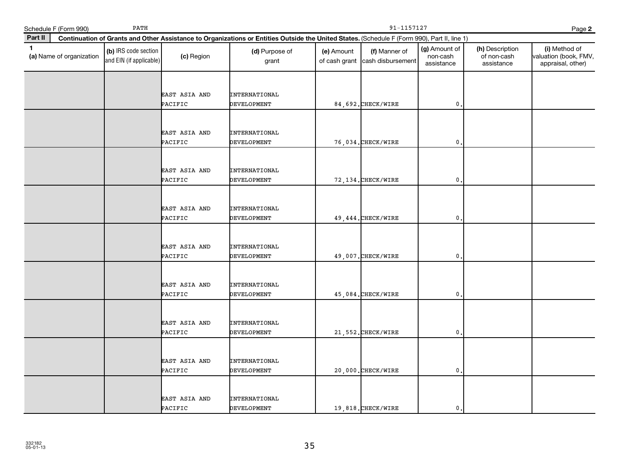|              | Schedule F (Form 990)    | PATH                                            |                          |                                                                                                                                              |                             | 91-1157127                         |                                         |                                              | Page 2                                                      |
|--------------|--------------------------|-------------------------------------------------|--------------------------|----------------------------------------------------------------------------------------------------------------------------------------------|-----------------------------|------------------------------------|-----------------------------------------|----------------------------------------------|-------------------------------------------------------------|
| Part II      |                          |                                                 |                          | Continuation of Grants and Other Assistance to Organizations or Entities Outside the United States. (Schedule F (Form 990), Part II, line 1) |                             |                                    |                                         |                                              |                                                             |
| $\mathbf{1}$ | (a) Name of organization | (b) IRS code section<br>and EIN (if applicable) | (c) Region               | (d) Purpose of<br>grant                                                                                                                      | (e) Amount<br>of cash grant | (f) Manner of<br>cash disbursement | (g) Amount of<br>non-cash<br>assistance | (h) Description<br>of non-cash<br>assistance | (i) Method of<br>valuation (book, FMV,<br>appraisal, other) |
|              |                          |                                                 | EAST ASIA AND<br>PACIFIC | <b>INTERNATIONAL</b><br><b>DEVELOPMENT</b>                                                                                                   |                             | 84,692. CHECK/WIRE                 | $\mathbf{0}$ .                          |                                              |                                                             |
|              |                          |                                                 | EAST ASIA AND<br>PACIFIC | <b>INTERNATIONAL</b><br><b>DEVELOPMENT</b>                                                                                                   |                             | 76,034. CHECK/WIRE                 | $\mathbf 0$ .                           |                                              |                                                             |
|              |                          |                                                 | EAST ASIA AND<br>PACIFIC | <b>INTERNATIONAL</b><br><b>DEVELOPMENT</b>                                                                                                   |                             | 72, 134. CHECK/WIRE                | 0                                       |                                              |                                                             |
|              |                          |                                                 | EAST ASIA AND<br>PACIFIC | <b>INTERNATIONAL</b><br>DEVELOPMENT                                                                                                          |                             | 49, 444. CHECK/WIRE                | 0.                                      |                                              |                                                             |
|              |                          |                                                 | EAST ASIA AND<br>PACIFIC | <b>INTERNATIONAL</b><br><b>DEVELOPMENT</b>                                                                                                   |                             | 49,007. CHECK/WIRE                 | 0                                       |                                              |                                                             |
|              |                          |                                                 | EAST ASIA AND<br>PACIFIC | <b>INTERNATIONAL</b><br><b>DEVELOPMENT</b>                                                                                                   |                             | 45,084. CHECK/WIRE                 | $\mathbf{0}$                            |                                              |                                                             |
|              |                          |                                                 | EAST ASIA AND<br>PACIFIC | <b>INTERNATIONAL</b><br><b>DEVELOPMENT</b>                                                                                                   |                             | 21,552. CHECK/WIRE                 | $\mathbf{0}$                            |                                              |                                                             |
|              |                          |                                                 | EAST ASIA AND<br>PACIFIC | <b>INTERNATIONAL</b><br><b>DEVELOPMENT</b>                                                                                                   |                             | 20,000. CHECK/WIRE                 | 0.                                      |                                              |                                                             |
|              |                          |                                                 | EAST ASIA AND<br>PACIFIC | <b>INTERNATIONAL</b><br>DEVELOPMENT                                                                                                          |                             | 19,818. CHECK/WIRE                 | $\mathbf{0}$ .                          |                                              |                                                             |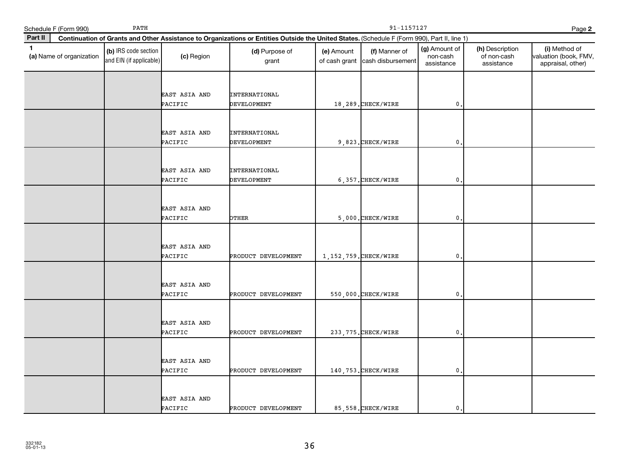|              | Schedule F (Form 990)    | PATH                                            |                                 |                                                                                                                                              |                             | 91-1157127                         |                                         |                                              | Page 2                                                      |  |  |
|--------------|--------------------------|-------------------------------------------------|---------------------------------|----------------------------------------------------------------------------------------------------------------------------------------------|-----------------------------|------------------------------------|-----------------------------------------|----------------------------------------------|-------------------------------------------------------------|--|--|
| Part II      |                          |                                                 |                                 | Continuation of Grants and Other Assistance to Organizations or Entities Outside the United States. (Schedule F (Form 990), Part II, line 1) |                             |                                    |                                         |                                              |                                                             |  |  |
| $\mathbf{1}$ | (a) Name of organization | (b) IRS code section<br>and EIN (if applicable) | (c) Region                      | (d) Purpose of<br>grant                                                                                                                      | (e) Amount<br>of cash grant | (f) Manner of<br>cash disbursement | (g) Amount of<br>non-cash<br>assistance | (h) Description<br>of non-cash<br>assistance | (i) Method of<br>valuation (book, FMV,<br>appraisal, other) |  |  |
|              |                          |                                                 | EAST ASIA AND<br>PACIFIC        | <b>INTERNATIONAL</b><br>DEVELOPMENT                                                                                                          |                             | 18,289. CHECK/WIRE                 | $\mathbf{0}$                            |                                              |                                                             |  |  |
|              |                          |                                                 | EAST ASIA AND<br>PACIFIC        | <b>INTERNATIONAL</b><br><b>DEVELOPMENT</b>                                                                                                   |                             | 9,823. CHECK/WIRE                  | $\mathbf{0}$                            |                                              |                                                             |  |  |
|              |                          |                                                 | EAST ASIA AND<br>PACIFIC        | <b>INTERNATIONAL</b><br>DEVELOPMENT                                                                                                          |                             | 6,357. CHECK/WIRE                  | 0                                       |                                              |                                                             |  |  |
|              |                          |                                                 | EAST ASIA AND<br>PACIFIC        | <b>DTHER</b>                                                                                                                                 |                             | 5,000. CHECK/WIRE                  | $\mathbf{0}$                            |                                              |                                                             |  |  |
|              |                          |                                                 | EAST ASIA AND<br>PACIFIC        | PRODUCT DEVELOPMENT                                                                                                                          |                             | 1, 152, 759. CHECK/WIRE            | 0                                       |                                              |                                                             |  |  |
|              |                          |                                                 | EAST ASIA AND<br>PACIFIC        | PRODUCT DEVELOPMENT                                                                                                                          |                             | 550,000. CHECK/WIRE                | 0                                       |                                              |                                                             |  |  |
|              |                          |                                                 | EAST ASIA AND<br>PACIFIC        | PRODUCT DEVELOPMENT                                                                                                                          |                             | 233, 775. CHECK/WIRE               | $\mathbf{0}$                            |                                              |                                                             |  |  |
|              |                          |                                                 | EAST ASIA AND<br>PACIFIC        | PRODUCT DEVELOPMENT                                                                                                                          |                             | 140, 753. CHECK/WIRE               | 0                                       |                                              |                                                             |  |  |
|              |                          |                                                 | <b>EAST ASIA AND</b><br>PACIFIC | PRODUCT DEVELOPMENT                                                                                                                          |                             | 85, 558. CHECK/WIRE                | $\mathbf{0}$                            |                                              |                                                             |  |  |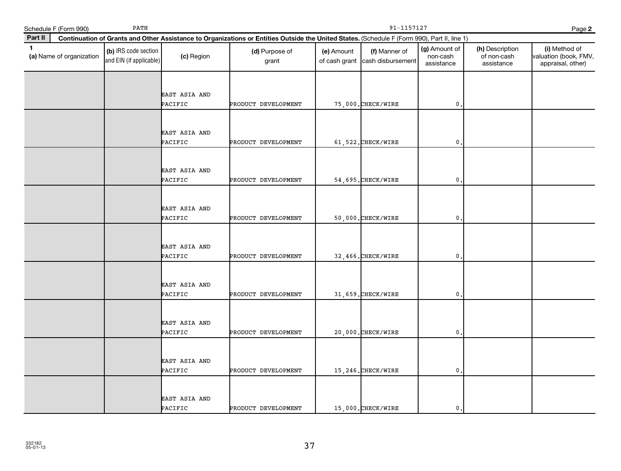|              | Schedule F (Form 990)    | PATH                                            |                          | 91-1157127<br>Page 2                                                                                                                         |                             |                                    |                                         |                                              |                                                             |  |  |
|--------------|--------------------------|-------------------------------------------------|--------------------------|----------------------------------------------------------------------------------------------------------------------------------------------|-----------------------------|------------------------------------|-----------------------------------------|----------------------------------------------|-------------------------------------------------------------|--|--|
| Part II      |                          |                                                 |                          | Continuation of Grants and Other Assistance to Organizations or Entities Outside the United States. (Schedule F (Form 990), Part II, line 1) |                             |                                    |                                         |                                              |                                                             |  |  |
| $\mathbf{1}$ | (a) Name of organization | (b) IRS code section<br>and EIN (if applicable) | (c) Region               | (d) Purpose of<br>grant                                                                                                                      | (e) Amount<br>of cash grant | (f) Manner of<br>cash disbursement | (g) Amount of<br>non-cash<br>assistance | (h) Description<br>of non-cash<br>assistance | (i) Method of<br>valuation (book, FMV,<br>appraisal, other) |  |  |
|              |                          |                                                 | EAST ASIA AND<br>PACIFIC | PRODUCT DEVELOPMENT                                                                                                                          |                             | 75,000. CHECK/WIRE                 | $\mathbf{0}$                            |                                              |                                                             |  |  |
|              |                          |                                                 | EAST ASIA AND<br>PACIFIC | PRODUCT DEVELOPMENT                                                                                                                          |                             | 61,522. CHECK/WIRE                 | 0.                                      |                                              |                                                             |  |  |
|              |                          |                                                 | EAST ASIA AND<br>PACIFIC | PRODUCT DEVELOPMENT                                                                                                                          |                             | 54,695. CHECK/WIRE                 | $\mathbf{0}$                            |                                              |                                                             |  |  |
|              |                          |                                                 | EAST ASIA AND<br>PACIFIC | PRODUCT DEVELOPMENT                                                                                                                          |                             | 50,000. CHECK/WIRE                 | $\mathbf{0}$                            |                                              |                                                             |  |  |
|              |                          |                                                 | EAST ASIA AND<br>PACIFIC | PRODUCT DEVELOPMENT                                                                                                                          |                             | 32,466. CHECK/WIRE                 | $\mathbf{0}$                            |                                              |                                                             |  |  |
|              |                          |                                                 | EAST ASIA AND<br>PACIFIC | PRODUCT DEVELOPMENT                                                                                                                          |                             | 31,659. CHECK/WIRE                 | $\mathbf 0$                             |                                              |                                                             |  |  |
|              |                          |                                                 | EAST ASIA AND<br>PACIFIC | PRODUCT DEVELOPMENT                                                                                                                          |                             | 20,000. CHECK/WIRE                 | $\mathbf{0}$ .                          |                                              |                                                             |  |  |
|              |                          |                                                 | EAST ASIA AND<br>PACIFIC | PRODUCT DEVELOPMENT                                                                                                                          |                             | 15,246. CHECK/WIRE                 | 0                                       |                                              |                                                             |  |  |
|              |                          |                                                 | EAST ASIA AND<br>PACIFIC | PRODUCT DEVELOPMENT                                                                                                                          |                             | 15,000. CHECK/WIRE                 | 0.                                      |                                              |                                                             |  |  |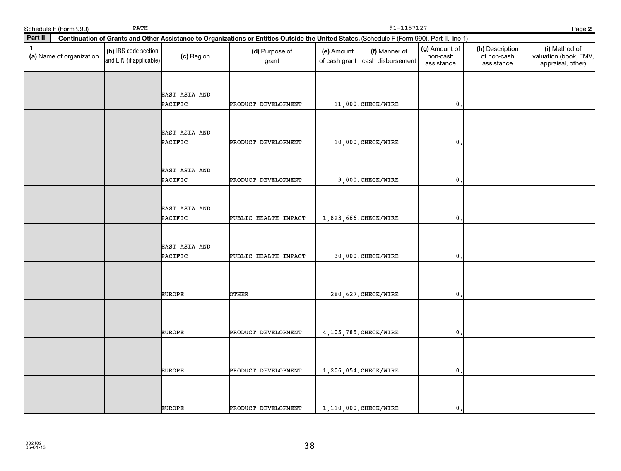| Schedule F (Form 990) |                          | PATH                                            |                                 | 91-1157127<br>Page 2                                                                                                                         |                             |                                    |                                         |                                              |                                                             |  |  |
|-----------------------|--------------------------|-------------------------------------------------|---------------------------------|----------------------------------------------------------------------------------------------------------------------------------------------|-----------------------------|------------------------------------|-----------------------------------------|----------------------------------------------|-------------------------------------------------------------|--|--|
| Part II               |                          |                                                 |                                 | Continuation of Grants and Other Assistance to Organizations or Entities Outside the United States. (Schedule F (Form 990), Part II, line 1) |                             |                                    |                                         |                                              |                                                             |  |  |
| $\mathbf{1}$          | (a) Name of organization | (b) IRS code section<br>and EIN (if applicable) | (c) Region                      | (d) Purpose of<br>grant                                                                                                                      | (e) Amount<br>of cash grant | (f) Manner of<br>cash disbursement | (g) Amount of<br>non-cash<br>assistance | (h) Description<br>of non-cash<br>assistance | (i) Method of<br>valuation (book, FMV,<br>appraisal, other) |  |  |
|                       |                          |                                                 | EAST ASIA AND<br>PACIFIC        | PRODUCT DEVELOPMENT                                                                                                                          |                             | 11,000. CHECK/WIRE                 | 0.                                      |                                              |                                                             |  |  |
|                       |                          |                                                 | EAST ASIA AND<br>PACIFIC        | PRODUCT DEVELOPMENT                                                                                                                          |                             | 10,000.CHECK/WIRE                  | $\mathbf{0}$                            |                                              |                                                             |  |  |
|                       |                          |                                                 | <b>EAST ASIA AND</b><br>PACIFIC | PRODUCT DEVELOPMENT                                                                                                                          |                             | 9,000. CHECK/WIRE                  | 0                                       |                                              |                                                             |  |  |
|                       |                          |                                                 | EAST ASIA AND<br>PACIFIC        | PUBLIC HEALTH IMPACT                                                                                                                         | 1,823,666. CHECK/WIRE       |                                    | 0,                                      |                                              |                                                             |  |  |
|                       |                          |                                                 | EAST ASIA AND<br>PACIFIC        | PUBLIC HEALTH IMPACT                                                                                                                         |                             | 30,000. CHECK/WIRE                 | $\mathbf 0$                             |                                              |                                                             |  |  |
|                       |                          |                                                 | <b>EUROPE</b>                   | <b>PTHER</b>                                                                                                                                 |                             | 280, 627. CHECK/WIRE               | $\mathbf 0$ .                           |                                              |                                                             |  |  |
|                       |                          |                                                 | <b>EUROPE</b>                   | PRODUCT DEVELOPMENT                                                                                                                          |                             | 4, 105, 785. CHECK/WIRE            | $\mathbf{0}$                            |                                              |                                                             |  |  |
|                       |                          |                                                 | <b>EUROPE</b>                   | PRODUCT DEVELOPMENT                                                                                                                          | $1,206,054.$ CHECK/WIRE     |                                    | 0                                       |                                              |                                                             |  |  |
|                       |                          |                                                 | <b>EUROPE</b>                   | PRODUCT DEVELOPMENT                                                                                                                          |                             | 1.110.000. CHECK/WIRE              | $\mathbf 0$ .                           |                                              |                                                             |  |  |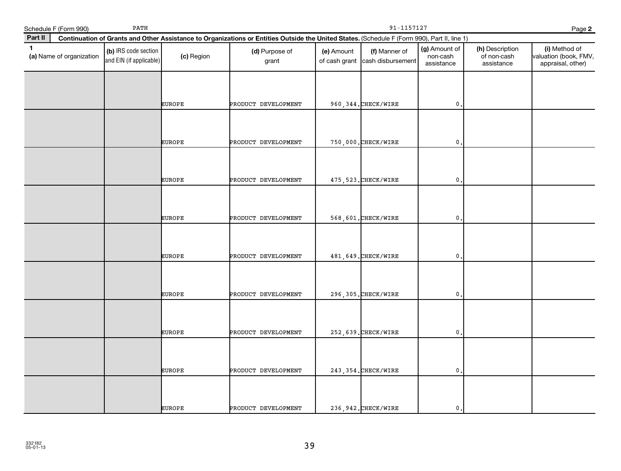| Schedule F (Form 990)                    | PATH                                            |               |                                                                                                                                              | 91-1157127<br>Page 2        |                                    |                                         |                                              |                                                             |  |
|------------------------------------------|-------------------------------------------------|---------------|----------------------------------------------------------------------------------------------------------------------------------------------|-----------------------------|------------------------------------|-----------------------------------------|----------------------------------------------|-------------------------------------------------------------|--|
| Part II                                  |                                                 |               | Continuation of Grants and Other Assistance to Organizations or Entities Outside the United States. (Schedule F (Form 990), Part II, line 1) |                             |                                    |                                         |                                              |                                                             |  |
| $\mathbf{1}$<br>(a) Name of organization | (b) IRS code section<br>and EIN (if applicable) | (c) Region    | (d) Purpose of<br>grant                                                                                                                      | (e) Amount<br>of cash grant | (f) Manner of<br>cash disbursement | (g) Amount of<br>non-cash<br>assistance | (h) Description<br>of non-cash<br>assistance | (i) Method of<br>valuation (book, FMV,<br>appraisal, other) |  |
|                                          |                                                 | <b>EUROPE</b> | PRODUCT DEVELOPMENT                                                                                                                          |                             | 960, 344. CHECK/WIRE               | $\mathsf{0}$ .                          |                                              |                                                             |  |
|                                          |                                                 | <b>EUROPE</b> | PRODUCT DEVELOPMENT                                                                                                                          |                             | 750,000. CHECK/WIRE                | $\mathbf 0$                             |                                              |                                                             |  |
|                                          |                                                 | <b>EUROPE</b> | PRODUCT DEVELOPMENT                                                                                                                          |                             | 475, 523. CHECK/WIRE               | 0                                       |                                              |                                                             |  |
|                                          |                                                 | <b>EUROPE</b> | PRODUCT DEVELOPMENT                                                                                                                          |                             | 568,601. CHECK/WIRE                | 0.                                      |                                              |                                                             |  |
|                                          |                                                 | <b>EUROPE</b> | PRODUCT DEVELOPMENT                                                                                                                          |                             | 481, 649. CHECK/WIRE               | $\mathbf 0$                             |                                              |                                                             |  |
|                                          |                                                 | <b>EUROPE</b> | PRODUCT DEVELOPMENT                                                                                                                          |                             | 296, 305. CHECK/WIRE               | $\mathbf{0}$                            |                                              |                                                             |  |
|                                          |                                                 | <b>EUROPE</b> | PRODUCT DEVELOPMENT                                                                                                                          |                             | 252,639. CHECK/WIRE                | $\mathbf 0$                             |                                              |                                                             |  |
|                                          |                                                 | <b>EUROPE</b> | PRODUCT DEVELOPMENT                                                                                                                          |                             | 243, 354. CHECK/WIRE               | $\mathbf{0}$                            |                                              |                                                             |  |
|                                          |                                                 | <b>EUROPE</b> | PRODUCT DEVELOPMENT                                                                                                                          |                             | 236, 942. CHECK/WIRE               | $\mathbf{0}$ .                          |                                              |                                                             |  |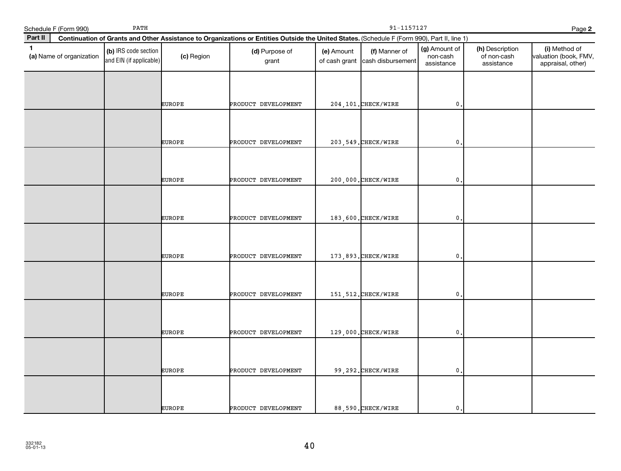| Schedule F (Form 990)                    | PATH                                            |               |                                                                                                                                              | 91-1157127<br>Page 2        |                                    |                                         |                                              |                                                             |  |  |
|------------------------------------------|-------------------------------------------------|---------------|----------------------------------------------------------------------------------------------------------------------------------------------|-----------------------------|------------------------------------|-----------------------------------------|----------------------------------------------|-------------------------------------------------------------|--|--|
| Part II                                  |                                                 |               | Continuation of Grants and Other Assistance to Organizations or Entities Outside the United States. (Schedule F (Form 990), Part II, line 1) |                             |                                    |                                         |                                              |                                                             |  |  |
| $\mathbf{1}$<br>(a) Name of organization | (b) IRS code section<br>and EIN (if applicable) | (c) Region    | (d) Purpose of<br>grant                                                                                                                      | (e) Amount<br>of cash grant | (f) Manner of<br>cash disbursement | (g) Amount of<br>non-cash<br>assistance | (h) Description<br>of non-cash<br>assistance | (i) Method of<br>valuation (book, FMV,<br>appraisal, other) |  |  |
|                                          |                                                 | <b>EUROPE</b> | PRODUCT DEVELOPMENT                                                                                                                          |                             | 204, 101. CHECK/WIRE               | $\mathbf 0$ .                           |                                              |                                                             |  |  |
|                                          |                                                 | <b>EUROPE</b> | PRODUCT DEVELOPMENT                                                                                                                          |                             | 203, 549. CHECK/WIRE               | $\mathbf{0}$                            |                                              |                                                             |  |  |
|                                          |                                                 | <b>EUROPE</b> | PRODUCT DEVELOPMENT                                                                                                                          |                             | 200,000. CHECK/WIRE                | $\mathbf{0}$                            |                                              |                                                             |  |  |
|                                          |                                                 | <b>EUROPE</b> | PRODUCT DEVELOPMENT                                                                                                                          |                             | 183,600. CHECK/WIRE                | $\mathbf 0$ .                           |                                              |                                                             |  |  |
|                                          |                                                 | <b>EUROPE</b> | PRODUCT DEVELOPMENT                                                                                                                          |                             | 173,893. CHECK/WIRE                | $\mathbf 0$                             |                                              |                                                             |  |  |
|                                          |                                                 | <b>EUROPE</b> | PRODUCT DEVELOPMENT                                                                                                                          |                             | 151, 512. CHECK/WIRE               | $\mathbf{0}$                            |                                              |                                                             |  |  |
|                                          |                                                 | <b>EUROPE</b> | PRODUCT DEVELOPMENT                                                                                                                          |                             | 129,000. CHECK/WIRE                | $\mathbf{0}$                            |                                              |                                                             |  |  |
|                                          |                                                 | <b>EUROPE</b> | PRODUCT DEVELOPMENT                                                                                                                          |                             | 99,292. CHECK/WIRE                 | $\mathbf{0}$                            |                                              |                                                             |  |  |
|                                          |                                                 | <b>EUROPE</b> | PRODUCT DEVELOPMENT                                                                                                                          |                             | 88,590.CHECK/WIRE                  | $\mathbf 0$ .                           |                                              |                                                             |  |  |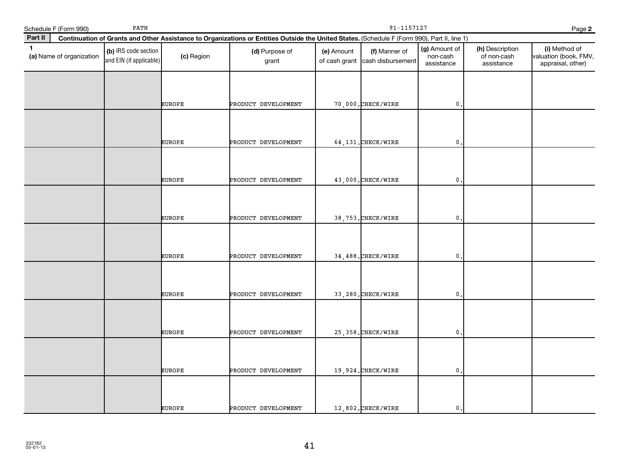| Schedule F (Form 990)                    | PATH                                            |               | 91-1157127<br>Page 2                                                                                                                         |                             |                                    |                                         |                                              |                                                             |  |  |
|------------------------------------------|-------------------------------------------------|---------------|----------------------------------------------------------------------------------------------------------------------------------------------|-----------------------------|------------------------------------|-----------------------------------------|----------------------------------------------|-------------------------------------------------------------|--|--|
| Part II                                  |                                                 |               | Continuation of Grants and Other Assistance to Organizations or Entities Outside the United States. (Schedule F (Form 990), Part II, line 1) |                             |                                    |                                         |                                              |                                                             |  |  |
| $\mathbf{1}$<br>(a) Name of organization | (b) IRS code section<br>and EIN (if applicable) | (c) Region    | (d) Purpose of<br>grant                                                                                                                      | (e) Amount<br>of cash grant | (f) Manner of<br>cash disbursement | (g) Amount of<br>non-cash<br>assistance | (h) Description<br>of non-cash<br>assistance | (i) Method of<br>valuation (book, FMV,<br>appraisal, other) |  |  |
|                                          |                                                 | <b>EUROPE</b> | PRODUCT DEVELOPMENT                                                                                                                          |                             | 70,000. CHECK/WIRE                 | $\mathbf 0$ .                           |                                              |                                                             |  |  |
|                                          |                                                 | <b>EUROPE</b> | PRODUCT DEVELOPMENT                                                                                                                          |                             | 64,131. CHECK/WIRE                 | $\mathbf{0}$                            |                                              |                                                             |  |  |
|                                          |                                                 | <b>EUROPE</b> | PRODUCT DEVELOPMENT                                                                                                                          |                             | 43,000. CHECK/WIRE                 | $\mathbf{0}$                            |                                              |                                                             |  |  |
|                                          |                                                 | <b>EUROPE</b> | PRODUCT DEVELOPMENT                                                                                                                          |                             | 38,753. CHECK/WIRE                 | $\mathbf 0$ .                           |                                              |                                                             |  |  |
|                                          |                                                 | <b>EUROPE</b> | PRODUCT DEVELOPMENT                                                                                                                          |                             | 34,488. CHECK/WIRE                 | $\mathbf 0$                             |                                              |                                                             |  |  |
|                                          |                                                 | <b>EUROPE</b> | PRODUCT DEVELOPMENT                                                                                                                          |                             | 33,280. CHECK/WIRE                 | $\mathbf 0$ .                           |                                              |                                                             |  |  |
|                                          |                                                 | <b>EUROPE</b> | PRODUCT DEVELOPMENT                                                                                                                          |                             | 25,358. CHECK/WIRE                 | $\mathbf{0}$ .                          |                                              |                                                             |  |  |
|                                          |                                                 | <b>EUROPE</b> | PRODUCT DEVELOPMENT                                                                                                                          |                             | 19,924. CHECK/WIRE                 | 0                                       |                                              |                                                             |  |  |
|                                          |                                                 | <b>EUROPE</b> | PRODUCT DEVELOPMENT                                                                                                                          |                             | 12,802. CHECK/WIRE                 | $\mathbf 0$ .                           |                                              |                                                             |  |  |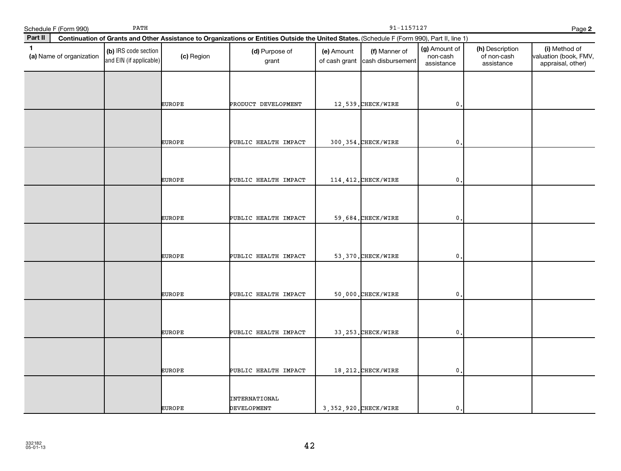|              | Schedule F (Form 990)    | PATH                                            |               |                                                                                                                                              | 91-1157127<br>Page 2        |                                    |                                         |                                              |                                                             |
|--------------|--------------------------|-------------------------------------------------|---------------|----------------------------------------------------------------------------------------------------------------------------------------------|-----------------------------|------------------------------------|-----------------------------------------|----------------------------------------------|-------------------------------------------------------------|
| Part II      |                          |                                                 |               | Continuation of Grants and Other Assistance to Organizations or Entities Outside the United States. (Schedule F (Form 990), Part II, line 1) |                             |                                    |                                         |                                              |                                                             |
| $\mathbf{1}$ | (a) Name of organization | (b) IRS code section<br>and EIN (if applicable) | (c) Region    | (d) Purpose of<br>grant                                                                                                                      | (e) Amount<br>of cash grant | (f) Manner of<br>cash disbursement | (g) Amount of<br>non-cash<br>assistance | (h) Description<br>of non-cash<br>assistance | (i) Method of<br>valuation (book, FMV,<br>appraisal, other) |
|              |                          |                                                 | <b>EUROPE</b> | PRODUCT DEVELOPMENT                                                                                                                          |                             | 12,539. CHECK/WIRE                 | $\mathbf{0}$                            |                                              |                                                             |
|              |                          |                                                 | <b>EUROPE</b> | PUBLIC HEALTH IMPACT                                                                                                                         |                             | 300, 354. CHECK/WIRE               | $\mathbf{0}$                            |                                              |                                                             |
|              |                          |                                                 | <b>EUROPE</b> | PUBLIC HEALTH IMPACT                                                                                                                         |                             | 114, 412. CHECK/WIRE               | 0                                       |                                              |                                                             |
|              |                          |                                                 | <b>EUROPE</b> | PUBLIC HEALTH IMPACT                                                                                                                         |                             | 59,684. CHECK/WIRE                 | $\mathsf{O}\,$ .                        |                                              |                                                             |
|              |                          |                                                 | <b>EUROPE</b> | PUBLIC HEALTH IMPACT                                                                                                                         |                             | 53, 370. CHECK/WIRE                | $\mathbf{0}$                            |                                              |                                                             |
|              |                          |                                                 | <b>EUROPE</b> | PUBLIC HEALTH IMPACT                                                                                                                         |                             | 50,000. CHECK/WIRE                 | $\mathbf{0}$                            |                                              |                                                             |
|              |                          |                                                 | <b>EUROPE</b> | PUBLIC HEALTH IMPACT                                                                                                                         |                             | 33, 253. CHECK/WIRE                | $\mathbf{0}$                            |                                              |                                                             |
|              |                          |                                                 | <b>EUROPE</b> | PUBLIC HEALTH IMPACT                                                                                                                         |                             | 18, 212. CHECK/WIRE                | 0                                       |                                              |                                                             |
|              |                          |                                                 | <b>EUROPE</b> | <b>INTERNATIONAL</b><br>DEVELOPMENT                                                                                                          |                             | 3, 352, 920. CHECK/WIRE            | $\mathbf 0$ .                           |                                              |                                                             |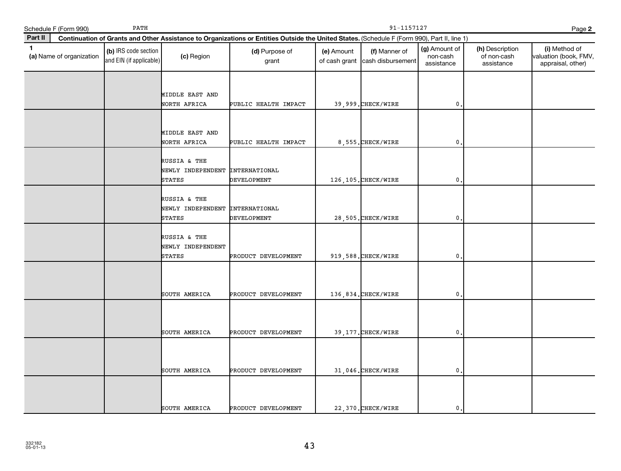|              | Schedule F (Form 990)    | PATH                                            |                                                                  | 91-1157127<br>Page 2                                                                                                                         |                             |                                    |                                         |                                              |                                                             |  |  |
|--------------|--------------------------|-------------------------------------------------|------------------------------------------------------------------|----------------------------------------------------------------------------------------------------------------------------------------------|-----------------------------|------------------------------------|-----------------------------------------|----------------------------------------------|-------------------------------------------------------------|--|--|
| Part II      |                          |                                                 |                                                                  | Continuation of Grants and Other Assistance to Organizations or Entities Outside the United States. (Schedule F (Form 990), Part II, line 1) |                             |                                    |                                         |                                              |                                                             |  |  |
| $\mathbf{1}$ | (a) Name of organization | (b) IRS code section<br>and EIN (if applicable) | (c) Region                                                       | (d) Purpose of<br>grant                                                                                                                      | (e) Amount<br>of cash grant | (f) Manner of<br>cash disbursement | (g) Amount of<br>non-cash<br>assistance | (h) Description<br>of non-cash<br>assistance | (i) Method of<br>valuation (book, FMV,<br>appraisal, other) |  |  |
|              |                          |                                                 | MIDDLE EAST AND<br>NORTH AFRICA                                  | PUBLIC HEALTH IMPACT                                                                                                                         |                             | 39,999. CHECK/WIRE                 | 0                                       |                                              |                                                             |  |  |
|              |                          |                                                 | MIDDLE EAST AND<br>NORTH AFRICA                                  | PUBLIC HEALTH IMPACT                                                                                                                         |                             | 8,555. CHECK/WIRE                  | $\mathbf{0}$                            |                                              |                                                             |  |  |
|              |                          |                                                 | RUSSIA & THE<br>NEWLY INDEPENDENT INTERNATIONAL<br><b>STATES</b> | DEVELOPMENT                                                                                                                                  |                             | 126,105. CHECK/WIRE                | 0                                       |                                              |                                                             |  |  |
|              |                          |                                                 | RUSSIA & THE<br>NEWLY INDEPENDENT INTERNATIONAL<br><b>STATES</b> | DEVELOPMENT                                                                                                                                  |                             | 28,505. CHECK/WIRE                 | 0                                       |                                              |                                                             |  |  |
|              |                          |                                                 | RUSSIA & THE<br>NEWLY INDEPENDENT<br><b>STATES</b>               | PRODUCT DEVELOPMENT                                                                                                                          |                             | 919,588. CHECK/WIRE                | 0                                       |                                              |                                                             |  |  |
|              |                          |                                                 | SOUTH AMERICA                                                    | PRODUCT DEVELOPMENT                                                                                                                          |                             | 136,834. CHECK/WIRE                | 0                                       |                                              |                                                             |  |  |
|              |                          |                                                 | SOUTH AMERICA                                                    | PRODUCT DEVELOPMENT                                                                                                                          |                             | 39, 177. CHECK/WIRE                | $\mathbf{0}$                            |                                              |                                                             |  |  |
|              |                          |                                                 | SOUTH AMERICA                                                    | PRODUCT DEVELOPMENT                                                                                                                          |                             | 31,046. CHECK/WIRE                 | 0                                       |                                              |                                                             |  |  |
|              |                          |                                                 | SOUTH AMERICA                                                    | PRODUCT DEVELOPMENT                                                                                                                          |                             | 22,370. CHECK/WIRE                 | $\mathbf{0}$                            |                                              |                                                             |  |  |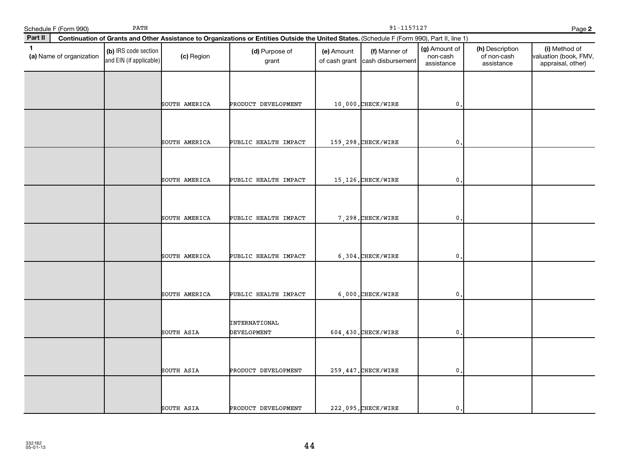| Schedule F (Form 990)                    | PATH                                            |               | 91-1157127<br>Page 2                                                                                                                         |            |                                                  |                                         |                                              |                                                             |  |  |
|------------------------------------------|-------------------------------------------------|---------------|----------------------------------------------------------------------------------------------------------------------------------------------|------------|--------------------------------------------------|-----------------------------------------|----------------------------------------------|-------------------------------------------------------------|--|--|
| Part II                                  |                                                 |               | Continuation of Grants and Other Assistance to Organizations or Entities Outside the United States. (Schedule F (Form 990), Part II, line 1) |            |                                                  |                                         |                                              |                                                             |  |  |
| $\mathbf{1}$<br>(a) Name of organization | (b) IRS code section<br>and EIN (if applicable) | (c) Region    | (d) Purpose of<br>grant                                                                                                                      | (e) Amount | (f) Manner of<br>of cash grant cash disbursement | (g) Amount of<br>non-cash<br>assistance | (h) Description<br>of non-cash<br>assistance | (i) Method of<br>valuation (book, FMV,<br>appraisal, other) |  |  |
|                                          |                                                 |               |                                                                                                                                              |            |                                                  |                                         |                                              |                                                             |  |  |
|                                          |                                                 | SOUTH AMERICA | PRODUCT DEVELOPMENT                                                                                                                          |            | 10,000. CHECK/WIRE                               | $\mathbf 0$                             |                                              |                                                             |  |  |
|                                          |                                                 | SOUTH AMERICA | PUBLIC HEALTH IMPACT                                                                                                                         |            | 159,298. CHECK/WIRE                              | $\mathbf 0$ .                           |                                              |                                                             |  |  |
|                                          |                                                 | SOUTH AMERICA | PUBLIC HEALTH IMPACT                                                                                                                         |            | 15,126. CHECK/WIRE                               | $\mathbf 0$                             |                                              |                                                             |  |  |
|                                          |                                                 | SOUTH AMERICA | PUBLIC HEALTH IMPACT                                                                                                                         |            | 7.298. CHECK/WIRE                                | $\mathbf{0}$ .                          |                                              |                                                             |  |  |
|                                          |                                                 | SOUTH AMERICA | PUBLIC HEALTH IMPACT                                                                                                                         |            | 6,304. CHECK/WIRE                                | $\mathbf{0}$                            |                                              |                                                             |  |  |
|                                          |                                                 | SOUTH AMERICA | PUBLIC HEALTH IMPACT                                                                                                                         |            | 6,000. CHECK/WIRE                                | 0                                       |                                              |                                                             |  |  |
|                                          |                                                 | SOUTH ASIA    | <b>INTERNATIONAL</b><br>DEVELOPMENT                                                                                                          |            | 604, 430. CHECK/WIRE                             | $\mathbf{0}$ .                          |                                              |                                                             |  |  |
|                                          |                                                 | SOUTH ASIA    | PRODUCT DEVELOPMENT                                                                                                                          |            | 259, 447. CHECK/WIRE                             | $\mathbf{0}$ .                          |                                              |                                                             |  |  |
|                                          |                                                 | SOUTH ASIA    | PRODUCT DEVELOPMENT                                                                                                                          |            | 222,095. CHECK/WIRE                              | 0.                                      |                                              |                                                             |  |  |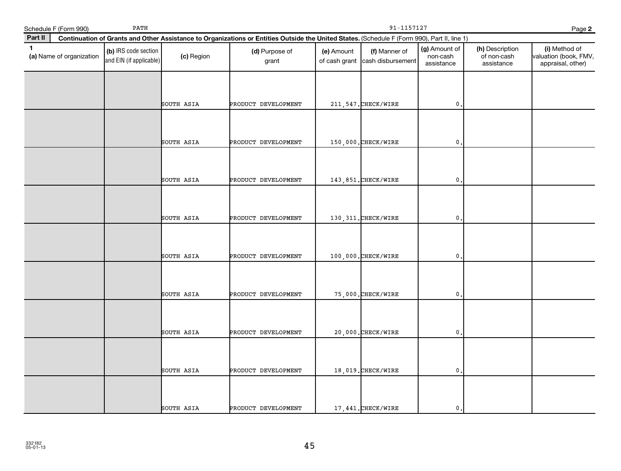| Schedule F (Form 990)                    | PATH                                            |            |                                                                                                                                              | 91-1157127<br>Page 2        |                                    |                                         |                                              |                                                             |  |  |
|------------------------------------------|-------------------------------------------------|------------|----------------------------------------------------------------------------------------------------------------------------------------------|-----------------------------|------------------------------------|-----------------------------------------|----------------------------------------------|-------------------------------------------------------------|--|--|
| Part II                                  |                                                 |            | Continuation of Grants and Other Assistance to Organizations or Entities Outside the United States. (Schedule F (Form 990), Part II, line 1) |                             |                                    |                                         |                                              |                                                             |  |  |
| $\mathbf{1}$<br>(a) Name of organization | (b) IRS code section<br>and EIN (if applicable) | (c) Region | (d) Purpose of<br>grant                                                                                                                      | (e) Amount<br>of cash grant | (f) Manner of<br>cash disbursement | (g) Amount of<br>non-cash<br>assistance | (h) Description<br>of non-cash<br>assistance | (i) Method of<br>valuation (book, FMV,<br>appraisal, other) |  |  |
|                                          |                                                 | SOUTH ASIA | PRODUCT DEVELOPMENT                                                                                                                          |                             | 211, 547. CHECK/WIRE               | $\mathbf 0$ .                           |                                              |                                                             |  |  |
|                                          |                                                 | SOUTH ASIA | PRODUCT DEVELOPMENT                                                                                                                          |                             | 150,000. CHECK/WIRE                | $\mathbf{0}$                            |                                              |                                                             |  |  |
|                                          |                                                 | SOUTH ASIA | PRODUCT DEVELOPMENT                                                                                                                          |                             | 143,851. CHECK/WIRE                | $\mathbf{0}$                            |                                              |                                                             |  |  |
|                                          |                                                 | SOUTH ASIA | PRODUCT DEVELOPMENT                                                                                                                          |                             | 130, 311. CHECK/WIRE               | $\mathbf 0$ .                           |                                              |                                                             |  |  |
|                                          |                                                 | SOUTH ASIA | PRODUCT DEVELOPMENT                                                                                                                          |                             | 100,000. CHECK/WIRE                | $\mathbf 0$                             |                                              |                                                             |  |  |
|                                          |                                                 | SOUTH ASIA | PRODUCT DEVELOPMENT                                                                                                                          |                             | 75,000. CHECK/WIRE                 | $\mathbf{0}$ .                          |                                              |                                                             |  |  |
|                                          |                                                 | SOUTH ASIA | PRODUCT DEVELOPMENT                                                                                                                          |                             | 20,000. CHECK/WIRE                 | $\mathbf{0}$                            |                                              |                                                             |  |  |
|                                          |                                                 | SOUTH ASIA | PRODUCT DEVELOPMENT                                                                                                                          |                             | 18,019. CHECK/WIRE                 | $\mathbf{0}$                            |                                              |                                                             |  |  |
|                                          |                                                 | SOUTH ASIA | PRODUCT DEVELOPMENT                                                                                                                          |                             | 17,441. CHECK/WIRE                 | $\mathbf 0$ .                           |                                              |                                                             |  |  |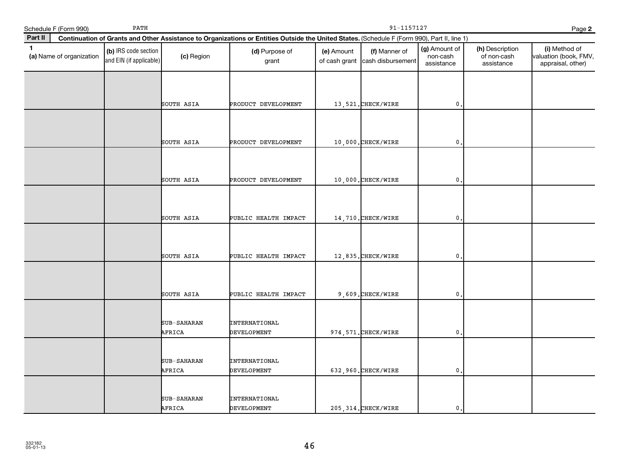|              | Schedule F (Form 990)    | PATH                                            |                       |                                                                                                                                              | 91-1157127<br>Page 2        |                                    |                                         |                                              |                                                             |
|--------------|--------------------------|-------------------------------------------------|-----------------------|----------------------------------------------------------------------------------------------------------------------------------------------|-----------------------------|------------------------------------|-----------------------------------------|----------------------------------------------|-------------------------------------------------------------|
| Part II      |                          |                                                 |                       | Continuation of Grants and Other Assistance to Organizations or Entities Outside the United States. (Schedule F (Form 990), Part II, line 1) |                             |                                    |                                         |                                              |                                                             |
| $\mathbf{1}$ | (a) Name of organization | (b) IRS code section<br>and EIN (if applicable) | (c) Region            | (d) Purpose of<br>grant                                                                                                                      | (e) Amount<br>of cash grant | (f) Manner of<br>cash disbursement | (g) Amount of<br>non-cash<br>assistance | (h) Description<br>of non-cash<br>assistance | (i) Method of<br>valuation (book, FMV,<br>appraisal, other) |
|              |                          |                                                 | SOUTH ASIA            | PRODUCT DEVELOPMENT                                                                                                                          |                             | 13,521. CHECK/WIRE                 | $\mathbf{0}$                            |                                              |                                                             |
|              |                          |                                                 | SOUTH ASIA            | PRODUCT DEVELOPMENT                                                                                                                          |                             | 10,000.CHECK/WIRE                  | $\mathbf{0}$                            |                                              |                                                             |
|              |                          |                                                 | SOUTH ASIA            | PRODUCT DEVELOPMENT                                                                                                                          |                             | 10,000. CHECK/WIRE                 | 0                                       |                                              |                                                             |
|              |                          |                                                 | SOUTH ASIA            | PUBLIC HEALTH IMPACT                                                                                                                         |                             | 14,710.CHECK/WIRE                  | 0                                       |                                              |                                                             |
|              |                          |                                                 | SOUTH ASIA            | PUBLIC HEALTH IMPACT                                                                                                                         |                             | 12,835.CHECK/WIRE                  | 0                                       |                                              |                                                             |
|              |                          |                                                 | SOUTH ASIA            | PUBLIC HEALTH IMPACT                                                                                                                         |                             | 9,609. CHECK/WIRE                  | $\mathbf{0}$                            |                                              |                                                             |
|              |                          |                                                 | SUB-SAHARAN<br>AFRICA | <b>INTERNATIONAL</b><br><b>DEVELOPMENT</b>                                                                                                   |                             | 974, 571. CHECK/WIRE               | $\mathbf{0}$                            |                                              |                                                             |
|              |                          |                                                 | SUB-SAHARAN<br>AFRICA | <b>INTERNATIONAL</b><br>DEVELOPMENT                                                                                                          |                             | 632,960. CHECK/WIRE                | 0                                       |                                              |                                                             |
|              |                          |                                                 | SUB-SAHARAN<br>AFRICA | <b>INTERNATIONAL</b><br>DEVELOPMENT                                                                                                          |                             | 205, 314. CHECK/WIRE               | $\mathbf 0$ .                           |                                              |                                                             |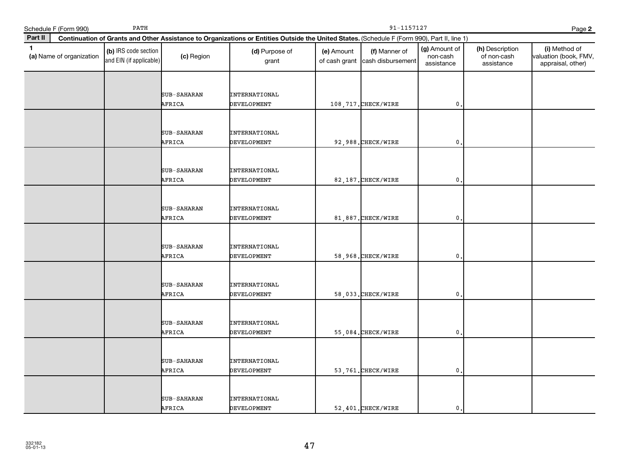|              | Schedule F (Form 990)    | PATH                                            |                              |                                                                                                                                              | 91-1157127                  |                                    |                                         |                                              |                                                             |
|--------------|--------------------------|-------------------------------------------------|------------------------------|----------------------------------------------------------------------------------------------------------------------------------------------|-----------------------------|------------------------------------|-----------------------------------------|----------------------------------------------|-------------------------------------------------------------|
| Part II      |                          |                                                 |                              | Continuation of Grants and Other Assistance to Organizations or Entities Outside the United States. (Schedule F (Form 990), Part II, line 1) |                             |                                    |                                         |                                              | Page 2                                                      |
| $\mathbf{1}$ | (a) Name of organization | (b) IRS code section<br>and EIN (if applicable) | (c) Region                   | (d) Purpose of<br>grant                                                                                                                      | (e) Amount<br>of cash grant | (f) Manner of<br>cash disbursement | (g) Amount of<br>non-cash<br>assistance | (h) Description<br>of non-cash<br>assistance | (i) Method of<br>valuation (book, FMV,<br>appraisal, other) |
|              |                          |                                                 | SUB-SAHARAN<br>AFRICA        | <b>INTERNATIONAL</b><br>DEVELOPMENT                                                                                                          |                             | 108, 717. CHECK/WIRE               | $\mathbf{0}$                            |                                              |                                                             |
|              |                          |                                                 | SUB-SAHARAN<br>AFRICA        | <b>INTERNATIONAL</b><br>DEVELOPMENT                                                                                                          |                             | 92,988. CHECK/WIRE                 | $\mathbf 0$                             |                                              |                                                             |
|              |                          |                                                 | <b>SUB-SAHARAN</b><br>AFRICA | <b>INTERNATIONAL</b><br><b>DEVELOPMENT</b>                                                                                                   |                             | 82,187. CHECK/WIRE                 | $\mathbf 0$                             |                                              |                                                             |
|              |                          |                                                 | SUB-SAHARAN<br>AFRICA        | <b>INTERNATIONAL</b><br><b>DEVELOPMENT</b>                                                                                                   |                             | 81,887. CHECK/WIRE                 | $\mathbf{0}$                            |                                              |                                                             |
|              |                          |                                                 | SUB-SAHARAN<br>AFRICA        | <b>INTERNATIONAL</b><br><b>DEVELOPMENT</b>                                                                                                   |                             | 58,968. CHECK/WIRE                 | $\mathbf 0$                             |                                              |                                                             |
|              |                          |                                                 | SUB-SAHARAN<br>AFRICA        | <b>INTERNATIONAL</b><br><b>DEVELOPMENT</b>                                                                                                   |                             | 58,033. CHECK/WIRE                 | $\mathbf{0}$                            |                                              |                                                             |
|              |                          |                                                 | SUB-SAHARAN<br>AFRICA        | <b>INTERNATIONAL</b><br>DEVELOPMENT                                                                                                          |                             | 55,084. CHECK/WIRE                 | $\mathbf{0}$                            |                                              |                                                             |
|              |                          |                                                 | <b>SUB-SAHARAN</b><br>AFRICA | <b>INTERNATIONAL</b><br>DEVELOPMENT                                                                                                          |                             | 53,761. CHECK/WIRE                 | $\mathbf 0$                             |                                              |                                                             |
|              |                          |                                                 | SUB-SAHARAN<br>AFRICA        | <b>INTERNATIONAL</b><br><b>DEVELOPMENT</b>                                                                                                   |                             | 52,401. CHECK/WIRE                 | $\mathbf{0}$                            |                                              |                                                             |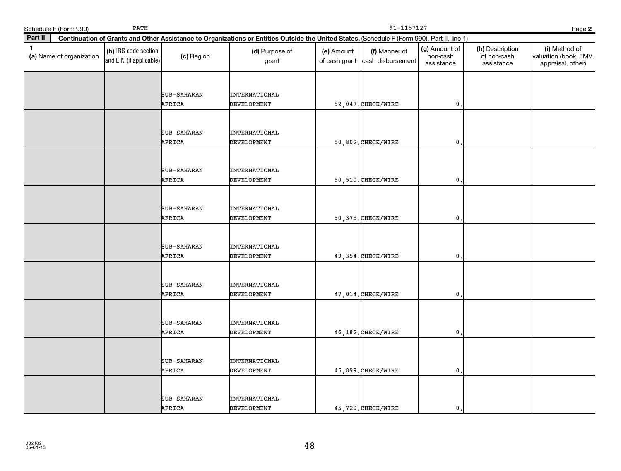| Schedule F (Form 990) |                          | PATH                                            |                              |                                                                                                                                              | 91-1157127                  |                                    |                                         |                                              |                                                             |
|-----------------------|--------------------------|-------------------------------------------------|------------------------------|----------------------------------------------------------------------------------------------------------------------------------------------|-----------------------------|------------------------------------|-----------------------------------------|----------------------------------------------|-------------------------------------------------------------|
| Part II               |                          |                                                 |                              | Continuation of Grants and Other Assistance to Organizations or Entities Outside the United States. (Schedule F (Form 990), Part II, line 1) |                             |                                    |                                         |                                              | Page 2                                                      |
| $\mathbf{1}$          | (a) Name of organization | (b) IRS code section<br>and EIN (if applicable) | (c) Region                   | (d) Purpose of<br>grant                                                                                                                      | (e) Amount<br>of cash grant | (f) Manner of<br>cash disbursement | (g) Amount of<br>non-cash<br>assistance | (h) Description<br>of non-cash<br>assistance | (i) Method of<br>valuation (book, FMV,<br>appraisal, other) |
|                       |                          |                                                 | SUB-SAHARAN<br>AFRICA        | <b>INTERNATIONAL</b><br>DEVELOPMENT                                                                                                          |                             | 52,047. CHECK/WIRE                 | $\mathbf{0}$                            |                                              |                                                             |
|                       |                          |                                                 | SUB-SAHARAN<br>AFRICA        | <b>INTERNATIONAL</b><br>DEVELOPMENT                                                                                                          |                             | 50,802. CHECK/WIRE                 | $\mathbf 0$                             |                                              |                                                             |
|                       |                          |                                                 | <b>SUB-SAHARAN</b><br>AFRICA | <b>INTERNATIONAL</b><br><b>DEVELOPMENT</b>                                                                                                   |                             | 50,510. CHECK/WIRE                 | $\mathbf 0$                             |                                              |                                                             |
|                       |                          |                                                 | SUB-SAHARAN<br>AFRICA        | <b>INTERNATIONAL</b><br><b>DEVELOPMENT</b>                                                                                                   |                             | 50, 375. CHECK/WIRE                | $\mathbf{0}$                            |                                              |                                                             |
|                       |                          |                                                 | SUB-SAHARAN<br>AFRICA        | <b>INTERNATIONAL</b><br><b>DEVELOPMENT</b>                                                                                                   |                             | 49, 354. CHECK/WIRE                | $\mathbf 0$                             |                                              |                                                             |
|                       |                          |                                                 | SUB-SAHARAN<br>AFRICA        | <b>INTERNATIONAL</b><br>DEVELOPMENT                                                                                                          |                             | 47,014. CHECK/WIRE                 | $\mathbf{0}$                            |                                              |                                                             |
|                       |                          |                                                 | SUB-SAHARAN<br>AFRICA        | <b>INTERNATIONAL</b><br>DEVELOPMENT                                                                                                          |                             | 46,182. CHECK/WIRE                 | $\mathbf{0}$                            |                                              |                                                             |
|                       |                          |                                                 | <b>SUB-SAHARAN</b><br>AFRICA | <b>INTERNATIONAL</b><br>DEVELOPMENT                                                                                                          |                             | 45,899. CHECK/WIRE                 | $\mathbf 0$                             |                                              |                                                             |
|                       |                          |                                                 | SUB-SAHARAN<br>AFRICA        | INTERNATIONAL<br><b>DEVELOPMENT</b>                                                                                                          |                             | 45,729. CHECK/WIRE                 | $\mathbf{0}$                            |                                              |                                                             |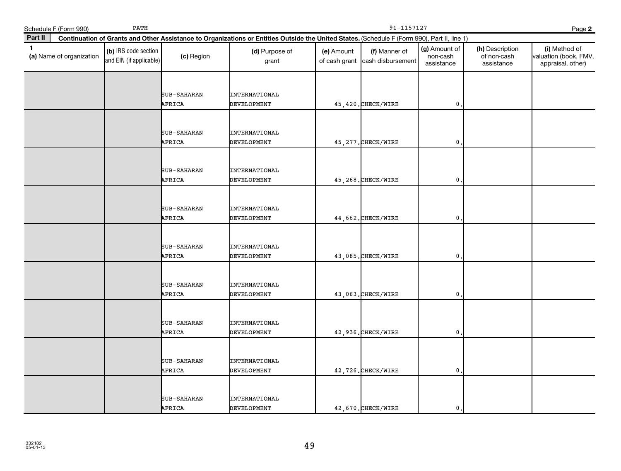|              | Schedule F (Form 990)    | PATH                                            |                              |                                                                                                                                              | 91-1157127<br>Page 2        |                                    |                                         |                                              |                                                             |
|--------------|--------------------------|-------------------------------------------------|------------------------------|----------------------------------------------------------------------------------------------------------------------------------------------|-----------------------------|------------------------------------|-----------------------------------------|----------------------------------------------|-------------------------------------------------------------|
| Part II      |                          |                                                 |                              | Continuation of Grants and Other Assistance to Organizations or Entities Outside the United States. (Schedule F (Form 990), Part II, line 1) |                             |                                    |                                         |                                              |                                                             |
| $\mathbf{1}$ | (a) Name of organization | (b) IRS code section<br>and EIN (if applicable) | (c) Region                   | (d) Purpose of<br>grant                                                                                                                      | (e) Amount<br>of cash grant | (f) Manner of<br>cash disbursement | (g) Amount of<br>non-cash<br>assistance | (h) Description<br>of non-cash<br>assistance | (i) Method of<br>valuation (book, FMV,<br>appraisal, other) |
|              |                          |                                                 | SUB-SAHARAN<br>AFRICA        | <b>INTERNATIONAL</b><br>DEVELOPMENT                                                                                                          |                             | 45, 420. CHECK/WIRE                | $\mathbf{0}$                            |                                              |                                                             |
|              |                          |                                                 | SUB-SAHARAN<br>AFRICA        | <b>INTERNATIONAL</b><br>DEVELOPMENT                                                                                                          |                             | 45, 277. CHECK/WIRE                | $\mathbf 0$                             |                                              |                                                             |
|              |                          |                                                 | <b>SUB-SAHARAN</b><br>AFRICA | <b>INTERNATIONAL</b><br><b>DEVELOPMENT</b>                                                                                                   |                             | 45, 268. CHECK/WIRE                | $\mathbf 0$                             |                                              |                                                             |
|              |                          |                                                 | SUB-SAHARAN<br>AFRICA        | <b>INTERNATIONAL</b><br><b>DEVELOPMENT</b>                                                                                                   |                             | 44,662. CHECK/WIRE                 | $\mathbf{0}$                            |                                              |                                                             |
|              |                          |                                                 | SUB-SAHARAN<br>AFRICA        | <b>INTERNATIONAL</b><br><b>DEVELOPMENT</b>                                                                                                   |                             | 43,085. CHECK/WIRE                 | $\mathbf 0$                             |                                              |                                                             |
|              |                          |                                                 | SUB-SAHARAN<br>AFRICA        | <b>INTERNATIONAL</b><br>DEVELOPMENT                                                                                                          |                             | 43,063. CHECK/WIRE                 | $\mathbf{0}$                            |                                              |                                                             |
|              |                          |                                                 | SUB-SAHARAN<br>AFRICA        | <b>INTERNATIONAL</b><br>DEVELOPMENT                                                                                                          |                             | 42,936. CHECK/WIRE                 | $\mathbf{0}$                            |                                              |                                                             |
|              |                          |                                                 | <b>SUB-SAHARAN</b><br>AFRICA | <b>INTERNATIONAL</b><br>DEVELOPMENT                                                                                                          |                             | 42,726. CHECK/WIRE                 | $\mathbf 0$                             |                                              |                                                             |
|              |                          |                                                 | SUB-SAHARAN<br>AFRICA        | INTERNATIONAL<br><b>DEVELOPMENT</b>                                                                                                          |                             | 42,670. CHECK/WIRE                 | $\mathbf{0}$                            |                                              |                                                             |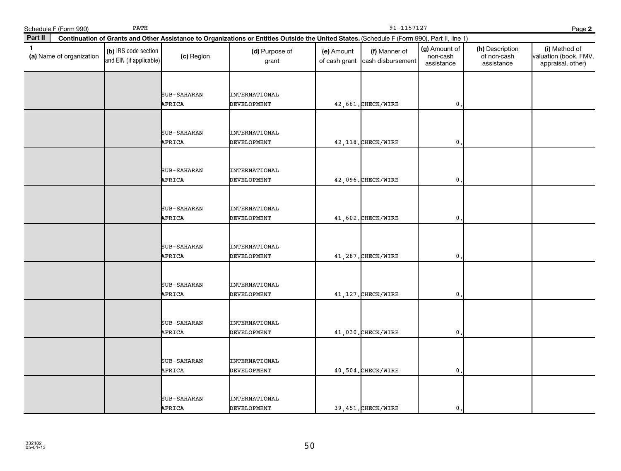| Schedule F (Form 990)                    | PATH                                            |                              |                                                                                                                                              | 91-1157127<br>Page 2        |                                    |                                         |                                              |                                                             |  |
|------------------------------------------|-------------------------------------------------|------------------------------|----------------------------------------------------------------------------------------------------------------------------------------------|-----------------------------|------------------------------------|-----------------------------------------|----------------------------------------------|-------------------------------------------------------------|--|
| Part II                                  |                                                 |                              | Continuation of Grants and Other Assistance to Organizations or Entities Outside the United States. (Schedule F (Form 990), Part II, line 1) |                             |                                    |                                         |                                              |                                                             |  |
| $\mathbf{1}$<br>(a) Name of organization | (b) IRS code section<br>and EIN (if applicable) | (c) Region                   | (d) Purpose of<br>grant                                                                                                                      | (e) Amount<br>of cash grant | (f) Manner of<br>cash disbursement | (g) Amount of<br>non-cash<br>assistance | (h) Description<br>of non-cash<br>assistance | (i) Method of<br>valuation (book, FMV,<br>appraisal, other) |  |
|                                          |                                                 | SUB-SAHARAN<br>AFRICA        | <b>INTERNATIONAL</b><br><b>DEVELOPMENT</b>                                                                                                   |                             | 42,661. CHECK/WIRE                 | $\mathbf{0}$                            |                                              |                                                             |  |
|                                          |                                                 | SUB-SAHARAN<br>AFRICA        | INTERNATIONAL<br><b>DEVELOPMENT</b>                                                                                                          |                             | 42, 118. CHECK/WIRE                | $\mathbf{0}$                            |                                              |                                                             |  |
|                                          |                                                 | SUB-SAHARAN<br>AFRICA        | <b>INTERNATIONAL</b><br><b>DEVELOPMENT</b>                                                                                                   |                             | 42,096. CHECK/WIRE                 | 0                                       |                                              |                                                             |  |
|                                          |                                                 | <b>SUB-SAHARAN</b><br>AFRICA | <b>INTERNATIONAL</b><br><b>DEVELOPMENT</b>                                                                                                   |                             | 41,602. CHECK/WIRE                 | $\mathbf{0}$                            |                                              |                                                             |  |
|                                          |                                                 | SUB-SAHARAN<br>AFRICA        | <b>INTERNATIONAL</b><br><b>DEVELOPMENT</b>                                                                                                   |                             | 41,287. CHECK/WIRE                 | $\mathbf{0}$                            |                                              |                                                             |  |
|                                          |                                                 | <b>SUB-SAHARAN</b><br>AFRICA | <b>INTERNATIONAL</b><br>DEVELOPMENT                                                                                                          |                             | 41, 127. CHECK/WIRE                | $\mathbf{0}$                            |                                              |                                                             |  |
|                                          |                                                 | SUB-SAHARAN<br>AFRICA        | <b>INTERNATIONAL</b><br>DEVELOPMENT                                                                                                          |                             | 41,030. CHECK/WIRE                 | $\mathbf{0}$                            |                                              |                                                             |  |
|                                          |                                                 | <b>SUB-SAHARAN</b><br>AFRICA | <b>INTERNATIONAL</b><br>DEVELOPMENT                                                                                                          |                             | $40,504.$ CHECK/WIRE               | $\mathbf{0}$                            |                                              |                                                             |  |
|                                          |                                                 | <b>SUB-SAHARAN</b><br>AFRICA | <b>INTERNATIONAL</b><br><b>DEVELOPMENT</b>                                                                                                   |                             | 39,451. CHECK/WIRE                 | $\mathbf{0}$                            |                                              |                                                             |  |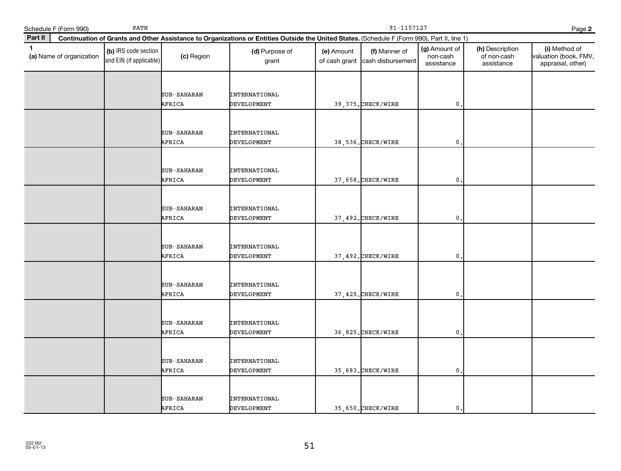| Schedule F (Form 990)                    | PATH                                            |                              |                                                                                                                                              | 91-1157127<br>Page 2        |                                    |                                         |                                              |                                                             |
|------------------------------------------|-------------------------------------------------|------------------------------|----------------------------------------------------------------------------------------------------------------------------------------------|-----------------------------|------------------------------------|-----------------------------------------|----------------------------------------------|-------------------------------------------------------------|
| Part II                                  |                                                 |                              | Continuation of Grants and Other Assistance to Organizations or Entities Outside the United States. (Schedule F (Form 990), Part II, line 1) |                             |                                    |                                         |                                              |                                                             |
| $\mathbf{1}$<br>(a) Name of organization | (b) IRS code section<br>and EIN (if applicable) | (c) Region                   | (d) Purpose of<br>grant                                                                                                                      | (e) Amount<br>of cash grant | (f) Manner of<br>cash disbursement | (g) Amount of<br>non-cash<br>assistance | (h) Description<br>of non-cash<br>assistance | (i) Method of<br>valuation (book, FMV,<br>appraisal, other) |
|                                          |                                                 | SUB-SAHARAN<br>AFRICA        | <b>INTERNATIONAL</b><br>DEVELOPMENT                                                                                                          |                             | 39, 375. CHECK/WIRE                | $\mathbf{0}$ .                          |                                              |                                                             |
|                                          |                                                 | SUB-SAHARAN<br>AFRICA        | <b>INTERNATIONAL</b><br>DEVELOPMENT                                                                                                          |                             | 38,536. CHECK/WIRE                 | $\mathbf 0$ .                           |                                              |                                                             |
|                                          |                                                 | SUB-SAHARAN<br>AFRICA        | <b>INTERNATIONAL</b><br>DEVELOPMENT                                                                                                          |                             | 37,658. CHECK/WIRE                 | 0                                       |                                              |                                                             |
|                                          |                                                 | SUB-SAHARAN<br>AFRICA        | <b>INTERNATIONAL</b><br>DEVELOPMENT                                                                                                          |                             | 37,492. CHECK/WIRE                 | 0.                                      |                                              |                                                             |
|                                          |                                                 | <b>SUB-SAHARAN</b><br>AFRICA | <b>INTERNATIONAL</b><br>DEVELOPMENT                                                                                                          |                             | 37,492. CHECK/WIRE                 | $\mathbf 0$                             |                                              |                                                             |
|                                          |                                                 | SUB-SAHARAN<br>AFRICA        | INTERNATIONAL<br>DEVELOPMENT                                                                                                                 |                             | 37, 425. CHECK/WIRE                | $\mathbf 0$                             |                                              |                                                             |
|                                          |                                                 | SUB-SAHARAN<br>AFRICA        | <b>INTERNATIONAL</b><br>DEVELOPMENT                                                                                                          |                             | 36,825. CHECK/WIRE                 | $\mathbf{0}$                            |                                              |                                                             |
|                                          |                                                 | SUB-SAHARAN<br>AFRICA        | <b>INTERNATIONAL</b><br>DEVELOPMENT                                                                                                          |                             | 35,683. CHECK/WIRE                 | 0.                                      |                                              |                                                             |
|                                          |                                                 | SUB-SAHARAN<br>AFRICA        | INTERNATIONAL<br>DEVELOPMENT                                                                                                                 |                             | 35,650. CHECK/WIRE                 | $\mathbf{0}$ .                          |                                              |                                                             |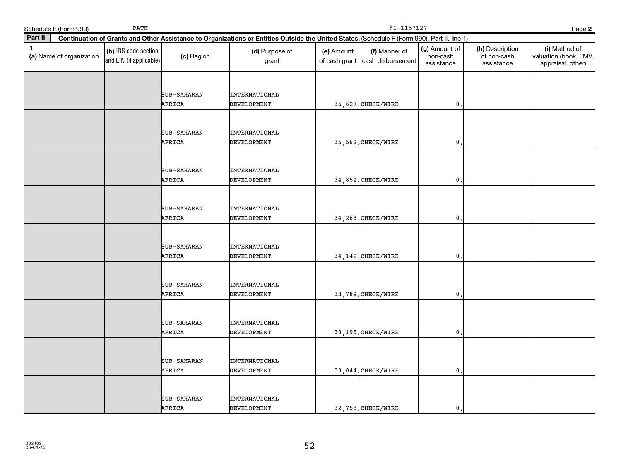|              | Schedule F (Form 990)    | PATH                                            |                              |                                                                                                                                              | 91-1157127<br>Page 2        |                                    |                                         |                                              |                                                             |
|--------------|--------------------------|-------------------------------------------------|------------------------------|----------------------------------------------------------------------------------------------------------------------------------------------|-----------------------------|------------------------------------|-----------------------------------------|----------------------------------------------|-------------------------------------------------------------|
| Part II      |                          |                                                 |                              | Continuation of Grants and Other Assistance to Organizations or Entities Outside the United States. (Schedule F (Form 990), Part II, line 1) |                             |                                    |                                         |                                              |                                                             |
| $\mathbf{1}$ | (a) Name of organization | (b) IRS code section<br>and EIN (if applicable) | (c) Region                   | (d) Purpose of<br>grant                                                                                                                      | (e) Amount<br>of cash grant | (f) Manner of<br>cash disbursement | (g) Amount of<br>non-cash<br>assistance | (h) Description<br>of non-cash<br>assistance | (i) Method of<br>valuation (book, FMV,<br>appraisal, other) |
|              |                          |                                                 | SUB-SAHARAN<br>AFRICA        | <b>INTERNATIONAL</b><br>DEVELOPMENT                                                                                                          |                             | 35, 627. CHECK/WIRE                | $\mathbf{0}$                            |                                              |                                                             |
|              |                          |                                                 | SUB-SAHARAN<br>AFRICA        | <b>INTERNATIONAL</b><br>DEVELOPMENT                                                                                                          |                             | 35, 562. CHECK/WIRE                | $\mathbf 0$                             |                                              |                                                             |
|              |                          |                                                 | <b>SUB-SAHARAN</b><br>AFRICA | <b>INTERNATIONAL</b><br><b>DEVELOPMENT</b>                                                                                                   |                             | 34,852. CHECK/WIRE                 | $\mathbf 0$                             |                                              |                                                             |
|              |                          |                                                 | SUB-SAHARAN<br>AFRICA        | <b>INTERNATIONAL</b><br><b>DEVELOPMENT</b>                                                                                                   |                             | 34, 263. CHECK/WIRE                | $\mathbf{0}$                            |                                              |                                                             |
|              |                          |                                                 | SUB-SAHARAN<br>AFRICA        | <b>INTERNATIONAL</b><br><b>DEVELOPMENT</b>                                                                                                   |                             | 34, 142. CHECK/WIRE                | $\mathbf{0}$                            |                                              |                                                             |
|              |                          |                                                 | SUB-SAHARAN<br>AFRICA        | <b>INTERNATIONAL</b><br>DEVELOPMENT                                                                                                          |                             | 33,789. CHECK/WIRE                 | $\mathbf{0}$                            |                                              |                                                             |
|              |                          |                                                 | SUB-SAHARAN<br>AFRICA        | <b>INTERNATIONAL</b><br>DEVELOPMENT                                                                                                          |                             | 33,195. CHECK/WIRE                 | $\mathbf{0}$                            |                                              |                                                             |
|              |                          |                                                 | <b>SUB-SAHARAN</b><br>AFRICA | <b>INTERNATIONAL</b><br>DEVELOPMENT                                                                                                          |                             | 33,044. CHECK/WIRE                 | $\mathbf 0$                             |                                              |                                                             |
|              |                          |                                                 | SUB-SAHARAN<br>AFRICA        | INTERNATIONAL<br><b>DEVELOPMENT</b>                                                                                                          |                             | 32,758. CHECK/WIRE                 | $\mathbf{0}$                            |                                              |                                                             |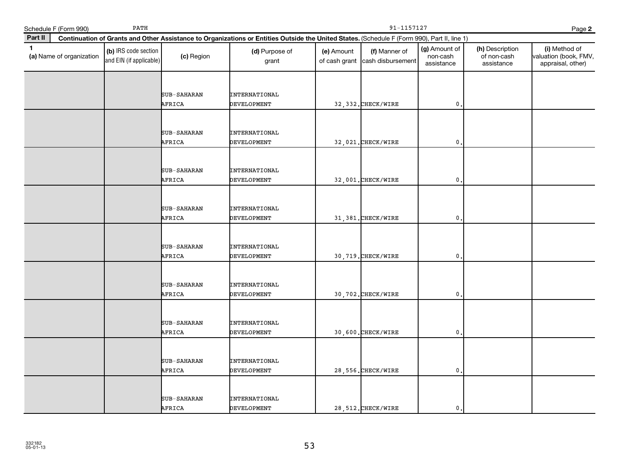|              | Schedule F (Form 990)    | PATH                                            |                              |                                                                                                                                              | 91-1157127                  |                                    |                                         |                                              | Page 2                                                      |
|--------------|--------------------------|-------------------------------------------------|------------------------------|----------------------------------------------------------------------------------------------------------------------------------------------|-----------------------------|------------------------------------|-----------------------------------------|----------------------------------------------|-------------------------------------------------------------|
| Part II      |                          |                                                 |                              | Continuation of Grants and Other Assistance to Organizations or Entities Outside the United States. (Schedule F (Form 990), Part II, line 1) |                             |                                    |                                         |                                              |                                                             |
| $\mathbf{1}$ | (a) Name of organization | (b) IRS code section<br>and EIN (if applicable) | (c) Region                   | (d) Purpose of<br>grant                                                                                                                      | (e) Amount<br>of cash grant | (f) Manner of<br>cash disbursement | (g) Amount of<br>non-cash<br>assistance | (h) Description<br>of non-cash<br>assistance | (i) Method of<br>valuation (book, FMV,<br>appraisal, other) |
|              |                          |                                                 | SUB-SAHARAN<br>AFRICA        | <b>INTERNATIONAL</b><br>DEVELOPMENT                                                                                                          |                             | 32, 332. CHECK/WIRE                | $\mathbf{0}$                            |                                              |                                                             |
|              |                          |                                                 | SUB-SAHARAN<br>AFRICA        | <b>INTERNATIONAL</b><br>DEVELOPMENT                                                                                                          |                             | 32,021. CHECK/WIRE                 | $\mathbf 0$                             |                                              |                                                             |
|              |                          |                                                 | <b>SUB-SAHARAN</b><br>AFRICA | <b>INTERNATIONAL</b><br><b>DEVELOPMENT</b>                                                                                                   |                             | 32,001. CHECK/WIRE                 | $\mathbf 0$                             |                                              |                                                             |
|              |                          |                                                 | SUB-SAHARAN<br>AFRICA        | <b>INTERNATIONAL</b><br><b>DEVELOPMENT</b>                                                                                                   |                             | 31, 381. CHECK/WIRE                | $\mathbf{0}$                            |                                              |                                                             |
|              |                          |                                                 | SUB-SAHARAN<br>AFRICA        | <b>INTERNATIONAL</b><br><b>DEVELOPMENT</b>                                                                                                   |                             | 30,719. CHECK/WIRE                 | $\mathbf 0$                             |                                              |                                                             |
|              |                          |                                                 | SUB-SAHARAN<br>AFRICA        | <b>INTERNATIONAL</b><br>DEVELOPMENT                                                                                                          |                             | 30,702. CHECK/WIRE                 | $\mathbf{0}$                            |                                              |                                                             |
|              |                          |                                                 | SUB-SAHARAN<br>AFRICA        | <b>INTERNATIONAL</b><br>DEVELOPMENT                                                                                                          |                             | 30,600. CHECK/WIRE                 | $\mathbf{0}$                            |                                              |                                                             |
|              |                          |                                                 | <b>SUB-SAHARAN</b><br>AFRICA | <b>INTERNATIONAL</b><br>DEVELOPMENT                                                                                                          |                             | 28, 556. CHECK/WIRE                | $\mathbf 0$                             |                                              |                                                             |
|              |                          |                                                 | SUB-SAHARAN<br>AFRICA        | <b>INTERNATIONAL</b><br><b>DEVELOPMENT</b>                                                                                                   |                             | 28, 512. CHECK/WIRE                | $\mathbf{0}$                            |                                              |                                                             |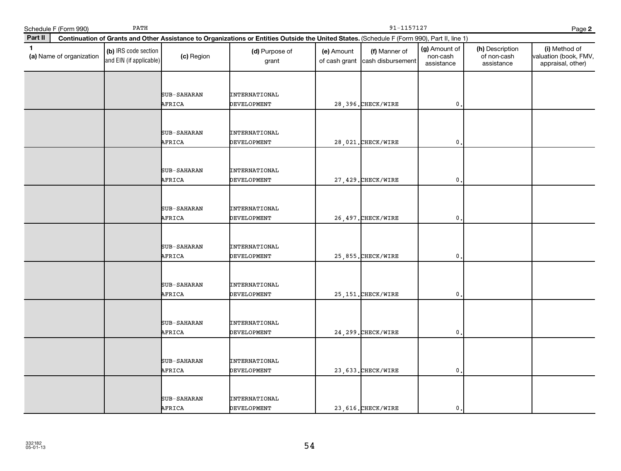| Schedule F (Form 990)                    | PATH                                            |                              |                                                                                                                                              | 91-1157127                  |                                    |                                         |                                              | Page 2                                                      |
|------------------------------------------|-------------------------------------------------|------------------------------|----------------------------------------------------------------------------------------------------------------------------------------------|-----------------------------|------------------------------------|-----------------------------------------|----------------------------------------------|-------------------------------------------------------------|
| Part II                                  |                                                 |                              | Continuation of Grants and Other Assistance to Organizations or Entities Outside the United States. (Schedule F (Form 990), Part II, line 1) |                             |                                    |                                         |                                              |                                                             |
| $\mathbf{1}$<br>(a) Name of organization | (b) IRS code section<br>and EIN (if applicable) | (c) Region                   | (d) Purpose of<br>grant                                                                                                                      | (e) Amount<br>of cash grant | (f) Manner of<br>cash disbursement | (g) Amount of<br>non-cash<br>assistance | (h) Description<br>of non-cash<br>assistance | (i) Method of<br>valuation (book, FMV,<br>appraisal, other) |
|                                          |                                                 | SUB-SAHARAN<br>AFRICA        | <b>INTERNATIONAL</b><br>DEVELOPMENT                                                                                                          |                             | 28,396. CHECK/WIRE                 | $\mathbf{0}$                            |                                              |                                                             |
|                                          |                                                 | SUB-SAHARAN<br>AFRICA        | <b>INTERNATIONAL</b><br>DEVELOPMENT                                                                                                          |                             | 28,021. CHECK/WIRE                 | $\mathbf 0$                             |                                              |                                                             |
|                                          |                                                 | <b>SUB-SAHARAN</b><br>AFRICA | <b>INTERNATIONAL</b><br><b>DEVELOPMENT</b>                                                                                                   |                             | 27, 429. CHECK/WIRE                | $\mathbf 0$                             |                                              |                                                             |
|                                          |                                                 | SUB-SAHARAN<br>AFRICA        | <b>INTERNATIONAL</b><br><b>DEVELOPMENT</b>                                                                                                   |                             | 26, 497. CHECK/WIRE                | $\mathbf{0}$                            |                                              |                                                             |
|                                          |                                                 | SUB-SAHARAN<br>AFRICA        | <b>INTERNATIONAL</b><br><b>DEVELOPMENT</b>                                                                                                   |                             | 25,855. CHECK/WIRE                 | $\mathbf 0$                             |                                              |                                                             |
|                                          |                                                 | SUB-SAHARAN<br>AFRICA        | <b>INTERNATIONAL</b><br>DEVELOPMENT                                                                                                          |                             | 25, 151. CHECK/WIRE                | $\mathbf{0}$                            |                                              |                                                             |
|                                          |                                                 | SUB-SAHARAN<br>AFRICA        | <b>INTERNATIONAL</b><br>DEVELOPMENT                                                                                                          |                             | 24, 299. CHECK/WIRE                | $\mathbf{0}$                            |                                              |                                                             |
|                                          |                                                 | <b>SUB-SAHARAN</b><br>AFRICA | <b>INTERNATIONAL</b><br>DEVELOPMENT                                                                                                          |                             | 23, 633. CHECK/WIRE                | $\mathbf 0$                             |                                              |                                                             |
|                                          |                                                 | SUB-SAHARAN<br>AFRICA        | <b>INTERNATIONAL</b><br><b>DEVELOPMENT</b>                                                                                                   |                             | 23, 616. CHECK/WIRE                | $\mathbf{0}$                            |                                              |                                                             |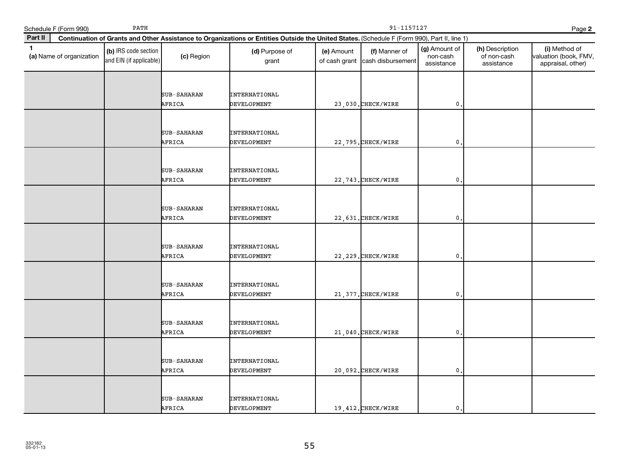| Schedule F (Form 990)                    | PATH                                            |                              |                                                                                                                                              | 91-1157127<br>Page 2        |                                    |                                         |                                              |                                                             |
|------------------------------------------|-------------------------------------------------|------------------------------|----------------------------------------------------------------------------------------------------------------------------------------------|-----------------------------|------------------------------------|-----------------------------------------|----------------------------------------------|-------------------------------------------------------------|
| Part II                                  |                                                 |                              | Continuation of Grants and Other Assistance to Organizations or Entities Outside the United States. (Schedule F (Form 990), Part II, line 1) |                             |                                    |                                         |                                              |                                                             |
| $\mathbf{1}$<br>(a) Name of organization | (b) IRS code section<br>and EIN (if applicable) | (c) Region                   | (d) Purpose of<br>grant                                                                                                                      | (e) Amount<br>of cash grant | (f) Manner of<br>cash disbursement | (g) Amount of<br>non-cash<br>assistance | (h) Description<br>of non-cash<br>assistance | (i) Method of<br>valuation (book, FMV,<br>appraisal, other) |
|                                          |                                                 | SUB-SAHARAN<br>AFRICA        | <b>INTERNATIONAL</b><br>DEVELOPMENT                                                                                                          |                             | 23,030. CHECK/WIRE                 | $\mathbf{0}$                            |                                              |                                                             |
|                                          |                                                 | SUB-SAHARAN<br>AFRICA        | <b>INTERNATIONAL</b><br>DEVELOPMENT                                                                                                          |                             | 22,795. CHECK/WIRE                 | $\mathbf 0$                             |                                              |                                                             |
|                                          |                                                 | <b>SUB-SAHARAN</b><br>AFRICA | <b>INTERNATIONAL</b><br><b>DEVELOPMENT</b>                                                                                                   |                             | 22, 743. CHECK/WIRE                | $\mathbf 0$                             |                                              |                                                             |
|                                          |                                                 | SUB-SAHARAN<br>AFRICA        | <b>INTERNATIONAL</b><br><b>DEVELOPMENT</b>                                                                                                   |                             | 22,631. CHECK/WIRE                 | $\mathbf{0}$                            |                                              |                                                             |
|                                          |                                                 | SUB-SAHARAN<br>AFRICA        | <b>INTERNATIONAL</b><br><b>DEVELOPMENT</b>                                                                                                   |                             | 22, 229. CHECK/WIRE                | $\mathbf 0$                             |                                              |                                                             |
|                                          |                                                 | SUB-SAHARAN<br>AFRICA        | <b>INTERNATIONAL</b><br>DEVELOPMENT                                                                                                          |                             | 21, 377. CHECK/WIRE                | $\mathbf{0}$                            |                                              |                                                             |
|                                          |                                                 | SUB-SAHARAN<br>AFRICA        | <b>INTERNATIONAL</b><br>DEVELOPMENT                                                                                                          |                             | 21,040. CHECK/WIRE                 | $\mathbf{0}$                            |                                              |                                                             |
|                                          |                                                 | <b>SUB-SAHARAN</b><br>AFRICA | <b>INTERNATIONAL</b><br>DEVELOPMENT                                                                                                          |                             | 20,092. CHECK/WIRE                 | $\mathbf 0$                             |                                              |                                                             |
|                                          |                                                 | SUB-SAHARAN<br>AFRICA        | INTERNATIONAL<br><b>DEVELOPMENT</b>                                                                                                          |                             | 19,412. CHECK/WIRE                 | $\mathbf{0}$                            |                                              |                                                             |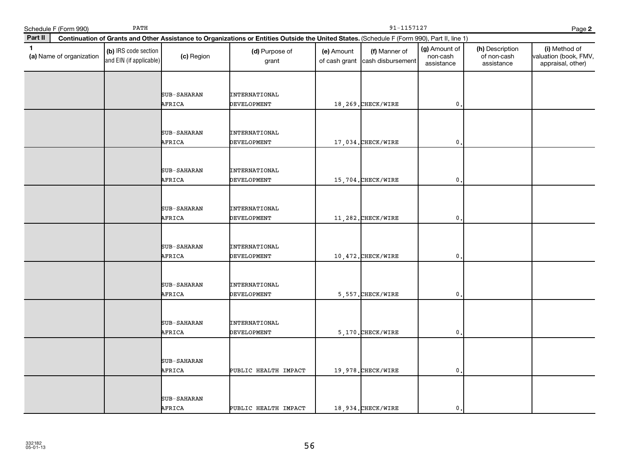|              | Schedule F (Form 990)    | PATH                                            |                              |                                                                                                                                              | 91-1157127<br>Page 2        |                                    |                                         |                                              |                                                             |
|--------------|--------------------------|-------------------------------------------------|------------------------------|----------------------------------------------------------------------------------------------------------------------------------------------|-----------------------------|------------------------------------|-----------------------------------------|----------------------------------------------|-------------------------------------------------------------|
| Part II      |                          |                                                 |                              | Continuation of Grants and Other Assistance to Organizations or Entities Outside the United States. (Schedule F (Form 990), Part II, line 1) |                             |                                    |                                         |                                              |                                                             |
| $\mathbf{1}$ | (a) Name of organization | (b) IRS code section<br>and EIN (if applicable) | (c) Region                   | (d) Purpose of<br>grant                                                                                                                      | (e) Amount<br>of cash grant | (f) Manner of<br>cash disbursement | (g) Amount of<br>non-cash<br>assistance | (h) Description<br>of non-cash<br>assistance | (i) Method of<br>valuation (book, FMV,<br>appraisal, other) |
|              |                          |                                                 | <b>SUB-SAHARAN</b><br>AFRICA | <b>INTERNATIONAL</b><br>DEVELOPMENT                                                                                                          |                             | 18,269. CHECK/WIRE                 | $\mathbf{0}$                            |                                              |                                                             |
|              |                          |                                                 | SUB-SAHARAN<br>AFRICA        | <b>INTERNATIONAL</b><br>DEVELOPMENT                                                                                                          |                             | 17,034. CHECK/WIRE                 | $\mathbf{0}$                            |                                              |                                                             |
|              |                          |                                                 | SUB-SAHARAN<br>AFRICA        | <b>INTERNATIONAL</b><br>DEVELOPMENT                                                                                                          |                             | 15,704. CHECK/WIRE                 | 0                                       |                                              |                                                             |
|              |                          |                                                 | SUB-SAHARAN<br>AFRICA        | INTERNATIONAL<br><b>DEVELOPMENT</b>                                                                                                          |                             | 11,282. CHECK/WIRE                 | $\mathbf{0}$                            |                                              |                                                             |
|              |                          |                                                 | SUB-SAHARAN<br>AFRICA        | <b>INTERNATIONAL</b><br>DEVELOPMENT                                                                                                          |                             | 10,472. CHECK/WIRE                 | 0                                       |                                              |                                                             |
|              |                          |                                                 | SUB-SAHARAN<br>AFRICA        | INTERNATIONAL<br>DEVELOPMENT                                                                                                                 |                             | 5,557. CHECK/WIRE                  | $\mathbf{0}$                            |                                              |                                                             |
|              |                          |                                                 | <b>SUB-SAHARAN</b><br>AFRICA | <b>INTERNATIONAL</b><br>DEVELOPMENT                                                                                                          |                             | 5.170. CHECK/WIRE                  | $\mathbf{0}$                            |                                              |                                                             |
|              |                          |                                                 | <b>SUB-SAHARAN</b><br>AFRICA | PUBLIC HEALTH IMPACT                                                                                                                         |                             | 19,978. CHECK/WIRE                 | $\mathbf{0}$                            |                                              |                                                             |
|              |                          |                                                 | SUB-SAHARAN<br>AFRICA        | PUBLIC HEALTH IMPACT                                                                                                                         |                             | 18,934. CHECK/WIRE                 | $\mathbf{0}$                            |                                              |                                                             |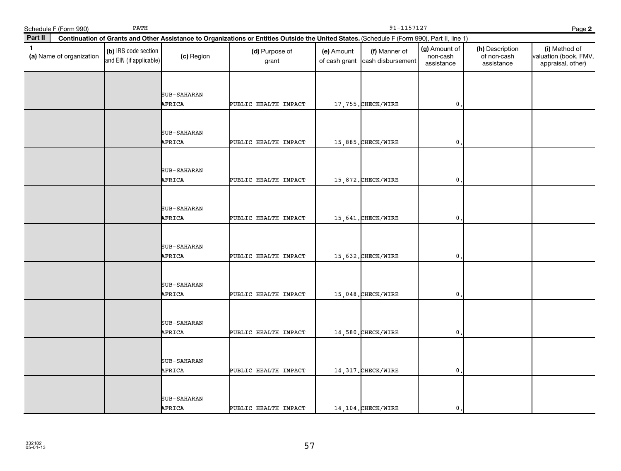|              | Schedule F (Form 990)    | PATH                                            |                              | 91-1157127<br>Page 2                                                                                                                         |            |                                                  |                                         |                                              |                                                             |  |  |
|--------------|--------------------------|-------------------------------------------------|------------------------------|----------------------------------------------------------------------------------------------------------------------------------------------|------------|--------------------------------------------------|-----------------------------------------|----------------------------------------------|-------------------------------------------------------------|--|--|
| Part II      |                          |                                                 |                              | Continuation of Grants and Other Assistance to Organizations or Entities Outside the United States. (Schedule F (Form 990), Part II, line 1) |            |                                                  |                                         |                                              |                                                             |  |  |
| $\mathbf{1}$ | (a) Name of organization | (b) IRS code section<br>and EIN (if applicable) | (c) Region                   | (d) Purpose of<br>grant                                                                                                                      | (e) Amount | (f) Manner of<br>of cash grant cash disbursement | (g) Amount of<br>non-cash<br>assistance | (h) Description<br>of non-cash<br>assistance | (i) Method of<br>valuation (book, FMV,<br>appraisal, other) |  |  |
|              |                          |                                                 | SUB-SAHARAN<br>AFRICA        | PUBLIC HEALTH IMPACT                                                                                                                         |            | 17,755.CHECK/WIRE                                | $\mathbf{0}$                            |                                              |                                                             |  |  |
|              |                          |                                                 | SUB-SAHARAN<br>AFRICA        | PUBLIC HEALTH IMPACT                                                                                                                         |            | 15,885. CHECK/WIRE                               | $\mathbf{0}$ .                          |                                              |                                                             |  |  |
|              |                          |                                                 | SUB-SAHARAN<br>AFRICA        | PUBLIC HEALTH IMPACT                                                                                                                         |            | 15,872. CHECK/WIRE                               | $\mathbf{0}$                            |                                              |                                                             |  |  |
|              |                          |                                                 | SUB-SAHARAN<br>AFRICA        | PUBLIC HEALTH IMPACT                                                                                                                         |            | 15,641.CHECK/WIRE                                | $\mathbf{0}$ .                          |                                              |                                                             |  |  |
|              |                          |                                                 | SUB-SAHARAN<br>AFRICA        | PUBLIC HEALTH IMPACT                                                                                                                         |            | 15,632. CHECK/WIRE                               | $\mathbf{0}$                            |                                              |                                                             |  |  |
|              |                          |                                                 | SUB-SAHARAN<br>AFRICA        | PUBLIC HEALTH IMPACT                                                                                                                         |            | 15,048. CHECK/WIRE                               | $\mathbf{0}$                            |                                              |                                                             |  |  |
|              |                          |                                                 | SUB-SAHARAN<br>AFRICA        | PUBLIC HEALTH IMPACT                                                                                                                         |            | 14,580. CHECK/WIRE                               | $\mathbf{0}$ .                          |                                              |                                                             |  |  |
|              |                          |                                                 | SUB-SAHARAN<br>AFRICA        | PUBLIC HEALTH IMPACT                                                                                                                         |            | 14, 317. CHECK/WIRE                              | $\mathbf{0}$                            |                                              |                                                             |  |  |
|              |                          |                                                 | <b>SUB-SAHARAN</b><br>AFRICA | PUBLIC HEALTH IMPACT                                                                                                                         |            | 14,104. CHECK/WIRE                               | $\mathbf{0}$ .                          |                                              |                                                             |  |  |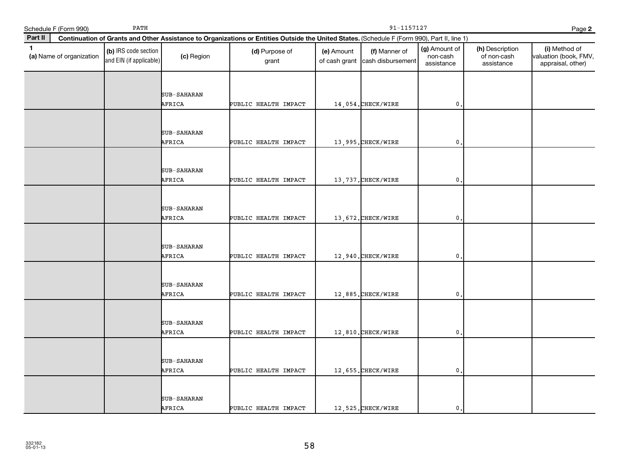|              | Schedule F (Form 990)    | PATH                                            |                       | 91-1157127<br>Page 2                                                                                                                         |            |                                                  |                                         |                                              |                                                             |  |  |
|--------------|--------------------------|-------------------------------------------------|-----------------------|----------------------------------------------------------------------------------------------------------------------------------------------|------------|--------------------------------------------------|-----------------------------------------|----------------------------------------------|-------------------------------------------------------------|--|--|
| Part II      |                          |                                                 |                       | Continuation of Grants and Other Assistance to Organizations or Entities Outside the United States. (Schedule F (Form 990), Part II, line 1) |            |                                                  |                                         |                                              |                                                             |  |  |
| $\mathbf{1}$ | (a) Name of organization | (b) IRS code section<br>and EIN (if applicable) | (c) Region            | (d) Purpose of<br>grant                                                                                                                      | (e) Amount | (f) Manner of<br>of cash grant cash disbursement | (g) Amount of<br>non-cash<br>assistance | (h) Description<br>of non-cash<br>assistance | (i) Method of<br>valuation (book, FMV,<br>appraisal, other) |  |  |
|              |                          |                                                 | SUB-SAHARAN<br>AFRICA | PUBLIC HEALTH IMPACT                                                                                                                         |            | 14,054. CHECK/WIRE                               | $\mathbf 0$ .                           |                                              |                                                             |  |  |
|              |                          |                                                 | SUB-SAHARAN<br>AFRICA | PUBLIC HEALTH IMPACT                                                                                                                         |            | 13,995. CHECK/WIRE                               | $\mathbf{0}$ .                          |                                              |                                                             |  |  |
|              |                          |                                                 | SUB-SAHARAN<br>AFRICA | PUBLIC HEALTH IMPACT                                                                                                                         |            | 13, 737. CHECK/WIRE                              | 0                                       |                                              |                                                             |  |  |
|              |                          |                                                 | SUB-SAHARAN<br>AFRICA | PUBLIC HEALTH IMPACT                                                                                                                         |            | 13,672. CHECK/WIRE                               | $\mathfrak{o}$ .                        |                                              |                                                             |  |  |
|              |                          |                                                 | SUB-SAHARAN<br>AFRICA | PUBLIC HEALTH IMPACT                                                                                                                         |            | 12,940. CHECK/WIRE                               | $\mathbf 0$                             |                                              |                                                             |  |  |
|              |                          |                                                 | SUB-SAHARAN<br>AFRICA | PUBLIC HEALTH IMPACT                                                                                                                         |            | 12,885. CHECK/WIRE                               | $\mathfrak o$ .                         |                                              |                                                             |  |  |
|              |                          |                                                 | SUB-SAHARAN<br>AFRICA | PUBLIC HEALTH IMPACT                                                                                                                         |            | 12,810.CHECK/WIRE                                | $\mathbf{0}$ .                          |                                              |                                                             |  |  |
|              |                          |                                                 | SUB-SAHARAN<br>AFRICA | PUBLIC HEALTH IMPACT                                                                                                                         |            | 12,655.CHECK/WIRE                                | 0                                       |                                              |                                                             |  |  |
|              |                          |                                                 | SUB-SAHARAN<br>AFRICA | PUBLIC HEALTH IMPACT                                                                                                                         |            | 12,525. CHECK/WIRE                               | $\mathfrak{o}$ .                        |                                              |                                                             |  |  |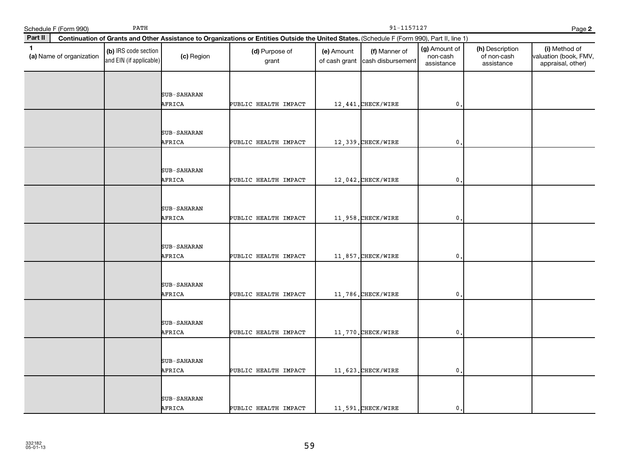|              | Schedule F (Form 990)    | PATH                                            |                              |                                                                                                                                              | 91-1157127<br>Page 2 |                                                  |                                         |                                              |                                                             |  |
|--------------|--------------------------|-------------------------------------------------|------------------------------|----------------------------------------------------------------------------------------------------------------------------------------------|----------------------|--------------------------------------------------|-----------------------------------------|----------------------------------------------|-------------------------------------------------------------|--|
| Part II      |                          |                                                 |                              | Continuation of Grants and Other Assistance to Organizations or Entities Outside the United States. (Schedule F (Form 990), Part II, line 1) |                      |                                                  |                                         |                                              |                                                             |  |
| $\mathbf{1}$ | (a) Name of organization | (b) IRS code section<br>and EIN (if applicable) | (c) Region                   | (d) Purpose of<br>grant                                                                                                                      | (e) Amount           | (f) Manner of<br>of cash grant cash disbursement | (g) Amount of<br>non-cash<br>assistance | (h) Description<br>of non-cash<br>assistance | (i) Method of<br>valuation (book, FMV,<br>appraisal, other) |  |
|              |                          |                                                 | SUB-SAHARAN<br>AFRICA        | PUBLIC HEALTH IMPACT                                                                                                                         |                      | 12, 441. CHECK/WIRE                              | $\mathbf 0$ .                           |                                              |                                                             |  |
|              |                          |                                                 | SUB-SAHARAN<br>AFRICA        | PUBLIC HEALTH IMPACT                                                                                                                         |                      | 12,339. CHECK/WIRE                               | $\mathfrak{o}$ .                        |                                              |                                                             |  |
|              |                          |                                                 | SUB-SAHARAN<br>AFRICA        | PUBLIC HEALTH IMPACT                                                                                                                         |                      | 12,042. CHECK/WIRE                               | $\mathbf 0$ .                           |                                              |                                                             |  |
|              |                          |                                                 | SUB-SAHARAN<br>AFRICA        | PUBLIC HEALTH IMPACT                                                                                                                         |                      | 11,958. CHECK/WIRE                               | $\mathfrak{o}$ .                        |                                              |                                                             |  |
|              |                          |                                                 | <b>SUB-SAHARAN</b><br>AFRICA | PUBLIC HEALTH IMPACT                                                                                                                         |                      | 11,857. CHECK/WIRE                               | $\mathbf{0}$                            |                                              |                                                             |  |
|              |                          |                                                 | SUB-SAHARAN<br>AFRICA        | PUBLIC HEALTH IMPACT                                                                                                                         |                      | 11,786. CHECK/WIRE                               | $\mathbf{0}$                            |                                              |                                                             |  |
|              |                          |                                                 | SUB-SAHARAN<br>AFRICA        | PUBLIC HEALTH IMPACT                                                                                                                         |                      | 11,770. CHECK/WIRE                               | $\mathbf 0$ .                           |                                              |                                                             |  |
|              |                          |                                                 | SUB-SAHARAN<br>AFRICA        | PUBLIC HEALTH IMPACT                                                                                                                         |                      | 11,623. CHECK/WIRE                               | $\mathbf 0$ .                           |                                              |                                                             |  |
|              |                          |                                                 | <b>SUB-SAHARAN</b><br>AFRICA | PUBLIC HEALTH IMPACT                                                                                                                         |                      | 11,591. CHECK/WIRE                               | $\mathsf{0}$ .                          |                                              |                                                             |  |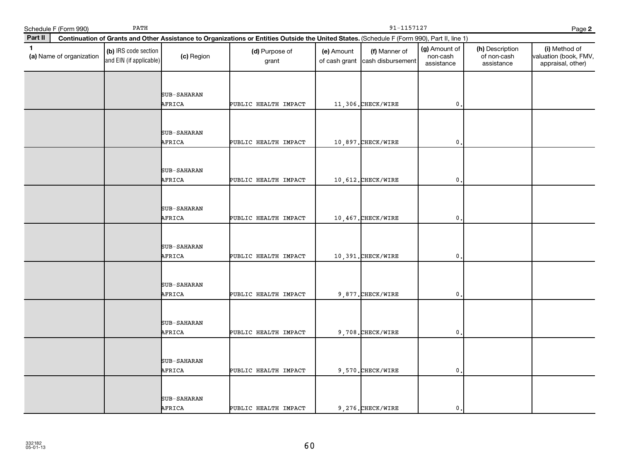|              | Schedule F (Form 990)    | PATH                                            |                       | 91-1157127<br>Page 2                                                                                                                         |                             |                                    |                                         |                                              |                                                             |  |  |
|--------------|--------------------------|-------------------------------------------------|-----------------------|----------------------------------------------------------------------------------------------------------------------------------------------|-----------------------------|------------------------------------|-----------------------------------------|----------------------------------------------|-------------------------------------------------------------|--|--|
| Part II      |                          |                                                 |                       | Continuation of Grants and Other Assistance to Organizations or Entities Outside the United States. (Schedule F (Form 990), Part II, line 1) |                             |                                    |                                         |                                              |                                                             |  |  |
| $\mathbf{1}$ | (a) Name of organization | (b) IRS code section<br>and EIN (if applicable) | (c) Region            | (d) Purpose of<br>grant                                                                                                                      | (e) Amount<br>of cash grant | (f) Manner of<br>cash disbursement | (g) Amount of<br>non-cash<br>assistance | (h) Description<br>of non-cash<br>assistance | (i) Method of<br>valuation (book, FMV,<br>appraisal, other) |  |  |
|              |                          |                                                 | SUB-SAHARAN<br>AFRICA | PUBLIC HEALTH IMPACT                                                                                                                         |                             | 11,306. CHECK/WIRE                 | $\mathbf{0}$                            |                                              |                                                             |  |  |
|              |                          |                                                 | SUB-SAHARAN<br>AFRICA | PUBLIC HEALTH IMPACT                                                                                                                         |                             | 10,897. CHECK/WIRE                 | $\mathbf{0}$ .                          |                                              |                                                             |  |  |
|              |                          |                                                 | SUB-SAHARAN<br>AFRICA | PUBLIC HEALTH IMPACT                                                                                                                         |                             | 10,612. CHECK/WIRE                 | $\mathbf{0}$                            |                                              |                                                             |  |  |
|              |                          |                                                 | SUB-SAHARAN<br>AFRICA | PUBLIC HEALTH IMPACT                                                                                                                         |                             | 10,467. CHECK/WIRE                 | $\mathbf{0}$                            |                                              |                                                             |  |  |
|              |                          |                                                 | SUB-SAHARAN<br>AFRICA | PUBLIC HEALTH IMPACT                                                                                                                         |                             | 10,391. CHECK/WIRE                 | $\mathbf{0}$                            |                                              |                                                             |  |  |
|              |                          |                                                 | SUB-SAHARAN<br>AFRICA | PUBLIC HEALTH IMPACT                                                                                                                         |                             | 9,877. CHECK/WIRE                  | $\mathbf{0}$                            |                                              |                                                             |  |  |
|              |                          |                                                 | SUB-SAHARAN<br>AFRICA | PUBLIC HEALTH IMPACT                                                                                                                         |                             | 9,708. CHECK/WIRE                  | $\mathbf{0}$ .                          |                                              |                                                             |  |  |
|              |                          |                                                 | SUB-SAHARAN<br>AFRICA | PUBLIC HEALTH IMPACT                                                                                                                         |                             | 9,570. CHECK/WIRE                  | 0                                       |                                              |                                                             |  |  |
|              |                          |                                                 | SUB-SAHARAN<br>AFRICA | PUBLIC HEALTH IMPACT                                                                                                                         |                             | 9,276. CHECK/WIRE                  | $\mathbf 0$ .                           |                                              |                                                             |  |  |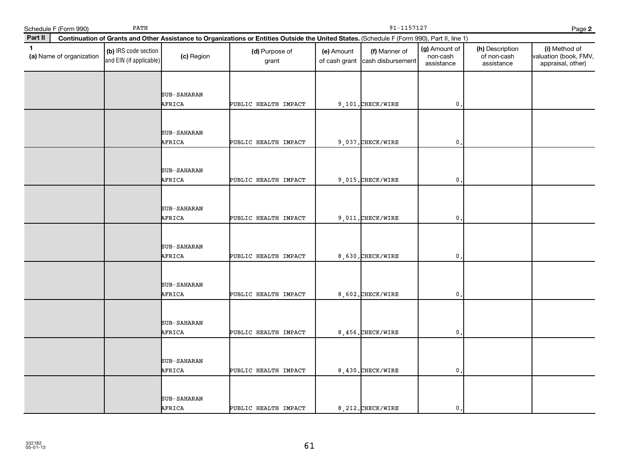|              | Schedule F (Form 990)    | PATH                                            |                              | 91-1157127<br>Page 2                                                                                                                         |            |                                                  |                                         |                                              |                                                             |  |  |
|--------------|--------------------------|-------------------------------------------------|------------------------------|----------------------------------------------------------------------------------------------------------------------------------------------|------------|--------------------------------------------------|-----------------------------------------|----------------------------------------------|-------------------------------------------------------------|--|--|
| Part II      |                          |                                                 |                              | Continuation of Grants and Other Assistance to Organizations or Entities Outside the United States. (Schedule F (Form 990), Part II, line 1) |            |                                                  |                                         |                                              |                                                             |  |  |
| $\mathbf{1}$ | (a) Name of organization | (b) IRS code section<br>and EIN (if applicable) | (c) Region                   | (d) Purpose of<br>grant                                                                                                                      | (e) Amount | (f) Manner of<br>of cash grant cash disbursement | (g) Amount of<br>non-cash<br>assistance | (h) Description<br>of non-cash<br>assistance | (i) Method of<br>valuation (book, FMV,<br>appraisal, other) |  |  |
|              |                          |                                                 | SUB-SAHARAN                  |                                                                                                                                              |            |                                                  |                                         |                                              |                                                             |  |  |
|              |                          |                                                 | AFRICA                       | PUBLIC HEALTH IMPACT                                                                                                                         |            | 9,101. CHECK/WIRE                                | $\mathfrak o$ .                         |                                              |                                                             |  |  |
|              |                          |                                                 | SUB-SAHARAN<br>AFRICA        | PUBLIC HEALTH IMPACT                                                                                                                         |            | 9,037. CHECK/WIRE                                | $\mathbf{0}$ .                          |                                              |                                                             |  |  |
|              |                          |                                                 | SUB-SAHARAN<br>AFRICA        | PUBLIC HEALTH IMPACT                                                                                                                         |            | 9,015. CHECK/WIRE                                | 0                                       |                                              |                                                             |  |  |
|              |                          |                                                 | SUB-SAHARAN<br>AFRICA        | PUBLIC HEALTH IMPACT                                                                                                                         |            | 9,011. CHECK/WIRE                                | $\mathbf{0}$ .                          |                                              |                                                             |  |  |
|              |                          |                                                 | SUB-SAHARAN<br>AFRICA        | PUBLIC HEALTH IMPACT                                                                                                                         |            | 8,630. CHECK/WIRE                                | $\mathbf{0}$                            |                                              |                                                             |  |  |
|              |                          |                                                 | SUB-SAHARAN<br>AFRICA        | PUBLIC HEALTH IMPACT                                                                                                                         |            | 8,602. CHECK/WIRE                                | $\mathbf{0}$                            |                                              |                                                             |  |  |
|              |                          |                                                 | SUB-SAHARAN<br>AFRICA        | PUBLIC HEALTH IMPACT                                                                                                                         |            | 8,456.CHECK/WIRE                                 | $\mathfrak{o}$ .                        |                                              |                                                             |  |  |
|              |                          |                                                 | <b>SUB-SAHARAN</b><br>AFRICA | PUBLIC HEALTH IMPACT                                                                                                                         |            | 8,430. CHECK/WIRE                                | $\pmb{0}$                               |                                              |                                                             |  |  |
|              |                          |                                                 | <b>SUB-SAHARAN</b><br>AFRICA | PUBLIC HEALTH IMPACT                                                                                                                         |            | 8, 212. CHECK/WIRE                               | $\mathfrak{o}$ .                        |                                              |                                                             |  |  |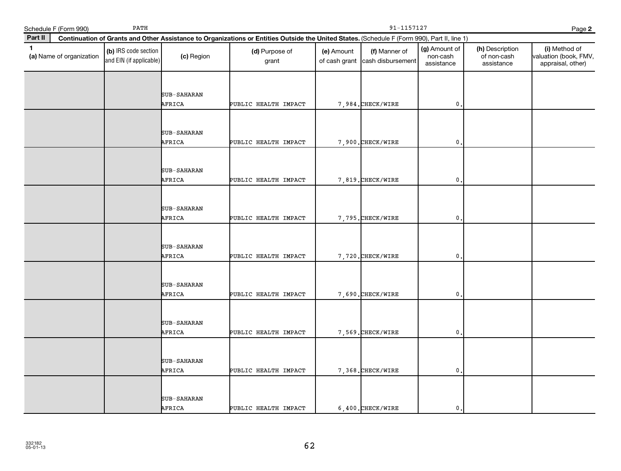|              | Schedule F (Form 990)    | PATH                                            |                              |                                                                                                                                              | 91-1157127<br>Page 2        |                                    |                                         |                                              |                                                             |  |
|--------------|--------------------------|-------------------------------------------------|------------------------------|----------------------------------------------------------------------------------------------------------------------------------------------|-----------------------------|------------------------------------|-----------------------------------------|----------------------------------------------|-------------------------------------------------------------|--|
| Part II      |                          |                                                 |                              | Continuation of Grants and Other Assistance to Organizations or Entities Outside the United States. (Schedule F (Form 990), Part II, line 1) |                             |                                    |                                         |                                              |                                                             |  |
| $\mathbf{1}$ | (a) Name of organization | (b) IRS code section<br>and EIN (if applicable) | (c) Region                   | (d) Purpose of<br>grant                                                                                                                      | (e) Amount<br>of cash grant | (f) Manner of<br>cash disbursement | (g) Amount of<br>non-cash<br>assistance | (h) Description<br>of non-cash<br>assistance | (i) Method of<br>valuation (book, FMV,<br>appraisal, other) |  |
|              |                          |                                                 | SUB-SAHARAN<br>AFRICA        | PUBLIC HEALTH IMPACT                                                                                                                         |                             | 7,984. CHECK/WIRE                  | $\mathbf{0}$ .                          |                                              |                                                             |  |
|              |                          |                                                 | SUB-SAHARAN<br>AFRICA        | PUBLIC HEALTH IMPACT                                                                                                                         |                             | 7,900. CHECK/WIRE                  | $\mathbf{0}$                            |                                              |                                                             |  |
|              |                          |                                                 | SUB-SAHARAN<br>AFRICA        | PUBLIC HEALTH IMPACT                                                                                                                         |                             | 7,819. CHECK/WIRE                  | $\mathbf{0}$                            |                                              |                                                             |  |
|              |                          |                                                 | SUB-SAHARAN<br>AFRICA        | PUBLIC HEALTH IMPACT                                                                                                                         |                             | 7,795. CHECK/WIRE                  | 0.                                      |                                              |                                                             |  |
|              |                          |                                                 | SUB-SAHARAN<br>AFRICA        | PUBLIC HEALTH IMPACT                                                                                                                         |                             | 7,720. CHECK/WIRE                  | $\mathbf{0}$                            |                                              |                                                             |  |
|              |                          |                                                 | SUB-SAHARAN<br>AFRICA        | PUBLIC HEALTH IMPACT                                                                                                                         |                             | 7,690. CHECK/WIRE                  | $\mathbf{0}$ .                          |                                              |                                                             |  |
|              |                          |                                                 | SUB-SAHARAN<br>AFRICA        | PUBLIC HEALTH IMPACT                                                                                                                         |                             | 7,569. CHECK/WIRE                  | $\mathbf{0}$ .                          |                                              |                                                             |  |
|              |                          |                                                 | SUB-SAHARAN<br>AFRICA        | PUBLIC HEALTH IMPACT                                                                                                                         |                             | 7,368. CHECK/WIRE                  | 0                                       |                                              |                                                             |  |
|              |                          |                                                 | <b>SUB-SAHARAN</b><br>AFRICA | PUBLIC HEALTH IMPACT                                                                                                                         |                             | $6,400.$ CHECK/WIRE                | $\mathbf{0}$ .                          |                                              |                                                             |  |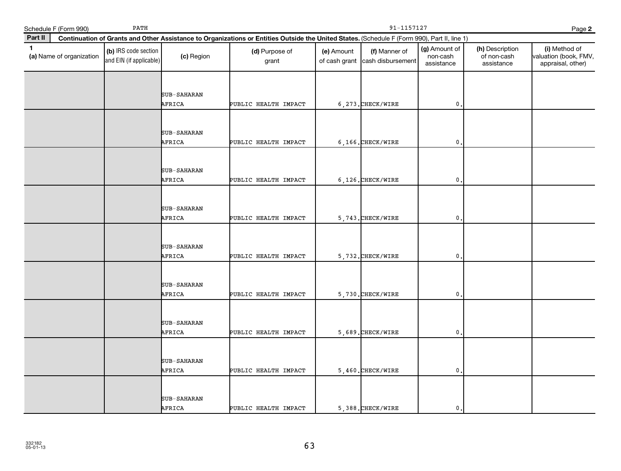|              | Schedule F (Form 990)    | PATH                                            |                              |                                                                                                                                              | 91-1157127<br>Page 2        |                                    |                                         |                                              |                                                             |  |
|--------------|--------------------------|-------------------------------------------------|------------------------------|----------------------------------------------------------------------------------------------------------------------------------------------|-----------------------------|------------------------------------|-----------------------------------------|----------------------------------------------|-------------------------------------------------------------|--|
| Part II      |                          |                                                 |                              | Continuation of Grants and Other Assistance to Organizations or Entities Outside the United States. (Schedule F (Form 990), Part II, line 1) |                             |                                    |                                         |                                              |                                                             |  |
| $\mathbf{1}$ | (a) Name of organization | (b) IRS code section<br>and EIN (if applicable) | (c) Region                   | (d) Purpose of<br>grant                                                                                                                      | (e) Amount<br>of cash grant | (f) Manner of<br>cash disbursement | (g) Amount of<br>non-cash<br>assistance | (h) Description<br>of non-cash<br>assistance | (i) Method of<br>valuation (book, FMV,<br>appraisal, other) |  |
|              |                          |                                                 | SUB-SAHARAN<br>AFRICA        | PUBLIC HEALTH IMPACT                                                                                                                         |                             | 6, 273. CHECK/WIRE                 | $\mathbf{0}$ .                          |                                              |                                                             |  |
|              |                          |                                                 | SUB-SAHARAN<br>AFRICA        | PUBLIC HEALTH IMPACT                                                                                                                         |                             | $6, 166$ . CHECK/WIRE              | $\mathbf{0}$                            |                                              |                                                             |  |
|              |                          |                                                 | SUB-SAHARAN<br>AFRICA        | PUBLIC HEALTH IMPACT                                                                                                                         |                             | $6, 126.$ CHECK/WIRE               | $\mathbf{0}$                            |                                              |                                                             |  |
|              |                          |                                                 | SUB-SAHARAN<br>AFRICA        | PUBLIC HEALTH IMPACT                                                                                                                         |                             | 5,743. CHECK/WIRE                  | 0.                                      |                                              |                                                             |  |
|              |                          |                                                 | SUB-SAHARAN<br>AFRICA        | PUBLIC HEALTH IMPACT                                                                                                                         |                             | 5,732. CHECK/WIRE                  | $\mathbf{0}$                            |                                              |                                                             |  |
|              |                          |                                                 | SUB-SAHARAN<br>AFRICA        | PUBLIC HEALTH IMPACT                                                                                                                         |                             | 5,730. CHECK/WIRE                  | $\mathbf{0}$ .                          |                                              |                                                             |  |
|              |                          |                                                 | SUB-SAHARAN<br>AFRICA        | PUBLIC HEALTH IMPACT                                                                                                                         |                             | 5,689. CHECK/WIRE                  | $\mathbf{0}$ .                          |                                              |                                                             |  |
|              |                          |                                                 | SUB-SAHARAN<br>AFRICA        | PUBLIC HEALTH IMPACT                                                                                                                         |                             | 5,460. CHECK/WIRE                  | $\mathbf{0}$                            |                                              |                                                             |  |
|              |                          |                                                 | <b>SUB-SAHARAN</b><br>AFRICA | PUBLIC HEALTH IMPACT                                                                                                                         |                             | 5,388. CHECK/WIRE                  | $\mathbf{0}$ .                          |                                              |                                                             |  |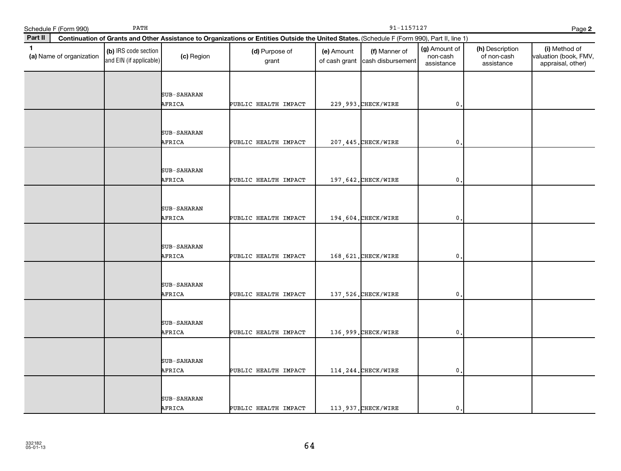|         | Schedule F (Form 990)    | PATH                                            |                              | 91-1157127<br>Page 2                                                                                                                         |            |                                                  |                                         |                                              |                                                             |  |  |
|---------|--------------------------|-------------------------------------------------|------------------------------|----------------------------------------------------------------------------------------------------------------------------------------------|------------|--------------------------------------------------|-----------------------------------------|----------------------------------------------|-------------------------------------------------------------|--|--|
| Part II |                          |                                                 |                              | Continuation of Grants and Other Assistance to Organizations or Entities Outside the United States. (Schedule F (Form 990), Part II, line 1) |            |                                                  |                                         |                                              |                                                             |  |  |
| 1       | (a) Name of organization | (b) IRS code section<br>and EIN (if applicable) | (c) Region                   | (d) Purpose of<br>grant                                                                                                                      | (e) Amount | (f) Manner of<br>of cash grant cash disbursement | (g) Amount of<br>non-cash<br>assistance | (h) Description<br>of non-cash<br>assistance | (i) Method of<br>valuation (book, FMV,<br>appraisal, other) |  |  |
|         |                          |                                                 | SUB-SAHARAN<br>AFRICA        | PUBLIC HEALTH IMPACT                                                                                                                         |            | 229, 993. CHECK/WIRE                             | $\mathfrak{o}$ .                        |                                              |                                                             |  |  |
|         |                          |                                                 | SUB-SAHARAN<br>AFRICA        | PUBLIC HEALTH IMPACT                                                                                                                         |            | 207, 445. CHECK/WIRE                             | $\mathfrak{o}$ .                        |                                              |                                                             |  |  |
|         |                          |                                                 | SUB-SAHARAN<br>AFRICA        | PUBLIC HEALTH IMPACT                                                                                                                         |            | 197, 642. CHECK/WIRE                             | 0                                       |                                              |                                                             |  |  |
|         |                          |                                                 | <b>SUB-SAHARAN</b><br>AFRICA | PUBLIC HEALTH IMPACT                                                                                                                         |            | 194,604. CHECK/WIRE                              | $\mathfrak o$ .                         |                                              |                                                             |  |  |
|         |                          |                                                 | <b>SUB-SAHARAN</b><br>AFRICA | PUBLIC HEALTH IMPACT                                                                                                                         |            | 168, 621. CHECK/WIRE                             | $\mathbf{0}$                            |                                              |                                                             |  |  |
|         |                          |                                                 | SUB-SAHARAN<br>AFRICA        | PUBLIC HEALTH IMPACT                                                                                                                         |            | 137, 526. CHECK/WIRE                             | $\mathbf 0$ .                           |                                              |                                                             |  |  |
|         |                          |                                                 | SUB-SAHARAN<br>AFRICA        | PUBLIC HEALTH IMPACT                                                                                                                         |            | 136,999. CHECK/WIRE                              | $\mathfrak{o}$ .                        |                                              |                                                             |  |  |
|         |                          |                                                 | SUB-SAHARAN<br>AFRICA        | PUBLIC HEALTH IMPACT                                                                                                                         |            | 114, 244. CHECK/WIRE                             | $\mathbf{0}$                            |                                              |                                                             |  |  |
|         |                          |                                                 | SUB-SAHARAN<br>AFRICA        | PUBLIC HEALTH IMPACT                                                                                                                         |            | 113,937. CHECK/WIRE                              | $\mathbf{0}$ .                          |                                              |                                                             |  |  |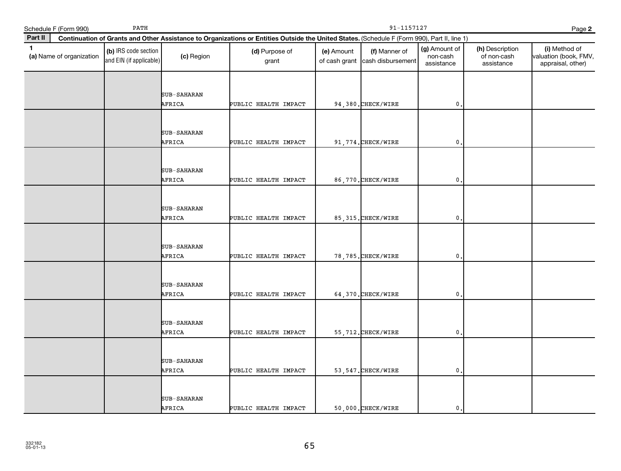|         | Schedule F (Form 990)    | PATH                                            |                              | 91-1157127<br>Page 2                                                                                                                         |            |                                                  |                                         |                                              |                                                             |  |  |
|---------|--------------------------|-------------------------------------------------|------------------------------|----------------------------------------------------------------------------------------------------------------------------------------------|------------|--------------------------------------------------|-----------------------------------------|----------------------------------------------|-------------------------------------------------------------|--|--|
| Part II |                          |                                                 |                              | Continuation of Grants and Other Assistance to Organizations or Entities Outside the United States. (Schedule F (Form 990), Part II, line 1) |            |                                                  |                                         |                                              |                                                             |  |  |
| 1       | (a) Name of organization | (b) IRS code section<br>and EIN (if applicable) | (c) Region                   | (d) Purpose of<br>grant                                                                                                                      | (e) Amount | (f) Manner of<br>of cash grant cash disbursement | (g) Amount of<br>non-cash<br>assistance | (h) Description<br>of non-cash<br>assistance | (i) Method of<br>valuation (book, FMV,<br>appraisal, other) |  |  |
|         |                          |                                                 | SUB-SAHARAN<br>AFRICA        | PUBLIC HEALTH IMPACT                                                                                                                         |            | 94,380. CHECK/WIRE                               | $\mathbf{0}$ .                          |                                              |                                                             |  |  |
|         |                          |                                                 | SUB-SAHARAN<br>AFRICA        | PUBLIC HEALTH IMPACT                                                                                                                         |            | 91,774. CHECK/WIRE                               | $\mathbf{0}$ .                          |                                              |                                                             |  |  |
|         |                          |                                                 | SUB-SAHARAN<br>AFRICA        | PUBLIC HEALTH IMPACT                                                                                                                         |            | 86,770. CHECK/WIRE                               | 0                                       |                                              |                                                             |  |  |
|         |                          |                                                 | <b>SUB-SAHARAN</b><br>AFRICA | PUBLIC HEALTH IMPACT                                                                                                                         |            | 85, 315. CHECK/WIRE                              | $\mathfrak o$ .                         |                                              |                                                             |  |  |
|         |                          |                                                 | <b>SUB-SAHARAN</b><br>AFRICA | PUBLIC HEALTH IMPACT                                                                                                                         |            | 78, 785. CHECK/WIRE                              | $\mathbf{0}$                            |                                              |                                                             |  |  |
|         |                          |                                                 | SUB-SAHARAN<br>AFRICA        | PUBLIC HEALTH IMPACT                                                                                                                         |            | 64,370. CHECK/WIRE                               | $\mathbf 0$ .                           |                                              |                                                             |  |  |
|         |                          |                                                 | SUB-SAHARAN<br>AFRICA        | PUBLIC HEALTH IMPACT                                                                                                                         |            | 55, 712. CHECK/WIRE                              | $\mathbf{0}$ .                          |                                              |                                                             |  |  |
|         |                          |                                                 | SUB-SAHARAN<br>AFRICA        | PUBLIC HEALTH IMPACT                                                                                                                         |            | 53, 547. CHECK/WIRE                              | $\mathbf{0}$                            |                                              |                                                             |  |  |
|         |                          |                                                 | SUB-SAHARAN<br>AFRICA        | PUBLIC HEALTH IMPACT                                                                                                                         |            | 50,000. CHECK/WIRE                               | $\mathbf{0}$ .                          |                                              |                                                             |  |  |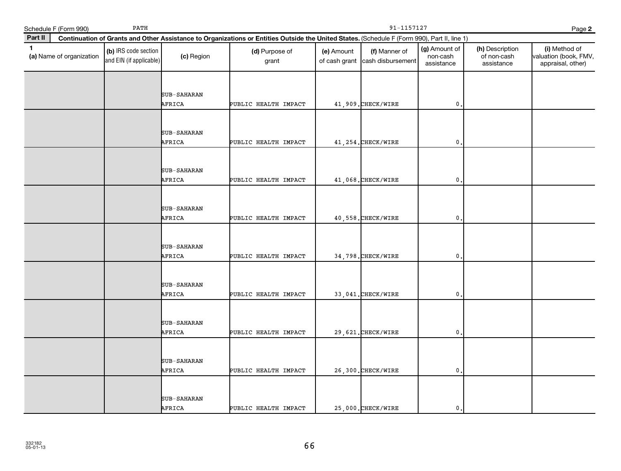|              | Schedule F (Form 990)    | PATH                                            |                       | 91-1157127<br>Page 2                                                                                                                         |            |                                                  |                                         |                                              |                                                             |  |  |
|--------------|--------------------------|-------------------------------------------------|-----------------------|----------------------------------------------------------------------------------------------------------------------------------------------|------------|--------------------------------------------------|-----------------------------------------|----------------------------------------------|-------------------------------------------------------------|--|--|
| Part II      |                          |                                                 |                       | Continuation of Grants and Other Assistance to Organizations or Entities Outside the United States. (Schedule F (Form 990), Part II, line 1) |            |                                                  |                                         |                                              |                                                             |  |  |
| $\mathbf{1}$ | (a) Name of organization | (b) IRS code section<br>and EIN (if applicable) | (c) Region            | (d) Purpose of<br>grant                                                                                                                      | (e) Amount | (f) Manner of<br>of cash grant cash disbursement | (g) Amount of<br>non-cash<br>assistance | (h) Description<br>of non-cash<br>assistance | (i) Method of<br>valuation (book, FMV,<br>appraisal, other) |  |  |
|              |                          |                                                 | SUB-SAHARAN<br>AFRICA | PUBLIC HEALTH IMPACT                                                                                                                         |            | 41,909. CHECK/WIRE                               | $\mathbf 0$ .                           |                                              |                                                             |  |  |
|              |                          |                                                 | SUB-SAHARAN<br>AFRICA | PUBLIC HEALTH IMPACT                                                                                                                         |            | 41, 254. CHECK/WIRE                              | $\mathbf{0}$ .                          |                                              |                                                             |  |  |
|              |                          |                                                 | SUB-SAHARAN<br>AFRICA | PUBLIC HEALTH IMPACT                                                                                                                         |            | 41,068. CHECK/WIRE                               | $\pmb{0}$                               |                                              |                                                             |  |  |
|              |                          |                                                 | SUB-SAHARAN<br>AFRICA | PUBLIC HEALTH IMPACT                                                                                                                         |            | 40,558. CHECK/WIRE                               | $\mathbf{0}$ .                          |                                              |                                                             |  |  |
|              |                          |                                                 | SUB-SAHARAN<br>AFRICA | PUBLIC HEALTH IMPACT                                                                                                                         |            | 34,798. CHECK/WIRE                               | $\mathbf 0$                             |                                              |                                                             |  |  |
|              |                          |                                                 | SUB-SAHARAN<br>AFRICA | PUBLIC HEALTH IMPACT                                                                                                                         |            | 33,041. CHECK/WIRE                               | $\mathfrak o$ .                         |                                              |                                                             |  |  |
|              |                          |                                                 | SUB-SAHARAN<br>AFRICA | PUBLIC HEALTH IMPACT                                                                                                                         |            | 29,621. CHECK/WIRE                               | $\mathbf{0}$ .                          |                                              |                                                             |  |  |
|              |                          |                                                 | SUB-SAHARAN<br>AFRICA | PUBLIC HEALTH IMPACT                                                                                                                         |            | 26,300. CHECK/WIRE                               | 0                                       |                                              |                                                             |  |  |
|              |                          |                                                 | SUB-SAHARAN<br>AFRICA | PUBLIC HEALTH IMPACT                                                                                                                         |            | 25,000. CHECK/WIRE                               | $\mathbf{0}$ .                          |                                              |                                                             |  |  |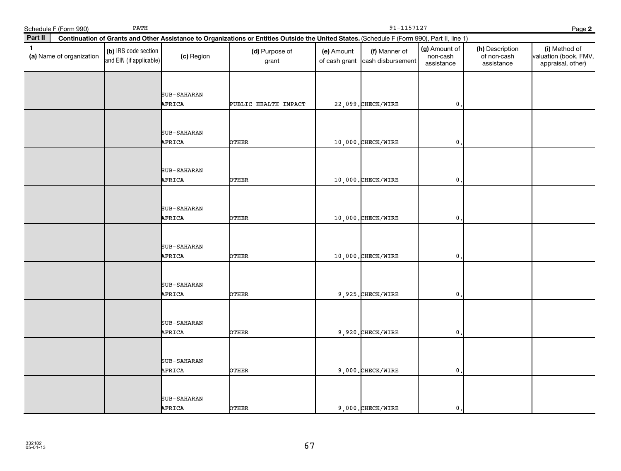| Schedule F (Form 990)                    | PATH                                            |                              |                                                                                                                                              | 91-1157127                  |                                    |                                         |                                              | Page 2                                                      |
|------------------------------------------|-------------------------------------------------|------------------------------|----------------------------------------------------------------------------------------------------------------------------------------------|-----------------------------|------------------------------------|-----------------------------------------|----------------------------------------------|-------------------------------------------------------------|
| Part II                                  |                                                 |                              | Continuation of Grants and Other Assistance to Organizations or Entities Outside the United States. (Schedule F (Form 990), Part II, line 1) |                             |                                    |                                         |                                              |                                                             |
| $\mathbf{1}$<br>(a) Name of organization | (b) IRS code section<br>and EIN (if applicable) | (c) Region                   | (d) Purpose of<br>grant                                                                                                                      | (e) Amount<br>of cash grant | (f) Manner of<br>cash disbursement | (g) Amount of<br>non-cash<br>assistance | (h) Description<br>of non-cash<br>assistance | (i) Method of<br>valuation (book, FMV,<br>appraisal, other) |
|                                          |                                                 | SUB-SAHARAN<br>AFRICA        | PUBLIC HEALTH IMPACT                                                                                                                         |                             | 22,099. CHECK/WIRE                 | $\mathsf{O}\,$ .                        |                                              |                                                             |
|                                          |                                                 | SUB-SAHARAN<br>AFRICA        | <b>DTHER</b>                                                                                                                                 |                             | 10,000. CHECK/WIRE                 | $\mathbf{0}$                            |                                              |                                                             |
|                                          |                                                 | SUB-SAHARAN<br>AFRICA        | OTHER                                                                                                                                        |                             | 10,000. CHECK/WIRE                 | $\mathbf{0}$                            |                                              |                                                             |
|                                          |                                                 | SUB-SAHARAN<br>AFRICA        | <b>PTHER</b>                                                                                                                                 |                             | 10,000.CHECK/WIRE                  | $\mathbf{0}$                            |                                              |                                                             |
|                                          |                                                 | SUB-SAHARAN<br>AFRICA        | OTHER                                                                                                                                        |                             | 10,000. CHECK/WIRE                 | $\mathbf{0}$                            |                                              |                                                             |
|                                          |                                                 | SUB-SAHARAN<br>AFRICA        | <b>PTHER</b>                                                                                                                                 |                             | 9,925. CHECK/WIRE                  | $\mathbf 0$                             |                                              |                                                             |
|                                          |                                                 | <b>SUB-SAHARAN</b><br>AFRICA | <b>PTHER</b>                                                                                                                                 |                             | 9,920. CHECK/WIRE                  | $\mathsf{O}\,$ .                        |                                              |                                                             |
|                                          |                                                 | SUB-SAHARAN<br>AFRICA        | <b>DTHER</b>                                                                                                                                 |                             | 9,000. CHECK/WIRE                  | $\mathbf{0}$                            |                                              |                                                             |
|                                          |                                                 | SUB-SAHARAN<br>AFRICA        | OTHER                                                                                                                                        |                             | 9,000. CHECK/WIRE                  | $\mathbf{0}$ .                          |                                              |                                                             |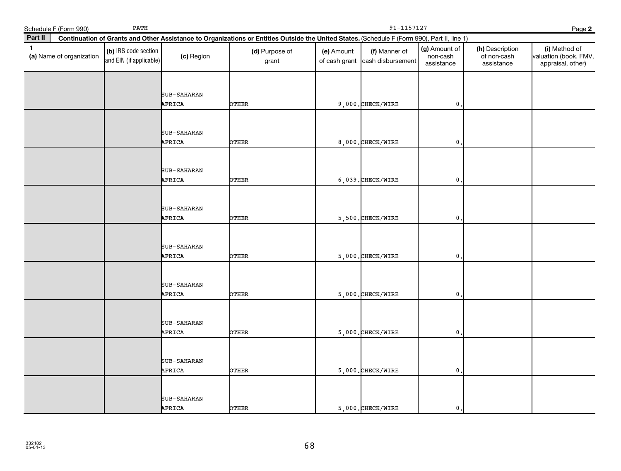| Schedule F (Form 990)                    | PATH                                            |                       |                                                                                                                                              | 91-1157127<br>Page 2        |                                    |                                         |                                              |                                                             |
|------------------------------------------|-------------------------------------------------|-----------------------|----------------------------------------------------------------------------------------------------------------------------------------------|-----------------------------|------------------------------------|-----------------------------------------|----------------------------------------------|-------------------------------------------------------------|
| Part II                                  |                                                 |                       | Continuation of Grants and Other Assistance to Organizations or Entities Outside the United States. (Schedule F (Form 990), Part II, line 1) |                             |                                    |                                         |                                              |                                                             |
| $\mathbf{1}$<br>(a) Name of organization | (b) IRS code section<br>and EIN (if applicable) | (c) Region            | (d) Purpose of<br>grant                                                                                                                      | (e) Amount<br>of cash grant | (f) Manner of<br>cash disbursement | (g) Amount of<br>non-cash<br>assistance | (h) Description<br>of non-cash<br>assistance | (i) Method of<br>valuation (book, FMV,<br>appraisal, other) |
|                                          |                                                 | SUB-SAHARAN<br>AFRICA | OTHER                                                                                                                                        |                             | 9,000. CHECK/WIRE                  | $\mathbf{0}$ .                          |                                              |                                                             |
|                                          |                                                 | SUB-SAHARAN<br>AFRICA | OTHER                                                                                                                                        |                             | 8,000. CHECK/WIRE                  | $\mathbf{0}$                            |                                              |                                                             |
|                                          |                                                 | SUB-SAHARAN<br>AFRICA | <b>DTHER</b>                                                                                                                                 |                             | $6,039.$ CHECK/WIRE                | 0                                       |                                              |                                                             |
|                                          |                                                 | SUB-SAHARAN<br>AFRICA | <b>DTHER</b>                                                                                                                                 |                             | 5,500. CHECK/WIRE                  | $\mathbf{0}$                            |                                              |                                                             |
|                                          |                                                 | SUB-SAHARAN<br>AFRICA | <b>PTHER</b>                                                                                                                                 |                             | $5,000$ . CHECK/WIRE               | $\mathbf{0}$                            |                                              |                                                             |
|                                          |                                                 | SUB-SAHARAN<br>AFRICA | <b>DTHER</b>                                                                                                                                 |                             | 5,000. CHECK/WIRE                  | $\mathbf{0}$                            |                                              |                                                             |
|                                          |                                                 | SUB-SAHARAN<br>AFRICA | <b>DTHER</b>                                                                                                                                 |                             | 5,000. CHECK/WIRE                  | $\mathbf{0}$                            |                                              |                                                             |
|                                          |                                                 | SUB-SAHARAN<br>AFRICA | <b>DTHER</b>                                                                                                                                 |                             | $5,000.$ CHECK/WIRE                | $\mathbf{0}$ .                          |                                              |                                                             |
|                                          |                                                 | SUB-SAHARAN<br>AFRICA | OTHER                                                                                                                                        |                             | 5,000. CHECK/WIRE                  | $\mathbf{0}$ .                          |                                              |                                                             |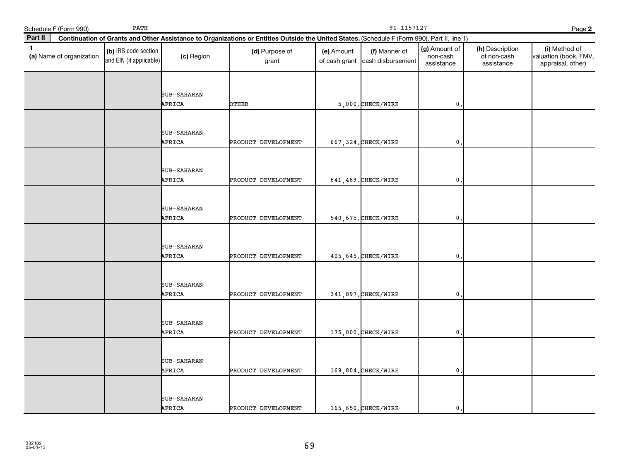|              | Schedule F (Form 990)    | PATH                                            |                       |                                                                                                                                              | 91-1157127<br>Page 2        |                                    |                                         |                                              |                                                             |
|--------------|--------------------------|-------------------------------------------------|-----------------------|----------------------------------------------------------------------------------------------------------------------------------------------|-----------------------------|------------------------------------|-----------------------------------------|----------------------------------------------|-------------------------------------------------------------|
| Part II      |                          |                                                 |                       | Continuation of Grants and Other Assistance to Organizations or Entities Outside the United States. (Schedule F (Form 990), Part II, line 1) |                             |                                    |                                         |                                              |                                                             |
| $\mathbf{1}$ | (a) Name of organization | (b) IRS code section<br>and EIN (if applicable) | (c) Region            | (d) Purpose of<br>grant                                                                                                                      | (e) Amount<br>of cash grant | (f) Manner of<br>cash disbursement | (g) Amount of<br>non-cash<br>assistance | (h) Description<br>of non-cash<br>assistance | (i) Method of<br>valuation (book, FMV,<br>appraisal, other) |
|              |                          |                                                 | SUB-SAHARAN<br>AFRICA | <b>PTHER</b>                                                                                                                                 |                             | 5,000. CHECK/WIRE                  | $\mathbf{0}$                            |                                              |                                                             |
|              |                          |                                                 | SUB-SAHARAN<br>AFRICA | PRODUCT DEVELOPMENT                                                                                                                          |                             | 667, 324. CHECK/WIRE               | $\mathbf{0}$                            |                                              |                                                             |
|              |                          |                                                 | SUB-SAHARAN<br>AFRICA | PRODUCT DEVELOPMENT                                                                                                                          |                             | 641, 489. CHECK/WIRE               | 0                                       |                                              |                                                             |
|              |                          |                                                 | SUB-SAHARAN<br>AFRICA | PRODUCT DEVELOPMENT                                                                                                                          |                             | 540, 675. CHECK/WIRE               | 0                                       |                                              |                                                             |
|              |                          |                                                 | SUB-SAHARAN<br>AFRICA | PRODUCT DEVELOPMENT                                                                                                                          |                             | 405, 645. CHECK/WIRE               | 0                                       |                                              |                                                             |
|              |                          |                                                 | SUB-SAHARAN<br>AFRICA | PRODUCT DEVELOPMENT                                                                                                                          |                             | 341,897. CHECK/WIRE                | $\mathbf{0}$                            |                                              |                                                             |
|              |                          |                                                 | SUB-SAHARAN<br>AFRICA | PRODUCT DEVELOPMENT                                                                                                                          |                             | 175,000. CHECK/WIRE                | $\mathbf{0}$                            |                                              |                                                             |
|              |                          |                                                 | SUB-SAHARAN<br>AFRICA | PRODUCT DEVELOPMENT                                                                                                                          |                             | 169,804. CHECK/WIRE                | 0                                       |                                              |                                                             |
|              |                          |                                                 | SUB-SAHARAN<br>AFRICA | PRODUCT DEVELOPMENT                                                                                                                          |                             | 165,650. CHECK/WIRE                | $\mathbf{0}$                            |                                              |                                                             |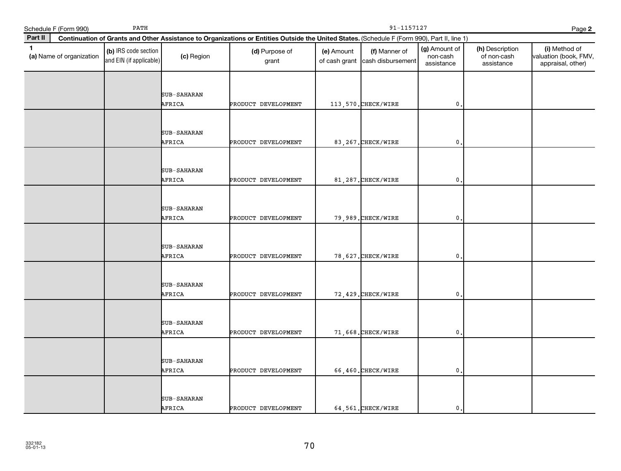| Schedule F (Form 990)                    | PATH                                            |                       |                                                                                                                                              | 91-1157127<br>Page 2        |                                    |                                         |                                              |                                                             |
|------------------------------------------|-------------------------------------------------|-----------------------|----------------------------------------------------------------------------------------------------------------------------------------------|-----------------------------|------------------------------------|-----------------------------------------|----------------------------------------------|-------------------------------------------------------------|
| Part II                                  |                                                 |                       | Continuation of Grants and Other Assistance to Organizations or Entities Outside the United States. (Schedule F (Form 990), Part II, line 1) |                             |                                    |                                         |                                              |                                                             |
| $\mathbf{1}$<br>(a) Name of organization | (b) IRS code section<br>and EIN (if applicable) | (c) Region            | (d) Purpose of<br>grant                                                                                                                      | (e) Amount<br>of cash grant | (f) Manner of<br>cash disbursement | (g) Amount of<br>non-cash<br>assistance | (h) Description<br>of non-cash<br>assistance | (i) Method of<br>valuation (book, FMV,<br>appraisal, other) |
|                                          |                                                 | SUB-SAHARAN<br>AFRICA | PRODUCT DEVELOPMENT                                                                                                                          |                             | 113,570. CHECK/WIRE                | $\mathbf{0}$ .                          |                                              |                                                             |
|                                          |                                                 | SUB-SAHARAN<br>AFRICA | PRODUCT DEVELOPMENT                                                                                                                          |                             | 83, 267. CHECK/WIRE                | $\mathbf{0}$                            |                                              |                                                             |
|                                          |                                                 | SUB-SAHARAN<br>AFRICA | PRODUCT DEVELOPMENT                                                                                                                          |                             | 81,287. CHECK/WIRE                 | $\mathbf{0}$                            |                                              |                                                             |
|                                          |                                                 | SUB-SAHARAN<br>AFRICA | PRODUCT DEVELOPMENT                                                                                                                          |                             | 79,989. CHECK/WIRE                 | $\mathbf 0$                             |                                              |                                                             |
|                                          |                                                 | SUB-SAHARAN<br>AFRICA | PRODUCT DEVELOPMENT                                                                                                                          |                             | 78, 627. CHECK/WIRE                | $\mathbf{0}$                            |                                              |                                                             |
|                                          |                                                 | SUB-SAHARAN<br>AFRICA | PRODUCT DEVELOPMENT                                                                                                                          |                             | 72, 429. CHECK/WIRE                | $\mathbf{0}$                            |                                              |                                                             |
|                                          |                                                 | SUB-SAHARAN<br>AFRICA | PRODUCT DEVELOPMENT                                                                                                                          |                             | 71,668. CHECK/WIRE                 | $\mathbf{0}$ .                          |                                              |                                                             |
|                                          |                                                 | SUB-SAHARAN<br>AFRICA | PRODUCT DEVELOPMENT                                                                                                                          |                             | 66,460. CHECK/WIRE                 | $\mathbf{0}$                            |                                              |                                                             |
|                                          |                                                 | SUB-SAHARAN<br>AFRICA | PRODUCT DEVELOPMENT                                                                                                                          |                             | 64,561. CHECK/WIRE                 | 0,                                      |                                              |                                                             |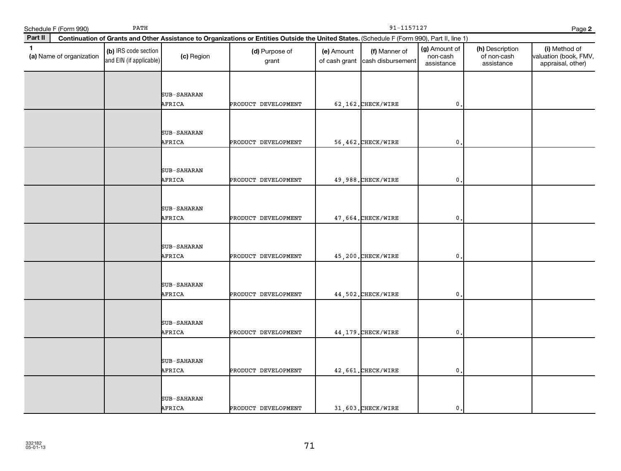|              | Schedule F (Form 990)    | PATH                                            |                       |                                                                                                                                              | 91-1157127<br>Page 2        |                                    |                                         |                                              |                                                             |
|--------------|--------------------------|-------------------------------------------------|-----------------------|----------------------------------------------------------------------------------------------------------------------------------------------|-----------------------------|------------------------------------|-----------------------------------------|----------------------------------------------|-------------------------------------------------------------|
| Part II      |                          |                                                 |                       | Continuation of Grants and Other Assistance to Organizations or Entities Outside the United States. (Schedule F (Form 990), Part II, line 1) |                             |                                    |                                         |                                              |                                                             |
| $\mathbf{1}$ | (a) Name of organization | (b) IRS code section<br>and EIN (if applicable) | (c) Region            | (d) Purpose of<br>grant                                                                                                                      | (e) Amount<br>of cash grant | (f) Manner of<br>cash disbursement | (g) Amount of<br>non-cash<br>assistance | (h) Description<br>of non-cash<br>assistance | (i) Method of<br>valuation (book, FMV,<br>appraisal, other) |
|              |                          |                                                 | SUB-SAHARAN<br>AFRICA | PRODUCT DEVELOPMENT                                                                                                                          |                             | 62,162. CHECK/WIRE                 | $\mathbf{0}$                            |                                              |                                                             |
|              |                          |                                                 | SUB-SAHARAN<br>AFRICA | PRODUCT DEVELOPMENT                                                                                                                          |                             | 56,462. CHECK/WIRE                 | $\mathbf{0}$                            |                                              |                                                             |
|              |                          |                                                 | SUB-SAHARAN<br>AFRICA | PRODUCT DEVELOPMENT                                                                                                                          |                             | 49,988. CHECK/WIRE                 | 0                                       |                                              |                                                             |
|              |                          |                                                 | SUB-SAHARAN<br>AFRICA | PRODUCT DEVELOPMENT                                                                                                                          |                             | 47,664. CHECK/WIRE                 | 0                                       |                                              |                                                             |
|              |                          |                                                 | SUB-SAHARAN<br>AFRICA | PRODUCT DEVELOPMENT                                                                                                                          |                             | 45,200.CHECK/WIRE                  | 0                                       |                                              |                                                             |
|              |                          |                                                 | SUB-SAHARAN<br>AFRICA | PRODUCT DEVELOPMENT                                                                                                                          |                             | 44,502. CHECK/WIRE                 | $\mathbf{0}$                            |                                              |                                                             |
|              |                          |                                                 | SUB-SAHARAN<br>AFRICA | PRODUCT DEVELOPMENT                                                                                                                          |                             | 44, 179. CHECK/WIRE                | $\mathbf{0}$                            |                                              |                                                             |
|              |                          |                                                 | SUB-SAHARAN<br>AFRICA | PRODUCT DEVELOPMENT                                                                                                                          |                             | 42,661. CHECK/WIRE                 | 0                                       |                                              |                                                             |
|              |                          |                                                 | SUB-SAHARAN<br>AFRICA | PRODUCT DEVELOPMENT                                                                                                                          |                             | 31,603. CHECK/WIRE                 | $\mathbf{0}$                            |                                              |                                                             |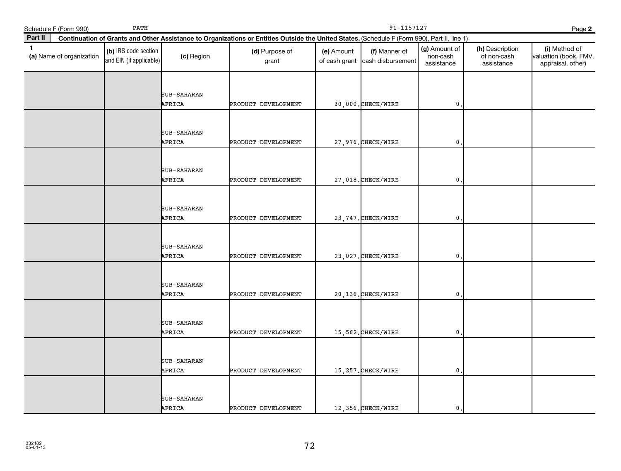| Schedule F (Form 990)                    | PATH                                            |                              |                                                                                                                                              | 91-1157127<br>Page 2        |                                    |                                         |                                              |                                                             |  |  |
|------------------------------------------|-------------------------------------------------|------------------------------|----------------------------------------------------------------------------------------------------------------------------------------------|-----------------------------|------------------------------------|-----------------------------------------|----------------------------------------------|-------------------------------------------------------------|--|--|
| Part II                                  |                                                 |                              | Continuation of Grants and Other Assistance to Organizations or Entities Outside the United States. (Schedule F (Form 990), Part II, line 1) |                             |                                    |                                         |                                              |                                                             |  |  |
| $\mathbf{1}$<br>(a) Name of organization | (b) IRS code section<br>and EIN (if applicable) | (c) Region                   | (d) Purpose of<br>grant                                                                                                                      | (e) Amount<br>of cash grant | (f) Manner of<br>cash disbursement | (g) Amount of<br>non-cash<br>assistance | (h) Description<br>of non-cash<br>assistance | (i) Method of<br>valuation (book, FMV,<br>appraisal, other) |  |  |
|                                          |                                                 | <b>SUB-SAHARAN</b><br>AFRICA | PRODUCT DEVELOPMENT                                                                                                                          |                             | 30,000. CHECK/WIRE                 | $\mathbf 0$ .                           |                                              |                                                             |  |  |
|                                          |                                                 | SUB-SAHARAN<br>AFRICA        | PRODUCT DEVELOPMENT                                                                                                                          |                             | 27,976. CHECK/WIRE                 | $\mathbf 0$                             |                                              |                                                             |  |  |
|                                          |                                                 | SUB-SAHARAN<br>AFRICA        | PRODUCT DEVELOPMENT                                                                                                                          |                             | 27,018. CHECK/WIRE                 | 0                                       |                                              |                                                             |  |  |
|                                          |                                                 | SUB-SAHARAN<br>AFRICA        | PRODUCT DEVELOPMENT                                                                                                                          |                             | 23, 747. CHECK/WIRE                | $\mathbf{0}$                            |                                              |                                                             |  |  |
|                                          |                                                 | SUB-SAHARAN<br>AFRICA        | PRODUCT DEVELOPMENT                                                                                                                          |                             | 23,027. CHECK/WIRE                 | 0                                       |                                              |                                                             |  |  |
|                                          |                                                 | <b>SUB-SAHARAN</b><br>AFRICA | PRODUCT DEVELOPMENT                                                                                                                          |                             | 20,136.CHECK/WIRE                  | $\mathbf{0}$ .                          |                                              |                                                             |  |  |
|                                          |                                                 | SUB-SAHARAN<br>AFRICA        | PRODUCT DEVELOPMENT                                                                                                                          |                             | 15,562. CHECK/WIRE                 | $\mathbf{0}$                            |                                              |                                                             |  |  |
|                                          |                                                 | SUB-SAHARAN<br>AFRICA        | PRODUCT DEVELOPMENT                                                                                                                          |                             | 15, 257. CHECK/WIRE                | 0                                       |                                              |                                                             |  |  |
|                                          |                                                 | SUB-SAHARAN<br>AFRICA        | PRODUCT DEVELOPMENT                                                                                                                          |                             | 12,356. CHECK/WIRE                 | $\mathbf{0}$ .                          |                                              |                                                             |  |  |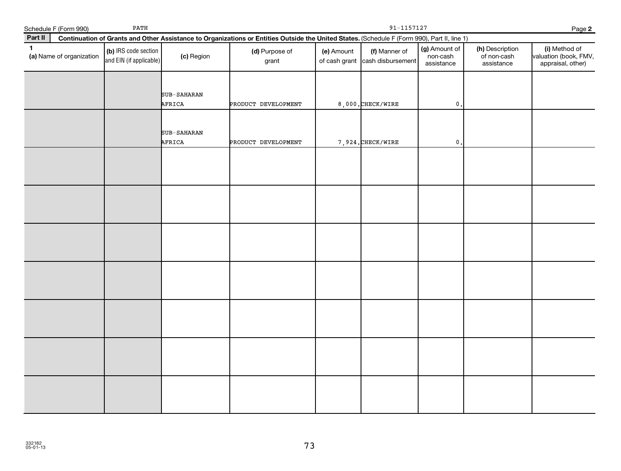|              | Schedule F (Form 990)    | $\ensuremath{\mathrm{PATH}}$                    |                       |                                                                                                                                              |            | $91 - 1157127$                                   |                                         |                                              | Page 2                                                      |
|--------------|--------------------------|-------------------------------------------------|-----------------------|----------------------------------------------------------------------------------------------------------------------------------------------|------------|--------------------------------------------------|-----------------------------------------|----------------------------------------------|-------------------------------------------------------------|
| Part II      |                          |                                                 |                       | Continuation of Grants and Other Assistance to Organizations or Entities Outside the United States. (Schedule F (Form 990), Part II, line 1) |            |                                                  |                                         |                                              |                                                             |
| $\mathbf{1}$ | (a) Name of organization | (b) IRS code section<br>and EIN (if applicable) | (c) Region            | (d) Purpose of<br>grant                                                                                                                      | (e) Amount | (f) Manner of<br>of cash grant cash disbursement | (g) Amount of<br>non-cash<br>assistance | (h) Description<br>of non-cash<br>assistance | (i) Method of<br>valuation (book, FMV,<br>appraisal, other) |
|              |                          |                                                 | SUB-SAHARAN<br>AFRICA | PRODUCT DEVELOPMENT                                                                                                                          |            | 8,000. CHECK/WIRE                                | $\mathsf{0}$ .                          |                                              |                                                             |
|              |                          |                                                 | SUB-SAHARAN<br>AFRICA | PRODUCT DEVELOPMENT                                                                                                                          |            | 7,924. CHECK/WIRE                                | $\mathbf 0$ .                           |                                              |                                                             |
|              |                          |                                                 |                       |                                                                                                                                              |            |                                                  |                                         |                                              |                                                             |
|              |                          |                                                 |                       |                                                                                                                                              |            |                                                  |                                         |                                              |                                                             |
|              |                          |                                                 |                       |                                                                                                                                              |            |                                                  |                                         |                                              |                                                             |
|              |                          |                                                 |                       |                                                                                                                                              |            |                                                  |                                         |                                              |                                                             |
|              |                          |                                                 |                       |                                                                                                                                              |            |                                                  |                                         |                                              |                                                             |
|              |                          |                                                 |                       |                                                                                                                                              |            |                                                  |                                         |                                              |                                                             |
|              |                          |                                                 |                       |                                                                                                                                              |            |                                                  |                                         |                                              |                                                             |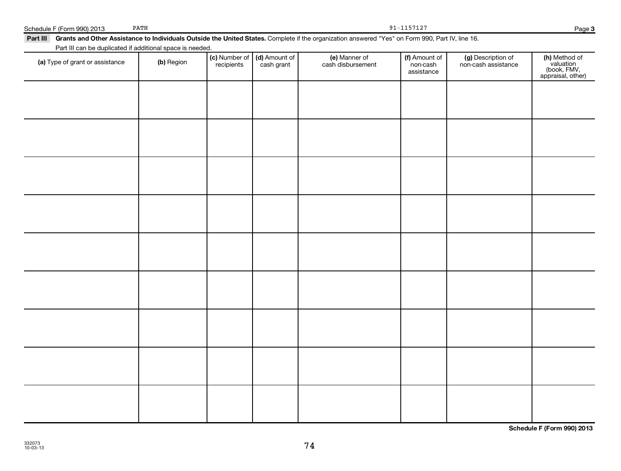| (a) Type of grant or assistance | (b) Region | (c) Number of (d) Amount of recipients cash grant | e) Manner of<br>cash disbursement | (f) Amount of<br>non-cash<br>assistance | (g) Description of<br>non-cash assistance | (h) Method of<br>valuation<br>(book, FMV,<br>appraisal, other) |
|---------------------------------|------------|---------------------------------------------------|-----------------------------------|-----------------------------------------|-------------------------------------------|----------------------------------------------------------------|
|                                 |            |                                                   |                                   |                                         |                                           |                                                                |
|                                 |            |                                                   |                                   |                                         |                                           |                                                                |
|                                 |            |                                                   |                                   |                                         |                                           |                                                                |
|                                 |            |                                                   |                                   |                                         |                                           |                                                                |
|                                 |            |                                                   |                                   |                                         |                                           |                                                                |
|                                 |            |                                                   |                                   |                                         |                                           |                                                                |
|                                 |            |                                                   |                                   |                                         |                                           |                                                                |
|                                 |            |                                                   |                                   |                                         |                                           |                                                                |
|                                 |            |                                                   |                                   |                                         |                                           |                                                                |
|                                 |            |                                                   |                                   |                                         |                                           |                                                                |

74

**3**

| $ -$<br>orm 990) 2013<br>Schedule F (Form | PATH | --------<br>1 ± 4<br><u>_</u> | Page |  |
|-------------------------------------------|------|-------------------------------|------|--|
|                                           |      |                               |      |  |

#### **Part III Grants and Other Assistance to Individuals Outside the United States.**  Complete if the organization answered "Yes" on Form 990, Part IV, line 16. PATH 91-1157127

Part III can be duplicated if additional space is needed.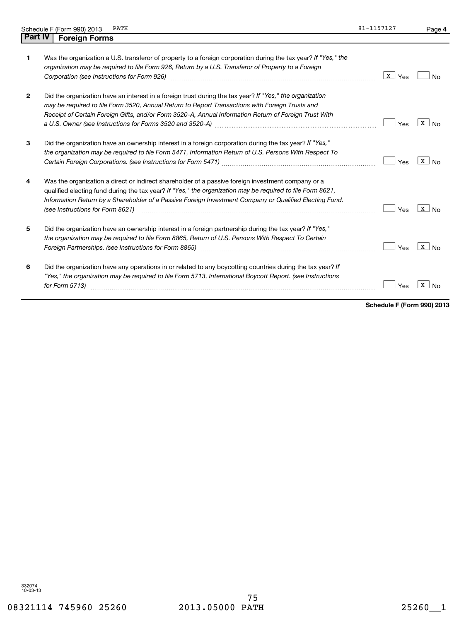|                | PATH<br>Schedule F (Form 990) 2013                                                                                                                                                                                                                                                                                                                              | 91-1157127             | Page 4            |
|----------------|-----------------------------------------------------------------------------------------------------------------------------------------------------------------------------------------------------------------------------------------------------------------------------------------------------------------------------------------------------------------|------------------------|-------------------|
| <b>Part IV</b> | <b>Foreign Forms</b>                                                                                                                                                                                                                                                                                                                                            |                        |                   |
| 1              | Was the organization a U.S. transferor of property to a foreign corporation during the tax year? If "Yes," the<br>organization may be required to file Form 926, Return by a U.S. Transferor of Property to a Foreign<br>Corporation (see Instructions for Form 926) [11] matter continuum matter of the Instruction (see Instructions for Form 926)            | $\vert x \vert$<br>Yes | <b>No</b>         |
| 2              | Did the organization have an interest in a foreign trust during the tax year? If "Yes," the organization<br>may be required to file Form 3520, Annual Return to Report Transactions with Foreign Trusts and<br>Receipt of Certain Foreign Gifts, and/or Form 3520-A, Annual Information Return of Foreign Trust With                                            | Yes                    | $X$ No            |
| 3              | Did the organization have an ownership interest in a foreign corporation during the tax year? If "Yes,"<br>the organization may be required to file Form 5471, Information Return of U.S. Persons With Respect To                                                                                                                                               | Yes                    | $\mathbf{X}$   No |
| 4              | Was the organization a direct or indirect shareholder of a passive foreign investment company or a<br>qualified electing fund during the tax year? If "Yes," the organization may be required to file Form 8621,<br>Information Return by a Shareholder of a Passive Foreign Investment Company or Qualified Electing Fund.<br>(see Instructions for Form 8621) | Yes                    | $X \cup No$       |
| 5              | Did the organization have an ownership interest in a foreign partnership during the tax year? If "Yes,"<br>the organization may be required to file Form 8865, Return of U.S. Persons With Respect To Certain                                                                                                                                                   | Yes                    | x  <br>No         |
| 6              | Did the organization have any operations in or related to any boycotting countries during the tax year? If<br>"Yes," the organization may be required to file Form 5713, International Boycott Report. (see Instructions<br>for Form 5713)                                                                                                                      | Yes                    | х                 |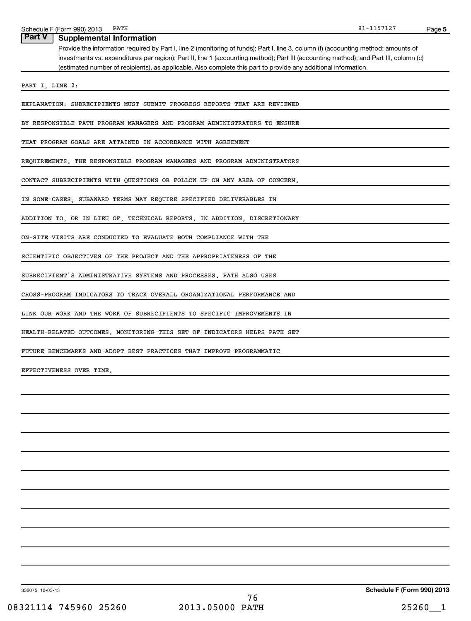Provide the information required by Part I, line 2 (monitoring of funds); Part I, line 3, column (f) (accounting method; amounts of investments vs. expenditures per region); Part II, line 1 (accounting method); Part III (accounting method); and Part III, column (c) (estimated number of recipients), as applicable. Also complete this part to provide any additional information. **Part V** | Supplemental Information

PART I, LINE 2:

EXPLANATION: SUBRECIPIENTS MUST SUBMIT PROGRESS REPORTS THAT ARE REVIEWED

BY RESPONSIBLE PATH PROGRAM MANAGERS AND PROGRAM ADMINISTRATORS TO ENSURE

THAT PROGRAM GOALS ARE ATTAINED IN ACCORDANCE WITH AGREEMENT

REQUIREMENTS. THE RESPONSIBLE PROGRAM MANAGERS AND PROGRAM ADMINISTRATORS

CONTACT SUBRECIPIENTS WITH QUESTIONS OR FOLLOW UP ON ANY AREA OF CONCERN.

IN SOME CASES, SUBAWARD TERMS MAY REQUIRE SPECIFIED DELIVERABLES IN

ADDITION TO, OR IN LIEU OF, TECHNICAL REPORTS. IN ADDITION, DISCRETIONARY

ON-SITE VISITS ARE CONDUCTED TO EVALUATE BOTH COMPLIANCE WITH THE

SCIENTIFIC OBJECTIVES OF THE PROJECT AND THE APPROPRIATENESS OF THE

SUBRECIPIENT'S ADMINISTRATIVE SYSTEMS AND PROCESSES. PATH ALSO USES

CROSS-PROGRAM INDICATORS TO TRACK OVERALL ORGANIZATIONAL PERFORMANCE AND

LINK OUR WORK AND THE WORK OF SUBRECIPIENTS TO SPECIFIC IMPROVEMENTS IN

HEALTH-RELATED OUTCOMES. MONITORING THIS SET OF INDICATORS HELPS PATH SET

FUTURE BENCHMARKS AND ADOPT BEST PRACTICES THAT IMPROVE PROGRAMMATIC

EFFECTIVENESS OVER TIME.

91-1157127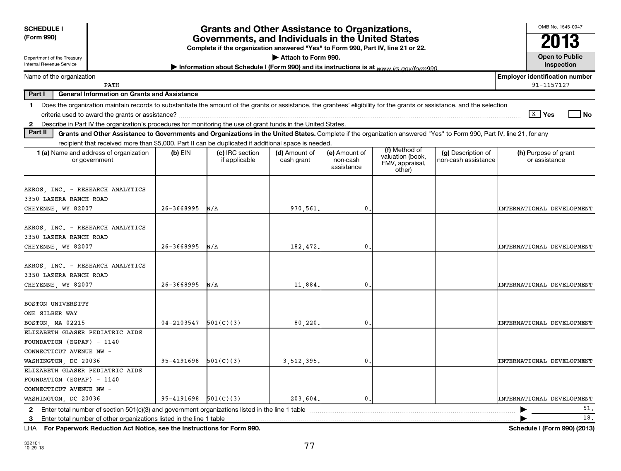| <b>SCHEDULE I</b><br>(Form 990)                                                                                                                                                                                                                                                                                |                            | Grants and Other Assistance to Organizations,<br>Governments, and Individuals in the United States<br>Complete if the organization answered "Yes" to Form 990, Part IV, line 21 or 22. |                             |                                         |                                                                |                                           | OMB No. 1545-0047<br>2013                           |
|----------------------------------------------------------------------------------------------------------------------------------------------------------------------------------------------------------------------------------------------------------------------------------------------------------------|----------------------------|----------------------------------------------------------------------------------------------------------------------------------------------------------------------------------------|-----------------------------|-----------------------------------------|----------------------------------------------------------------|-------------------------------------------|-----------------------------------------------------|
| Department of the Treasury<br>Internal Revenue Service                                                                                                                                                                                                                                                         |                            | Information about Schedule I (Form 990) and its instructions is at www irs gov/form990                                                                                                 | Attach to Form 990.         |                                         |                                                                |                                           | <b>Open to Public</b><br>Inspection                 |
| Name of the organization<br>PATH                                                                                                                                                                                                                                                                               |                            |                                                                                                                                                                                        |                             |                                         |                                                                |                                           | <b>Employer identification number</b><br>91-1157127 |
| Part I<br><b>General Information on Grants and Assistance</b>                                                                                                                                                                                                                                                  |                            |                                                                                                                                                                                        |                             |                                         |                                                                |                                           |                                                     |
| Does the organization maintain records to substantiate the amount of the grants or assistance, the grantees' eligibility for the grants or assistance, and the selection<br>1<br>Describe in Part IV the organization's procedures for monitoring the use of grant funds in the United States.<br>$\mathbf{2}$ |                            |                                                                                                                                                                                        |                             |                                         |                                                                |                                           | $\sqrt{\mathbf{x}}$ Yes<br>l No                     |
| Part II<br>Grants and Other Assistance to Governments and Organizations in the United States. Complete if the organization answered "Yes" to Form 990, Part IV, line 21, for any                                                                                                                               |                            |                                                                                                                                                                                        |                             |                                         |                                                                |                                           |                                                     |
| recipient that received more than \$5,000. Part II can be duplicated if additional space is needed.<br>1 (a) Name and address of organization<br>or government                                                                                                                                                 | $(b)$ EIN                  | (c) IRC section<br>if applicable                                                                                                                                                       | (d) Amount of<br>cash grant | (e) Amount of<br>non-cash<br>assistance | (f) Method of<br>valuation (book,<br>FMV, appraisal,<br>other) | (g) Description of<br>non-cash assistance | (h) Purpose of grant<br>or assistance               |
| AKROS, INC. - RESEARCH ANALYTICS<br>3350 LAZERA RANCH ROAD<br>CHEYENNE, WY 82007                                                                                                                                                                                                                               | $26 - 3668995$             | N/A                                                                                                                                                                                    | 970,561                     | 0                                       |                                                                |                                           | INTERNATIONAL DEVELOPMENT                           |
| AKROS, INC. - RESEARCH ANALYTICS<br>3350 LAZERA RANCH ROAD<br>CHEYENNE, WY 82007                                                                                                                                                                                                                               | $26 - 3668995$             | N/A                                                                                                                                                                                    | 182,472.                    | 0                                       |                                                                |                                           | INTERNATIONAL DEVELOPMENT                           |
| AKROS, INC. - RESEARCH ANALYTICS<br>3350 LAZERA RANCH ROAD<br>CHEYENNE, WY 82007                                                                                                                                                                                                                               | $26 - 3668995$             | N/A                                                                                                                                                                                    | 11,884                      | 0                                       |                                                                |                                           | INTERNATIONAL DEVELOPMENT                           |
| <b>BOSTON UNIVERSITY</b><br>ONE SILBER WAY<br>BOSTON, MA 02215                                                                                                                                                                                                                                                 | $04 - 2103547$             | 501(C)(3)                                                                                                                                                                              | 80,220                      | 0                                       |                                                                |                                           | INTERNATIONAL DEVELOPMENT                           |
| ELIZABETH GLASER PEDIATRIC AIDS<br>FOUNDATION (EGPAF) - 1140<br>CONNECTICUT AVENUE NW -                                                                                                                                                                                                                        |                            |                                                                                                                                                                                        |                             |                                         |                                                                |                                           |                                                     |
| WASHINGTON, DC 20036<br>ELIZABETH GLASER PEDIATRIC AIDS<br>FOUNDATION (EGPAF) - 1140<br>CONNECTICUT AVENUE NW -                                                                                                                                                                                                | 95-4191698                 | 501(C)(3)                                                                                                                                                                              | 3,512,395                   | 0                                       |                                                                |                                           | INTERNATIONAL DEVELOPMENT                           |
| WASHINGTON, DC 20036                                                                                                                                                                                                                                                                                           | $95 - 4191698$ $501(C)(3)$ |                                                                                                                                                                                        | 203,604,                    | 0                                       |                                                                |                                           | INTERNATIONAL DEVELOPMENT                           |
| 2 Enter total number of section $501(c)(3)$ and government organizations listed in the line 1 table<br>-3<br>LHA For Paperwork Reduction Act Notice, see the Instructions for Form 990.                                                                                                                        |                            |                                                                                                                                                                                        |                             |                                         |                                                                |                                           | 51.<br>18.<br>Schedule I (Form 990) (2013)          |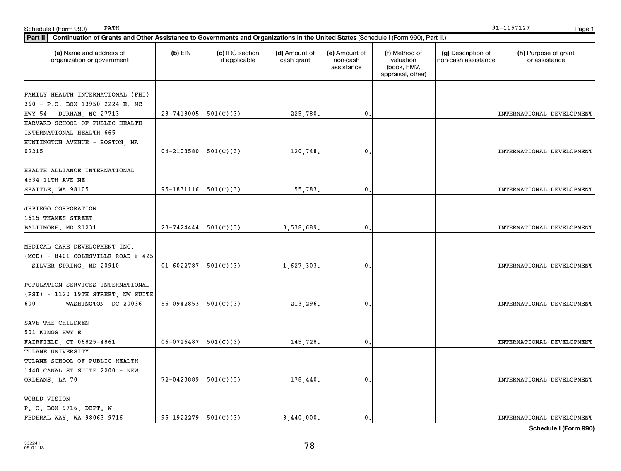| (a) Name and address of<br>organization or government | $(b)$ EIN                  | (c) IRC section<br>if applicable | (d) Amount of<br>cash grant | (e) Amount of<br>non-cash<br>assistance | (f) Method of<br>valuation<br>(book, FMV,<br>appraisal, other) | (g) Description of<br>non-cash assistance | (h) Purpose of grant<br>or assistance |
|-------------------------------------------------------|----------------------------|----------------------------------|-----------------------------|-----------------------------------------|----------------------------------------------------------------|-------------------------------------------|---------------------------------------|
| FAMILY HEALTH INTERNATIONAL (FHI)                     |                            |                                  |                             |                                         |                                                                |                                           |                                       |
| 360 - P.O. BOX 13950 2224 E. NC                       |                            |                                  |                             |                                         |                                                                |                                           |                                       |
| HWY 54 - DURHAM, NC 27713                             | $23 - 7413005$ $501(C)(3)$ |                                  | 225,780.                    | $\mathbf{0}$ .                          |                                                                |                                           | INTERNATIONAL DEVELOPMENT             |
| HARVARD SCHOOL OF PUBLIC HEALTH                       |                            |                                  |                             |                                         |                                                                |                                           |                                       |
| INTERNATIONAL HEALTH 665                              |                            |                                  |                             |                                         |                                                                |                                           |                                       |
| HUNTINGTON AVENUE - BOSTON, MA                        |                            |                                  |                             |                                         |                                                                |                                           |                                       |
| 02215                                                 | $04 - 2103580$             | 501(C)(3)                        | 120,748                     | $\mathbf{0}$ .                          |                                                                |                                           | INTERNATIONAL DEVELOPMENT             |
| HEALTH ALLIANCE INTERNATIONAL                         |                            |                                  |                             |                                         |                                                                |                                           |                                       |
| 4534 11TH AVE NE                                      |                            |                                  |                             |                                         |                                                                |                                           |                                       |
| SEATTLE, WA 98105                                     | $95-1831116$ $501(C)(3)$   |                                  | 55,783                      | $\mathbf 0$ .                           |                                                                |                                           | INTERNATIONAL DEVELOPMENT             |
| JHPIEGO CORPORATION                                   |                            |                                  |                             |                                         |                                                                |                                           |                                       |
| 1615 THAMES STREET                                    |                            |                                  |                             |                                         |                                                                |                                           |                                       |
| BALTIMORE, MD 21231                                   | $23 - 7424444$ $501(C)(3)$ |                                  | 3,538,689                   | $\mathbf{0}$ .                          |                                                                |                                           | INTERNATIONAL DEVELOPMENT             |
|                                                       |                            |                                  |                             |                                         |                                                                |                                           |                                       |
| MEDICAL CARE DEVELOPMENT INC.                         |                            |                                  |                             |                                         |                                                                |                                           |                                       |
| (MCD) - 8401 COLESVILLE ROAD # 425                    |                            |                                  |                             |                                         |                                                                |                                           |                                       |
| - SILVER SPRING, MD 20910                             | 01-6022787                 | 501(C)(3)                        | 1,627,303,                  | 0.                                      |                                                                |                                           | INTERNATIONAL DEVELOPMENT             |
| POPULATION SERVICES INTERNATIONAL                     |                            |                                  |                             |                                         |                                                                |                                           |                                       |
| (PSI) - 1120 19TH STREET, NW SUITE                    |                            |                                  |                             |                                         |                                                                |                                           |                                       |
| - WASHINGTON, DC 20036<br>600                         | 56-0942853 $501(C)(3)$     |                                  | 213,296.                    | $\mathbf{0}$ .                          |                                                                |                                           | INTERNATIONAL DEVELOPMENT             |
| SAVE THE CHILDREN                                     |                            |                                  |                             |                                         |                                                                |                                           |                                       |
| 501 KINGS HWY E                                       |                            |                                  |                             |                                         |                                                                |                                           |                                       |
| FAIRFIELD, CT 06825-4861                              | $06-0726487$ 501(C)(3)     |                                  | 145,728.                    | $\mathbf{0}$ .                          |                                                                |                                           | INTERNATIONAL DEVELOPMENT             |
| TULANE UNIVERSITY                                     |                            |                                  |                             |                                         |                                                                |                                           |                                       |
| TULANE SCHOOL OF PUBLIC HEALTH                        |                            |                                  |                             |                                         |                                                                |                                           |                                       |
| 1440 CANAL ST SUITE 2200 - NEW                        |                            |                                  |                             |                                         |                                                                |                                           |                                       |
| ORLEANS, LA 70                                        | 72-0423889                 | 501(C)(3)                        | 178,440                     | $\mathbf{0}$ .                          |                                                                |                                           | INTERNATIONAL DEVELOPMENT             |
| WORLD VISION                                          |                            |                                  |                             |                                         |                                                                |                                           |                                       |
| P. O. BOX 9716, DEPT. W                               |                            |                                  |                             |                                         |                                                                |                                           |                                       |
| FEDERAL WAY, WA 98063-9716                            | $95-1922279$ $501(C)(3)$   |                                  | 3,440,000.                  | $\mathbf{0}$ .                          |                                                                |                                           | INTERNATIONAL DEVELOPMENT             |
|                                                       |                            |                                  |                             |                                         |                                                                |                                           |                                       |

**Part II Continuation of Grants and Other Assistance to Governments and Organizations in the United States**  (Schedule I (Form 990), Part II.)

**Schedule I (Form 990)**

PATH 91-1157127

Schedule I (Form 990) PATH Page 1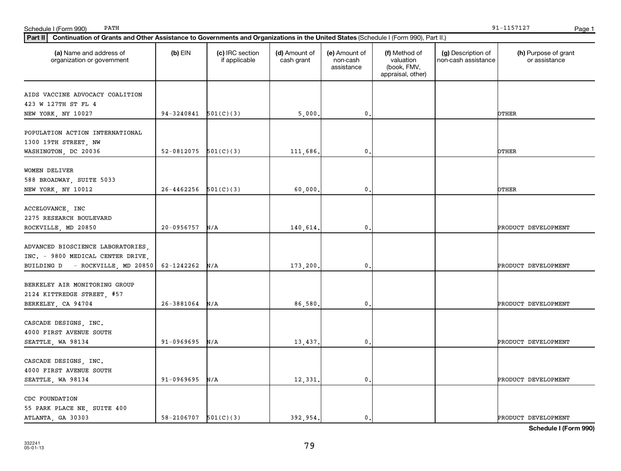| Part II   Continuation of Grants and Other Assistance to Governments and Organizations in the United States (Schedule I (Form 990), Part II.) |                            |                                  |                             |                                         |                                                                |                                           |                                       |
|-----------------------------------------------------------------------------------------------------------------------------------------------|----------------------------|----------------------------------|-----------------------------|-----------------------------------------|----------------------------------------------------------------|-------------------------------------------|---------------------------------------|
| (a) Name and address of<br>organization or government                                                                                         | $(b)$ EIN                  | (c) IRC section<br>if applicable | (d) Amount of<br>cash grant | (e) Amount of<br>non-cash<br>assistance | (f) Method of<br>valuation<br>(book, FMV,<br>appraisal, other) | (g) Description of<br>non-cash assistance | (h) Purpose of grant<br>or assistance |
| AIDS VACCINE ADVOCACY COALITION                                                                                                               |                            |                                  |                             |                                         |                                                                |                                           |                                       |
| 423 W 127TH ST FL 4                                                                                                                           |                            |                                  |                             |                                         |                                                                |                                           |                                       |
| NEW YORK, NY 10027                                                                                                                            | 94-3240841                 | 501(C)(3)                        | 5,000.                      | $\mathbf{0}$                            |                                                                |                                           | OTHER                                 |
| POPULATION ACTION INTERNATIONAL<br>1300 19TH STREET, NW                                                                                       |                            |                                  |                             |                                         |                                                                |                                           |                                       |
| WASHINGTON, DC 20036                                                                                                                          | 52-0812075                 | 501(C)(3)                        | 111,686.                    | $\mathbf{0}$                            |                                                                |                                           | OTHER                                 |
| WOMEN DELIVER<br>588 BROADWAY, SUITE 5033                                                                                                     |                            |                                  |                             |                                         |                                                                |                                           |                                       |
| NEW YORK, NY 10012                                                                                                                            | $26 - 4462256$             | 501(C)(3)                        | 60,000.                     | $\mathbf{0}$                            |                                                                |                                           | OTHER                                 |
| ACCELOVANCE, INC<br>2275 RESEARCH BOULEVARD                                                                                                   |                            |                                  |                             |                                         |                                                                |                                           |                                       |
| ROCKVILLE, MD 20850                                                                                                                           | 20-0956757                 | N/A                              | 140,614.                    | $\mathbf 0$ .                           |                                                                |                                           | PRODUCT DEVELOPMENT                   |
| ADVANCED BIOSCIENCE LABORATORIES,<br>INC. - 9800 MEDICAL CENTER DRIVE,<br>BUILDING D - ROCKVILLE, MD 20850                                    | 62-1242262                 | N/A                              | 173,200.                    | $\mathbf{0}$                            |                                                                |                                           | PRODUCT DEVELOPMENT                   |
|                                                                                                                                               |                            |                                  |                             |                                         |                                                                |                                           |                                       |
| BERKELEY AIR MONITORING GROUP<br>2124 KITTREDGE STREET, #57                                                                                   |                            |                                  |                             |                                         |                                                                |                                           |                                       |
| BERKELEY, CA 94704                                                                                                                            | 26-3881064                 | N/A                              | 86,580.                     | $\mathbf 0$ .                           |                                                                |                                           | PRODUCT DEVELOPMENT                   |
| CASCADE DESIGNS, INC.<br>4000 FIRST AVENUE SOUTH                                                                                              |                            |                                  |                             |                                         |                                                                |                                           |                                       |
| SEATTLE, WA 98134                                                                                                                             | 91-0969695                 | N/A                              | 13,437.                     | $\mathbf{0}$                            |                                                                |                                           | PRODUCT DEVELOPMENT                   |
| CASCADE DESIGNS, INC.<br>4000 FIRST AVENUE SOUTH                                                                                              |                            |                                  |                             |                                         |                                                                |                                           |                                       |
| SEATTLE, WA 98134                                                                                                                             | 91-0969695                 | N/A                              | 12,331.                     | $\mathbf{0}$                            |                                                                |                                           | PRODUCT DEVELOPMENT                   |
|                                                                                                                                               |                            |                                  |                             |                                         |                                                                |                                           |                                       |
| CDC FOUNDATION<br>55 PARK PLACE NE, SUITE 400                                                                                                 |                            |                                  |                             |                                         |                                                                |                                           |                                       |
| ATLANTA, GA 30303                                                                                                                             | $58 - 2106707$ $501(C)(3)$ |                                  | 392,954.                    | 0.                                      |                                                                |                                           | PRODUCT DEVELOPMENT                   |

Schedule I (Form 990) Page 1 PATH 91-1157127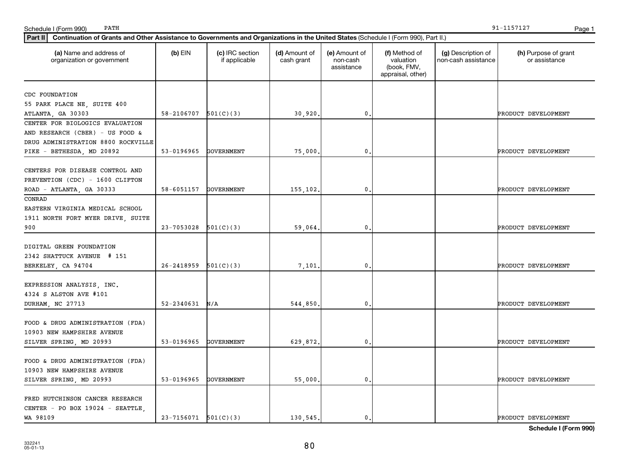| (a) Name and address of<br>organization or government | $(b)$ EIN                  | (c) IRC section<br>if applicable | (d) Amount of<br>cash grant | (e) Amount of<br>non-cash<br>assistance | (f) Method of<br>valuation<br>(book, FMV,<br>appraisal, other) | (g) Description of<br>non-cash assistance | (h) Purpose of grant<br>or assistance |
|-------------------------------------------------------|----------------------------|----------------------------------|-----------------------------|-----------------------------------------|----------------------------------------------------------------|-------------------------------------------|---------------------------------------|
| CDC FOUNDATION                                        |                            |                                  |                             |                                         |                                                                |                                           |                                       |
| 55 PARK PLACE NE, SUITE 400                           |                            |                                  |                             |                                         |                                                                |                                           |                                       |
| ATLANTA, GA 30303                                     | 58-2106707                 | 501(C)(3)                        | 30,920.                     | 0                                       |                                                                |                                           | PRODUCT DEVELOPMENT                   |
| CENTER FOR BIOLOGICS EVALUATION                       |                            |                                  |                             |                                         |                                                                |                                           |                                       |
| AND RESEARCH (CBER) - US FOOD &                       |                            |                                  |                             |                                         |                                                                |                                           |                                       |
| DRUG ADMINISTRATION 8800 ROCKVILLE                    |                            |                                  |                             |                                         |                                                                |                                           |                                       |
| PIKE - BETHESDA, MD 20892                             | 53-0196965                 | <b>GOVERNMENT</b>                | 75,000,                     | 0                                       |                                                                |                                           | PRODUCT DEVELOPMENT                   |
|                                                       |                            |                                  |                             |                                         |                                                                |                                           |                                       |
| CENTERS FOR DISEASE CONTROL AND                       |                            |                                  |                             |                                         |                                                                |                                           |                                       |
| PREVENTION (CDC) - 1600 CLIFTON                       |                            |                                  |                             |                                         |                                                                |                                           |                                       |
| ROAD - ATLANTA, GA 30333                              | 58-6051157                 | GOVERNMENT                       | 155,102.                    | 0                                       |                                                                |                                           | PRODUCT DEVELOPMENT                   |
| CONRAD                                                |                            |                                  |                             |                                         |                                                                |                                           |                                       |
| EASTERN VIRGINIA MEDICAL SCHOOL                       |                            |                                  |                             |                                         |                                                                |                                           |                                       |
| 1911 NORTH FORT MYER DRIVE, SUITE                     |                            |                                  |                             |                                         |                                                                |                                           |                                       |
| 900                                                   | 23-7053028                 | 501(C)(3)                        | 59,064.                     | 0                                       |                                                                |                                           | PRODUCT DEVELOPMENT                   |
|                                                       |                            |                                  |                             |                                         |                                                                |                                           |                                       |
| DIGITAL GREEN FOUNDATION                              |                            |                                  |                             |                                         |                                                                |                                           |                                       |
| 2342 SHATTUCK AVENUE # 151                            |                            |                                  |                             |                                         |                                                                |                                           |                                       |
| BERKELEY, CA 94704                                    | $26 - 2418959$             | 501(C)(3)                        | 7,101,                      | 0                                       |                                                                |                                           | PRODUCT DEVELOPMENT                   |
|                                                       |                            |                                  |                             |                                         |                                                                |                                           |                                       |
| EXPRESSION ANALYSIS, INC.                             |                            |                                  |                             |                                         |                                                                |                                           |                                       |
| 4324 S ALSTON AVE #101                                |                            |                                  |                             |                                         |                                                                |                                           |                                       |
| DURHAM, NC 27713                                      | 52-2340631                 | N/A                              | 544,850.                    | 0                                       |                                                                |                                           | PRODUCT DEVELOPMENT                   |
|                                                       |                            |                                  |                             |                                         |                                                                |                                           |                                       |
| FOOD & DRUG ADMINISTRATION (FDA)                      |                            |                                  |                             |                                         |                                                                |                                           |                                       |
| 10903 NEW HAMPSHIRE AVENUE                            |                            |                                  |                             |                                         |                                                                |                                           |                                       |
| SILVER SPRING, MD 20993                               | 53-0196965                 | <b>GOVERNMENT</b>                | 629,872.                    | 0                                       |                                                                |                                           | PRODUCT DEVELOPMENT                   |
|                                                       |                            |                                  |                             |                                         |                                                                |                                           |                                       |
| FOOD & DRUG ADMINISTRATION (FDA)                      |                            |                                  |                             |                                         |                                                                |                                           |                                       |
| 10903 NEW HAMPSHIRE AVENUE                            |                            |                                  |                             |                                         |                                                                |                                           |                                       |
| SILVER SPRING, MD 20993                               | 53-0196965                 | <b>GOVERNMENT</b>                | 55,000.                     | 0                                       |                                                                |                                           | PRODUCT DEVELOPMENT                   |
|                                                       |                            |                                  |                             |                                         |                                                                |                                           |                                       |
| FRED HUTCHINSON CANCER RESEARCH                       |                            |                                  |                             |                                         |                                                                |                                           |                                       |
| CENTER - PO BOX 19024 - SEATTLE,                      |                            |                                  |                             |                                         |                                                                |                                           |                                       |
| WA 98109                                              | $23 - 7156071$ $501(C)(3)$ |                                  | 130, 545.                   | 0.                                      |                                                                |                                           | PRODUCT DEVELOPMENT                   |
|                                                       |                            |                                  |                             |                                         |                                                                |                                           |                                       |

PATH 91-1157127

# Schedule I (Form 990) PATH Page 1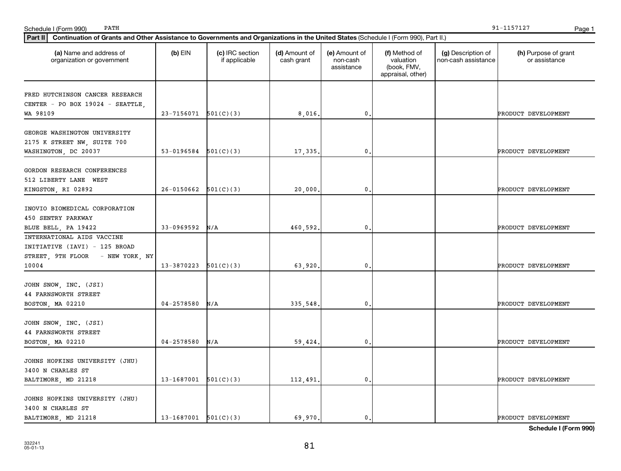| Part II   Continuation of Grants and Other Assistance to Governments and Organizations in the United States (Schedule I (Form 990), Part II.) |                            |                                  |                             |                                         |                                                                |                                           |                                       |
|-----------------------------------------------------------------------------------------------------------------------------------------------|----------------------------|----------------------------------|-----------------------------|-----------------------------------------|----------------------------------------------------------------|-------------------------------------------|---------------------------------------|
| (a) Name and address of<br>organization or government                                                                                         | $(b)$ EIN                  | (c) IRC section<br>if applicable | (d) Amount of<br>cash grant | (e) Amount of<br>non-cash<br>assistance | (f) Method of<br>valuation<br>(book, FMV,<br>appraisal, other) | (g) Description of<br>non-cash assistance | (h) Purpose of grant<br>or assistance |
| FRED HUTCHINSON CANCER RESEARCH                                                                                                               |                            |                                  |                             |                                         |                                                                |                                           |                                       |
| CENTER - PO BOX 19024 - SEATTLE,                                                                                                              |                            |                                  |                             |                                         |                                                                |                                           |                                       |
| WA 98109                                                                                                                                      | $23 - 7156071$ $501(C)(3)$ |                                  | 8,016,                      | $\mathbf{0}$                            |                                                                |                                           | PRODUCT DEVELOPMENT                   |
| GEORGE WASHINGTON UNIVERSITY                                                                                                                  |                            |                                  |                             |                                         |                                                                |                                           |                                       |
| 2175 K STREET NW, SUITE 700                                                                                                                   |                            |                                  |                             |                                         |                                                                |                                           |                                       |
| WASHINGTON, DC 20037                                                                                                                          | 53-0196584                 | 501(C)(3)                        | 17,335                      | 0                                       |                                                                |                                           | PRODUCT DEVELOPMENT                   |
| GORDON RESEARCH CONFERENCES                                                                                                                   |                            |                                  |                             |                                         |                                                                |                                           |                                       |
| 512 LIBERTY LANE WEST                                                                                                                         |                            |                                  |                             |                                         |                                                                |                                           |                                       |
| KINGSTON, RI 02892                                                                                                                            | $26-0150662$ $501(C)(3)$   |                                  | 20,000                      | $\mathbf{0}$                            |                                                                |                                           | PRODUCT DEVELOPMENT                   |
|                                                                                                                                               |                            |                                  |                             |                                         |                                                                |                                           |                                       |
| INOVIO BIOMEDICAL CORPORATION                                                                                                                 |                            |                                  |                             |                                         |                                                                |                                           |                                       |
| 450 SENTRY PARKWAY                                                                                                                            |                            |                                  |                             |                                         |                                                                |                                           |                                       |
| BLUE BELL, PA 19422                                                                                                                           | 33-0969592                 | N/A                              | 460,592.                    | 0                                       |                                                                |                                           | PRODUCT DEVELOPMENT                   |
| INTERNATIONAL AIDS VACCINE                                                                                                                    |                            |                                  |                             |                                         |                                                                |                                           |                                       |
| INITIATIVE (IAVI) - 125 BROAD                                                                                                                 |                            |                                  |                             |                                         |                                                                |                                           |                                       |
| STREET, 9TH FLOOR - NEW YORK, NY                                                                                                              |                            |                                  |                             |                                         |                                                                |                                           |                                       |
| 10004                                                                                                                                         | $13-3870223$ $501(C)(3)$   |                                  | 63,920                      | 0                                       |                                                                |                                           | PRODUCT DEVELOPMENT                   |
|                                                                                                                                               |                            |                                  |                             |                                         |                                                                |                                           |                                       |
| JOHN SNOW, INC. (JSI)                                                                                                                         |                            |                                  |                             |                                         |                                                                |                                           |                                       |
| <b>44 FARNSWORTH STREET</b>                                                                                                                   |                            |                                  |                             |                                         |                                                                |                                           |                                       |
| BOSTON, MA 02210                                                                                                                              | 04-2578580                 | N/A                              | 335,548                     | 0                                       |                                                                |                                           | PRODUCT DEVELOPMENT                   |
|                                                                                                                                               |                            |                                  |                             |                                         |                                                                |                                           |                                       |
| JOHN SNOW, INC. (JSI)                                                                                                                         |                            |                                  |                             |                                         |                                                                |                                           |                                       |
| <b>44 FARNSWORTH STREET</b>                                                                                                                   |                            |                                  |                             |                                         |                                                                |                                           |                                       |
| BOSTON, MA 02210                                                                                                                              | 04-2578580                 | N/A                              | 59,424.                     | $\mathbf{0}$                            |                                                                |                                           | PRODUCT DEVELOPMENT                   |
| JOHNS HOPKINS UNIVERSITY (JHU)                                                                                                                |                            |                                  |                             |                                         |                                                                |                                           |                                       |
| 3400 N CHARLES ST                                                                                                                             |                            |                                  |                             |                                         |                                                                |                                           |                                       |
| BALTIMORE, MD 21218                                                                                                                           | $13-1687001$ $501(C)(3)$   |                                  | 112,491                     | 0                                       |                                                                |                                           | PRODUCT DEVELOPMENT                   |
|                                                                                                                                               |                            |                                  |                             |                                         |                                                                |                                           |                                       |
| JOHNS HOPKINS UNIVERSITY (JHU)                                                                                                                |                            |                                  |                             |                                         |                                                                |                                           |                                       |
| 3400 N CHARLES ST                                                                                                                             |                            |                                  |                             |                                         |                                                                |                                           |                                       |
| BALTIMORE, MD 21218                                                                                                                           | $13-1687001$ $501(C)(3)$   |                                  | 69,970.                     | 0.                                      |                                                                |                                           | PRODUCT DEVELOPMENT                   |

Schedule I (Form 990) PATH Page 1

PATH 91-1157127

**Schedule I (Form 990)**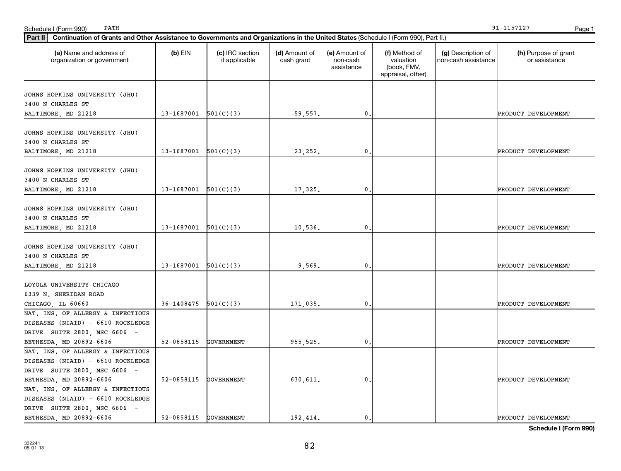| Part II   Continuation of Grants and Other Assistance to Governments and Organizations in the United States (Schedule I (Form 990), Part II.) |                          |                                  |                             |                                         |                                                                |                                           |                                       |
|-----------------------------------------------------------------------------------------------------------------------------------------------|--------------------------|----------------------------------|-----------------------------|-----------------------------------------|----------------------------------------------------------------|-------------------------------------------|---------------------------------------|
| (a) Name and address of<br>organization or government                                                                                         | $(b)$ EIN                | (c) IRC section<br>if applicable | (d) Amount of<br>cash grant | (e) Amount of<br>non-cash<br>assistance | (f) Method of<br>valuation<br>(book, FMV,<br>appraisal, other) | (g) Description of<br>non-cash assistance | (h) Purpose of grant<br>or assistance |
| JOHNS HOPKINS UNIVERSITY (JHU)                                                                                                                |                          |                                  |                             |                                         |                                                                |                                           |                                       |
| 3400 N CHARLES ST                                                                                                                             |                          |                                  |                             |                                         |                                                                |                                           |                                       |
| BALTIMORE, MD 21218                                                                                                                           | $13-1687001$ $501(C)(3)$ |                                  | 59,557.                     | 0                                       |                                                                |                                           | PRODUCT DEVELOPMENT                   |
|                                                                                                                                               |                          |                                  |                             |                                         |                                                                |                                           |                                       |
| JOHNS HOPKINS UNIVERSITY (JHU)                                                                                                                |                          |                                  |                             |                                         |                                                                |                                           |                                       |
| 3400 N CHARLES ST                                                                                                                             |                          |                                  |                             |                                         |                                                                |                                           |                                       |
| BALTIMORE, MD 21218                                                                                                                           | $13-1687001$ $501(C)(3)$ |                                  | 23, 252,                    | 0                                       |                                                                |                                           | PRODUCT DEVELOPMENT                   |
| JOHNS HOPKINS UNIVERSITY (JHU)                                                                                                                |                          |                                  |                             |                                         |                                                                |                                           |                                       |
| 3400 N CHARLES ST                                                                                                                             |                          |                                  |                             |                                         |                                                                |                                           |                                       |
| BALTIMORE, MD 21218                                                                                                                           | $13-1687001$ $501(C)(3)$ |                                  | 17,325                      | $\mathbf{0}$                            |                                                                |                                           | PRODUCT DEVELOPMENT                   |
|                                                                                                                                               |                          |                                  |                             |                                         |                                                                |                                           |                                       |
| JOHNS HOPKINS UNIVERSITY (JHU)                                                                                                                |                          |                                  |                             |                                         |                                                                |                                           |                                       |
| 3400 N CHARLES ST                                                                                                                             |                          |                                  |                             |                                         |                                                                |                                           |                                       |
| BALTIMORE, MD 21218                                                                                                                           | $13-1687001$ $501(C)(3)$ |                                  | 10,536.                     | 0                                       |                                                                |                                           | PRODUCT DEVELOPMENT                   |
|                                                                                                                                               |                          |                                  |                             |                                         |                                                                |                                           |                                       |
| JOHNS HOPKINS UNIVERSITY (JHU)                                                                                                                |                          |                                  |                             |                                         |                                                                |                                           |                                       |
| 3400 N CHARLES ST                                                                                                                             | $13-1687001$ $501(C)(3)$ |                                  | 9,569                       | 0                                       |                                                                |                                           | PRODUCT DEVELOPMENT                   |
| BALTIMORE, MD 21218                                                                                                                           |                          |                                  |                             |                                         |                                                                |                                           |                                       |
| LOYOLA UNIVERSITY CHICAGO                                                                                                                     |                          |                                  |                             |                                         |                                                                |                                           |                                       |
| 6339 N. SHERIDAN ROAD                                                                                                                         |                          |                                  |                             |                                         |                                                                |                                           |                                       |
| CHICAGO, IL 60660                                                                                                                             | 36-1408475               | 501(C)(3)                        | 171,035.                    | $\mathbf{0}$                            |                                                                |                                           | PRODUCT DEVELOPMENT                   |
| NAT. INS. OF ALLERGY & INFECTIOUS                                                                                                             |                          |                                  |                             |                                         |                                                                |                                           |                                       |
| DISEASES (NIAID) - 6610 ROCKLEDGE                                                                                                             |                          |                                  |                             |                                         |                                                                |                                           |                                       |
| DRIVE SUITE 2800, MSC 6606 -                                                                                                                  |                          |                                  |                             |                                         |                                                                |                                           |                                       |
| BETHESDA, MD 20892-6606                                                                                                                       | 52-0858115               | GOVERNMENT                       | 955,525.                    | 0                                       |                                                                |                                           | PRODUCT DEVELOPMENT                   |
| NAT. INS. OF ALLERGY & INFECTIOUS                                                                                                             |                          |                                  |                             |                                         |                                                                |                                           |                                       |
| DISEASES (NIAID) - 6610 ROCKLEDGE                                                                                                             |                          |                                  |                             |                                         |                                                                |                                           |                                       |
| DRIVE SUITE 2800, MSC 6606 -                                                                                                                  |                          |                                  |                             |                                         |                                                                |                                           |                                       |
| BETHESDA, MD 20892-6606                                                                                                                       | 52-0858115               | GOVERNMENT                       | 630,611                     | $\mathbf{0}$                            |                                                                |                                           | PRODUCT DEVELOPMENT                   |
| NAT. INS. OF ALLERGY & INFECTIOUS                                                                                                             |                          |                                  |                             |                                         |                                                                |                                           |                                       |
| DISEASES (NIAID) - 6610 ROCKLEDGE                                                                                                             |                          |                                  |                             |                                         |                                                                |                                           |                                       |
| DRIVE SUITE 2800, MSC 6606 -                                                                                                                  |                          |                                  |                             |                                         |                                                                |                                           |                                       |
| BETHESDA, MD 20892-6606                                                                                                                       | 52-0858115 GOVERNMENT    |                                  | 192, 414.                   | 0.                                      |                                                                |                                           | PRODUCT DEVELOPMENT                   |

PATH 91-1157127

Schedule I (Form 990) Page 1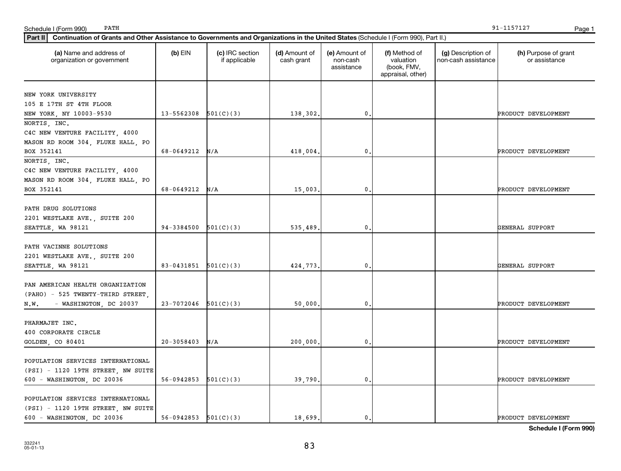| (a) Name and address of<br>organization or government | $(b)$ EIN                  | (c) IRC section<br>if applicable | (d) Amount of<br>cash grant | (e) Amount of<br>non-cash<br>assistance | (f) Method of<br>valuation<br>(book, FMV,<br>appraisal, other) | (g) Description of<br>non-cash assistance | (h) Purpose of grant<br>or assistance |
|-------------------------------------------------------|----------------------------|----------------------------------|-----------------------------|-----------------------------------------|----------------------------------------------------------------|-------------------------------------------|---------------------------------------|
| NEW YORK UNIVERSITY                                   |                            |                                  |                             |                                         |                                                                |                                           |                                       |
| 105 E 17TH ST 4TH FLOOR                               |                            |                                  |                             |                                         |                                                                |                                           |                                       |
| NEW YORK, NY 10003-9530                               | $13 - 5562308$ $501(C)(3)$ |                                  | 138,302.                    | $\mathbf{0}$                            |                                                                |                                           | PRODUCT DEVELOPMENT                   |
| NORTIS, INC.                                          |                            |                                  |                             |                                         |                                                                |                                           |                                       |
| C4C NEW VENTURE FACILITY, 4000                        |                            |                                  |                             |                                         |                                                                |                                           |                                       |
| MASON RD ROOM 304, FLUKE HALL, PO                     |                            |                                  |                             |                                         |                                                                |                                           |                                       |
| BOX 352141                                            | 68-0649212                 | N/A                              | 418,004.                    | 0                                       |                                                                |                                           | PRODUCT DEVELOPMENT                   |
| NORTIS, INC.                                          |                            |                                  |                             |                                         |                                                                |                                           |                                       |
| C4C NEW VENTURE FACILITY, 4000                        |                            |                                  |                             |                                         |                                                                |                                           |                                       |
| MASON RD ROOM 304, FLUKE HALL, PO                     |                            |                                  |                             |                                         |                                                                |                                           |                                       |
| BOX 352141                                            | 68-0649212                 | N/A                              | 15,003.                     | $\mathbf{0}$ .                          |                                                                |                                           | PRODUCT DEVELOPMENT                   |
|                                                       |                            |                                  |                             |                                         |                                                                |                                           |                                       |
| PATH DRUG SOLUTIONS                                   |                            |                                  |                             |                                         |                                                                |                                           |                                       |
| 2201 WESTLAKE AVE., SUITE 200                         |                            |                                  |                             |                                         |                                                                |                                           |                                       |
| SEATTLE, WA 98121                                     | $94-3384500$ $501(C)(3)$   |                                  | 535,489.                    | 0                                       |                                                                |                                           | GENERAL SUPPORT                       |
|                                                       |                            |                                  |                             |                                         |                                                                |                                           |                                       |
| PATH VACINNE SOLUTIONS                                |                            |                                  |                             |                                         |                                                                |                                           |                                       |
| 2201 WESTLAKE AVE., SUITE 200                         |                            |                                  |                             |                                         |                                                                |                                           |                                       |
| SEATTLE, WA 98121                                     | 83-0431851 $501(C)(3)$     |                                  | 424,773.                    | 0                                       |                                                                |                                           | GENERAL SUPPORT                       |
| PAN AMERICAN HEALTH ORGANIZATION                      |                            |                                  |                             |                                         |                                                                |                                           |                                       |
|                                                       |                            |                                  |                             |                                         |                                                                |                                           |                                       |
| (PAHO) - 525 TWENTY-THIRD STREET,                     | $23-7072046$ $501(C)(3)$   |                                  |                             | 0                                       |                                                                |                                           | PRODUCT DEVELOPMENT                   |
| - WASHINGTON, DC 20037<br>N.W.                        |                            |                                  | 50,000.                     |                                         |                                                                |                                           |                                       |
| PHARMAJET INC.                                        |                            |                                  |                             |                                         |                                                                |                                           |                                       |
| 400 CORPORATE CIRCLE                                  |                            |                                  |                             |                                         |                                                                |                                           |                                       |
| GOLDEN, CO 80401                                      | $20 - 3058403$             | N/A                              | 200,000.                    | 0.                                      |                                                                |                                           | PRODUCT DEVELOPMENT                   |
|                                                       |                            |                                  |                             |                                         |                                                                |                                           |                                       |
| POPULATION SERVICES INTERNATIONAL                     |                            |                                  |                             |                                         |                                                                |                                           |                                       |
| (PSI) - 1120 19TH STREET, NW SUITE                    |                            |                                  |                             |                                         |                                                                |                                           |                                       |
| 600 - WASHINGTON, DC 20036                            | $56-0942853$ $501(C)(3)$   |                                  | 39,790.                     | $\mathbf{0}$                            |                                                                |                                           | PRODUCT DEVELOPMENT                   |
|                                                       |                            |                                  |                             |                                         |                                                                |                                           |                                       |
| POPULATION SERVICES INTERNATIONAL                     |                            |                                  |                             |                                         |                                                                |                                           |                                       |
| (PSI) - 1120 19TH STREET, NW SUITE                    |                            |                                  |                             |                                         |                                                                |                                           |                                       |
| 600 - WASHINGTON, DC 20036                            | $56-0942853$ $501(C)(3)$   |                                  | 18,699.                     | $\mathbf{0}$ .                          |                                                                |                                           | PRODUCT DEVELOPMENT                   |

PATH 91-1157127

### Schedule I (Form 990) Page 1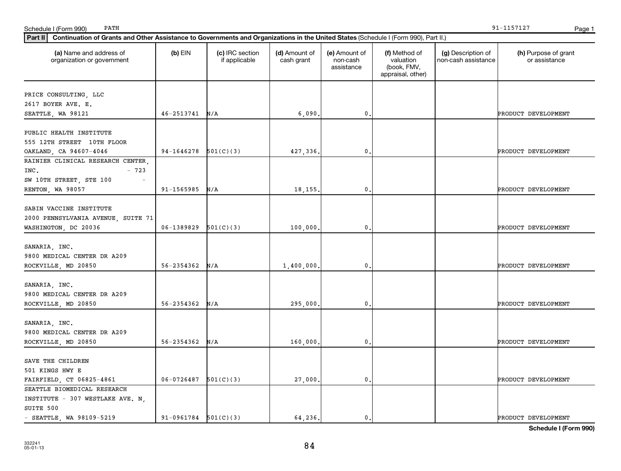| Part II   Continuation of Grants and Other Assistance to Governments and Organizations in the United States (Schedule I (Form 990), Part II.) |                          |                                  |                             |                                         |                                                                |                                           |                                       |
|-----------------------------------------------------------------------------------------------------------------------------------------------|--------------------------|----------------------------------|-----------------------------|-----------------------------------------|----------------------------------------------------------------|-------------------------------------------|---------------------------------------|
| (a) Name and address of<br>organization or government                                                                                         | $(b)$ EIN                | (c) IRC section<br>if applicable | (d) Amount of<br>cash grant | (e) Amount of<br>non-cash<br>assistance | (f) Method of<br>valuation<br>(book, FMV,<br>appraisal, other) | (g) Description of<br>non-cash assistance | (h) Purpose of grant<br>or assistance |
| PRICE CONSULTING, LLC                                                                                                                         |                          |                                  |                             |                                         |                                                                |                                           |                                       |
| 2617 BOYER AVE. E.                                                                                                                            |                          |                                  |                             |                                         |                                                                |                                           |                                       |
| SEATTLE, WA 98121                                                                                                                             | $46 - 2513741$ N/A       |                                  | 6,090                       | 0                                       |                                                                |                                           | PRODUCT DEVELOPMENT                   |
|                                                                                                                                               |                          |                                  |                             |                                         |                                                                |                                           |                                       |
| PUBLIC HEALTH INSTITUTE                                                                                                                       |                          |                                  |                             |                                         |                                                                |                                           |                                       |
| 555 12TH STREET 10TH FLOOR                                                                                                                    |                          |                                  |                             |                                         |                                                                |                                           |                                       |
| OAKLAND, CA 94607-4046                                                                                                                        | 94-1646278               | 501(C)(3)                        | 427,336.                    | 0                                       |                                                                |                                           | PRODUCT DEVELOPMENT                   |
| RAINIER CLINICAL RESEARCH CENTER,                                                                                                             |                          |                                  |                             |                                         |                                                                |                                           |                                       |
| INC.<br>$-723$                                                                                                                                |                          |                                  |                             |                                         |                                                                |                                           |                                       |
| SW 10TH STREET, STE 100                                                                                                                       |                          |                                  |                             |                                         |                                                                |                                           |                                       |
| RENTON, WA 98057                                                                                                                              | 91-1565985               | N/A                              | 18,155.                     | $\mathbf{0}$                            |                                                                |                                           | PRODUCT DEVELOPMENT                   |
|                                                                                                                                               |                          |                                  |                             |                                         |                                                                |                                           |                                       |
| SABIN VACCINE INSTITUTE                                                                                                                       |                          |                                  |                             |                                         |                                                                |                                           |                                       |
| 2000 PENNSYLVANIA AVENUE, SUITE 71                                                                                                            |                          |                                  |                             |                                         |                                                                |                                           |                                       |
| WASHINGTON, DC 20036                                                                                                                          | 06-1389829               | 501(C)(3)                        | 100,000                     | 0                                       |                                                                |                                           | PRODUCT DEVELOPMENT                   |
|                                                                                                                                               |                          |                                  |                             |                                         |                                                                |                                           |                                       |
| SANARIA, INC.                                                                                                                                 |                          |                                  |                             |                                         |                                                                |                                           |                                       |
| 9800 MEDICAL CENTER DR A209                                                                                                                   |                          |                                  |                             |                                         |                                                                |                                           |                                       |
| ROCKVILLE, MD 20850                                                                                                                           | $56 - 2354362$ N/A       |                                  | 1,400,000                   | 0                                       |                                                                |                                           | PRODUCT DEVELOPMENT                   |
| SANARIA, INC.                                                                                                                                 |                          |                                  |                             |                                         |                                                                |                                           |                                       |
| 9800 MEDICAL CENTER DR A209                                                                                                                   |                          |                                  |                             |                                         |                                                                |                                           |                                       |
| ROCKVILLE, MD 20850                                                                                                                           | 56-2354362               | N/A                              | 295,000.                    | 0                                       |                                                                |                                           | PRODUCT DEVELOPMENT                   |
|                                                                                                                                               |                          |                                  |                             |                                         |                                                                |                                           |                                       |
| SANARIA, INC.                                                                                                                                 |                          |                                  |                             |                                         |                                                                |                                           |                                       |
| 9800 MEDICAL CENTER DR A209                                                                                                                   |                          |                                  |                             |                                         |                                                                |                                           |                                       |
| ROCKVILLE, MD 20850                                                                                                                           | $56 - 2354362$ N/A       |                                  | 160,000                     | $\mathbf{0}$                            |                                                                |                                           | PRODUCT DEVELOPMENT                   |
|                                                                                                                                               |                          |                                  |                             |                                         |                                                                |                                           |                                       |
| SAVE THE CHILDREN                                                                                                                             |                          |                                  |                             |                                         |                                                                |                                           |                                       |
| 501 KINGS HWY E                                                                                                                               |                          |                                  |                             |                                         |                                                                |                                           |                                       |
| FAIRFIELD, CT 06825-4861                                                                                                                      | $06-0726487$ $501(C)(3)$ |                                  | 27,000                      | $\mathbf{0}$                            |                                                                |                                           | PRODUCT DEVELOPMENT                   |
| SEATTLE BIOMEDICAL RESEARCH                                                                                                                   |                          |                                  |                             |                                         |                                                                |                                           |                                       |
| INSTITUTE - 307 WESTLAKE AVE. N.                                                                                                              |                          |                                  |                             |                                         |                                                                |                                           |                                       |
| SUITE 500                                                                                                                                     |                          |                                  |                             |                                         |                                                                |                                           |                                       |
| $-$ SEATTLE, WA 98109-5219                                                                                                                    | $91-0961784$ $501(C)(3)$ |                                  | 64.236.                     | 0.                                      |                                                                |                                           | PRODUCT DEVELOPMENT                   |

Schedule I (Form 990) PATH Page 1

PATH 91-1157127

**Schedule I (Form 990)**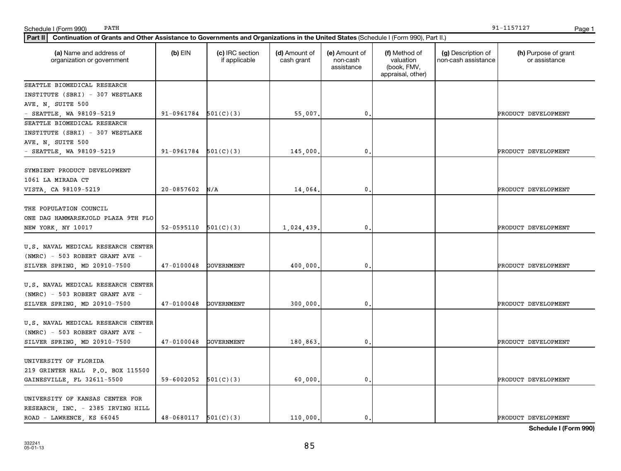| $-$ SEATTLE, WA 98109-5219         | $91-0961784$ $501(C)(3)$ |                   | 55,007.    | 0.             | PRODUCT DEVELOPMENT |
|------------------------------------|--------------------------|-------------------|------------|----------------|---------------------|
| SEATTLE BIOMEDICAL RESEARCH        |                          |                   |            |                |                     |
| INSTITUTE (SBRI) - 307 WESTLAKE    |                          |                   |            |                |                     |
| AVE. N. SUITE 500                  |                          |                   |            |                |                     |
| - SEATTLE, WA $98109-5219$         | $91-0961784$ $501(C)(3)$ |                   | 145,000.   | 0.             | PRODUCT DEVELOPMENT |
| SYMBIENT PRODUCT DEVELOPMENT       |                          |                   |            |                |                     |
| 1061 LA MIRADA CT                  |                          |                   |            |                |                     |
| VISTA, CA 98109-5219               | 20-0857602               | N/A               | 14,064.    | 0.             | PRODUCT DEVELOPMENT |
| THE POPULATION COUNCIL             |                          |                   |            |                |                     |
| ONE DAG HAMMARSKJOLD PLAZA 9TH FLO |                          |                   |            |                |                     |
| NEW YORK, NY 10017                 | 52-0595110               | 501(C)(3)         | 1,024,439. | 0.             | PRODUCT DEVELOPMENT |
| U.S. NAVAL MEDICAL RESEARCH CENTER |                          |                   |            |                |                     |
| (NMRC) - 503 ROBERT GRANT AVE -    |                          |                   |            |                |                     |
| SILVER SPRING, MD 20910-7500       | $47 - 0100048$           | GOVERNMENT        | 400,000.   | 0.             | PRODUCT DEVELOPMENT |
| U.S. NAVAL MEDICAL RESEARCH CENTER |                          |                   |            |                |                     |
| (NMRC) - 503 ROBERT GRANT AVE -    |                          |                   |            |                |                     |
| SILVER SPRING, MD 20910-7500       | $47 - 0100048$           | GOVERNMENT        | 300,000.   | 0.             | PRODUCT DEVELOPMENT |
| U.S. NAVAL MEDICAL RESEARCH CENTER |                          |                   |            |                |                     |
| (NMRC) - 503 ROBERT GRANT AVE -    |                          |                   |            |                |                     |
| SILVER SPRING, MD 20910-7500       | $47 - 0100048$           | <b>GOVERNMENT</b> | 180,863.   | $\mathbf{0}$ . | PRODUCT DEVELOPMENT |
| UNIVERSITY OF FLORIDA              |                          |                   |            |                |                     |
| 219 GRINTER HALL P.O. BOX 115500   |                          |                   |            |                |                     |
| GAINESVILLE, FL 32611-5500         | 59-6002052 $501(C)(3)$   |                   | 60,000.    | 0.             | PRODUCT DEVELOPMENT |
| UNIVERSITY OF KANSAS CENTER FOR    |                          |                   |            |                |                     |
| RESEARCH, INC. - 2385 IRVING HILL  |                          |                   |            |                |                     |
| ROAD - LAWRENCE, KS 66045          | $48-0680117$ $501(C)(3)$ |                   | 110,000.   | 0.1            | PRODUCT DEVELOPMENT |

**Part II Continuation of Grants and Other Assistance to Governments and Organizations in the United States**  (Schedule I (Form 990), Part II.)

if applicable

 $(b)$  EIN  $(c)$  IRC section

**(a) (b) (c) (d) (e) (f) (g) (h)** Name and address of

(d) Amount of cash grant

(e) Amount of non-cash assistance

(f) Method of valuation (book, FMV, appraisal, other)

(g) Description of non-cash assistance

SEATTLE BIOMEDICAL RESEARCH INSTITUTE (SBRI) - 307 WESTLAKE AVE. N, SUITE 500

organization or government

(h) Purpose of grant or assistance

**Schedule I (Form 990)**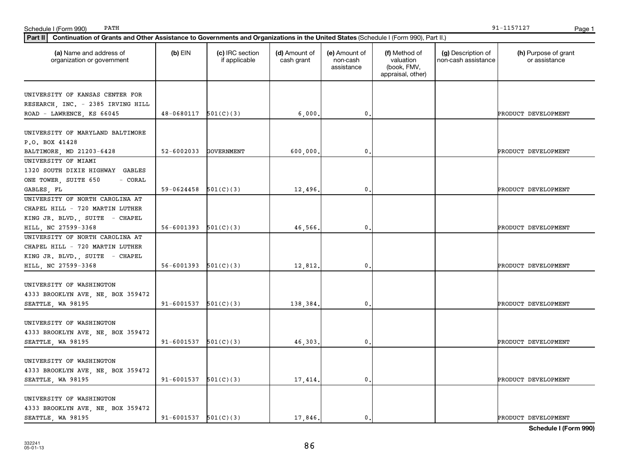| Part II   Continuation of Grants and Other Assistance to Governments and Organizations in the United States (Schedule I (Form 990), Part II.) |                            |                                  |                             |                                         |                                                                |                                           |                                       |
|-----------------------------------------------------------------------------------------------------------------------------------------------|----------------------------|----------------------------------|-----------------------------|-----------------------------------------|----------------------------------------------------------------|-------------------------------------------|---------------------------------------|
| (a) Name and address of<br>organization or government                                                                                         | $(b)$ EIN                  | (c) IRC section<br>if applicable | (d) Amount of<br>cash grant | (e) Amount of<br>non-cash<br>assistance | (f) Method of<br>valuation<br>(book, FMV,<br>appraisal, other) | (g) Description of<br>non-cash assistance | (h) Purpose of grant<br>or assistance |
| UNIVERSITY OF KANSAS CENTER FOR                                                                                                               |                            |                                  |                             |                                         |                                                                |                                           |                                       |
| RESEARCH, INC. - 2385 IRVING HILL                                                                                                             |                            |                                  |                             |                                         |                                                                |                                           |                                       |
| ROAD - LAWRENCE, KS 66045                                                                                                                     | $48-0680117$ $501(C)(3)$   |                                  | 6,000                       | 0                                       |                                                                |                                           | PRODUCT DEVELOPMENT                   |
|                                                                                                                                               |                            |                                  |                             |                                         |                                                                |                                           |                                       |
| UNIVERSITY OF MARYLAND BALTIMORE                                                                                                              |                            |                                  |                             |                                         |                                                                |                                           |                                       |
| P.O. BOX 41428                                                                                                                                |                            |                                  |                             |                                         |                                                                |                                           |                                       |
| BALTIMORE, MD 21203-6428                                                                                                                      | 52-6002033                 | <b>GOVERNMENT</b>                | 600,000                     | 0                                       |                                                                |                                           | PRODUCT DEVELOPMENT                   |
| UNIVERSITY OF MIAMI                                                                                                                           |                            |                                  |                             |                                         |                                                                |                                           |                                       |
| 1320 SOUTH DIXIE HIGHWAY GABLES                                                                                                               |                            |                                  |                             |                                         |                                                                |                                           |                                       |
| ONE TOWER, SUITE 650<br>- CORAL                                                                                                               |                            |                                  |                             |                                         |                                                                |                                           |                                       |
| GABLES, FL                                                                                                                                    | $59-0624458$ $501(C)(3)$   |                                  | 12,496.                     | $\mathbf{0}$                            |                                                                |                                           | PRODUCT DEVELOPMENT                   |
| UNIVERSITY OF NORTH CAROLINA AT                                                                                                               |                            |                                  |                             |                                         |                                                                |                                           |                                       |
| CHAPEL HILL - 720 MARTIN LUTHER                                                                                                               |                            |                                  |                             |                                         |                                                                |                                           |                                       |
| KING JR. BLVD., SUITE - CHAPEL                                                                                                                |                            |                                  |                             |                                         |                                                                |                                           |                                       |
| HILL, NC 27599-3368                                                                                                                           | $56 - 6001393$ $501(C)(3)$ |                                  | 46,566,                     | 0                                       |                                                                |                                           | PRODUCT DEVELOPMENT                   |
| UNIVERSITY OF NORTH CAROLINA AT                                                                                                               |                            |                                  |                             |                                         |                                                                |                                           |                                       |
| CHAPEL HILL - 720 MARTIN LUTHER                                                                                                               |                            |                                  |                             |                                         |                                                                |                                           |                                       |
| KING JR. BLVD., SUITE - CHAPEL                                                                                                                |                            |                                  |                             |                                         |                                                                |                                           |                                       |
| HILL, NC 27599-3368                                                                                                                           | $56 - 6001393$ $501(C)(3)$ |                                  | 12,812.                     | 0                                       |                                                                |                                           | PRODUCT DEVELOPMENT                   |
|                                                                                                                                               |                            |                                  |                             |                                         |                                                                |                                           |                                       |
| UNIVERSITY OF WASHINGTON                                                                                                                      |                            |                                  |                             |                                         |                                                                |                                           |                                       |
| 4333 BROOKLYN AVE, NE, BOX 359472                                                                                                             |                            |                                  |                             |                                         |                                                                |                                           |                                       |
| SEATTLE, WA 98195                                                                                                                             | $91 - 6001537$ $501(C)(3)$ |                                  | 138,384.                    | 0                                       |                                                                |                                           | PRODUCT DEVELOPMENT                   |
|                                                                                                                                               |                            |                                  |                             |                                         |                                                                |                                           |                                       |
| UNIVERSITY OF WASHINGTON                                                                                                                      |                            |                                  |                             |                                         |                                                                |                                           |                                       |
| 4333 BROOKLYN AVE, NE, BOX 359472                                                                                                             |                            |                                  |                             |                                         |                                                                |                                           |                                       |
| SEATTLE, WA 98195                                                                                                                             | $91-6001537$ $501(C)(3)$   |                                  | 46,303.                     | $\mathbf{0}$                            |                                                                |                                           | PRODUCT DEVELOPMENT                   |
|                                                                                                                                               |                            |                                  |                             |                                         |                                                                |                                           |                                       |
| UNIVERSITY OF WASHINGTON                                                                                                                      |                            |                                  |                             |                                         |                                                                |                                           |                                       |
| 4333 BROOKLYN AVE, NE, BOX 359472                                                                                                             |                            |                                  |                             |                                         |                                                                |                                           |                                       |
| SEATTLE, WA 98195                                                                                                                             | $91-6001537$ $501(C)(3)$   |                                  | 17,414.                     | 0                                       |                                                                |                                           | PRODUCT DEVELOPMENT                   |
| UNIVERSITY OF WASHINGTON                                                                                                                      |                            |                                  |                             |                                         |                                                                |                                           |                                       |
| 4333 BROOKLYN AVE, NE, BOX 359472                                                                                                             |                            |                                  |                             |                                         |                                                                |                                           |                                       |
| SEATTLE, WA 98195                                                                                                                             | $91 - 6001537$ $501(C)(3)$ |                                  | 17.846.                     | 0.                                      |                                                                |                                           | PRODUCT DEVELOPMENT                   |
|                                                                                                                                               |                            |                                  |                             |                                         |                                                                |                                           |                                       |

PATH 91-1157127

Schedule I (Form 990) PATH Page 1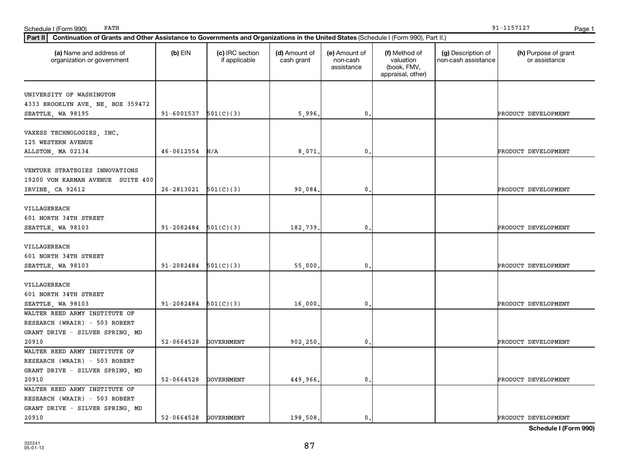| UNIVERSITY OF WASHINGTON          |                            |            |          |                |                     |
|-----------------------------------|----------------------------|------------|----------|----------------|---------------------|
| 4333 BROOKLYN AVE, NE, BOX 359472 | $91 - 6001537$ $501(C)(3)$ |            |          | $\mathbf{0}$ . |                     |
| SEATTLE, WA 98195                 |                            |            | 5,996.   |                | PRODUCT DEVELOPMENT |
| VAXESS TECHNOLOGIES, INC.         |                            |            |          |                |                     |
| 125 WESTERN AVENUE                |                            |            |          |                |                     |
| ALLSTON, MA 02134                 | $46 - 0612554$ N/A         |            | 8,071.   | $\mathbf{0}$   | PRODUCT DEVELOPMENT |
|                                   |                            |            |          |                |                     |
| VENTURE STRATEGIES INNOVATIONS    |                            |            |          |                |                     |
| 19200 VON KARMAN AVENUE SUITE 400 |                            |            |          |                |                     |
| IRVINE, CA 92612                  | $26 - 2813021$ $501(C)(3)$ |            | 90,084.  | $\mathbf{0}$   | PRODUCT DEVELOPMENT |
|                                   |                            |            |          |                |                     |
| VILLAGEREACH                      |                            |            |          |                |                     |
| 601 NORTH 34TH STREET             |                            |            |          |                |                     |
| SEATTLE, WA 98103                 | $91-2082484$ $501(C)(3)$   |            | 182,739. | $\mathbf 0$ .  | PRODUCT DEVELOPMENT |
|                                   |                            |            |          |                |                     |
| VILLAGEREACH                      |                            |            |          |                |                     |
| 601 NORTH 34TH STREET             |                            |            |          |                |                     |
| SEATTLE, WA 98103                 | $91 - 2082484$ $501(C)(3)$ |            | 55,000.  | $\mathbf 0$ .  | PRODUCT DEVELOPMENT |
|                                   |                            |            |          |                |                     |
| VILLAGEREACH                      |                            |            |          |                |                     |
| 601 NORTH 34TH STREET             |                            |            |          |                |                     |
| SEATTLE, WA 98103                 | 91-2082484                 | 501(C)(3)  | 16,000.  | $\mathbf{0}$   | PRODUCT DEVELOPMENT |
| WALTER REED ARMY INSTITUTE OF     |                            |            |          |                |                     |
| RESEARCH (WRAIR) - 503 ROBERT     |                            |            |          |                |                     |
| GRANT DRIVE - SILVER SPRING, MD   |                            |            |          |                |                     |
| 20910                             | 52-0664528                 | GOVERNMENT | 902,250. | $\mathbf{0}$   | PRODUCT DEVELOPMENT |
| WALTER REED ARMY INSTITUTE OF     |                            |            |          |                |                     |
| RESEARCH (WRAIR) - 503 ROBERT     |                            |            |          |                |                     |
| GRANT DRIVE - SILVER SPRING, MD   |                            |            |          |                |                     |
| 20910                             | 52-0664528 GOVERNMENT      |            | 449,966. | $\mathbf 0$ .  | PRODUCT DEVELOPMENT |
| WALTER REED ARMY INSTITUTE OF     |                            |            |          |                |                     |
| RESEARCH (WRAIR) - 503 ROBERT     |                            |            |          |                |                     |
| GRANT DRIVE - SILVER SPRING, MD   |                            |            |          |                |                     |
| 20910                             | 52-0664528 GOVERNMENT      |            | 198,508. | 0.             | PRODUCT DEVELOPMENT |

**Part II Continuation of Grants and Other Assistance to Governments and Organizations in the United States**  (Schedule I (Form 990), Part II.)

if applicable

EIN | (c) IRC section

**(a) (b) (c) (d) (e) (f) (g) (h)** Name and address of

(d) Amount of cash grant

(e) Amount of non-cash assistance

organization or government

(h) Purpose of grant or assistance

**Schedule I (Form 990)**

Schedule I (Form 990) Page 1 PATH 91-1157127

> (g) Description of non-cash assistance

(f) Method of valuation (book, FMV, appraisal, other)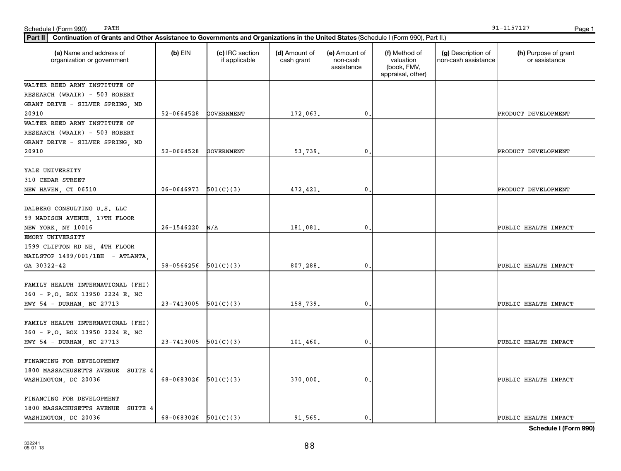| Part II   Continuation of Grants and Other Assistance to Governments and Organizations in the United States (Schedule I (Form 990), Part II.) |                          |                                  |                             |                                         |                                                                |                                           |                                       |  |
|-----------------------------------------------------------------------------------------------------------------------------------------------|--------------------------|----------------------------------|-----------------------------|-----------------------------------------|----------------------------------------------------------------|-------------------------------------------|---------------------------------------|--|
| (a) Name and address of<br>organization or government                                                                                         | $(b)$ EIN                | (c) IRC section<br>if applicable | (d) Amount of<br>cash grant | (e) Amount of<br>non-cash<br>assistance | (f) Method of<br>valuation<br>(book, FMV,<br>appraisal, other) | (g) Description of<br>non-cash assistance | (h) Purpose of grant<br>or assistance |  |
| WALTER REED ARMY INSTITUTE OF                                                                                                                 |                          |                                  |                             |                                         |                                                                |                                           |                                       |  |
| RESEARCH (WRAIR) - 503 ROBERT                                                                                                                 |                          |                                  |                             |                                         |                                                                |                                           |                                       |  |
| GRANT DRIVE - SILVER SPRING, MD                                                                                                               |                          |                                  |                             |                                         |                                                                |                                           |                                       |  |
| 20910                                                                                                                                         | $52 - 0664528$           | <b>GOVERNMENT</b>                | 172,063                     | 0.                                      |                                                                |                                           | PRODUCT DEVELOPMENT                   |  |
| WALTER REED ARMY INSTITUTE OF                                                                                                                 |                          |                                  |                             |                                         |                                                                |                                           |                                       |  |
| RESEARCH (WRAIR) - 503 ROBERT                                                                                                                 |                          |                                  |                             |                                         |                                                                |                                           |                                       |  |
| GRANT DRIVE - SILVER SPRING, MD                                                                                                               |                          |                                  |                             |                                         |                                                                |                                           |                                       |  |
| 20910                                                                                                                                         | 52-0664528               | <b>GOVERNMENT</b>                | 53,739                      | 0.                                      |                                                                |                                           | PRODUCT DEVELOPMENT                   |  |
| YALE UNIVERSITY<br>310 CEDAR STREET                                                                                                           |                          |                                  |                             |                                         |                                                                |                                           |                                       |  |
| NEW HAVEN, CT 06510                                                                                                                           | $06-0646973$ $501(C)(3)$ |                                  | 472,421                     | 0.                                      |                                                                |                                           | PRODUCT DEVELOPMENT                   |  |
| DALBERG CONSULTING U.S. LLC<br>99 MADISON AVENUE, 17TH FLOOR<br>NEW YORK, NY 10016                                                            | 26-1546220               | N/A                              | 181,081                     | $\mathbf{0}$                            |                                                                |                                           | PUBLIC HEALTH IMPACT                  |  |
| EMORY UNIVERSITY                                                                                                                              |                          |                                  |                             |                                         |                                                                |                                           |                                       |  |
| 1599 CLIFTON RD NE, 4TH FLOOR<br>MAILSTOP 1499/001/1BH - ATLANTA                                                                              |                          |                                  |                             |                                         |                                                                |                                           |                                       |  |
| GA 30322-42                                                                                                                                   | 58-0566256               | 501(C)(3)                        | 807,288                     | 0.                                      |                                                                |                                           | PUBLIC HEALTH IMPACT                  |  |
| FAMILY HEALTH INTERNATIONAL (FHI)<br>360 - P.O. BOX 13950 2224 E. NC<br>HWY 54 - DURHAM, NC 27713                                             | 23-7413005               | 501(C)(3)                        | 158,739                     | 0.                                      |                                                                |                                           | PUBLIC HEALTH IMPACT                  |  |
|                                                                                                                                               |                          |                                  |                             |                                         |                                                                |                                           |                                       |  |
| FAMILY HEALTH INTERNATIONAL (FHI)<br>360 - P.O. BOX 13950 2224 E. NC                                                                          |                          |                                  |                             |                                         |                                                                |                                           |                                       |  |
| HWY 54 - DURHAM, NC 27713                                                                                                                     | 23-7413005               | 501(C)(3)                        | 101,460                     | 0.                                      |                                                                |                                           | PUBLIC HEALTH IMPACT                  |  |
| FINANCING FOR DEVELOPMENT<br>1800 MASSACHUSETTS AVENUE SUITE 4<br>WASHINGTON, DC 20036                                                        | 68-0683026               | 501(C)(3)                        | 370,000                     | 0.                                      |                                                                |                                           | PUBLIC HEALTH IMPACT                  |  |
|                                                                                                                                               |                          |                                  |                             |                                         |                                                                |                                           |                                       |  |
| FINANCING FOR DEVELOPMENT<br>1800 MASSACHUSETTS AVENUE SUITE 4<br>WASHINGTON, DC 20036                                                        | 68-0683026               | 501(C)(3)                        | 91.565.                     | $\mathbf{0}$ .                          |                                                                |                                           | PUBLIC HEALTH IMPACT                  |  |

PATH 91-1157127

Schedule I (Form 990) PATH Page 1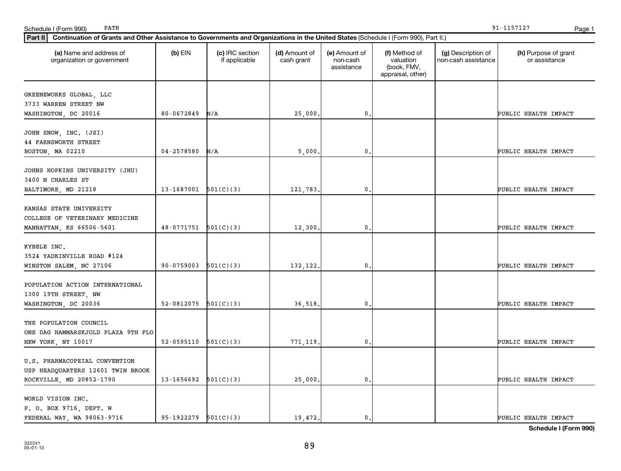| (h) Purpose of grant<br>or assistance |
|---------------------------------------|
|                                       |
|                                       |
| PUBLIC HEALTH IMPACT                  |
|                                       |
|                                       |
| PUBLIC HEALTH IMPACT                  |
|                                       |
| PUBLIC HEALTH IMPACT                  |
| PUBLIC HEALTH IMPACT                  |
|                                       |
|                                       |
| PUBLIC HEALTH IMPACT                  |
|                                       |
| PUBLIC HEALTH IMPACT                  |
|                                       |
| PUBLIC HEALTH IMPACT                  |
|                                       |
| PUBLIC HEALTH IMPACT                  |
| PUBLIC HEALTH IMPACT                  |
|                                       |

Schedule I (Form 990) PATH Page 1

PATH 91-1157127

**Schedule I (Form 990)**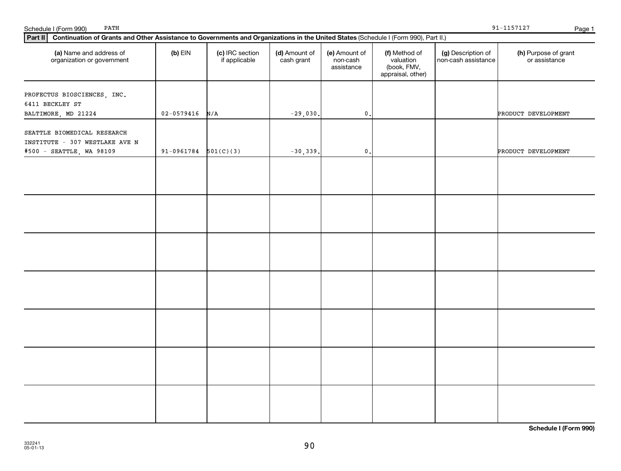| Part II   Continuation of Grants and Other Assistance to Governments and Organizations in the United States (Schedule I (Form 990), Part II.) |                          |                                  |                             |                                         |                                                                |                                           |                                       |  |  |
|-----------------------------------------------------------------------------------------------------------------------------------------------|--------------------------|----------------------------------|-----------------------------|-----------------------------------------|----------------------------------------------------------------|-------------------------------------------|---------------------------------------|--|--|
| (a) Name and address of<br>organization or government                                                                                         | $(b)$ EIN                | (c) IRC section<br>if applicable | (d) Amount of<br>cash grant | (e) Amount of<br>non-cash<br>assistance | (f) Method of<br>valuation<br>(book, FMV,<br>appraisal, other) | (g) Description of<br>non-cash assistance | (h) Purpose of grant<br>or assistance |  |  |
| PROFECTUS BIOSCIENCES, INC.<br>6411 BECKLEY ST                                                                                                |                          |                                  |                             |                                         |                                                                |                                           |                                       |  |  |
| BALTIMORE, MD 21224                                                                                                                           | $02 - 0579416$ N/A       |                                  | $-29,030.$                  | $\mathbf{0}$ .                          |                                                                |                                           | PRODUCT DEVELOPMENT                   |  |  |
| SEATTLE BIOMEDICAL RESEARCH<br>INSTITUTE - 307 WESTLAKE AVE N<br>#500 - SEATTLE, WA 98109                                                     | $91-0961784$ $501(C)(3)$ |                                  | $-30,339.$                  | $\mathbf{0}$ .                          |                                                                |                                           | PRODUCT DEVELOPMENT                   |  |  |
|                                                                                                                                               |                          |                                  |                             |                                         |                                                                |                                           |                                       |  |  |
|                                                                                                                                               |                          |                                  |                             |                                         |                                                                |                                           |                                       |  |  |
|                                                                                                                                               |                          |                                  |                             |                                         |                                                                |                                           |                                       |  |  |
|                                                                                                                                               |                          |                                  |                             |                                         |                                                                |                                           |                                       |  |  |
|                                                                                                                                               |                          |                                  |                             |                                         |                                                                |                                           |                                       |  |  |
|                                                                                                                                               |                          |                                  |                             |                                         |                                                                |                                           |                                       |  |  |
|                                                                                                                                               |                          |                                  |                             |                                         |                                                                |                                           |                                       |  |  |

Schedule I (Form 990) PATH Page 1

PATH 91-1157127

**Schedule I (Form 990)**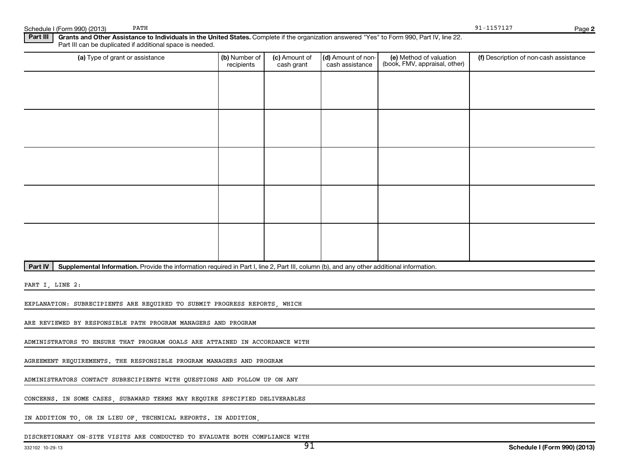| PATH<br>Schedule I (Form 990) (2013)                                                                                                                                                                                 |                             |                             |                                       |                                                          | 91-1157127                             | Page 2 |
|----------------------------------------------------------------------------------------------------------------------------------------------------------------------------------------------------------------------|-----------------------------|-----------------------------|---------------------------------------|----------------------------------------------------------|----------------------------------------|--------|
| Part III<br>Grants and Other Assistance to Individuals in the United States. Complete if the organization answered "Yes" to Form 990, Part IV, line 22.<br>Part III can be duplicated if additional space is needed. |                             |                             |                                       |                                                          |                                        |        |
| (a) Type of grant or assistance                                                                                                                                                                                      | (b) Number of<br>recipients | (c) Amount of<br>cash grant | (d) Amount of non-<br>cash assistance | (e) Method of valuation<br>(book, FMV, appraisal, other) | (f) Description of non-cash assistance |        |
|                                                                                                                                                                                                                      |                             |                             |                                       |                                                          |                                        |        |
|                                                                                                                                                                                                                      |                             |                             |                                       |                                                          |                                        |        |
|                                                                                                                                                                                                                      |                             |                             |                                       |                                                          |                                        |        |
|                                                                                                                                                                                                                      |                             |                             |                                       |                                                          |                                        |        |
|                                                                                                                                                                                                                      |                             |                             |                                       |                                                          |                                        |        |
|                                                                                                                                                                                                                      |                             |                             |                                       |                                                          |                                        |        |
|                                                                                                                                                                                                                      |                             |                             |                                       |                                                          |                                        |        |
|                                                                                                                                                                                                                      |                             |                             |                                       |                                                          |                                        |        |
|                                                                                                                                                                                                                      |                             |                             |                                       |                                                          |                                        |        |
|                                                                                                                                                                                                                      |                             |                             |                                       |                                                          |                                        |        |
| Part IV<br>Supplemental Information. Provide the information required in Part I, line 2, Part III, column (b), and any other additional information.                                                                 |                             |                             |                                       |                                                          |                                        |        |
| PART I, LINE 2:                                                                                                                                                                                                      |                             |                             |                                       |                                                          |                                        |        |

EXPLANATION: SUBRECIPIENTS ARE REQUIRED TO SUBMIT PROGRESS REPORTS, WHICH

ARE REVIEWED BY RESPONSIBLE PATH PROGRAM MANAGERS AND PROGRAM

ADMINISTRATORS TO ENSURE THAT PROGRAM GOALS ARE ATTAINED IN ACCORDANCE WITH

AGREEMENT REQUIREMENTS. THE RESPONSIBLE PROGRAM MANAGERS AND PROGRAM

ADMINISTRATORS CONTACT SUBRECIPIENTS WITH QUESTIONS AND FOLLOW UP ON ANY

CONCERNS. IN SOME CASES, SUBAWARD TERMS MAY REQUIRE SPECIFIED DELIVERABLES

IN ADDITION TO, OR IN LIEU OF, TECHNICAL REPORTS. IN ADDITION,

DISCRETIONARY ON-SITE VISITS ARE CONDUCTED TO EVALUATE BOTH COMPLIANCE WITH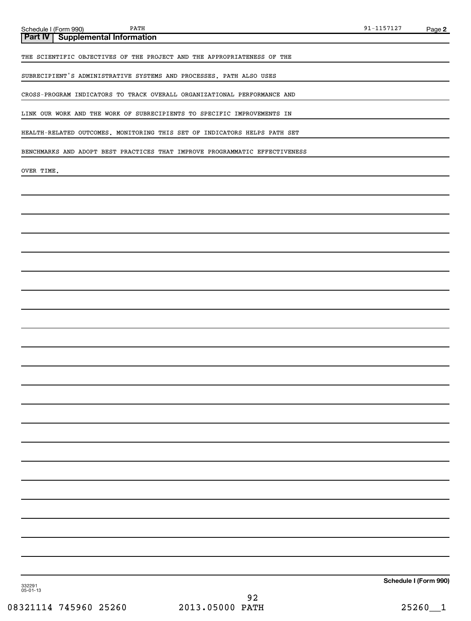**Part IV Supplemental Information**

THE SCIENTIFIC OBJECTIVES OF THE PROJECT AND THE APPROPRIATENESS OF THE

SUBRECIPIENT'S ADMINISTRATIVE SYSTEMS AND PROCESSES. PATH ALSO USES

CROSS-PROGRAM INDICATORS TO TRACK OVERALL ORGANIZATIONAL PERFORMANCE AND

LINK OUR WORK AND THE WORK OF SUBRECIPIENTS TO SPECIFIC IMPROVEMENTS IN

HEALTH-RELATED OUTCOMES. MONITORING THIS SET OF INDICATORS HELPS PATH SET

BENCHMARKS AND ADOPT BEST PRACTICES THAT IMPROVE PROGRAMMATIC EFFECTIVENESS

OVER TIME.

**Schedule I (Form 990)**

332291 05-01-13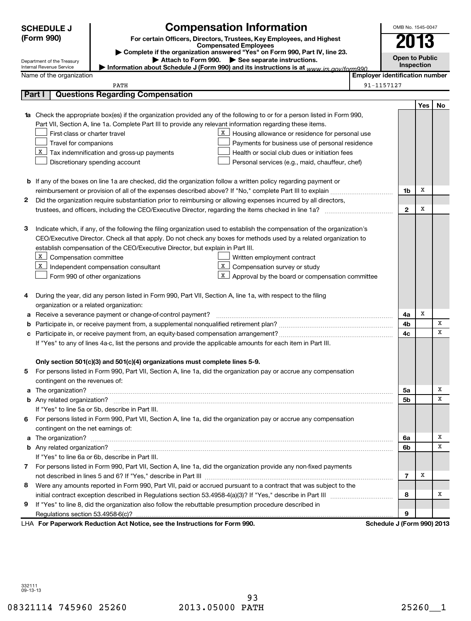|   | <b>Compensation Information</b><br>OMB No. 1545-0047<br><b>SCHEDULE J</b>                                                                                    |                                                                                                                                                                                                                                         |                                       |                |            |             |  |  |  |
|---|--------------------------------------------------------------------------------------------------------------------------------------------------------------|-----------------------------------------------------------------------------------------------------------------------------------------------------------------------------------------------------------------------------------------|---------------------------------------|----------------|------------|-------------|--|--|--|
|   | (Form 990)<br>For certain Officers, Directors, Trustees, Key Employees, and Highest<br><b>Compensated Employees</b>                                          |                                                                                                                                                                                                                                         |                                       |                |            |             |  |  |  |
|   |                                                                                                                                                              |                                                                                                                                                                                                                                         | <b>Open to Public</b>                 |                |            |             |  |  |  |
|   | Complete if the organization answered "Yes" on Form 990, Part IV, line 23.<br>Attach to Form 990. > See separate instructions.<br>Department of the Treasury |                                                                                                                                                                                                                                         |                                       |                |            |             |  |  |  |
|   | Internal Revenue Service                                                                                                                                     | Information about Schedule J (Form 990) and its instructions is at www irs gov/form990                                                                                                                                                  |                                       |                | Inspection |             |  |  |  |
|   | Name of the organization                                                                                                                                     |                                                                                                                                                                                                                                         | <b>Employer identification number</b> |                |            |             |  |  |  |
|   | Part I                                                                                                                                                       | PATH<br><b>Questions Regarding Compensation</b>                                                                                                                                                                                         | 91-1157127                            |                |            |             |  |  |  |
|   |                                                                                                                                                              |                                                                                                                                                                                                                                         |                                       |                |            |             |  |  |  |
|   |                                                                                                                                                              |                                                                                                                                                                                                                                         |                                       |                | Yes        | No          |  |  |  |
|   |                                                                                                                                                              | 1a Check the appropriate box(es) if the organization provided any of the following to or for a person listed in Form 990,<br>Part VII, Section A, line 1a. Complete Part III to provide any relevant information regarding these items. |                                       |                |            |             |  |  |  |
|   | First-class or charter travel                                                                                                                                | X<br>Housing allowance or residence for personal use                                                                                                                                                                                    |                                       |                |            |             |  |  |  |
|   | Travel for companions                                                                                                                                        | Payments for business use of personal residence                                                                                                                                                                                         |                                       |                |            |             |  |  |  |
|   | X                                                                                                                                                            | Tax indemnification and gross-up payments<br>Health or social club dues or initiation fees                                                                                                                                              |                                       |                |            |             |  |  |  |
|   |                                                                                                                                                              | Discretionary spending account<br>Personal services (e.g., maid, chauffeur, chef)                                                                                                                                                       |                                       |                |            |             |  |  |  |
|   |                                                                                                                                                              |                                                                                                                                                                                                                                         |                                       |                |            |             |  |  |  |
|   |                                                                                                                                                              | <b>b</b> If any of the boxes on line 1a are checked, did the organization follow a written policy regarding payment or                                                                                                                  |                                       |                |            |             |  |  |  |
|   |                                                                                                                                                              |                                                                                                                                                                                                                                         |                                       | 1b             | X          |             |  |  |  |
| 2 |                                                                                                                                                              | Did the organization require substantiation prior to reimbursing or allowing expenses incurred by all directors,                                                                                                                        |                                       |                |            |             |  |  |  |
|   |                                                                                                                                                              | trustees, and officers, including the CEO/Executive Director, regarding the items checked in line 1a?                                                                                                                                   |                                       | $\mathbf{2}$   | X          |             |  |  |  |
|   |                                                                                                                                                              |                                                                                                                                                                                                                                         |                                       |                |            |             |  |  |  |
| З |                                                                                                                                                              | Indicate which, if any, of the following the filing organization used to establish the compensation of the organization's                                                                                                               |                                       |                |            |             |  |  |  |
|   |                                                                                                                                                              | CEO/Executive Director. Check all that apply. Do not check any boxes for methods used by a related organization to                                                                                                                      |                                       |                |            |             |  |  |  |
|   |                                                                                                                                                              | establish compensation of the CEO/Executive Director, but explain in Part III.                                                                                                                                                          |                                       |                |            |             |  |  |  |
|   | X<br>Compensation committee                                                                                                                                  | Written employment contract                                                                                                                                                                                                             |                                       |                |            |             |  |  |  |
|   | X<br>X<br>Compensation survey or study<br>Independent compensation consultant                                                                                |                                                                                                                                                                                                                                         |                                       |                |            |             |  |  |  |
|   |                                                                                                                                                              | x<br>Approval by the board or compensation committee<br>Form 990 of other organizations                                                                                                                                                 |                                       |                |            |             |  |  |  |
|   |                                                                                                                                                              |                                                                                                                                                                                                                                         |                                       |                |            |             |  |  |  |
| 4 |                                                                                                                                                              | During the year, did any person listed in Form 990, Part VII, Section A, line 1a, with respect to the filing                                                                                                                            |                                       |                |            |             |  |  |  |
|   | organization or a related organization:                                                                                                                      |                                                                                                                                                                                                                                         |                                       |                |            |             |  |  |  |
| а |                                                                                                                                                              | Receive a severance payment or change-of-control payment?                                                                                                                                                                               |                                       | 4a             | Х          |             |  |  |  |
| b |                                                                                                                                                              |                                                                                                                                                                                                                                         |                                       | 4b             |            | X           |  |  |  |
|   |                                                                                                                                                              |                                                                                                                                                                                                                                         |                                       | 4 <sub>c</sub> |            | $\mathbf x$ |  |  |  |
|   |                                                                                                                                                              | If "Yes" to any of lines 4a-c, list the persons and provide the applicable amounts for each item in Part III.                                                                                                                           |                                       |                |            |             |  |  |  |
|   |                                                                                                                                                              |                                                                                                                                                                                                                                         |                                       |                |            |             |  |  |  |
|   |                                                                                                                                                              | Only section 501(c)(3) and 501(c)(4) organizations must complete lines 5-9.                                                                                                                                                             |                                       |                |            |             |  |  |  |
| 5 |                                                                                                                                                              | For persons listed in Form 990, Part VII, Section A, line 1a, did the organization pay or accrue any compensation                                                                                                                       |                                       |                |            |             |  |  |  |
|   | contingent on the revenues of:                                                                                                                               |                                                                                                                                                                                                                                         |                                       |                |            | х           |  |  |  |
| а |                                                                                                                                                              |                                                                                                                                                                                                                                         |                                       | 5a             |            | X           |  |  |  |
|   |                                                                                                                                                              |                                                                                                                                                                                                                                         |                                       | 5 <sub>b</sub> |            |             |  |  |  |
|   |                                                                                                                                                              | If "Yes" to line 5a or 5b, describe in Part III.                                                                                                                                                                                        |                                       |                |            |             |  |  |  |
| 6 |                                                                                                                                                              | For persons listed in Form 990, Part VII, Section A, line 1a, did the organization pay or accrue any compensation                                                                                                                       |                                       |                |            |             |  |  |  |
|   | contingent on the net earnings of:                                                                                                                           |                                                                                                                                                                                                                                         |                                       | 6a             |            | х           |  |  |  |
|   |                                                                                                                                                              |                                                                                                                                                                                                                                         |                                       | 6b             |            | X           |  |  |  |
|   |                                                                                                                                                              | If "Yes" to line 6a or 6b, describe in Part III.                                                                                                                                                                                        |                                       |                |            |             |  |  |  |
| 7 |                                                                                                                                                              | For persons listed in Form 990, Part VII, Section A, line 1a, did the organization provide any non-fixed payments                                                                                                                       |                                       |                |            |             |  |  |  |
|   |                                                                                                                                                              |                                                                                                                                                                                                                                         |                                       | $\overline{7}$ | Х          |             |  |  |  |
| 8 |                                                                                                                                                              | Were any amounts reported in Form 990, Part VII, paid or accrued pursuant to a contract that was subject to the                                                                                                                         |                                       |                |            |             |  |  |  |
|   |                                                                                                                                                              |                                                                                                                                                                                                                                         |                                       | 8              |            | х           |  |  |  |
| 9 |                                                                                                                                                              | If "Yes" to line 8, did the organization also follow the rebuttable presumption procedure described in                                                                                                                                  |                                       |                |            |             |  |  |  |
|   | Regulations section 53.4958-6(c)?                                                                                                                            |                                                                                                                                                                                                                                         |                                       | 9              |            |             |  |  |  |
|   |                                                                                                                                                              | LHA For Paperwork Reduction Act Notice, see the Instructions for Form 990.                                                                                                                                                              | Schedule J (Form 990) 2013            |                |            |             |  |  |  |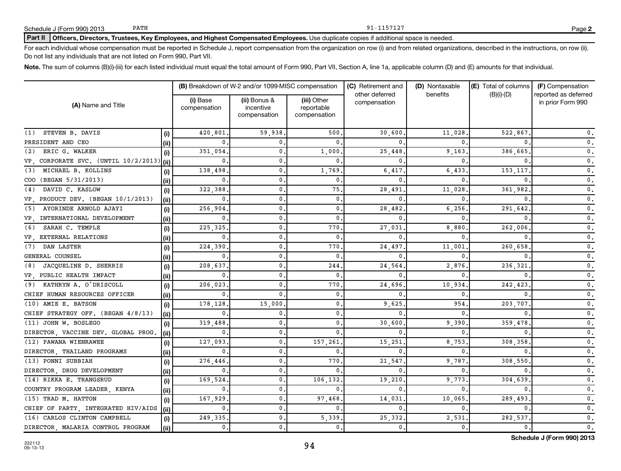## Part II | Officers, Directors, Trustees, Key Employees, and Highest Compensated Employees. Use duplicate copies if additional space is needed.

For each individual whose compensation must be reported in Schedule J, report compensation from the organization on row (i) and from related organizations, described in the instructions, on row (ii). Do not list any individuals that are not listed on Form 990, Part VII.

Note. The sum of columns (B)(i)-(iii) for each listed individual must equal the total amount of Form 990, Part VII, Section A, line 1a, applicable column (D) and (E) amounts for that individual.

|                                      |       |                          | (B) Breakdown of W-2 and/or 1099-MISC compensation |                                           | (C) Retirement and<br>other deferred | (D) Nontaxable<br>benefits | (E) Total of columns | (F) Compensation<br>reported as deferred |
|--------------------------------------|-------|--------------------------|----------------------------------------------------|-------------------------------------------|--------------------------------------|----------------------------|----------------------|------------------------------------------|
| (A) Name and Title                   |       | (i) Base<br>compensation | (ii) Bonus &<br>incentive<br>compensation          | (iii) Other<br>reportable<br>compensation | compensation                         |                            | $(B)(i)-(D)$         | in prior Form 990                        |
| STEVEN B. DAVIS<br>(1)               | (i)   | 420,801                  | 59,938                                             | 500                                       | 30,600                               | 11,028                     | 522,867              | $\mathbf{0}$ .                           |
| PRESIDENT AND CEO                    | (ii)  | 0                        | $\Omega$                                           | 0                                         | $\Omega$                             |                            |                      | $\mathsf{0}\,$ .                         |
| ERIC G. WALKER<br>(2)                | (i)   | 351,054                  | $\mathbf{0}$                                       | 1,000                                     | 25,448                               | 9,163                      | 386,665              | $\mathsf{0}\,$ .                         |
| VP, CORPORATE SVC. (UNTIL 10/2/2013) | (iii) | 0                        | $\mathbf{0}$                                       | 0                                         | $\Omega$                             |                            |                      | $\mathsf{0}\,$ .                         |
| MICHAEL B. KOLLINS<br>(3)            | (i)   | 138,498                  | $\mathbf{0}$                                       | 1,769                                     | 6,417                                | 6,433                      | 153,117              | $\mathsf{0}\,$ .                         |
| COO (BEGAN 5/31/2013)                | (ii)  | 0                        | $\mathbf{0}$                                       | $\mathbf 0$ .                             | $\mathbf{0}$                         |                            |                      | $\mathsf{0}\,$ .                         |
| DAVID C. KASLOW<br>(4)               | (i)   | 322,388                  | $\mathbf{0}$                                       | 75.                                       | 28,491                               | 11,028                     | 361,982              | $\mathfrak o$ .                          |
| VP, PRODUCT DEV. (BEGAN 10/1/2013)   | (ii)  | $\mathbf{0}$             | $\mathbf{0}$                                       | $\mathbf 0$ .                             | 0                                    |                            |                      | $\mathfrak o$ .                          |
| AYORINDE ARNOLD AJAYI<br>(5)         | (i)   | 256,904                  | $\mathbf{0}$                                       | 0.                                        | 28,482                               | 6,256                      | 291,642              | $\mathfrak o$ .                          |
| VP, INTERNATIONAL DEVELOPMENT        | (ii)  | $\mathbf{0}$             | $\mathbf{0}$                                       | 0                                         | 0                                    |                            |                      | $\mathfrak o$ .                          |
| SARAH C. TEMPLE<br>(6)               | (i)   | 225, 325                 | $\mathbf{0}$                                       | 770                                       | 27,031                               | 8,880                      | 262,006              | $\mathfrak o$ .                          |
| VP, EXTERNAL RELATIONS               | (iii) | $\mathbf{0}$             | $\mathbf{0}$                                       | 0                                         | 0                                    |                            |                      | $\mathfrak o$ .                          |
| (7) DAN LASTER                       | (i)   | 224,390                  | $\mathbf{0}$                                       | 770                                       | 24,497                               | 11,001                     | 260,658              | $\mathfrak o$ .                          |
| GENERAL COUNSEL                      | (ii)  | $\mathbf{0}$             | $\mathbf{0}$                                       | 0                                         | $\mathbf{0}$                         |                            |                      | $\mathbf 0$ .                            |
| JACQUELINE D. SHERRIS<br>(8)         | (i)   | 208,637                  | $\mathbf{0}$                                       | 244                                       | 24,564                               | 2,876                      | 236,321              | $\mathsf{0}\,$ .                         |
| VP PUBLIC HEALTH IMPACT              | (ii)  | $\mathbf{0}$             | $\mathbf{0}$                                       | 0                                         | $\mathbf{0}$                         |                            |                      | $\mathbf 0$ .                            |
| (9) KATHRYN A. O'DRISCOLL            | (i)   | 206,023                  | $\mathbf{0}$                                       | 770                                       | 24,696                               | 10,934                     | 242,423              | $\mathbf 0$ .                            |
| CHIEF HUMAN RESOURCES OFFICER        | (ii)  | $\mathbf{0}$             | $\Omega$                                           | 0.                                        | $\mathbf{0}$                         | 0                          |                      | $\mathbf 0$ .                            |
| (10) AMIE E. BATSON                  | (i)   | 178,128                  | 15,000                                             | 0.                                        | 9,625                                | 954                        | 203,707              | $\mathfrak o$ .                          |
| CHIEF STRATEGY OFF. (BEGAN 4/8/13)   | (ii)  | 0.                       | $\mathbf{0}$                                       | 0.                                        | 0                                    |                            |                      | $\mathfrak o$ .                          |
| (11) JOHN W. BOSLEGO                 | (i)   | 319,488                  | $\mathbf{0}$                                       | 0.                                        | 30,600                               | 9,390                      | 359,478              | $\mathfrak o$ .                          |
| DIRECTOR, VACCINE DEV. GLOBAL PROG.  | (ii)  | $\mathbf{0}$             | $\mathbf 0$ .                                      | $\Omega$                                  | $\mathbf{0}$                         | $\Omega$                   |                      | $\mathbf 0$ .                            |
| (12) PAWANA WIENRAWEE                | (i)   | 127,093                  | $\mathbf{0}$                                       | 157,261                                   | 15,251                               | 8,753                      | 308,358              | $\mathbf 0$ .                            |
| DIRECTOR, THAILAND PROGRAMS          | (ii)  | $\mathbf{0}$             | $\mathbf{0}$                                       | 0                                         | 0                                    | $\Omega$                   |                      | $\mathfrak o$ .                          |
| (13) PONNI SUBBIAH                   | (i)   | 276,446                  | $\mathbf{0}$                                       | 770                                       | 21,547                               | 9,787                      | 308,550              | $\mathbf 0$ .                            |
| DIRECTOR, DRUG DEVELOPMENT           | (ii)  | $\mathbf{0}$             | $\mathbf{0}$                                       | 0                                         | 0                                    | 0                          |                      | 0.                                       |
| (14) RIKKA E. TRANGSRUD              | (i)   | 169,524                  | $\mathbf{0}$                                       | 106,132                                   | 19,210                               | 9,773                      | 304,639              | $\mathbf 0$ .                            |
| COUNTRY PROGRAM LEADER, KENYA        | (ii)  | $\mathbf{0}$             | $\mathbf{0}$                                       | 0.                                        | 0                                    | 0                          |                      | 0.                                       |
| (15) TRAD M. HATTON                  | (i)   | 167,929                  | $\mathbf{0}$                                       | 97,468                                    | 14,031                               | 10,065                     | 289,493              | $\mathbf 0$ .                            |
| CHIEF OF PARTY, INTEGRATED HIV/AIDS  | (ii)  | 0.                       | $\mathbf 0$ .                                      | 0.                                        | $\mathbf{0}$                         | 0                          | 0                    | 0.                                       |
| (16) CARLOS CLINTON CAMPBELL         | (i)   | 249,335                  | 0.                                                 | 5,339.                                    | 25,332                               | 2,531                      | 282,537              | $\mathfrak o$ .                          |
| DIRECTOR, MALARIA CONTROL PROGRAM    | (ii)  | $\mathfrak o$ .          | 0.                                                 | 0.                                        | $\mathbf{0}$ .                       | 0.                         | $\mathbf 0$ .        | $\mathfrak o$ .                          |

94

**2**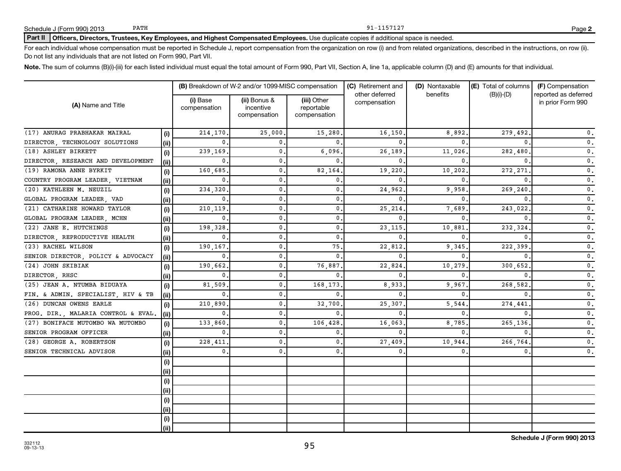# Part II | Officers, Directors, Trustees, Key Employees, and Highest Compensated Employees. Use duplicate copies if additional space is needed.

For each individual whose compensation must be reported in Schedule J, report compensation from the organization on row (i) and from related organizations, described in the instructions, on row (ii). Do not list any individuals that are not listed on Form 990, Part VII.

Note. The sum of columns (B)(i)-(iii) for each listed individual must equal the total amount of Form 990, Part VII, Section A, line 1a, applicable column (D) and (E) amounts for that individual.

|                                     |      |                          | (B) Breakdown of W-2 and/or 1099-MISC compensation |                                           | (C) Retirement and<br>other deferred | (D) Nontaxable<br>benefits | (E) Total of columns<br>$(B)(i)-(D)$ | (F) Compensation<br>reported as deferred |  |
|-------------------------------------|------|--------------------------|----------------------------------------------------|-------------------------------------------|--------------------------------------|----------------------------|--------------------------------------|------------------------------------------|--|
| (A) Name and Title                  |      | (i) Base<br>compensation | (ii) Bonus &<br>incentive<br>compensation          | (iii) Other<br>reportable<br>compensation | compensation                         |                            |                                      | in prior Form 990                        |  |
| (17) ANURAG PRABHAKAR MAIRAL        | (i)  | 214,170                  | 25,000                                             | 15,280                                    | 16,150                               | 8,892.                     | 279,492                              | $\mathbf 0$ .                            |  |
| DIRECTOR, TECHNOLOGY SOLUTIONS      | (ii) | $\mathbf{0}$             | $\Omega$                                           | $\Omega$                                  | $\Omega$                             | $\Omega$                   |                                      | $\mathfrak o$ .                          |  |
| (18) ASHLEY BIRKETT                 | (i)  | 239,169                  | $\mathbf{0}$                                       | 6,096.                                    | 26,189                               | 11,026                     | 282,480                              | $\mathfrak o$ .                          |  |
| DIRECTOR, RESEARCH AND DEVELOPMENT  | (ii) | 0                        | $\mathbf{0}$                                       | $\Omega$                                  | $\mathbf{0}$                         | $\Omega$                   |                                      | $\mathfrak o$ .                          |  |
| (19) RAMONA ANNE BYRKIT             | (i)  | 160,685                  | $\mathbf{0}$                                       | 82,164.                                   | 19,220                               | 10,202                     | 272,271                              | $\mathbf 0$ .                            |  |
| COUNTRY PROGRAM LEADER, VIETNAM     | (ii) | 0                        | $\mathbf{0}$                                       | $\mathbf{0}$ .                            | $\mathbf{0}$                         | $\Omega$                   |                                      | $\mathfrak o$ .                          |  |
| (20) KATHLEEN M. NEUZIL             | (i)  | 234,320                  | $\mathbf{0}$                                       | $\mathbf{0}$ .                            | 24,962                               | 9,958                      | 269,240                              | $\mathfrak o$ .                          |  |
| GLOBAL PROGRAM LEADER, VAD          | (ii) | $\mathbf{0}$             | $\mathbf{0}$                                       | 0.                                        | $\mathbf{0}$                         | $^{\circ}$                 |                                      | $\mathfrak o$ .                          |  |
| (21) CATHARINE HOWARD TAYLOR        | (i)  | 210,119                  | $\mathbf{0}$                                       | 0.                                        | 25,214                               | 7,689                      | 243,022                              | $\mathfrak o$ .                          |  |
| GLOBAL PROGRAM LEADER, MCHN         | (ii) | $\mathbf{0}$             | $\mathbf{0}$                                       | 0.                                        | $\mathbf{0}$                         | $\Omega$                   |                                      | 0.                                       |  |
| (22) JANE E. HUTCHINGS              | (i)  | 198,328                  | $\mathbf{0}$                                       | 0.                                        | 23, 115                              | 10,881                     | 232,324                              | 0.                                       |  |
| DIRECTOR, REPRODUCTIVE HEALTH       | (ii) | $\mathbf{0}$             | $\mathbf{0}$                                       | $\mathbf{0}$ .                            | $\mathbf{0}$                         | $\Omega$                   |                                      | 0.                                       |  |
| (23) RACHEL WILSON                  | (i)  | 190,167                  | $\mathbf{0}$                                       | 75.                                       | 22,812                               | 9,345                      | 222,399                              | 0.                                       |  |
| SENIOR DIRECTOR, POLICY & ADVOCACY  | (ii) | $\mathbf{0}$             | $\mathbf{0}$                                       | $\mathbf{0}$ .                            | $\mathbf{0}$                         | $\Omega$                   |                                      | $\mathfrak o$ .                          |  |
| (24) JOHN SKIBIAK                   | (i)  | 190,662                  | $\mathbf 0$ .                                      | 76,887.                                   | 22,824                               | 10,279                     | 300,652                              | $\mathfrak o$ .                          |  |
| DIRECTOR, RHSC                      | (ii) | $\mathbf{0}$             | $\mathbf{0}$ .                                     | $\Omega$                                  | $\mathbf{0}$                         | $\Omega$                   |                                      | $\mathfrak o$ .                          |  |
| (25) JEAN A. NTUMBA BIDUAYA         | (i)  | 81,509                   | $\mathbf{0}$ .                                     | 168,173.                                  | 8,933                                | 9,967                      | 268,582                              | $\mathfrak o$ .                          |  |
| FIN. & ADMIN. SPECIALIST, HIV & TB  | (ii) | $\mathbf{0}$             | $\mathbf{0}$ .                                     | $\mathbf{0}$ .                            | $\mathbf{0}$                         | $\Omega$                   |                                      | $\mathfrak o$ .                          |  |
| (26) DUNCAN OWENS EARLE             | (i)  | 210,890                  | $\mathbf{0}$ .                                     | 32,700.                                   | 25,307                               | 5,544                      | 274,441                              | $\mathfrak o$ .                          |  |
| PROG. DIR., MALARIA CONTROL & EVAL. | (ii) | $\mathbf{0}$             | $\mathbf{0}$ .                                     | $\mathbf{0}$ .                            | $\mathbf 0$                          | $\Omega$                   |                                      | $\mathbf 0$ .                            |  |
| (27) BONIFACE MUTOMBO WA MUTOMBO    | (i)  | 133,860                  | $\mathbf{0}$ .                                     | 106,428,                                  | 16,063                               | 8,785                      | 265,136                              | $\mathbf 0$ .                            |  |
| SENIOR PROGRAM OFFICER              | (ii) | $\mathbf{0}$             | $\mathbf{0}$                                       | 0.                                        | $\mathbf{0}$                         | $\Omega$                   |                                      | $\mathbf 0$ .                            |  |
| (28) GEORGE A. ROBERTSON            | (i)  | 228,411                  | $\mathbf{0}$ .                                     | 0.                                        | 27,409                               | 10,944                     | 266,764                              | $\mathsf{0}\,$ .                         |  |
| SENIOR TECHNICAL ADVISOR            | (ii) | $\mathbf{0}$ .           | 0.                                                 | 0.                                        | 0                                    | $^{\circ}$                 | $\mathbf{0}$                         | $\mathbf 0$ .                            |  |
|                                     | (i)  |                          |                                                    |                                           |                                      |                            |                                      |                                          |  |
|                                     | (ii) |                          |                                                    |                                           |                                      |                            |                                      |                                          |  |
|                                     | (i)  |                          |                                                    |                                           |                                      |                            |                                      |                                          |  |
|                                     | (ii) |                          |                                                    |                                           |                                      |                            |                                      |                                          |  |
|                                     | (i)  |                          |                                                    |                                           |                                      |                            |                                      |                                          |  |
|                                     | (ii) |                          |                                                    |                                           |                                      |                            |                                      |                                          |  |
|                                     | (i)  |                          |                                                    |                                           |                                      |                            |                                      |                                          |  |
|                                     | (ii) |                          |                                                    |                                           |                                      |                            |                                      |                                          |  |

95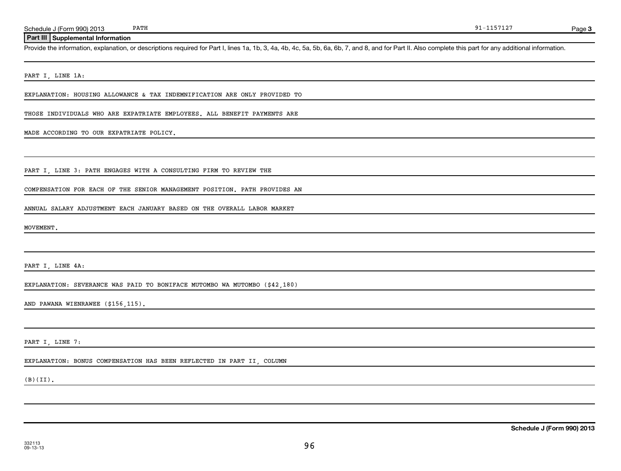Page 3

## **Part III Supplemental Information**

Provide the information, explanation, or descriptions required for Part I, lines 1a, 1b, 3, 4a, 4b, 4c, 5a, 5b, 6a, 6b, 7, and 8, and for Part II. Also complete this part for any additional information.

PART I, LINE 1A:

EXPLANATION: HOUSING ALLOWANCE & TAX INDEMNIFICATION ARE ONLY PROVIDED TO

THOSE INDIVIDUALS WHO ARE EXPATRIATE EMPLOYEES. ALL BENEFIT PAYMENTS ARE

MADE ACCORDING TO OUR EXPATRIATE POLICY.

PART I, LINE 3: PATH ENGAGES WITH A CONSULTING FIRM TO REVIEW THE

COMPENSATION FOR EACH OF THE SENIOR MANAGEMENT POSITION. PATH PROVIDES AN

ANNUAL SALARY ADJUSTMENT EACH JANUARY BASED ON THE OVERALL LABOR MARKET

MOVEMENT.

PART I, LINE 4A:

EXPLANATION: SEVERANCE WAS PAID TO BONIFACE MUTOMBO WA MUTOMBO (\$42,180)

AND PAWANA WIENRAWEE (\$156,115).

PART I, LINE 7:

### EXPLANATION: BONUS COMPENSATION HAS BEEN REFLECTED IN PART II, COLUMN

(B)(II).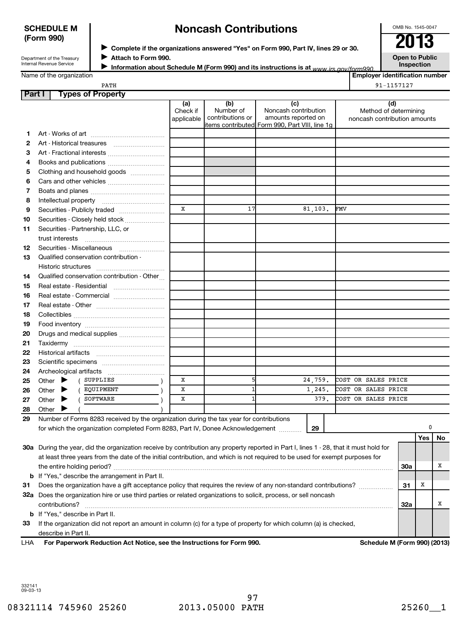## **SCHEDULE M (Form 990)**

# **Noncash Contributions**

OMB No. 1545-0047

| Department of the Treasury |
|----------------------------|
| Internal Revenue Service   |

◆ Complete if the organizations answered "Yes" on Form 990, Part IV, lines 29 or 30.<br>▶ Complete if the organizations answered "Yes" on Form 990, Part IV, lines 29 or 30.

**Attach to Form 990.** J

**Open to Public**

**Inspection**

Name of the organization

**Information about Schedule M (Form 990) and its instructions is at www irs gov/form990.** 

|      | <b>Employer identification number</b> |
|------|---------------------------------------|
| PATH | 91-1157127                            |

## **Part I Types of Property**

| items contributed Form 990, Part VIII, line 1g<br>1.                                                                                   |           |  |
|----------------------------------------------------------------------------------------------------------------------------------------|-----------|--|
|                                                                                                                                        |           |  |
| 2                                                                                                                                      |           |  |
| 3<br>Art - Fractional interests                                                                                                        |           |  |
| Books and publications<br>4                                                                                                            |           |  |
| Clothing and household goods<br>5                                                                                                      |           |  |
| 6                                                                                                                                      |           |  |
| 7                                                                                                                                      |           |  |
| 8                                                                                                                                      |           |  |
| $\mathbf x$<br>17<br>81, 103.<br>FMV<br>9<br>Securities - Publicly traded                                                              |           |  |
| Securities - Closely held stock<br>10                                                                                                  |           |  |
| Securities - Partnership, LLC, or<br>11                                                                                                |           |  |
|                                                                                                                                        |           |  |
| Securities - Miscellaneous<br>12                                                                                                       |           |  |
| Qualified conservation contribution -<br>13                                                                                            |           |  |
| Historic structures                                                                                                                    |           |  |
| Qualified conservation contribution - Other<br>14                                                                                      |           |  |
| Real estate - Residential<br>15                                                                                                        |           |  |
| 16<br>Real estate - Commercial                                                                                                         |           |  |
| 17                                                                                                                                     |           |  |
| 18                                                                                                                                     |           |  |
| 19                                                                                                                                     |           |  |
| 20<br>Drugs and medical supplies                                                                                                       |           |  |
| 21                                                                                                                                     |           |  |
| 22                                                                                                                                     |           |  |
| 23                                                                                                                                     |           |  |
| 24                                                                                                                                     |           |  |
| x<br>5<br>24,759.<br>COST OR SALES PRICE<br>( SUPPLIES<br>Other $\blacktriangleright$<br>25                                            |           |  |
| $\mathbf{1}$<br>COST OR SALES PRICE<br>x<br>1,245.<br>( EQUIPMENT<br>Other $\blacktriangleright$<br>26                                 |           |  |
| COST OR SALES PRICE<br>SOFTWARE<br>$\mathbf{1}$<br>379.<br>X<br>$\left($<br>Other $\blacktriangleright$<br>27                          |           |  |
| 28<br>Other                                                                                                                            |           |  |
| Number of Forms 8283 received by the organization during the tax year for contributions<br>29                                          |           |  |
| 29<br>for which the organization completed Form 8283, Part IV, Donee Acknowledgement                                                   | 0         |  |
|                                                                                                                                        | Yes<br>No |  |
| 30a During the year, did the organization receive by contribution any property reported in Part I, lines 1 - 28, that it must hold for |           |  |
| at least three years from the date of the initial contribution, and which is not required to be used for exempt purposes for           |           |  |
|                                                                                                                                        |           |  |
| <b>b</b> If "Yes," describe the arrangement in Part II.                                                                                |           |  |
| Does the organization have a gift acceptance policy that requires the review of any non-standard contributions?<br>31                  |           |  |
| 32a Does the organization hire or use third parties or related organizations to solicit, process, or sell noncash                      |           |  |
|                                                                                                                                        |           |  |
| <b>b</b> If "Yes," describe in Part II.                                                                                                |           |  |
| If the organization did not report an amount in column (c) for a type of property for which column (a) is checked,<br>33               |           |  |
| describe in Part II.                                                                                                                   |           |  |

**For Paperwork Reduction Act Notice, see the Instructions for Form 990. Schedule M (Form 990) (2013)** LHA

332141 09-03-13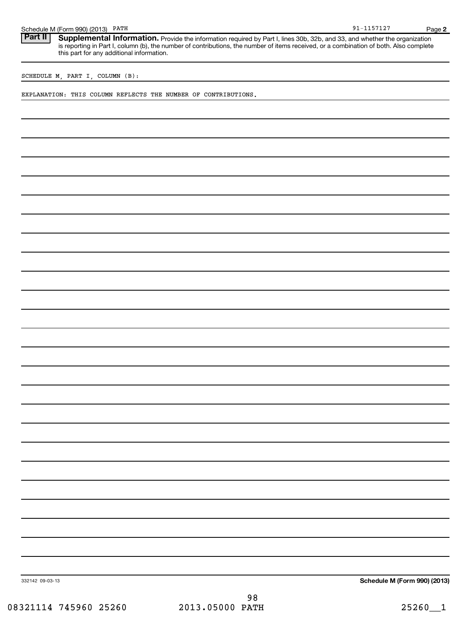|  | Schedule M (Form 990) (2013) | PATH | $    -$<br>ີ ⊥ ∠ | Page |  |
|--|------------------------------|------|------------------|------|--|
|--|------------------------------|------|------------------|------|--|

**2** Part II | Supplemental Information. Provide the information required by Part I, lines 30b, 32b, and 33, and whether the organization is reporting in Part I, column (b), the number of contributions, the number of items received, or a combination of both. Also complete this part for any additional information.

91-1157127

SCHEDULE M, PART I, COLUMN (B):

EXPLANATION: THIS COLUMN REFLECTS THE NUMBER OF CONTRIBUTIONS.

**Schedule M (Form 990) (2013)**

332142 09-03-13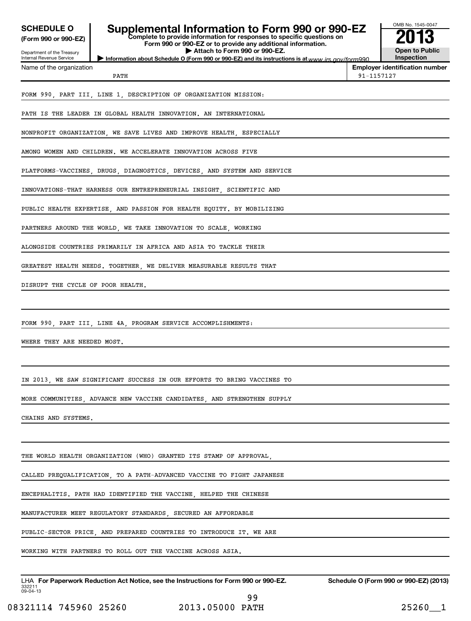| <b>SCHEDULE O</b><br>(Form 990 or 990-EZ)              | Supplemental Information to Form 990 or 990-EZ<br>Complete to provide information for responses to specific questions on<br>Form 990 or 990-EZ or to provide any additional information. |            | OMB No. 1545-0047                      |
|--------------------------------------------------------|------------------------------------------------------------------------------------------------------------------------------------------------------------------------------------------|------------|----------------------------------------|
| Department of the Treasury<br>Internal Revenue Service | Attach to Form 990 or 990-EZ.                                                                                                                                                            |            | <b>Open to Public</b><br>Inspection    |
| Name of the organization                               | Information about Schedule O (Form 990 or 990-EZ) and its instructions is at www irs gov/form990<br>PATH                                                                                 | 91-1157127 | <b>Employer identification number</b>  |
|                                                        | FORM 990, PART III, LINE 1, DESCRIPTION OF ORGANIZATION MISSION:                                                                                                                         |            |                                        |
|                                                        | PATH IS THE LEADER IN GLOBAL HEALTH INNOVATION. AN INTERNATIONAL                                                                                                                         |            |                                        |
|                                                        | NONPROFIT ORGANIZATION, WE SAVE LIVES AND IMPROVE HEALTH, ESPECIALLY                                                                                                                     |            |                                        |
|                                                        | AMONG WOMEN AND CHILDREN. WE ACCELERATE INNOVATION ACROSS FIVE                                                                                                                           |            |                                        |
|                                                        | PLATFORMS-VACCINES, DRUGS, DIAGNOSTICS, DEVICES, AND SYSTEM AND SERVICE                                                                                                                  |            |                                        |
|                                                        | INNOVATIONS-THAT HARNESS OUR ENTREPRENEURIAL INSIGHT, SCIENTIFIC AND                                                                                                                     |            |                                        |
|                                                        | PUBLIC HEALTH EXPERTISE, AND PASSION FOR HEALTH EQUITY. BY MOBILIZING                                                                                                                    |            |                                        |
|                                                        | PARTNERS AROUND THE WORLD, WE TAKE INNOVATION TO SCALE, WORKING                                                                                                                          |            |                                        |
|                                                        | ALONGSIDE COUNTRIES PRIMARILY IN AFRICA AND ASIA TO TACKLE THEIR                                                                                                                         |            |                                        |
|                                                        | GREATEST HEALTH NEEDS. TOGETHER, WE DELIVER MEASURABLE RESULTS THAT                                                                                                                      |            |                                        |
| DISRUPT THE CYCLE OF POOR HEALTH.                      |                                                                                                                                                                                          |            |                                        |
|                                                        | FORM 990, PART III, LINE 4A, PROGRAM SERVICE ACCOMPLISHMENTS:                                                                                                                            |            |                                        |
| WHERE THEY ARE NEEDED MOST.                            |                                                                                                                                                                                          |            |                                        |
|                                                        |                                                                                                                                                                                          |            |                                        |
|                                                        | IN 2013, WE SAW SIGNIFICANT SUCCESS IN OUR EFFORTS TO BRING VACCINES TO                                                                                                                  |            |                                        |
|                                                        | MORE COMMUNITIES, ADVANCE NEW VACCINE CANDIDATES, AND STRENGTHEN SUPPLY                                                                                                                  |            |                                        |
| CHAINS AND SYSTEMS.                                    |                                                                                                                                                                                          |            |                                        |
|                                                        |                                                                                                                                                                                          |            |                                        |
|                                                        | THE WORLD HEALTH ORGANIZATION (WHO) GRANTED ITS STAMP OF APPROVAL,                                                                                                                       |            |                                        |
|                                                        | CALLED PREQUALIFICATION, TO A PATH-ADVANCED VACCINE TO FIGHT JAPANESE                                                                                                                    |            |                                        |
|                                                        | ENCEPHALITIS. PATH HAD IDENTIFIED THE VACCINE, HELPED THE CHINESE                                                                                                                        |            |                                        |
|                                                        | MANUFACTURER MEET REGULATORY STANDARDS, SECURED AN AFFORDABLE                                                                                                                            |            |                                        |
|                                                        | PUBLIC-SECTOR PRICE, AND PREPARED COUNTRIES TO INTRODUCE IT. WE ARE                                                                                                                      |            |                                        |
|                                                        | WORKING WITH PARTNERS TO ROLL OUT THE VACCINE ACROSS ASIA.                                                                                                                               |            |                                        |
| 332211<br>09-04-13                                     | LHA For Paperwork Reduction Act Notice, see the Instructions for Form 990 or 990-EZ.                                                                                                     |            | Schedule O (Form 990 or 990-EZ) (2013) |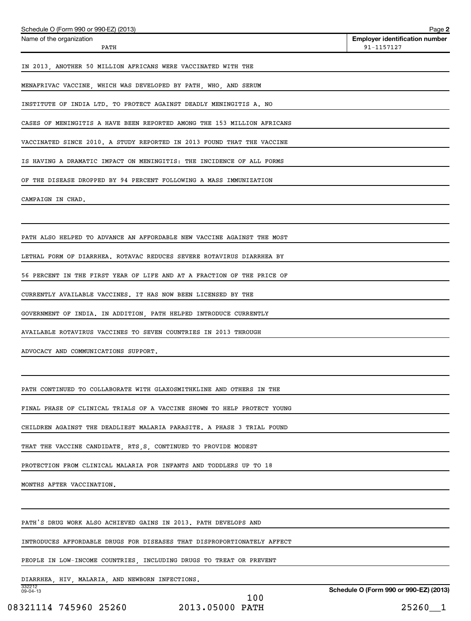| Schedule O (Form 990 or 990-EZ) (2013)                                  | Page 2                                              |
|-------------------------------------------------------------------------|-----------------------------------------------------|
| Name of the organization<br>PATH                                        | <b>Employer identification number</b><br>91-1157127 |
| IN 2013, ANOTHER 50 MILLION AFRICANS WERE VACCINATED WITH THE           |                                                     |
| MENAFRIVAC VACCINE, WHICH WAS DEVELOPED BY PATH, WHO, AND SERUM         |                                                     |
| INSTITUTE OF INDIA LTD. TO PROTECT AGAINST DEADLY MENINGITIS A. NO      |                                                     |
| CASES OF MENINGITIS A HAVE BEEN REPORTED AMONG THE 153 MILLION AFRICANS |                                                     |
| VACCINATED SINCE 2010. A STUDY REPORTED IN 2013 FOUND THAT THE VACCINE  |                                                     |
| IS HAVING A DRAMATIC IMPACT ON MENINGITIS: THE INCIDENCE OF ALL FORMS   |                                                     |
| OF THE DISEASE DROPPED BY 94 PERCENT FOLLOWING A MASS IMMUNIZATION      |                                                     |
| CAMPAIGN IN CHAD.                                                       |                                                     |
|                                                                         |                                                     |
| PATH ALSO HELPED TO ADVANCE AN AFFORDABLE NEW VACCINE AGAINST THE MOST  |                                                     |
| LETHAL FORM OF DIARRHEA. ROTAVAC REDUCES SEVERE ROTAVIRUS DIARRHEA BY   |                                                     |
| 56 PERCENT IN THE FIRST YEAR OF LIFE AND AT A FRACTION OF THE PRICE OF  |                                                     |
| CURRENTLY AVAILABLE VACCINES. IT HAS NOW BEEN LICENSED BY THE           |                                                     |
| GOVERNMENT OF INDIA. IN ADDITION, PATH HELPED INTRODUCE CURRENTLY       |                                                     |
| AVAILABLE ROTAVIRUS VACCINES TO SEVEN COUNTRIES IN 2013 THROUGH         |                                                     |
| ADVOCACY AND COMMUNICATIONS SUPPORT.                                    |                                                     |
|                                                                         |                                                     |
| PATH CONTINUED TO COLLABORATE WITH GLAXOSMITHKLINE AND OTHERS IN THE    |                                                     |
| FINAL PHASE OF CLINICAL TRIALS OF A VACCINE SHOWN TO HELP PROTECT YOUNG |                                                     |
| CHILDREN AGAINST THE DEADLIEST MALARIA PARASITE. A PHASE 3 TRIAL FOUND  |                                                     |
| THAT THE VACCINE CANDIDATE, RTS, S, CONTINUED TO PROVIDE MODEST         |                                                     |
| PROTECTION FROM CLINICAL MALARIA FOR INFANTS AND TODDLERS UP TO 18      |                                                     |
| MONTHS AFTER VACCINATION.                                               |                                                     |
|                                                                         |                                                     |
| PATH'S DRUG WORK ALSO ACHIEVED GAINS IN 2013. PATH DEVELOPS AND         |                                                     |
| INTRODUCES AFFORDABLE DRUGS FOR DISEASES THAT DISPROPORTIONATELY AFFECT |                                                     |
| PEOPLE IN LOW-INCOME COUNTRIES, INCLUDING DRUGS TO TREAT OR PREVENT     |                                                     |
| DIARRHEA, HIV, MALARIA, AND NEWBORN INFECTIONS.                         |                                                     |
| 332212<br>09-04-13<br>100                                               | Schedule O (Form 990 or 990-EZ) (2013)              |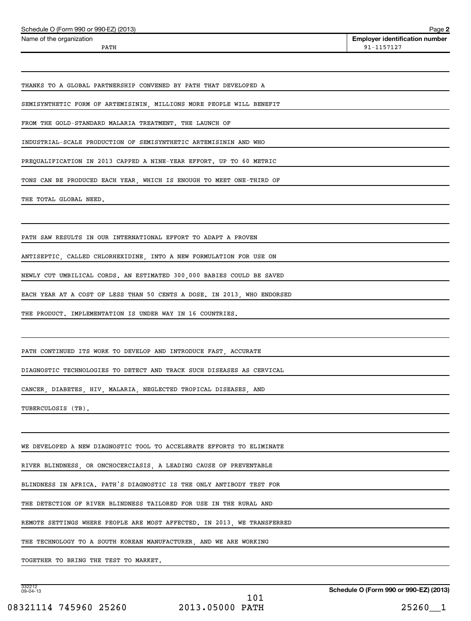| Name of the organization                                             | <b>Employer identification number</b> |
|----------------------------------------------------------------------|---------------------------------------|
| PATH                                                                 | 91-1157127                            |
|                                                                      |                                       |
|                                                                      |                                       |
| THANKS TO A GLOBAL PARTNERSHIP CONVENED BY PATH THAT DEVELOPED A     |                                       |
|                                                                      |                                       |
| SEMISYNTHETIC FORM OF ARTEMISININ, MILLIONS MORE PEOPLE WILL BENEFIT |                                       |
| FROM THE GOLD-STANDARD MALARIA TREATMENT. THE LAUNCH OF              |                                       |
| INDUSTRIAL-SCALE PRODUCTION OF SEMISYNTHETIC ARTEMISININ AND WHO     |                                       |

TONS CAN BE PRODUCED EACH YEAR, WHICH IS ENOUGH TO MEET ONE-THIRD OF

THE TOTAL GLOBAL NEED.

PATH SAW RESULTS IN OUR INTERNATIONAL EFFORT TO ADAPT A PROVEN

ANTISEPTIC, CALLED CHLORHEXIDINE, INTO A NEW FORMULATION FOR USE ON

NEWLY CUT UMBILICAL CORDS. AN ESTIMATED 300,000 BABIES COULD BE SAVED

EACH YEAR AT A COST OF LESS THAN 50 CENTS A DOSE. IN 2013, WHO ENDORSED

THE PRODUCT. IMPLEMENTATION IS UNDER WAY IN 16 COUNTRIES.

PATH CONTINUED ITS WORK TO DEVELOP AND INTRODUCE FAST, ACCURATE

DIAGNOSTIC TECHNOLOGIES TO DETECT AND TRACK SUCH DISEASES AS CERVICAL

CANCER, DIABETES, HIV, MALARIA, NEGLECTED TROPICAL DISEASES, AND

TUBERCULOSIS (TB).

WE DEVELOPED A NEW DIAGNOSTIC TOOL TO ACCELERATE EFFORTS TO ELIMINATE

RIVER BLINDNESS, OR ONCHOCERCIASIS, A LEADING CAUSE OF PREVENTABLE

BLINDNESS IN AFRICA. PATH'S DIAGNOSTIC IS THE ONLY ANTIBODY TEST FOR

THE DETECTION OF RIVER BLINDNESS TAILORED FOR USE IN THE RURAL AND

REMOTE SETTINGS WHERE PEOPLE ARE MOST AFFECTED. IN 2013, WE TRANSFERRED

THE TECHNOLOGY TO A SOUTH KOREAN MANUFACTURER, AND WE ARE WORKING

TOGETHER TO BRING THE TEST TO MARKET.

332212 09-04-13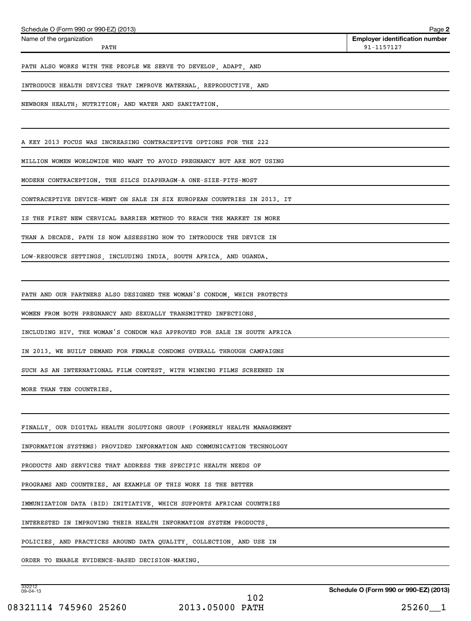| Schedule O (Form 990 or 990-EZ) (2013)                                  | Page 2                                              |
|-------------------------------------------------------------------------|-----------------------------------------------------|
| Name of the organization<br>PATH                                        | <b>Employer identification number</b><br>91-1157127 |
| PATH ALSO WORKS WITH THE PEOPLE WE SERVE TO DEVELOP, ADAPT, AND         |                                                     |
| INTRODUCE HEALTH DEVICES THAT IMPROVE MATERNAL, REPRODUCTIVE, AND       |                                                     |
| NEWBORN HEALTH; NUTRITION; AND WATER AND SANITATION.                    |                                                     |
|                                                                         |                                                     |
| A KEY 2013 FOCUS WAS INCREASING CONTRACEPTIVE OPTIONS FOR THE 222       |                                                     |
| MILLION WOMEN WORLDWIDE WHO WANT TO AVOID PREGNANCY BUT ARE NOT USING   |                                                     |
| MODERN CONTRACEPTION. THE SILCS DIAPHRAGM-A ONE-SIZE-FITS-MOST          |                                                     |
| CONTRACEPTIVE DEVICE-WENT ON SALE IN SIX EUROPEAN COUNTRIES IN 2013. IT |                                                     |
| IS THE FIRST NEW CERVICAL BARRIER METHOD TO REACH THE MARKET IN MORE    |                                                     |
| THAN A DECADE. PATH IS NOW ASSESSING HOW TO INTRODUCE THE DEVICE IN     |                                                     |
| LOW-RESOURCE SETTINGS, INCLUDING INDIA, SOUTH AFRICA, AND UGANDA.       |                                                     |
|                                                                         |                                                     |
| PATH AND OUR PARTNERS ALSO DESIGNED THE WOMAN'S CONDOM, WHICH PROTECTS  |                                                     |
| WOMEN FROM BOTH PREGNANCY AND SEXUALLY TRANSMITTED INFECTIONS,          |                                                     |
| INCLUDING HIV. THE WOMAN'S CONDOM WAS APPROVED FOR SALE IN SOUTH AFRICA |                                                     |
| IN 2013. WE BUILT DEMAND FOR FEMALE CONDOMS OVERALL THROUGH CAMPAIGNS   |                                                     |
| SUCH AS AN INTERNATIONAL FILM CONTEST, WITH WINNING FILMS SCREENED IN   |                                                     |
| MORE THAN TEN COUNTRIES.                                                |                                                     |
|                                                                         |                                                     |
| FINALLY, OUR DIGITAL HEALTH SOLUTIONS GROUP (FORMERLY HEALTH MANAGEMENT |                                                     |
| INFORMATION SYSTEMS) PROVIDED INFORMATION AND COMMUNICATION TECHNOLOGY  |                                                     |
| PRODUCTS AND SERVICES THAT ADDRESS THE SPECIFIC HEALTH NEEDS OF         |                                                     |
| PROGRAMS AND COUNTRIES. AN EXAMPLE OF THIS WORK IS THE BETTER           |                                                     |
| IMMUNIZATION DATA (BID) INITIATIVE, WHICH SUPPORTS AFRICAN COUNTRIES    |                                                     |
| INTERESTED IN IMPROVING THEIR HEALTH INFORMATION SYSTEM PRODUCTS,       |                                                     |
| POLICIES, AND PRACTICES AROUND DATA QUALITY, COLLECTION, AND USE IN     |                                                     |
| ORDER TO ENABLE EVIDENCE-BASED DECISION-MAKING.                         |                                                     |
|                                                                         |                                                     |

332212 09-04-13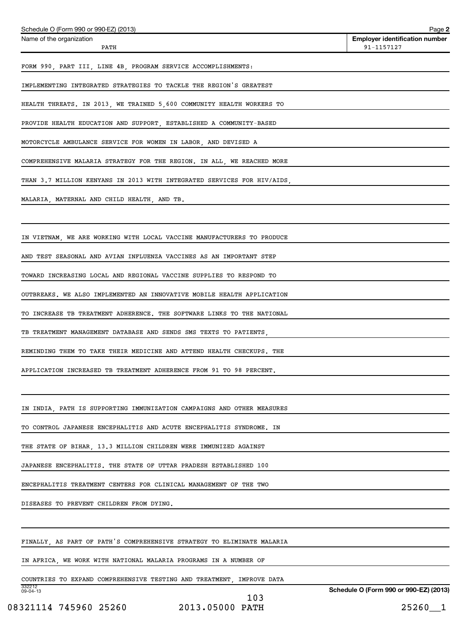| Schedule O (Form 990 or 990-EZ) (2013)                                          | Page 2                                              |
|---------------------------------------------------------------------------------|-----------------------------------------------------|
| Name of the organization<br>PATH                                                | <b>Employer identification number</b><br>91-1157127 |
| FORM 990, PART III, LINE 4B, PROGRAM SERVICE ACCOMPLISHMENTS:                   |                                                     |
| IMPLEMENTING INTEGRATED STRATEGIES TO TACKLE THE REGION'S GREATEST              |                                                     |
| HEALTH THREATS. IN 2013, WE TRAINED 5,600 COMMUNITY HEALTH WORKERS TO           |                                                     |
| PROVIDE HEALTH EDUCATION AND SUPPORT, ESTABLISHED A COMMUNITY-BASED             |                                                     |
| MOTORCYCLE AMBULANCE SERVICE FOR WOMEN IN LABOR, AND DEVISED A                  |                                                     |
| COMPREHENSIVE MALARIA STRATEGY FOR THE REGION. IN ALL, WE REACHED MORE          |                                                     |
| THAN 3.7 MILLION KENYANS IN 2013 WITH INTEGRATED SERVICES FOR HIV/AIDS,         |                                                     |
| MALARIA, MATERNAL AND CHILD HEALTH, AND TB.                                     |                                                     |
|                                                                                 |                                                     |
| IN VIETNAM, WE ARE WORKING WITH LOCAL VACCINE MANUFACTURERS TO PRODUCE          |                                                     |
| AND TEST SEASONAL AND AVIAN INFLUENZA VACCINES AS AN IMPORTANT STEP             |                                                     |
| TOWARD INCREASING LOCAL AND REGIONAL VACCINE SUPPLIES TO RESPOND TO             |                                                     |
| OUTBREAKS. WE ALSO IMPLEMENTED AN INNOVATIVE MOBILE HEALTH APPLICATION          |                                                     |
| TO INCREASE TB TREATMENT ADHERENCE. THE SOFTWARE LINKS TO THE NATIONAL          |                                                     |
| TB TREATMENT MANAGEMENT DATABASE AND SENDS SMS TEXTS TO PATIENTS,               |                                                     |
| REMINDING THEM TO TAKE THEIR MEDICINE AND ATTEND HEALTH CHECKUPS. THE           |                                                     |
| APPLICATION INCREASED TB TREATMENT ADHERENCE FROM 91 TO 98 PERCENT.             |                                                     |
|                                                                                 |                                                     |
| IN INDIA, PATH IS SUPPORTING IMMUNIZATION CAMPAIGNS AND OTHER MEASURES          |                                                     |
| TO CONTROL JAPANESE ENCEPHALITIS AND ACUTE ENCEPHALITIS SYNDROME. IN            |                                                     |
| THE STATE OF BIHAR, 13.3 MILLION CHILDREN WERE IMMUNIZED AGAINST                |                                                     |
| JAPANESE ENCEPHALITIS. THE STATE OF UTTAR PRADESH ESTABLISHED 100               |                                                     |
| ENCEPHALITIS TREATMENT CENTERS FOR CLINICAL MANAGEMENT OF THE TWO               |                                                     |
| DISEASES TO PREVENT CHILDREN FROM DYING.                                        |                                                     |
|                                                                                 |                                                     |
| FINALLY, AS PART OF PATH'S COMPREHENSIVE STRATEGY TO ELIMINATE MALARIA          |                                                     |
| IN AFRICA, WE WORK WITH NATIONAL MALARIA PROGRAMS IN A NUMBER OF                |                                                     |
| COUNTRIES TO EXPAND COMPREHENSIVE TESTING AND TREATMENT, IMPROVE DATA<br>332212 |                                                     |
| $09 - 04 - 13$                                                                  | Schedule O (Form 990 or 990-EZ) (2013)              |

08321114 745960 25260 2013.05000 PATH 25260 25260

103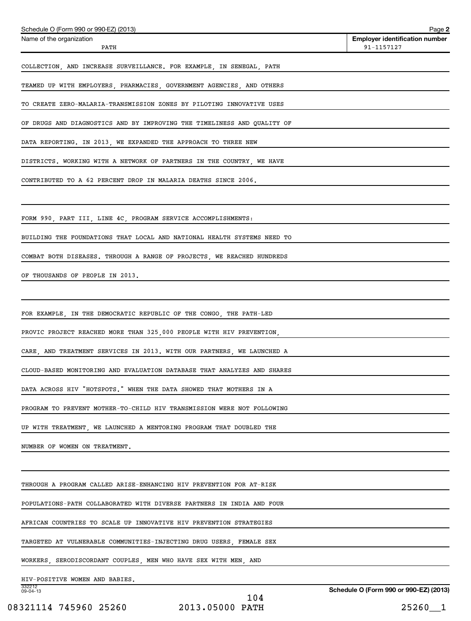| Schedule O (Form 990 or 990-EZ) (2013)                                  | Page 2                                              |
|-------------------------------------------------------------------------|-----------------------------------------------------|
| Name of the organization<br>PATH                                        | <b>Employer identification number</b><br>91-1157127 |
| COLLECTION, AND INCREASE SURVEILLANCE. FOR EXAMPLE, IN SENEGAL, PATH    |                                                     |
| TEAMED UP WITH EMPLOYERS, PHARMACIES, GOVERNMENT AGENCIES, AND OTHERS   |                                                     |
| TO CREATE ZERO-MALARIA-TRANSMISSION ZONES BY PILOTING INNOVATIVE USES   |                                                     |
| OF DRUGS AND DIAGNOSTICS AND BY IMPROVING THE TIMELINESS AND QUALITY OF |                                                     |
| DATA REPORTING. IN 2013, WE EXPANDED THE APPROACH TO THREE NEW          |                                                     |
| DISTRICTS. WORKING WITH A NETWORK OF PARTNERS IN THE COUNTRY, WE HAVE   |                                                     |
| CONTRIBUTED TO A 62 PERCENT DROP IN MALARIA DEATHS SINCE 2006.          |                                                     |
|                                                                         |                                                     |
| FORM 990, PART III, LINE 4C, PROGRAM SERVICE ACCOMPLISHMENTS:           |                                                     |
| BUILDING THE FOUNDATIONS THAT LOCAL AND NATIONAL HEALTH SYSTEMS NEED TO |                                                     |
| COMBAT BOTH DISEASES. THROUGH A RANGE OF PROJECTS, WE REACHED HUNDREDS  |                                                     |
| OF THOUSANDS OF PEOPLE IN 2013.                                         |                                                     |
|                                                                         |                                                     |
| FOR EXAMPLE, IN THE DEMOCRATIC REPUBLIC OF THE CONGO, THE PATH-LED      |                                                     |
| PROVIC PROJECT REACHED MORE THAN 325,000 PEOPLE WITH HIV PREVENTION,    |                                                     |
| CARE, AND TREATMENT SERVICES IN 2013. WITH OUR PARTNERS, WE LAUNCHED A  |                                                     |
| CLOUD-BASED MONITORING AND EVALUATION DATABASE THAT ANALYZES AND SHARES |                                                     |
| DATA ACROSS HIV "HOTSPOTS." WHEN THE DATA SHOWED THAT MOTHERS IN A      |                                                     |
| PROGRAM TO PREVENT MOTHER-TO-CHILD HIV TRANSMISSION WERE NOT FOLLOWING  |                                                     |
| UP WITH TREATMENT, WE LAUNCHED A MENTORING PROGRAM THAT DOUBLED THE     |                                                     |
| NUMBER OF WOMEN ON TREATMENT.                                           |                                                     |
|                                                                         |                                                     |
| THROUGH A PROGRAM CALLED ARISE-ENHANCING HIV PREVENTION FOR AT-RISK     |                                                     |
| POPULATIONS-PATH COLLABORATED WITH DIVERSE PARTNERS IN INDIA AND FOUR   |                                                     |
| AFRICAN COUNTRIES TO SCALE UP INNOVATIVE HIV PREVENTION STRATEGIES      |                                                     |
| TARGETED AT VULNERABLE COMMUNITIES-INJECTING DRUG USERS, FEMALE SEX     |                                                     |
| WORKERS, SERODISCORDANT COUPLES, MEN WHO HAVE SEX WITH MEN, AND         |                                                     |
| HIV-POSITIVE WOMEN AND BABIES.<br>332212                                |                                                     |
| 09-04-13                                                                | Schedule O (Form 990 or 990-EZ) (2013)              |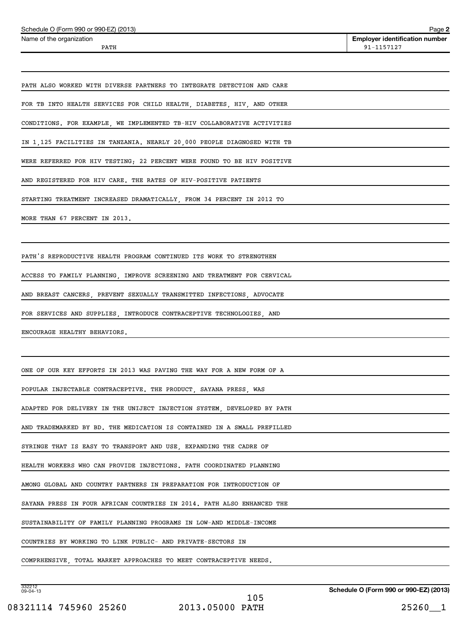| Schedule O (Form 990 or 990-EZ) (2013)                                  | Page 2                                              |
|-------------------------------------------------------------------------|-----------------------------------------------------|
| Name of the organization<br>PATH                                        | <b>Employer identification number</b><br>91-1157127 |
|                                                                         |                                                     |
| PATH ALSO WORKED WITH DIVERSE PARTNERS TO INTEGRATE DETECTION AND CARE  |                                                     |
| FOR TB INTO HEALTH SERVICES FOR CHILD HEALTH, DIABETES, HIV, AND OTHER  |                                                     |
| CONDITIONS. FOR EXAMPLE, WE IMPLEMENTED TB-HIV COLLABORATIVE ACTIVITIES |                                                     |
| IN 1,125 FACILITIES IN TANZANIA. NEARLY 20,000 PEOPLE DIAGNOSED WITH TB |                                                     |
| WERE REFERRED FOR HIV TESTING; 22 PERCENT WERE FOUND TO BE HIV POSITIVE |                                                     |
| AND REGISTERED FOR HIV CARE. THE RATES OF HIV-POSITIVE PATIENTS         |                                                     |
| STARTING TREATMENT INCREASED DRAMATICALLY, FROM 34 PERCENT IN 2012 TO   |                                                     |
| MORE THAN 67 PERCENT IN 2013.                                           |                                                     |
|                                                                         |                                                     |
| PATH'S REPRODUCTIVE HEALTH PROGRAM CONTINUED ITS WORK TO STRENGTHEN     |                                                     |
| ACCESS TO FAMILY PLANNING, IMPROVE SCREENING AND TREATMENT FOR CERVICAL |                                                     |
| AND BREAST CANCERS, PREVENT SEXUALLY TRANSMITTED INFECTIONS, ADVOCATE   |                                                     |
| FOR SERVICES AND SUPPLIES, INTRODUCE CONTRACEPTIVE TECHNOLOGIES, AND    |                                                     |
| ENCOURAGE HEALTHY BEHAVIORS.                                            |                                                     |
|                                                                         |                                                     |
| ONE OF OUR KEY EFFORTS IN 2013 WAS PAVING THE WAY FOR A NEW FORM OF A   |                                                     |
| POPULAR INJECTABLE CONTRACEPTIVE. THE PRODUCT, SAYANA PRESS, WAS        |                                                     |
| ADAPTED FOR DELIVERY IN THE UNIJECT INJECTION SYSTEM, DEVELOPED BY PATH |                                                     |
| AND TRADEMARKED BY BD. THE MEDICATION IS CONTAINED IN A SMALL PREFILLED |                                                     |
| SYRINGE THAT IS EASY TO TRANSPORT AND USE, EXPANDING THE CADRE OF       |                                                     |
| HEALTH WORKERS WHO CAN PROVIDE INJECTIONS. PATH COORDINATED PLANNING    |                                                     |
| AMONG GLOBAL AND COUNTRY PARTNERS IN PREPARATION FOR INTRODUCTION OF    |                                                     |
| SAYANA PRESS IN FOUR AFRICAN COUNTRIES IN 2014. PATH ALSO ENHANCED THE  |                                                     |
| SUSTAINABILITY OF FAMILY PLANNING PROGRAMS IN LOW-AND MIDDLE-INCOME     |                                                     |
| COUNTRIES BY WORKING TO LINK PUBLIC- AND PRIVATE-SECTORS IN             |                                                     |
| COMPRHENSIVE, TOTAL MARKET APPROACHES TO MEET CONTRACEPTIVE NEEDS.      |                                                     |

332212 09-04-13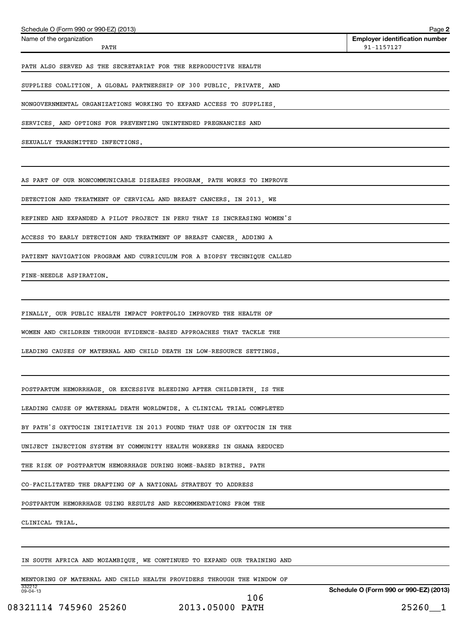| Schedule O (Form 990 or 990-EZ) (2013)                                  | Page 2                                              |
|-------------------------------------------------------------------------|-----------------------------------------------------|
| Name of the organization<br>PATH                                        | <b>Employer identification number</b><br>91-1157127 |
| PATH ALSO SERVED AS THE SECRETARIAT FOR THE REPRODUCTIVE HEALTH         |                                                     |
| SUPPLIES COALITION, A GLOBAL PARTNERSHIP OF 300 PUBLIC, PRIVATE, AND    |                                                     |
| NONGOVERNMENTAL ORGANIZATIONS WORKING TO EXPAND ACCESS TO SUPPLIES,     |                                                     |
| SERVICES, AND OPTIONS FOR PREVENTING UNINTENDED PREGNANCIES AND         |                                                     |
| SEXUALLY TRANSMITTED INFECTIONS.                                        |                                                     |
|                                                                         |                                                     |
| AS PART OF OUR NONCOMMUNICABLE DISEASES PROGRAM, PATH WORKS TO IMPROVE  |                                                     |
| DETECTION AND TREATMENT OF CERVICAL AND BREAST CANCERS. IN 2013, WE     |                                                     |
| REFINED AND EXPANDED A PILOT PROJECT IN PERU THAT IS INCREASING WOMEN'S |                                                     |
| ACCESS TO EARLY DETECTION AND TREATMENT OF BREAST CANCER, ADDING A      |                                                     |
| PATIENT NAVIGATION PROGRAM AND CURRICULUM FOR A BIOPSY TECHNIQUE CALLED |                                                     |
| FINE-NEEDLE ASPIRATION.                                                 |                                                     |
|                                                                         |                                                     |
| FINALLY, OUR PUBLIC HEALTH IMPACT PORTFOLIO IMPROVED THE HEALTH OF      |                                                     |
| WOMEN AND CHILDREN THROUGH EVIDENCE-BASED APPROACHES THAT TACKLE THE    |                                                     |
| LEADING CAUSES OF MATERNAL AND CHILD DEATH IN LOW-RESOURCE SETTINGS.    |                                                     |
|                                                                         |                                                     |
| POSTPARTUM HEMORRHAGE, OR EXCESSIVE BLEEDING AFTER CHILDBIRTH, IS THE   |                                                     |
| LEADING CAUSE OF MATERNAL DEATH WORLDWIDE. A CLINICAL TRIAL COMPLETED   |                                                     |
| BY PATH'S OXYTOCIN INITIATIVE IN 2013 FOUND THAT USE OF OXYTOCIN IN THE |                                                     |
| UNIJECT INJECTION SYSTEM BY COMMUNITY HEALTH WORKERS IN GHANA REDUCED   |                                                     |
| THE RISK OF POSTPARTUM HEMORRHAGE DURING HOME-BASED BIRTHS. PATH        |                                                     |
| CO-FACILITATED THE DRAFTING OF A NATIONAL STRATEGY TO ADDRESS           |                                                     |
| POSTPARTUM HEMORRHAGE USING RESULTS AND RECOMMENDATIONS FROM THE        |                                                     |
| CLINICAL TRIAL.                                                         |                                                     |
|                                                                         |                                                     |
| IN SOUTH AFRICA AND MOZAMBIQUE, WE CONTINUED TO EXPAND OUR TRAINING AND |                                                     |
| MENTORING OF MATERNAL AND CHILD HEALTH PROVIDERS THROUGH THE WINDOW OF  |                                                     |

332212 09-04-13

106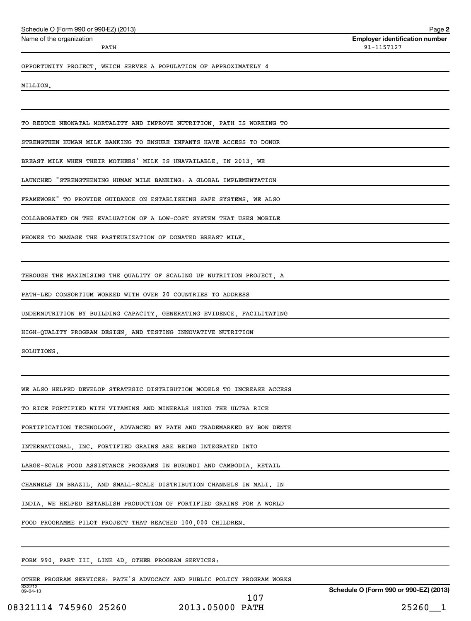| Name of the organization<br>PATH                                                              | <b>Employer identification number</b><br>91-1157127 |
|-----------------------------------------------------------------------------------------------|-----------------------------------------------------|
| OPPORTUNITY PROJECT, WHICH SERVES A POPULATION OF APPROXIMATELY 4                             |                                                     |
| MILLION.                                                                                      |                                                     |
|                                                                                               |                                                     |
| TO REDUCE NEONATAL MORTALITY AND IMPROVE NUTRITION, PATH IS WORKING TO                        |                                                     |
| STRENGTHEN HUMAN MILK BANKING TO ENSURE INFANTS HAVE ACCESS TO DONOR                          |                                                     |
| BREAST MILK WHEN THEIR MOTHERS' MILK IS UNAVAILABLE. IN 2013, WE                              |                                                     |
| LAUNCHED "STRENGTHENING HUMAN MILK BANKING: A GLOBAL IMPLEMENTATION                           |                                                     |
| FRAMEWORK" TO PROVIDE GUIDANCE ON ESTABLISHING SAFE SYSTEMS. WE ALSO                          |                                                     |
| COLLABORATED ON THE EVALUATION OF A LOW-COST SYSTEM THAT USES MOBILE                          |                                                     |
| PHONES TO MANAGE THE PASTEURIZATION OF DONATED BREAST MILK.                                   |                                                     |
|                                                                                               |                                                     |
| THROUGH THE MAXIMISING THE QUALITY OF SCALING UP NUTRITION PROJECT, A                         |                                                     |
| PATH-LED CONSORTIUM WORKED WITH OVER 20 COUNTRIES TO ADDRESS                                  |                                                     |
| UNDERNUTRITION BY BUILDING CAPACITY, GENERATING EVIDENCE, FACILITATING                        |                                                     |
| HIGH-QUALITY PROGRAM DESIGN, AND TESTING INNOVATIVE NUTRITION                                 |                                                     |
| SOLUTIONS.                                                                                    |                                                     |
|                                                                                               |                                                     |
| WE ALSO HELPED DEVELOP STRATEGIC DISTRIBUTION MODELS TO INCREASE ACCESS                       |                                                     |
| TO RICE FORTIFIED WITH VITAMINS AND MINERALS USING THE ULTRA RICE                             |                                                     |
| FORTIFICATION TECHNOLOGY, ADVANCED BY PATH AND TRADEMARKED BY BON DENTE                       |                                                     |
| INTERNATIONAL, INC. FORTIFIED GRAINS ARE BEING INTEGRATED INTO                                |                                                     |
| LARGE-SCALE FOOD ASSISTANCE PROGRAMS IN BURUNDI AND CAMBODIA, RETAIL                          |                                                     |
| CHANNELS IN BRAZIL, AND SMALL-SCALE DISTRIBUTION CHANNELS IN MALI. IN                         |                                                     |
| INDIA, WE HELPED ESTABLISH PRODUCTION OF FORTIFIED GRAINS FOR A WORLD                         |                                                     |
| FOOD PROGRAMME PILOT PROJECT THAT REACHED 100,000 CHILDREN.                                   |                                                     |
|                                                                                               |                                                     |
| FORM 990, PART III, LINE 4D, OTHER PROGRAM SERVICES:                                          |                                                     |
| OTHER PROGRAM SERVICES: PATH'S ADVOCACY AND PUBLIC POLICY PROGRAM WORKS<br>332212<br>09-04-13 | Schedule O (Form 990 or 990-EZ) (2013)              |
|                                                                                               |                                                     |

Schedule O (Form 990 or 990-EZ) (2013)

08321114 745960 25260 2013.05000 PATH 25260 25260 107

**Schedule O (Form 990 or 990-EZ) (2013)**

**2**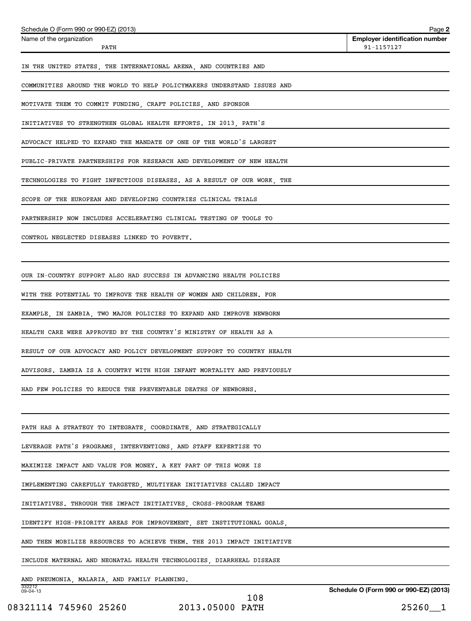| Schedule O (Form 990 or 990-EZ) (2013)                                  | Page 2                                              |
|-------------------------------------------------------------------------|-----------------------------------------------------|
| Name of the organization<br>PATH                                        | <b>Employer identification number</b><br>91-1157127 |
| IN THE UNITED STATES, THE INTERNATIONAL ARENA, AND COUNTRIES AND        |                                                     |
| COMMUNITIES AROUND THE WORLD TO HELP POLICYMAKERS UNDERSTAND ISSUES AND |                                                     |
| MOTIVATE THEM TO COMMIT FUNDING, CRAFT POLICIES, AND SPONSOR            |                                                     |
| INITIATIVES TO STRENGTHEN GLOBAL HEALTH EFFORTS. IN 2013, PATH'S        |                                                     |
| ADVOCACY HELPED TO EXPAND THE MANDATE OF ONE OF THE WORLD'S LARGEST     |                                                     |
| PUBLIC-PRIVATE PARTNERSHIPS FOR RESEARCH AND DEVELOPMENT OF NEW HEALTH  |                                                     |
| TECHNOLOGIES TO FIGHT INFECTIOUS DISEASES. AS A RESULT OF OUR WORK, THE |                                                     |
| SCOPE OF THE EUROPEAN AND DEVELOPING COUNTRIES CLINICAL TRIALS          |                                                     |
| PARTNERSHIP NOW INCLUDES ACCELERATING CLINICAL TESTING OF TOOLS TO      |                                                     |
| CONTROL NEGLECTED DISEASES LINKED TO POVERTY.                           |                                                     |
|                                                                         |                                                     |
| OUR IN-COUNTRY SUPPORT ALSO HAD SUCCESS IN ADVANCING HEALTH POLICIES    |                                                     |
| WITH THE POTENTIAL TO IMPROVE THE HEALTH OF WOMEN AND CHILDREN. FOR     |                                                     |
| EXAMPLE, IN ZAMBIA, TWO MAJOR POLICIES TO EXPAND AND IMPROVE NEWBORN    |                                                     |
| HEALTH CARE WERE APPROVED BY THE COUNTRY'S MINISTRY OF HEALTH AS A      |                                                     |
| RESULT OF OUR ADVOCACY AND POLICY DEVELOPMENT SUPPORT TO COUNTRY HEALTH |                                                     |
| ADVISORS. ZAMBIA IS A COUNTRY WITH HIGH INFANT MORTALITY AND PREVIOUSLY |                                                     |
| HAD FEW POLICIES TO REDUCE THE PREVENTABLE DEATHS OF NEWBORNS.          |                                                     |
|                                                                         |                                                     |
| PATH HAS A STRATEGY TO INTEGRATE, COORDINATE, AND STRATEGICALLY         |                                                     |
| LEVERAGE PATH'S PROGRAMS, INTERVENTIONS, AND STAFF EXPERTISE TO         |                                                     |
| MAXIMIZE IMPACT AND VALUE FOR MONEY. A KEY PART OF THIS WORK IS         |                                                     |
| IMPLEMENTING CAREFULLY TARGETED, MULTIYEAR INITIATIVES CALLED IMPACT    |                                                     |
| INITIATIVES. THROUGH THE IMPACT INITIATIVES, CROSS-PROGRAM TEAMS        |                                                     |
| IDENTIFY HIGH-PRIORITY AREAS FOR IMPROVEMENT, SET INSTITUTIONAL GOALS,  |                                                     |
| AND THEN MOBILIZE RESOURCES TO ACHIEVE THEM. THE 2013 IMPACT INITIATIVE |                                                     |
| INCLUDE MATERNAL AND NEONATAL HEALTH TECHNOLOGIES, DIARRHEAL DISEASE    |                                                     |
| AND PNEUMONIA, MALARIA, AND FAMILY PLANNING.<br>332212                  |                                                     |
| 09-04-13                                                                | Schedule O (Form 990 or 990-EZ) (2013)              |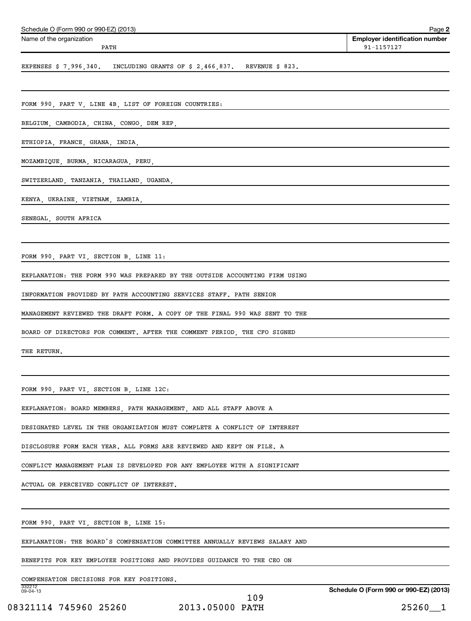| Schedule O (Form 990 or 990-EZ) (2013)<br>Name of the organization          | Page 2<br><b>Employer identification number</b> |
|-----------------------------------------------------------------------------|-------------------------------------------------|
| PATH                                                                        | 91-1157127                                      |
| EXPENSES $$7,996,340$ . INCLUDING GRANTS OF $$2,466,837$ . REVENUE $$823$ . |                                                 |
|                                                                             |                                                 |
| FORM 990, PART V, LINE 4B, LIST OF FOREIGN COUNTRIES:                       |                                                 |
| BELGIUM, CAMBODIA, CHINA, CONGO, DEM REP,                                   |                                                 |
| ETHIOPIA, FRANCE, GHANA, INDIA,                                             |                                                 |
| MOZAMBIQUE, BURMA, NICARAGUA, PERU,                                         |                                                 |
| SWITZERLAND, TANZANIA, THAILAND, UGANDA,                                    |                                                 |
| KENYA, UKRAINE, VIETNAM, ZAMBIA,                                            |                                                 |
| SENEGAL, SOUTH AFRICA                                                       |                                                 |
|                                                                             |                                                 |
| FORM 990, PART VI, SECTION B, LINE 11:                                      |                                                 |
| EXPLANATION: THE FORM 990 WAS PREPARED BY THE OUTSIDE ACCOUNTING FIRM USING |                                                 |
| INFORMATION PROVIDED BY PATH ACCOUNTING SERVICES STAFF. PATH SENIOR         |                                                 |
| MANAGEMENT REVIEWED THE DRAFT FORM. A COPY OF THE FINAL 990 WAS SENT TO THE |                                                 |
| BOARD OF DIRECTORS FOR COMMENT. AFTER THE COMMENT PERIOD, THE CFO SIGNED    |                                                 |
| THE RETURN.                                                                 |                                                 |
|                                                                             |                                                 |
| FORM 990, PART VI, SECTION B, LINE 12C:                                     |                                                 |
| EXPLANATION: BOARD MEMBERS, PATH MANAGEMENT, AND ALL STAFF ABOVE A          |                                                 |
| DESIGNATED LEVEL IN THE ORGANIZATION MUST COMPLETE A CONFLICT OF INTEREST   |                                                 |
| DISCLOSURE FORM EACH YEAR. ALL FORMS ARE REVIEWED AND KEPT ON FILE. A       |                                                 |
| CONFLICT MANAGEMENT PLAN IS DEVELOPED FOR ANY EMPLOYEE WITH A SIGNIFICANT   |                                                 |
| ACTUAL OR PERCEIVED CONFLICT OF INTEREST.                                   |                                                 |
|                                                                             |                                                 |
| FORM 990, PART VI, SECTION B, LINE 15:                                      |                                                 |
| EXPLANATION: THE BOARD'S COMPENSATION COMMITTEE ANNUALLY REVIEWS SALARY AND |                                                 |
| BENEFITS FOR KEY EMPLOYEE POSITIONS AND PROVIDES GUIDANCE TO THE CEO ON     |                                                 |
| COMPENSATION DECISIONS FOR KEY POSITIONS.                                   |                                                 |
| 332212<br>09-04-13<br>109                                                   | Schedule O (Form 990 or 990-EZ) (2013)          |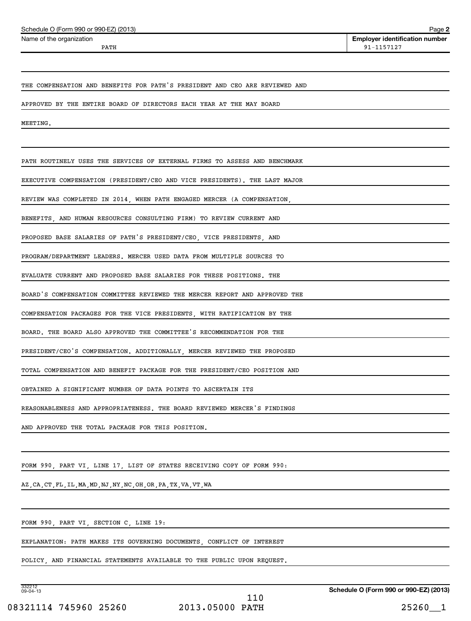| Schedule O (Form 990 or 990-EZ) (2013) | Page 2                                |
|----------------------------------------|---------------------------------------|
| Name of the organization               | <b>Emplover identification number</b> |
| PATH                                   | 91-1157127                            |

THE COMPENSATION AND BENEFITS FOR PATH'S PRESIDENT AND CEO ARE REVIEWED AND

APPROVED BY THE ENTIRE BOARD OF DIRECTORS EACH YEAR AT THE MAY BOARD

MEETING.

PATH ROUTINELY USES THE SERVICES OF EXTERNAL FIRMS TO ASSESS AND BENCHMARK

EXECUTIVE COMPENSATION (PRESIDENT/CEO AND VICE PRESIDENTS). THE LAST MAJOR

REVIEW WAS COMPLETED IN 2014, WHEN PATH ENGAGED MERCER (A COMPENSATION,

BENEFITS, AND HUMAN RESOURCES CONSULTING FIRM) TO REVIEW CURRENT AND

PROPOSED BASE SALARIES OF PATH'S PRESIDENT/CEO, VICE PRESIDENTS, AND

PROGRAM/DEPARTMENT LEADERS. MERCER USED DATA FROM MULTIPLE SOURCES TO

EVALUATE CURRENT AND PROPOSED BASE SALARIES FOR THESE POSITIONS. THE

BOARD'S COMPENSATION COMMITTEE REVIEWED THE MERCER REPORT AND APPROVED THE

COMPENSATION PACKAGES FOR THE VICE PRESIDENTS, WITH RATIFICATION BY THE

BOARD. THE BOARD ALSO APPROVED THE COMMITTEE'S RECOMMENDATION FOR THE

PRESIDENT/CEO'S COMPENSATION. ADDITIONALLY, MERCER REVIEWED THE PROPOSED

TOTAL COMPENSATION AND BENEFIT PACKAGE FOR THE PRESIDENT/CEO POSITION AND

OBTAINED A SIGNIFICANT NUMBER OF DATA POINTS TO ASCERTAIN ITS

REASONABLENESS AND APPROPRIATENESS. THE BOARD REVIEWED MERCER'S FINDINGS

AND APPROVED THE TOTAL PACKAGE FOR THIS POSITION.

FORM 990, PART VI, LINE 17, LIST OF STATES RECEIVING COPY OF FORM 990:

AZ,CA,CT,FL,IL,MA,MD,NJ,NY,NC,OH,OR,PA,TX,VA,VT,WA

FORM 990, PART VI, SECTION C, LINE 19:

EXPLANATION: PATH MAKES ITS GOVERNING DOCUMENTS, CONFLICT OF INTEREST

POLICY, AND FINANCIAL STATEMENTS AVAILABLE TO THE PUBLIC UPON REQUEST.

332212 09-04-13

**Schedule O (Form 990 or 990-EZ) (2013)**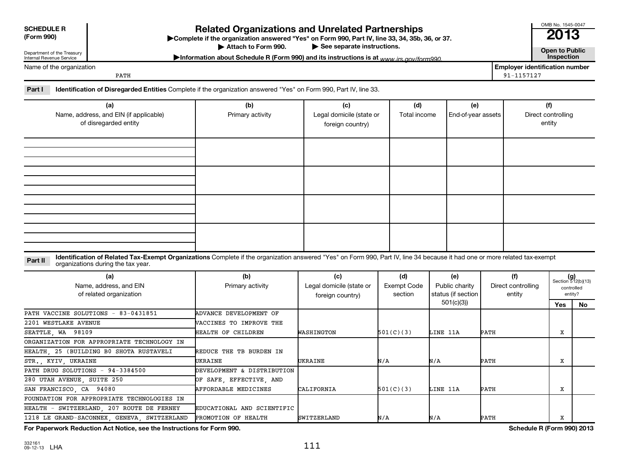| <b>SCHEDULE R</b>                 |
|-----------------------------------|
| $[F_{\alpha r}$ $\alpha$ $\alpha$ |

**(Form 990) Complete if the organizations and Unrelated Partnerships**<br> **Related Organization answered "Yes" on Form 990, Part IV, line 33, 34, 35b, 36, or 37.**<br>
■ 2013 Attach to Form 990.

▶ See separate instructions.<br> **Attachm is a separate instructions** is at *www.irs.gov/form990* **example instructions** is at *www.irs.gov/form990* Information about Schedule R (Form 990) and its instructions is at <sub>www</sub> irs.gov/form990.

Name of the organization

Department of the Treasury Internal Revenue Service

**Employer identification number** PATH 91-1157127

OMB No. 1545-0047

Part I lentification of Disregarded Entities Complete if the organization answered "Yes" on Form 990, Part IV, line 33.

| (a)<br>Name, address, and EIN (if applicable)<br>of disregarded entity | (b)<br>Primary activity | (c)<br>Legal domicile (state or<br>foreign country) | (d)<br>Total income | (e)<br>End-of-year assets | (f)<br>Direct controlling<br>entity |
|------------------------------------------------------------------------|-------------------------|-----------------------------------------------------|---------------------|---------------------------|-------------------------------------|
|                                                                        |                         |                                                     |                     |                           |                                     |
|                                                                        |                         |                                                     |                     |                           |                                     |
|                                                                        |                         |                                                     |                     |                           |                                     |
|                                                                        |                         |                                                     |                     |                           |                                     |

Part II ldentification of Related Tax-Exempt Organizations Complete if the organization answered "Yes" on Form 990, Part IV, line 34 because it had one or more related tax-exempt<br>Complete it is a seminary way were presente organizations during the tax year.

| (a)<br>Name, address, and EIN<br>of related organization | (b)<br>Primary activity        | (c)<br>Legal domicile (state or<br>foreign country) | (d)<br>Exempt Code<br>section | (e)<br>Public charity<br>status (if section | (f)<br>Direct controlling<br>entity |     | $(g)$<br>Section 512(b)(13)<br>controlled<br>entity? |
|----------------------------------------------------------|--------------------------------|-----------------------------------------------------|-------------------------------|---------------------------------------------|-------------------------------------|-----|------------------------------------------------------|
|                                                          |                                |                                                     |                               | 501(c)(3)                                   |                                     | Yes | No.                                                  |
| PATH VACCINE SOLUTIONS - 83-0431851                      | ADVANCE DEVELOPMENT OF         |                                                     |                               |                                             |                                     |     |                                                      |
| 2201 WESTLAKE AVENUE                                     | <b>WACCINES TO IMPROVE THE</b> |                                                     |                               |                                             |                                     |     |                                                      |
| SEATTLE, WA 98109                                        | HEALTH OF CHILDREN             | WASHINGTON                                          | 501(C)(3)                     | LINE 11A                                    | PATH                                | X   |                                                      |
| ORGANIZATION FOR APPROPRIATE TECHNOLOGY IN               |                                |                                                     |                               |                                             |                                     |     |                                                      |
| HEALTH, 25 (BUILDING BO SHOTA RUSTAVELI                  | REDUCE THE TB BURDEN IN        |                                                     |                               |                                             |                                     |     |                                                      |
| STR., KYIV, UKRAINE                                      | UKRAINE                        | UKRAINE                                             | N/A                           | N/A                                         | PATH                                | X   |                                                      |
| PATH DRUG SOLUTIONS - 94-3384500                         | DEVELOPMENT & DISTRIBUTION     |                                                     |                               |                                             |                                     |     |                                                      |
| 280 UTAH AVENUE, SUITE 250                               | OF SAFE, EFFECTIVE, AND        |                                                     |                               |                                             |                                     |     |                                                      |
| SAN FRANCISCO, CA 94080                                  | <b>AFFORDABLE MEDICINES</b>    | CALIFORNIA                                          | 501(C)(3)                     | LINE 11A                                    | PATH                                | X   |                                                      |
| FOUNDATION FOR APPROPRIATE TECHNOLOGIES IN               |                                |                                                     |                               |                                             |                                     |     |                                                      |
| HEALTH - SWITZERLAND, 207 ROUTE DE FERNEY                | EDUCATIONAL AND SCIENTIFIC     |                                                     |                               |                                             |                                     |     |                                                      |
| 1218 LE GRAND-SACONNEX, GENEVA, SWITZERLAND              | PROMOTION OF HEALTH            | <b>SWITZERLAND</b>                                  | N/A                           | N/A                                         | PATH                                | X   |                                                      |

**For Paperwork Reduction Act Notice, see the Instructions for Form 990. Schedule R (Form 990) 2013**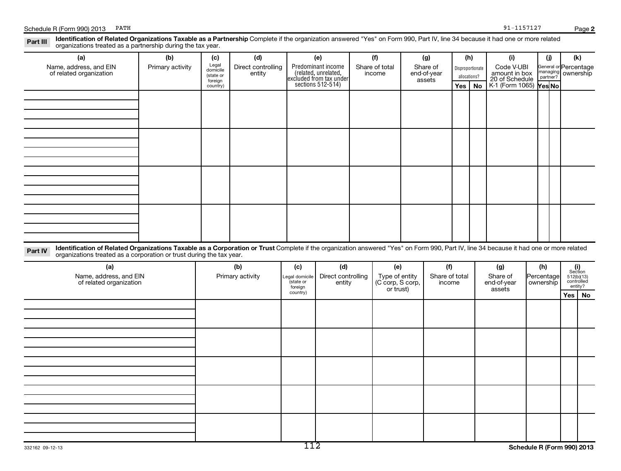| (a)                                                                                                                                                                                    | (b)              | (c)                  | (d)                |                     | (e)                                                                                        | (f)                                | (g)                   | (h)      |                  | (i)                           | (i)                       | (k)                          |  |
|----------------------------------------------------------------------------------------------------------------------------------------------------------------------------------------|------------------|----------------------|--------------------|---------------------|--------------------------------------------------------------------------------------------|------------------------------------|-----------------------|----------|------------------|-------------------------------|---------------------------|------------------------------|--|
| Name, address, and EIN<br>of related organization                                                                                                                                      | Primary activity | Legal<br>domicile    | Direct controlling |                     |                                                                                            | Share of total                     | Share of              |          | Disproportionate | Code V-UBI<br>amount in box   |                           | General or Percentage        |  |
|                                                                                                                                                                                        |                  | (state or<br>foreign | entity             |                     |                                                                                            | income                             | end-of-year<br>assets |          | allocations?     | 20 of Schedule                | managing<br>partner?      | ownership                    |  |
|                                                                                                                                                                                        |                  | country)             |                    |                     | Predominant income<br>(related, unrelated,<br>excluded from tax under<br>sections 512-514) |                                    |                       | Yes   No |                  | K-1 (Form 1065) <b>Yes No</b> |                           |                              |  |
|                                                                                                                                                                                        |                  |                      |                    |                     |                                                                                            |                                    |                       |          |                  |                               |                           |                              |  |
|                                                                                                                                                                                        |                  |                      |                    |                     |                                                                                            |                                    |                       |          |                  |                               |                           |                              |  |
|                                                                                                                                                                                        |                  |                      |                    |                     |                                                                                            |                                    |                       |          |                  |                               |                           |                              |  |
|                                                                                                                                                                                        |                  |                      |                    |                     |                                                                                            |                                    |                       |          |                  |                               |                           |                              |  |
|                                                                                                                                                                                        |                  |                      |                    |                     |                                                                                            |                                    |                       |          |                  |                               |                           |                              |  |
|                                                                                                                                                                                        |                  |                      |                    |                     |                                                                                            |                                    |                       |          |                  |                               |                           |                              |  |
|                                                                                                                                                                                        |                  |                      |                    |                     |                                                                                            |                                    |                       |          |                  |                               |                           |                              |  |
|                                                                                                                                                                                        |                  |                      |                    |                     |                                                                                            |                                    |                       |          |                  |                               |                           |                              |  |
|                                                                                                                                                                                        |                  |                      |                    |                     |                                                                                            |                                    |                       |          |                  |                               |                           |                              |  |
|                                                                                                                                                                                        |                  |                      |                    |                     |                                                                                            |                                    |                       |          |                  |                               |                           |                              |  |
|                                                                                                                                                                                        |                  |                      |                    |                     |                                                                                            |                                    |                       |          |                  |                               |                           |                              |  |
|                                                                                                                                                                                        |                  |                      |                    |                     |                                                                                            |                                    |                       |          |                  |                               |                           |                              |  |
|                                                                                                                                                                                        |                  |                      |                    |                     |                                                                                            |                                    |                       |          |                  |                               |                           |                              |  |
|                                                                                                                                                                                        |                  |                      |                    |                     |                                                                                            |                                    |                       |          |                  |                               |                           |                              |  |
|                                                                                                                                                                                        |                  |                      |                    |                     |                                                                                            |                                    |                       |          |                  |                               |                           |                              |  |
|                                                                                                                                                                                        |                  |                      |                    |                     |                                                                                            |                                    |                       |          |                  |                               |                           |                              |  |
|                                                                                                                                                                                        |                  |                      |                    |                     |                                                                                            |                                    |                       |          |                  |                               |                           |                              |  |
| Identification of Related Organizations Taxable as a Corporation or Trust Complete if the organization answered "Yes" on Form 990, Part IV, line 34 because it had one or more related |                  |                      |                    |                     |                                                                                            |                                    |                       |          |                  |                               |                           |                              |  |
| Part IV<br>organizations treated as a corporation or trust during the tax year.                                                                                                        |                  |                      |                    |                     |                                                                                            |                                    |                       |          |                  |                               |                           |                              |  |
| (a)                                                                                                                                                                                    |                  |                      | (b)                | (c)                 | (d)                                                                                        | (e)                                | (f)                   |          |                  | (g)                           | (h)                       |                              |  |
| Name, address, and EIN                                                                                                                                                                 |                  |                      | Primary activity   | Legal domicile      | Direct controlling                                                                         |                                    | Share of total        |          |                  | Share of                      |                           | (i)<br>Section<br>512(b)(13) |  |
| of related organization                                                                                                                                                                |                  |                      |                    | (state or           | entity                                                                                     | Type of entity<br>(C corp, S corp, | income                |          |                  | end-of-year                   | Percentage<br>  ownership | controlled<br>entity?        |  |
|                                                                                                                                                                                        |                  |                      |                    | foreign<br>country) |                                                                                            | or trust)                          |                       |          |                  | assets                        |                           | $Yes \mid No$                |  |
|                                                                                                                                                                                        |                  |                      |                    |                     |                                                                                            |                                    |                       |          |                  |                               |                           |                              |  |
|                                                                                                                                                                                        |                  |                      |                    |                     |                                                                                            |                                    |                       |          |                  |                               |                           |                              |  |
|                                                                                                                                                                                        |                  |                      |                    |                     |                                                                                            |                                    |                       |          |                  |                               |                           |                              |  |
|                                                                                                                                                                                        |                  |                      |                    |                     |                                                                                            |                                    |                       |          |                  |                               |                           |                              |  |
|                                                                                                                                                                                        |                  |                      |                    |                     |                                                                                            |                                    |                       |          |                  |                               |                           |                              |  |
|                                                                                                                                                                                        |                  |                      |                    |                     |                                                                                            |                                    |                       |          |                  |                               |                           |                              |  |
|                                                                                                                                                                                        |                  |                      |                    |                     |                                                                                            |                                    |                       |          |                  |                               |                           |                              |  |
|                                                                                                                                                                                        |                  |                      |                    |                     |                                                                                            |                                    |                       |          |                  |                               |                           |                              |  |
|                                                                                                                                                                                        |                  |                      |                    |                     |                                                                                            |                                    |                       |          |                  |                               |                           |                              |  |
|                                                                                                                                                                                        |                  |                      |                    |                     |                                                                                            |                                    |                       |          |                  |                               |                           |                              |  |
|                                                                                                                                                                                        |                  |                      |                    |                     |                                                                                            |                                    |                       |          |                  |                               |                           |                              |  |
|                                                                                                                                                                                        |                  |                      |                    |                     |                                                                                            |                                    |                       |          |                  |                               |                           |                              |  |
|                                                                                                                                                                                        |                  |                      |                    |                     |                                                                                            |                                    |                       |          |                  |                               |                           |                              |  |
|                                                                                                                                                                                        |                  |                      |                    |                     |                                                                                            |                                    |                       |          |                  |                               |                           |                              |  |
|                                                                                                                                                                                        |                  |                      |                    |                     |                                                                                            |                                    |                       |          |                  |                               |                           |                              |  |
|                                                                                                                                                                                        |                  |                      |                    |                     |                                                                                            |                                    |                       |          |                  |                               |                           |                              |  |
| 332162 09-12-13                                                                                                                                                                        |                  |                      |                    | 112                 |                                                                                            |                                    |                       |          |                  |                               |                           | Schedule R (Form 990) 2013   |  |

Part III Identification of Related Organizations Taxable as a Partnership Complete if the organization answered "Yes" on Form 990, Part IV, line 34 because it had one or more related<br>Read to consistions tracted as a partne

# Schedule R (Form 990) 2013 PATH 91-1157127

organizations treated as a partnership during the tax year.

**2**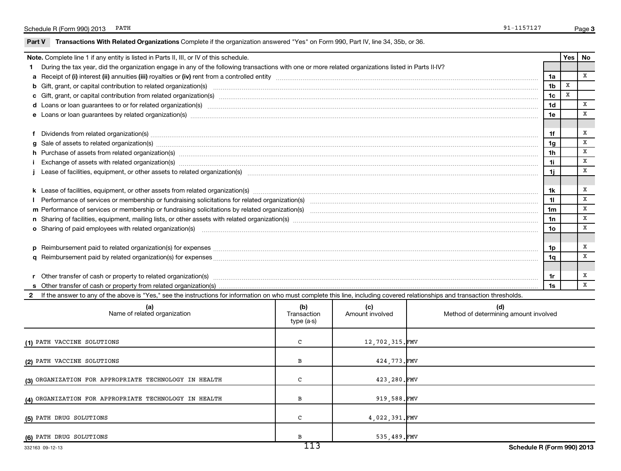|  |  | Part V Transactions With Related Organizations Complete if the organization answered "Yes" on Form 990, Part IV, line 34, 35b, or 36. |  |  |
|--|--|---------------------------------------------------------------------------------------------------------------------------------------|--|--|
|--|--|---------------------------------------------------------------------------------------------------------------------------------------|--|--|

(4) ORGANIZATION FOR APPROPRIATE TECHNOLOGY IN HEALTH B B 919,588.FMV

**(5)** PATH DRUG SOLUTIONS C 4,022,391.FMV

**(6)** PATH DRUG SOLUTIONS 535,489. FMV

| Note. Complete line 1 if any entity is listed in Parts II, III, or IV of this schedule.                                                                                                                                        |                                  |                        |  |                                              |                                  | Yes | No |  |
|--------------------------------------------------------------------------------------------------------------------------------------------------------------------------------------------------------------------------------|----------------------------------|------------------------|--|----------------------------------------------|----------------------------------|-----|----|--|
| 1 During the tax year, did the organization engage in any of the following transactions with one or more related organizations listed in Parts II-IV?                                                                          |                                  |                        |  |                                              |                                  |     |    |  |
|                                                                                                                                                                                                                                |                                  |                        |  |                                              | 1a                               |     | x  |  |
|                                                                                                                                                                                                                                |                                  |                        |  |                                              |                                  |     |    |  |
|                                                                                                                                                                                                                                |                                  |                        |  |                                              |                                  |     |    |  |
|                                                                                                                                                                                                                                |                                  |                        |  |                                              | 1 <sub>d</sub>                   |     | x  |  |
|                                                                                                                                                                                                                                |                                  |                        |  |                                              | 1e                               |     | X  |  |
|                                                                                                                                                                                                                                |                                  |                        |  |                                              |                                  |     | x  |  |
|                                                                                                                                                                                                                                |                                  |                        |  |                                              | 1f                               |     | X  |  |
|                                                                                                                                                                                                                                |                                  |                        |  |                                              | 1 <sub>g</sub><br>1 <sub>h</sub> |     | X  |  |
| h Purchase of assets from related organization(s) manufactured and content to content the content of assets from related organization(s) manufactured and content and content and content of the content of the content of the |                                  |                        |  |                                              | 1i                               |     | X  |  |
|                                                                                                                                                                                                                                |                                  |                        |  |                                              | 1i.                              |     | x  |  |
|                                                                                                                                                                                                                                |                                  |                        |  |                                              |                                  |     |    |  |
|                                                                                                                                                                                                                                |                                  |                        |  |                                              | 1k                               |     | x  |  |
|                                                                                                                                                                                                                                |                                  |                        |  |                                              | 11                               |     | X  |  |
|                                                                                                                                                                                                                                |                                  |                        |  |                                              | 1m                               |     | x  |  |
|                                                                                                                                                                                                                                |                                  |                        |  |                                              | 1n                               |     | x  |  |
| o Sharing of paid employees with related organization(s) manufaction(s) and contain an examinary contained and an examination of the state or state or state or state or state or state or state or state or state or state or |                                  |                        |  |                                              | 10                               |     | X  |  |
|                                                                                                                                                                                                                                |                                  |                        |  |                                              |                                  |     |    |  |
|                                                                                                                                                                                                                                |                                  |                        |  |                                              | 1p                               |     | x  |  |
|                                                                                                                                                                                                                                |                                  |                        |  |                                              | 1q                               |     | x  |  |
|                                                                                                                                                                                                                                |                                  |                        |  |                                              |                                  |     |    |  |
|                                                                                                                                                                                                                                |                                  |                        |  |                                              | 1r                               |     | х  |  |
|                                                                                                                                                                                                                                |                                  |                        |  |                                              | 1s                               |     | x  |  |
| 2 If the answer to any of the above is "Yes," see the instructions for information on who must complete this line, including covered relationships and transaction thresholds.                                                 |                                  |                        |  |                                              |                                  |     |    |  |
| (a)<br>Name of related organization                                                                                                                                                                                            | (b)<br>Transaction<br>type (a-s) | (c)<br>Amount involved |  | (d)<br>Method of determining amount involved |                                  |     |    |  |
| (1) PATH VACCINE SOLUTIONS                                                                                                                                                                                                     | C                                | 12,702,315.FMV         |  |                                              |                                  |     |    |  |
| (2) PATH VACCINE SOLUTIONS                                                                                                                                                                                                     | в                                | 424,773.FMV            |  |                                              |                                  |     |    |  |
| (3) ORGANIZATION FOR APPROPRIATE TECHNOLOGY IN HEALTH                                                                                                                                                                          | c                                | 423,280.FMV            |  |                                              |                                  |     |    |  |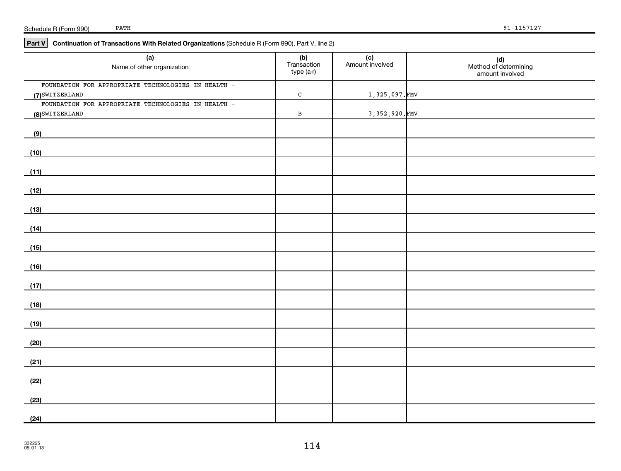| Schedule R (Form 990) | PATH |
|-----------------------|------|
|-----------------------|------|

### **Part V Continuation of Transactions With Related Organizations**  (Schedule R (Form 990), Part V, line 2)

| (a)<br>Name of other organization                   | (b)<br>Transaction<br>type (a-r) | (c)<br>Amount involved | (d)<br>Method of determining<br>amount involved |
|-----------------------------------------------------|----------------------------------|------------------------|-------------------------------------------------|
| FOUNDATION FOR APPROPRIATE TECHNOLOGIES IN HEALTH - |                                  |                        |                                                 |
| (7) SWITZERLAND                                     | $\mathtt{C}$                     | 1,325,097.FMV          |                                                 |
| FOUNDATION FOR APPROPRIATE TECHNOLOGIES IN HEALTH - |                                  |                        |                                                 |
| (8) SWITZERLAND                                     | $\, {\bf B}$                     | 3, 352, 920. FMV       |                                                 |
| (9)                                                 |                                  |                        |                                                 |
| (10)                                                |                                  |                        |                                                 |
| (11)                                                |                                  |                        |                                                 |
| (12)                                                |                                  |                        |                                                 |
| (13)                                                |                                  |                        |                                                 |
|                                                     |                                  |                        |                                                 |
| (14)                                                |                                  |                        |                                                 |
| (15)                                                |                                  |                        |                                                 |
| (16)                                                |                                  |                        |                                                 |
| (17)                                                |                                  |                        |                                                 |
| (18)                                                |                                  |                        |                                                 |
| (19)                                                |                                  |                        |                                                 |
|                                                     |                                  |                        |                                                 |
| (20)                                                |                                  |                        |                                                 |
| (21)                                                |                                  |                        |                                                 |
| (22)                                                |                                  |                        |                                                 |
| (23)                                                |                                  |                        |                                                 |
| (24)                                                |                                  |                        |                                                 |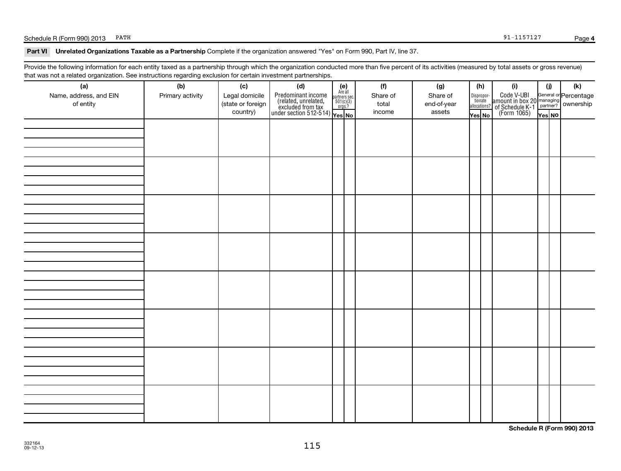# Schedule R (Form 990) 2013 PATH 91-1157127

#### Part VI Unrelated Organizations Taxable as a Partnership Complete if the organization answered "Yes" on Form 990, Part IV, line 37.

Provide the following information for each entity taxed as a partnership through which the organization conducted more than five percent of its activities (measured by total assets or gross revenue) that was not a related organization. See instructions regarding exclusion for certain investment partnerships.

| (a)<br>Name, address, and EIN<br>of entity | (b)<br>Primary activity | (c)<br>Legal domicile<br>(state or foreign<br>country) | (d)<br>$\left\{ \begin{array}{l} \text{Predominant income} & \text{Area} \\ \text{(related, unrelated,} & \text{501(c)(3)} \\ \text{excluded from tax} & \text{501(c)(3)} \\ \text{under section 512-514)} & \text{Yes. No} \end{array} \right.$ | (e)<br>Are all<br>partners sec.<br>$501(c)(3)$<br>orgs.? | (f)<br>Share of<br>total<br>income | (g)<br>Share of<br>end-of-year<br>assets | (h)<br>Dispropor- | tionate<br>allocations?<br>Yes No | (i)<br>Code V-UBI<br>amount in box 20 managing<br>2 of Schedule K-1 partner?<br>(Form 1065)<br>$\frac{1}{\sqrt{1-\frac{1}{2}}}\sqrt{\frac{1}{\sqrt{1-\frac{1}{2}}}}$ | (i)<br>Yes NO | $(\mathsf{k})$ |
|--------------------------------------------|-------------------------|--------------------------------------------------------|--------------------------------------------------------------------------------------------------------------------------------------------------------------------------------------------------------------------------------------------------|----------------------------------------------------------|------------------------------------|------------------------------------------|-------------------|-----------------------------------|----------------------------------------------------------------------------------------------------------------------------------------------------------------------|---------------|----------------|
|                                            |                         |                                                        |                                                                                                                                                                                                                                                  |                                                          |                                    |                                          |                   |                                   |                                                                                                                                                                      |               |                |
|                                            |                         |                                                        |                                                                                                                                                                                                                                                  |                                                          |                                    |                                          |                   |                                   |                                                                                                                                                                      |               |                |
|                                            |                         |                                                        |                                                                                                                                                                                                                                                  |                                                          |                                    |                                          |                   |                                   |                                                                                                                                                                      |               |                |
|                                            |                         |                                                        |                                                                                                                                                                                                                                                  |                                                          |                                    |                                          |                   |                                   |                                                                                                                                                                      |               |                |
|                                            |                         |                                                        |                                                                                                                                                                                                                                                  |                                                          |                                    |                                          |                   |                                   |                                                                                                                                                                      |               |                |
|                                            |                         |                                                        |                                                                                                                                                                                                                                                  |                                                          |                                    |                                          |                   |                                   |                                                                                                                                                                      |               |                |
|                                            |                         |                                                        |                                                                                                                                                                                                                                                  |                                                          |                                    |                                          |                   |                                   |                                                                                                                                                                      |               |                |
|                                            |                         |                                                        |                                                                                                                                                                                                                                                  |                                                          |                                    |                                          |                   |                                   |                                                                                                                                                                      |               |                |

**Schedule R (Form 990) 2013**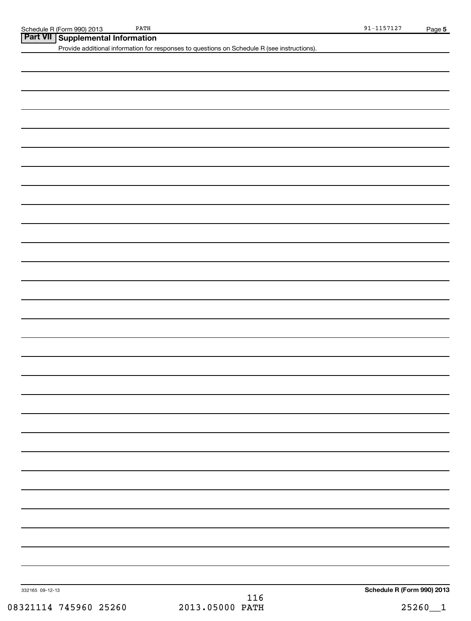| $\ensuremath{\mathrm{PATH}}$<br>Schedule R (Form 990) 2013 |                                                                                             | $91 - 1157127$             | Page 5  |
|------------------------------------------------------------|---------------------------------------------------------------------------------------------|----------------------------|---------|
| Part VII Supplemental Information                          |                                                                                             |                            |         |
|                                                            | Provide additional information for responses to questions on Schedule R (see instructions). |                            |         |
|                                                            |                                                                                             |                            |         |
|                                                            |                                                                                             |                            |         |
|                                                            |                                                                                             |                            |         |
|                                                            |                                                                                             |                            |         |
|                                                            |                                                                                             |                            |         |
|                                                            |                                                                                             |                            |         |
|                                                            |                                                                                             |                            |         |
|                                                            |                                                                                             |                            |         |
|                                                            |                                                                                             |                            |         |
|                                                            |                                                                                             |                            |         |
|                                                            |                                                                                             |                            |         |
|                                                            |                                                                                             |                            |         |
|                                                            |                                                                                             |                            |         |
|                                                            |                                                                                             |                            |         |
|                                                            |                                                                                             |                            |         |
|                                                            |                                                                                             |                            |         |
|                                                            |                                                                                             |                            |         |
|                                                            |                                                                                             |                            |         |
|                                                            |                                                                                             |                            |         |
|                                                            |                                                                                             |                            |         |
|                                                            |                                                                                             |                            |         |
|                                                            |                                                                                             |                            |         |
|                                                            |                                                                                             |                            |         |
|                                                            |                                                                                             |                            |         |
|                                                            |                                                                                             |                            |         |
|                                                            |                                                                                             |                            |         |
|                                                            |                                                                                             |                            |         |
|                                                            |                                                                                             |                            |         |
|                                                            |                                                                                             |                            |         |
|                                                            |                                                                                             |                            |         |
|                                                            |                                                                                             |                            |         |
|                                                            |                                                                                             |                            |         |
|                                                            |                                                                                             |                            |         |
|                                                            |                                                                                             |                            |         |
|                                                            |                                                                                             |                            |         |
|                                                            |                                                                                             |                            |         |
|                                                            |                                                                                             |                            |         |
|                                                            |                                                                                             |                            |         |
|                                                            |                                                                                             |                            |         |
|                                                            |                                                                                             |                            |         |
|                                                            |                                                                                             |                            |         |
|                                                            |                                                                                             |                            |         |
|                                                            |                                                                                             |                            |         |
|                                                            |                                                                                             |                            |         |
|                                                            |                                                                                             |                            |         |
|                                                            |                                                                                             |                            |         |
|                                                            |                                                                                             |                            |         |
| 332165 09-12-13                                            | 116                                                                                         | Schedule R (Form 990) 2013 |         |
| 08321114 745960 25260                                      | 2013.05000 PATH                                                                             |                            | 25260_1 |
|                                                            |                                                                                             |                            |         |